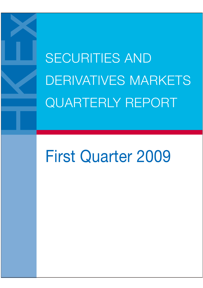SECURITIES AND DERIVATIVES MARKETS QUARTERLY REPORT

# First Quarter 2009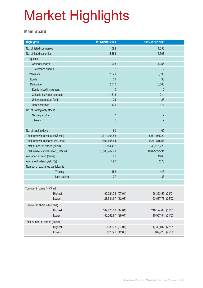#### **Main Board**

| <b>Highlights</b>                       |               | 1st Quarter 2009   | 1st Quarter 2008   |  |
|-----------------------------------------|---------------|--------------------|--------------------|--|
| No. of listed companies                 |               | 1,092              | 1,055              |  |
| No. of listed securities                |               | 5,353              | 6,508              |  |
| Equities                                |               |                    |                    |  |
| Ordinary shares                         |               | 1,093              | 1,056              |  |
| Preference shares                       |               | $\overline{2}$     | $\overline{2}$     |  |
| Warrants                                |               | 2,541              | 5,036              |  |
| <b>Equity</b>                           |               | 31                 | 36                 |  |
| <b>Derivative</b>                       |               | 2,510              | 5,000              |  |
| Equity linked instrument                |               | $\pmb{0}$          | $\theta$           |  |
| Callable bull/bear contracts            |               | 1,513              | 214                |  |
| Unit trusts/mutual funds                |               | 33                 | 26                 |  |
| Debt securities                         |               | 171                | 174                |  |
| No. of trading only stocks              |               |                    |                    |  |
| Nasdaq stocks                           |               | $\overline{7}$     | $\overline{7}$     |  |
| <b>iShares</b>                          |               | $\overline{2}$     | $\overline{2}$     |  |
|                                         |               |                    |                    |  |
| No. of trading days                     |               | 60                 | 60                 |  |
| Total turnover in value (HK\$ mil.)     |               | 2,679,064.53       | 5,901,036.22       |  |
| Total turnover in shares (Mil. shs)     |               | 4,492,698.64       | 9,241,815.58       |  |
| Total number of trades (deals)          |               | 31,884,432         | 38,115,220         |  |
| Total market capitalisation (HK\$ mil.) |               | 10,080,762.91      | 16,825,275.91      |  |
| Average P/E ratio (times)               |               | 8.99               | 13.68              |  |
| Average dividend yield (%)              |               | 4.90               | 2.78               |  |
| Number of exchange participants         |               |                    |                    |  |
|                                         | $-$ Trading   | 452                | 445                |  |
|                                         | - Non-trading | 37                 | 36                 |  |
|                                         |               |                    |                    |  |
| Turnover in value (HK\$ mil.)           |               |                    |                    |  |
|                                         | Highest       | 90,021.72 (07/01)  | 156,353.59 (23/01) |  |
|                                         | Lowest        | 28,531.97 (12/03)  | 63,687.78 (25/02)  |  |
| Turnover in shares (Mil. shs)           |               |                    |                    |  |
|                                         | Highest       | 109,278.63 (14/01) | 210,124.88 (11/01) |  |
|                                         | Lowest        | 50,263.87 (29/01)  | 115,957.84 (31/03) |  |
| Total number of trades (deals)          |               |                    |                    |  |
|                                         | Highest       | 833,038 (07/01)    | 1,039,402 (22/01)  |  |
|                                         | Lowest        | 362,849 (12/03)    | 402,923 (25/02)    |  |
|                                         |               |                    |                    |  |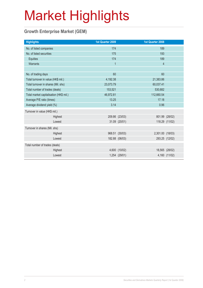#### **Growth Enterprise Market (GEM)**

| <b>Highlights</b>                       |         | <b>1st Quarter 2009</b> |                | 1st Quarter 2008        |                |
|-----------------------------------------|---------|-------------------------|----------------|-------------------------|----------------|
| No. of listed companies                 |         | 174                     |                | 189                     |                |
| No. of listed securities                |         | 175                     |                | 193                     |                |
| Equities                                |         | 174                     |                | 189                     |                |
| Warrants                                |         | $\overline{1}$          |                | $\overline{\mathbf{4}}$ |                |
|                                         |         |                         |                |                         |                |
| No. of trading days                     |         | 60                      |                | 60                      |                |
| Total turnover in value (HK\$ mil.)     |         | 4,192.38                |                | 21,383.86               |                |
| Total turnover in shares (Mil. shs)     |         | 23,073.79               |                | 60,037.41               |                |
| Total number of trades (deals)          |         | 153,521                 |                | 530,682                 |                |
| Total market capitalisation (HK\$ mil.) |         | 46,972.81               | 112,660.54     |                         |                |
| Average P/E ratio (times)               |         | 13.25                   |                | 17.18                   |                |
| Average dividend yield (%)              |         | 3.14                    |                | 0.96                    |                |
| Turnover in value (HK\$ mil.)           |         |                         |                |                         |                |
|                                         | Highest |                         | 209.86 (23/03) |                         | 801.99 (28/02) |
|                                         | Lowest  |                         | 31.09 (20/01)  |                         | 118.29 (11/02) |
| Turnover in shares (Mil. shs)           |         |                         |                |                         |                |
|                                         | Highest |                         | 968.51 (30/03) | 2,301.00 (18/03)        |                |
|                                         | Lowest  |                         | 182.88 (06/03) |                         | 293.25 (12/02) |
| Total number of trades (deals)          |         |                         |                |                         |                |
|                                         | Highest |                         | 4,600 (10/02)  |                         | 18,565 (28/02) |
|                                         | Lowest  |                         | 1,254 (29/01)  |                         | 4,160 (11/02)  |
|                                         |         |                         |                |                         |                |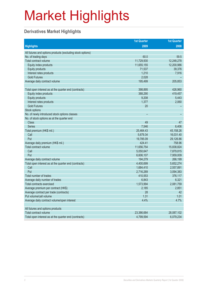#### **Derivatives Market Highlights**

|                                                            | <b>1st Quarter</b> | <b>1st Quarter</b> |
|------------------------------------------------------------|--------------------|--------------------|
| <b>Highlights</b>                                          | 2009               | 2008               |
| All futures and options products (excluding stock options) |                    |                    |
| No. of trading days                                        | 60.0               | 59.5               |
| Total contract volume                                      | 11,729,930         | 12,248,278         |
| Equity index products                                      | 11,655,155         | 12,200,986         |
| Equity products                                            | 71,537             | 39,376             |
| Interest rates products                                    | 1,210              | 7,916              |
| <b>Gold Futures</b>                                        | 2,028              |                    |
| Average daily contract volume                              | 195,499            | 205,853            |
|                                                            |                    |                    |
| Total open interest as at the quarter end (contracts)      | 398,895            | 426,960            |
| Equity index products                                      | 388,290            | 419,457            |
| Equity products                                            | 9,208              | 5,443              |
| Interest rates products                                    | 1,377              | 2,060              |
| <b>Gold Futures</b>                                        | 20                 |                    |
| Stock options                                              |                    |                    |
| No. of newly introduced stock options classes              |                    |                    |
| No. of stock options as at the quarter end                 |                    |                    |
| <b>Class</b>                                               | 49                 | 47                 |
| <b>Series</b>                                              | 7,546              | 6,406              |
| Total premium (HK\$ mil.)                                  | 25,464.43          | 45,158.26          |
| Call                                                       | 5,679.34           | 16,031.40          |
| Put                                                        | 19,785.09          | 29,126.86          |
| Average daily premium (HK\$ mil.)                          | 424.41             | 758.96             |
| Total contract volume                                      | 11,656,754         | 15,838,824         |
| Call                                                       | 5,050,647          | 7,879,815          |
| Put                                                        | 6,606,107          | 7,959,009          |
| Average daily contract volume                              | 194,279            | 266,199            |
| Total open interest as at the quarter end (contracts)      | 4,400,699          | 5,652,274          |
| Call                                                       | 1,684,410          | 2,557,891          |
| Put                                                        | 2,716,289          | 3,094,383          |
| Total number of trades                                     | 410,553            | 376,117            |
| Average daily number of trades                             | 6,843              | 6,321              |
| Total contracts exercised                                  | 1,573,994          | 2,081,759          |
| Average premium per contract (HK\$)                        | 2,185              | 2,851              |
| Average contract per trade (contracts)                     | 28                 | 42                 |
| Put volume/call volume                                     | 1.31               | 1.01               |
| Average daily contract volume/open interest                | 4.4%               | 4.7%               |
|                                                            |                    |                    |
| All futures and options products                           |                    |                    |
| Total contract volume                                      | 23,386,684         | 28,087,102         |
| Total open interest as at the quarter end (contracts)      | 4,799,594          | 6,079,234          |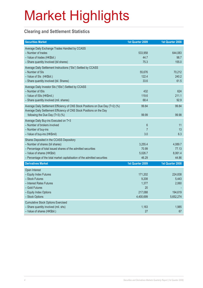#### **Clearing and Settlement Statistics**

| <b>Securities Market</b>                                                                                                                                                                                                                                   | 1st Quarter 2009                                        | 1st Quarter 2008                                  |
|------------------------------------------------------------------------------------------------------------------------------------------------------------------------------------------------------------------------------------------------------------|---------------------------------------------------------|---------------------------------------------------|
| Average Daily Exchange Trades Handled by CCASS<br>- Number of trades<br>- Value of trades (HK\$bil.)<br>- Share quantity Involved (bil shares)                                                                                                             | 533,958<br>44.7<br>75.3                                 | 644,083<br>98.7<br>155.0                          |
| Average Daily Settlement Instructions ("SIs") Settled by CCASS<br>- Number of SIs<br>- Value of SIs (HK\$bil.)<br>- Share quantity involved (bil. Shares)                                                                                                  | 55,676<br>122.4<br>33.6                                 | 70,212<br>240.2<br>61.5                           |
| Average Daily Investor SIs ("ISIs") Settled by CCASS<br>- Number of ISIs<br>- Value of ISIs (HK\$mil.)<br>- Share quantity involved (mil. shares)                                                                                                          | 432<br>119.6<br>68.4                                    | 624<br>211.1<br>92.9                              |
| Average Daily Settlement Efficiency of CNS Stock Positions on Due Day (T+2) (%)<br>Average Daily Settlement Efficiency of CNS Stock Positions on the Day<br>following the Due Day (T+3) (%)                                                                | 99.84<br>99.99                                          | 99.84<br>99.98                                    |
| Average Daily Buy-ins Executed on T+3<br>- Number of brokers involved<br>- Number of buy-ins<br>- Value of buy-ins (HK\$mil)                                                                                                                               | $\boldsymbol{6}$<br>$\overline{7}$<br>3.0               | 11<br>13<br>6.3                                   |
| Shares Deposited in the CCASS Depository<br>- Number of shares (bil shares)<br>- Percentage of total issued shares of the admitted securities<br>- Value of shares (HK\$bil)<br>- Percentage of the total market capitalisation of the admitted securities | 3,255.4<br>70.99<br>5,026.7<br>46.29                    | 4,089.7<br>77.13<br>8,061.4<br>44.86              |
| <b>Derivatives Market</b>                                                                                                                                                                                                                                  | 1st Quarter 2009                                        | 1st Quarter 2008                                  |
| Open Interest<br>- Equity Index Futures<br>- Stock Futures<br>- Interest Rates Futures<br>- Gold Futures<br>- Equity Index Options<br>- Stock Options                                                                                                      | 171,202<br>9,208<br>1,377<br>20<br>217,088<br>4,400,699 | 224,838<br>5,443<br>2,060<br>194,619<br>5,652,274 |
| <b>Cumulative Stock Options Exercised</b><br>- Share quantity involved (mil. shs)<br>- Value of shares (HK\$bil.)                                                                                                                                          | 1,163<br>27                                             | 1,985<br>67                                       |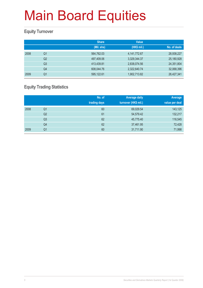#### **Equity Turnover**

|      |                | <b>Share</b> | <b>Value</b>    |              |
|------|----------------|--------------|-----------------|--------------|
|      |                | (Mil. shs)   | (HK\$ mil.)     | No. of deals |
| 2008 | Q <sub>1</sub> | 564,762.03   | 4, 141, 772. 67 | 28,938,227   |
|      | Q <sub>2</sub> | 497,409.06   | 3,329,344.37    | 25,180,928   |
|      | Q <sub>3</sub> | 413,439.81   | 2,838,074.56    | 24,351,804   |
|      | Q4             | 608,044.76   | 2,322,640.74    | 32,068,396   |
| 2009 | Q <sub>1</sub> | 595,122.61   | 1,902,713.82    | 26,427,341   |

#### **Equity Trading Statistics**

|      |                | No. of<br>trading days | <b>Average daily</b><br>turnover (HK\$ mil.) | Average<br>value per deal |
|------|----------------|------------------------|----------------------------------------------|---------------------------|
| 2008 | Q <sub>1</sub> | 60                     | 69,029.54                                    | 143,125                   |
|      | Q2             | 61                     | 54,579.42                                    | 132,217                   |
|      | Q <sub>3</sub> | 62                     | 45,775.40                                    | 116,545                   |
|      | Q4             | 62                     | 37,461.95                                    | 72,428                    |
| 2009 | Q1             | 60                     | 31,711.90                                    | 71,998                    |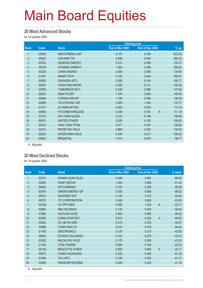#### **20 Most Advanced Stocks**

for 1st quarter 2009

| End of Mar 2009<br>End of Dec 2008<br>Rank<br>Code<br><b>Stock</b><br>00905<br>1<br><b>MASTERMIND CAP</b><br>0.157<br>0.030<br>$\overline{2}$<br><b>SUN MAN TAI</b><br>00433<br>0.290<br>0.063<br>3<br>0.410<br>00702<br><b>GENESIS ENERGY</b><br>0.098<br>$\overline{4}$<br><b>DYNAMIC ENERGY</b><br>1.900<br>00578<br>0.480<br>$\overline{5}$<br><b>CHINA ENERGY</b><br>00228<br>0.265<br>0.095<br>6<br><b>SMART RICH</b><br>0.120<br>01051<br>0.046<br>$\overline{7}$<br>00909<br><b>ZHONGDA INT'L</b><br>0.365<br>0.140<br>8<br><b>CHINA RES MICRO</b><br>0.111<br>00597<br>0.280<br>9<br><b>TOMORROW INT'L</b><br>00760<br>0.238<br>0.096<br>10<br><b>NAM TAI EEP</b><br>02633<br>1.470<br>0.600<br>11<br><b>FUFENG GROUP</b><br>1.180<br>00546<br>0.495<br>12<br><b>TECHTRONIC IND</b><br>3.600<br>1.540<br>00669<br>13<br><b>CH INNOVATION</b><br>01217<br>0.062<br>0.029 |    |       |                        |       | <b>Closing price</b> |                          |
|----------------------------------------------------------------------------------------------------------------------------------------------------------------------------------------------------------------------------------------------------------------------------------------------------------------------------------------------------------------------------------------------------------------------------------------------------------------------------------------------------------------------------------------------------------------------------------------------------------------------------------------------------------------------------------------------------------------------------------------------------------------------------------------------------------------------------------------------------------------------------------|----|-------|------------------------|-------|----------------------|--------------------------|
|                                                                                                                                                                                                                                                                                                                                                                                                                                                                                                                                                                                                                                                                                                                                                                                                                                                                                  |    |       |                        |       |                      | $%$ up                   |
|                                                                                                                                                                                                                                                                                                                                                                                                                                                                                                                                                                                                                                                                                                                                                                                                                                                                                  |    |       |                        |       |                      | 423.33                   |
|                                                                                                                                                                                                                                                                                                                                                                                                                                                                                                                                                                                                                                                                                                                                                                                                                                                                                  |    |       |                        |       |                      | 360.32                   |
|                                                                                                                                                                                                                                                                                                                                                                                                                                                                                                                                                                                                                                                                                                                                                                                                                                                                                  |    |       |                        |       |                      | 318.37                   |
|                                                                                                                                                                                                                                                                                                                                                                                                                                                                                                                                                                                                                                                                                                                                                                                                                                                                                  |    |       |                        |       |                      | 295.83                   |
|                                                                                                                                                                                                                                                                                                                                                                                                                                                                                                                                                                                                                                                                                                                                                                                                                                                                                  |    |       |                        |       |                      | 178.95                   |
|                                                                                                                                                                                                                                                                                                                                                                                                                                                                                                                                                                                                                                                                                                                                                                                                                                                                                  |    |       |                        |       |                      | 160.87                   |
|                                                                                                                                                                                                                                                                                                                                                                                                                                                                                                                                                                                                                                                                                                                                                                                                                                                                                  |    |       |                        |       |                      | 160.71                   |
|                                                                                                                                                                                                                                                                                                                                                                                                                                                                                                                                                                                                                                                                                                                                                                                                                                                                                  |    |       |                        |       |                      | 152.25                   |
|                                                                                                                                                                                                                                                                                                                                                                                                                                                                                                                                                                                                                                                                                                                                                                                                                                                                                  |    |       |                        |       |                      | 147.92                   |
|                                                                                                                                                                                                                                                                                                                                                                                                                                                                                                                                                                                                                                                                                                                                                                                                                                                                                  |    |       |                        |       |                      | 145.00                   |
|                                                                                                                                                                                                                                                                                                                                                                                                                                                                                                                                                                                                                                                                                                                                                                                                                                                                                  |    |       |                        |       |                      | 138.38                   |
|                                                                                                                                                                                                                                                                                                                                                                                                                                                                                                                                                                                                                                                                                                                                                                                                                                                                                  |    |       |                        |       |                      | 133.77                   |
|                                                                                                                                                                                                                                                                                                                                                                                                                                                                                                                                                                                                                                                                                                                                                                                                                                                                                  |    |       |                        |       |                      | 113.79                   |
|                                                                                                                                                                                                                                                                                                                                                                                                                                                                                                                                                                                                                                                                                                                                                                                                                                                                                  | 14 | 00499 | <b>HYCOMM WIRELESS</b> | 0.340 | 0.161                | $\overline{A}$<br>111.18 |
| 15<br><b>KAI YUAN HLDGS</b><br>01215<br>0.310<br>0.148                                                                                                                                                                                                                                                                                                                                                                                                                                                                                                                                                                                                                                                                                                                                                                                                                           |    |       |                        |       |                      | 109.46                   |
| 16<br><b>UNITED POWER</b><br>00674<br>0.209<br>0.100                                                                                                                                                                                                                                                                                                                                                                                                                                                                                                                                                                                                                                                                                                                                                                                                                             |    |       |                        |       |                      | 109.00                   |
| 17<br><b>XIAN YUEN TITAN</b><br>0.034<br>00353<br>0.071                                                                                                                                                                                                                                                                                                                                                                                                                                                                                                                                                                                                                                                                                                                                                                                                                          |    |       |                        |       |                      | 108.82                   |
| 18<br>PROSP INV HOLD<br>00310<br>0.860<br>0.430                                                                                                                                                                                                                                                                                                                                                                                                                                                                                                                                                                                                                                                                                                                                                                                                                                  |    |       |                        |       |                      | 100.00                   |
| 19<br><b>INTERCHINA HOLD</b><br>00202<br>0.034<br>0.017                                                                                                                                                                                                                                                                                                                                                                                                                                                                                                                                                                                                                                                                                                                                                                                                                          |    |       |                        |       |                      | 100.00                   |
| 20<br><b>BRIGHTOIL</b><br>1.610<br>00933<br>0.810                                                                                                                                                                                                                                                                                                                                                                                                                                                                                                                                                                                                                                                                                                                                                                                                                                |    |       |                        |       |                      | 98.77                    |

A Adjusted

#### **20 Most Declined Stocks**

for 1st quarter 2009

|                 |       |                        |                 | <b>Closing price</b>    |          |  |
|-----------------|-------|------------------------|-----------------|-------------------------|----------|--|
| Rank            | Code  | <b>Stock</b>           | End of Mar 2009 | End of Dec 2008         | % down   |  |
|                 | 02310 | <b>KWANG SUNG ELEC</b> | 0.350           | 2.681                   | $-86.95$ |  |
| $\overline{2}$  | 00583 | <b>SCMP GROUP</b>      | 1.000           | 2.580                   | $-61.24$ |  |
| 3               | 00605 | <b>KPI COMPANY</b>     | 0.120           | 0.300                   | $-60.00$ |  |
| $\overline{4}$  | 00979 | <b>GREEN ENERGY GP</b> | 0.300           | 0.690                   | $-56.52$ |  |
| $\overline{5}$  | 00616 | <b>EASYKNIT ENT</b>    | 0.140           | 0.310                   | $-54.84$ |  |
| $6\phantom{.}6$ | 00372 | <b>ITC CORPORATION</b> | 0.040           | 0.086                   | $-53.49$ |  |
| 7               | 00199 | <b>ITC PPT-NEW</b>     | 0.480           | $\overline{A}$<br>1.025 | $-53.17$ |  |
| 8               | 00566 | <b>RBI HOLDINGS</b>    | 0.125           | 0.250                   | $-50.00$ |  |
| 9               | 01886 | <b>HUIYUAN JUICE</b>   | 4.940           | 9.690                   | $-49.02$ |  |
| 10              | 00326 | <b>CHINA STAR ENT</b>  | 0.013           | $\overline{A}$<br>0.024 | $-45.83$ |  |
| 11              | 00462 | CH JIN HUI MIN         | 0.215           | 0.395                   | $-45.57$ |  |
| 12              | 03886 | <b>TOWN HEALTH</b>     | 0.010           | 0.018                   | $-44.44$ |  |
| 13              | 01195 | <b>SINOTRONICS</b>     | 0.175           | 0.310                   | $-43.55$ |  |
| 14              | 00943 | <b>EFORCE HOLDINGS</b> | 0.153           | 0.270                   | $-43.33$ |  |
| 15              | 02362 | <b>MACAU INV HOLD</b>  | 0.170           | 0.300                   | $-43.33$ |  |
| 16              | 01164 | <b>VITAL PHARM</b>     | 0.094           | 0.165                   | $-43.03$ |  |
| 17              | 00136 | <b>MASCOTTE H-NEW</b>  | 0.550           | $\overline{A}$<br>0.950 | $-42.11$ |  |
| 18              | 00572 | <b>CHINA PACKAGING</b> | 0.235           | 0.400                   | $-41.25$ |  |
| 19              | 01808 | <b>TAI-I INT'L</b>     | 0.194           | 0.330                   | $-41.21$ |  |
| 20              | 00528 | <b>KINGDOM HOLDING</b> | 0.200           | 0.340                   | $-41.18$ |  |

A Adjusted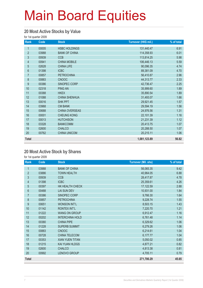#### **20 Most Active Stocks by Value**

for 1st quarter 2009

| Rank           | Code  | <b>Stock</b>         | Turnover (HK\$ mil.) | % of total |
|----------------|-------|----------------------|----------------------|------------|
| 1              | 00005 | <b>HSBC HOLDINGS</b> | 131,440.47           | 6.91       |
| $\overline{2}$ | 03988 | <b>BANK OF CHINA</b> | 114,358.93           | 6.01       |
| $\mathfrak{S}$ | 00939 | <b>CCB</b>           | 113,814.25           | 5.98       |
| 4              | 00941 | <b>CHINA MOBILE</b>  | 106,446.13           | 5.59       |
| $\overline{5}$ | 02628 | <b>CHINA LIFE</b>    | 90,096.35            | 4.74       |
| $6\phantom{.}$ | 01398 | <b>ICBC</b>          | 89,381.09            | 4.70       |
| $\overline{7}$ | 00857 | <b>PETROCHINA</b>    | 56,410.87            | 2.96       |
| 8              | 00883 | <b>CNOOC</b>         | 44,313.77            | 2.33       |
| 9              | 00386 | SINOPEC CORP         | 42,736.47            | 2.25       |
| 10             | 02318 | <b>PING AN</b>       | 35,999.60            | 1.89       |
| 11             | 00388 | <b>HKEX</b>          | 35,890.54            | 1.89       |
| 12             | 01088 | <b>CHINA SHENHUA</b> | 31,493.07            | 1.66       |
| 13             | 00016 | <b>SHK PPT</b>       | 29,921.45            | 1.57       |
| 14             | 03968 | <b>CM BANK</b>       | 29,594.19            | 1.56       |
| 15             | 00688 | CHINA OVERSEAS       | 24,976.56            | 1.31       |
| 16             | 00001 | <b>CHEUNG KONG</b>   | 22,101.39            | 1.16       |
| 17             | 00013 | <b>HUTCHISON</b>     | 21,231.39            | 1.12       |
| 18             | 03328 | <b>BANKCOMM</b>      | 20,413.75            | 1.07       |
| 19             | 02600 | <b>CHALCO</b>        | 20,288.50            | 1.07       |
| 20             | 00762 | <b>CHINA UNICOM</b>  | 20,215.11            | 1.06       |
| Total          |       |                      | 1,081,123.89         | 56.82      |

#### **20 Most Active Stock by Shares**

for 1st quarter 2009

| Rank           | Code  | <b>Stock</b>           | <b>Turnover (Mil. shs)</b> | % of total |
|----------------|-------|------------------------|----------------------------|------------|
| 1              | 03988 | <b>BANK OF CHINA</b>   | 56,065.35                  | 9.42       |
| $\overline{2}$ | 03886 | <b>TOWN HEALTH</b>     | 40,964.05                  | 6.88       |
| 3              | 00939 | <b>CCB</b>             | 28,417.87                  | 4.78       |
| $\overline{4}$ | 01398 | <b>ICBC</b>            | 25,359.61                  | 4.26       |
| 5              | 00397 | HK HEALTH CHECK        | 17,122.59                  | 2.88       |
| 6              | 00488 | LAI SUN DEV            | 10,931.00                  | 1.84       |
| $\overline{7}$ | 00386 | SINOPEC CORP           | 9,766.30                   | 1.64       |
| 8              | 00857 | <b>PETROCHINA</b>      | 9,228.74                   | 1.55       |
| 9              | 00651 | <b>WONSON INT'L</b>    | 8,503.15                   | 1.43       |
| 10             | 01142 | <b>RONTEX INT'L</b>    | 7,220.70                   | 1.21       |
| 11             | 01222 | <b>WANG ON GROUP</b>   | 6,912.47                   | 1.16       |
| 12             | 00202 | <b>INTERCHINA HOLD</b> | 6,761.48                   | 1.14       |
| 13             | 00380 | <b>CHINA PIPE</b>      | 6,329.62                   | 1.06       |
| 14             | 01228 | <b>SUPERB SUMMIT</b>   | 6,279.26                   | 1.06       |
| 15             | 00883 | <b>CNOOC</b>           | 6,214.61                   | 1.04       |
| 16             | 00728 | CHINA TELECOM          | 6,177.77                   | 1.04       |
| 17             | 00353 | <b>XIAN YUEN TITAN</b> | 5,050.02                   | 0.85       |
| 18             | 01215 | KAI YUAN HLDGS         | 4,877.21                   | 0.82       |
| 19             | 02600 | <b>CHALCO</b>          | 4,813.38                   | 0.81       |
| 20             | 00992 | LENOVO GROUP           | 4,705.11                   | 0.79       |
| <b>Total</b>   |       |                        | 271,700.29                 | 45.65      |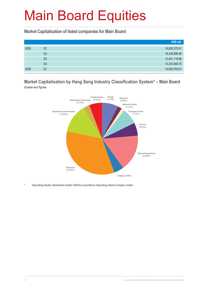**Market Capitalisation of listed companies for Main Board**

|      |    | HK\$ mil.     |
|------|----|---------------|
| 2008 | Q1 | 16,825,275.91 |
|      | Q2 | 16,246,996.96 |
|      | Q3 | 12,481,118.88 |
|      | Q4 | 10,253,588.75 |
| 2009 | Q1 | 10,080,762.91 |

#### **Market Capitalisation by Hang Seng Industry Classification System\* – Main Board** Quarter-end figures



Hang Seng Industry Classification System (HSICS) is provided by Hang Seng Indexes Company Limited.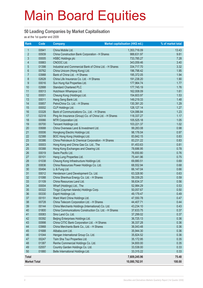#### **50 Leading Companies by Market Capitalisation**

as at the 1st quarter end 2009

| Rank                    | Code  | <b>Company</b>                                          | Market capitalisation (HK\$ mil.) | % of market total |
|-------------------------|-------|---------------------------------------------------------|-----------------------------------|-------------------|
| $\mathbf{1}$            | 00941 | China Mobile Ltd.                                       | 1,353,716.09                      | 13.43             |
| $\overline{2}$          | 00939 | China Construction Bank Corporation - H Shares          | 988,631.97                        | 9.81              |
| $\mathfrak{S}$          | 00005 | <b>HSBC Holdings plc</b>                                | 733,785.27                        | 7.28              |
| $\overline{\mathbf{4}}$ | 00883 | CNOOC Ltd.                                              | 343,059.46                        | 3.40              |
| $\overline{5}$          | 01398 | Industrial and Commercial Bank of China Ltd. - H Shares | 334,717.70                        | 3.32              |
| $6\,$                   | 00762 | China Unicom (Hong Kong) Ltd.                           | 196,798.42                        | 1.95              |
| $\overline{7}$          | 03988 | Bank of China Ltd. - H Shares                           | 195,372.05                        | 1.94              |
| 8                       | 02628 | China Life Insurance Co. Ltd. - H Shares                | 191,238.20                        | 1.90              |
| 9                       | 00016 | Sun Hung Kai Properties Ltd.                            | 177,964.74                        | 1.77              |
| 10                      | 02888 | <b>Standard Chartered PLC</b>                           | 177,745.19                        | 1.76              |
| 11                      | 00013 | Hutchison Whampoa Ltd.                                  | 162,008.09                        | 1.61              |
| 12                      | 00001 | Cheung Kong (Holdings) Ltd.                             | 154,603.97                        | 1.53              |
| 13                      | 00011 | Hang Seng Bank Ltd.                                     | 149,219.33                        | 1.48              |
| 14                      | 00857 | PetroChina Co. Ltd. - H Shares                          | 130,391.20                        | 1.29              |
| 15                      | 00002 | CLP Holdings Ltd.                                       | 128, 127. 14                      | 1.27              |
| 16                      | 03328 | Bank of Communications Co., Ltd. - H Shares             | 124,086.84                        | 1.23              |
| 17                      | 02318 | Ping An Insurance (Group) Co. of China Ltd. - H Shares  | 118,337.27                        | 1.17              |
| 18                      | 00066 | MTR Corporation Ltd.                                    | 105,525.18                        | 1.05              |
| 19                      | 00700 | Tencent Holdings Ltd.                                   | 103,221.37                        | 1.02              |
| 20                      | 00688 | China Overseas Land & Investment Ltd.                   | 99,283.08                         | 0.98              |
| 21                      | 00006 | Hongkong Electric Holdings Ltd.                         | 98,176.04                         | 0.97              |
| 22                      | 02388 | BOC Hong Kong (Holdings) Ltd.                           | 83,842.15                         | 0.83              |
| 23                      | 00386 | China Petroleum & Chemical Corporation - H Shares       | 83,231.22                         | 0.83              |
| 24                      | 00003 | Hong Kong and China Gas Co. Ltd., The                   | 81,453.63                         | 0.81              |
| 25                      | 00388 | Hong Kong Exchanges and Clearing Ltd.                   | 78,686.95                         | 0.78              |
| 26                      | 00019 | Swire Pacific Ltd.                                      | 76,650.80                         | 0.76              |
| 27                      | 00101 | Hang Lung Properties Ltd.                               | 75,441.96                         | 0.75              |
| 28                      | 01038 | Cheung Kong Infrastructure Holdings Ltd.                | 69,880.51                         | 0.69              |
| 29                      | 00836 | China Resources Power Holdings Co. Ltd.                 | 68,552.94                         | 0.68              |
| 30                      | 00494 | Li & Fung Ltd.                                          | 66,147.04                         | 0.66              |
| 31                      | 00012 | Henderson Land Development Co. Ltd.                     | 63,328.90                         | 0.63              |
| 32                      | 01088 | China Shenhua Energy Co. Ltd. - H Shares                | 59,339.25                         | 0.59              |
| 33                      | 01109 | China Resources Land Ltd.                               | 56,634.37                         | 0.56              |
| 34                      | 00004 | Wharf (Holdings) Ltd., The                              | 52,984.29                         | 0.53              |
| 35                      | 00322 | Tingyi (Cayman Islands) Holdings Corp.                  | 50,057.67                         | 0.50              |
| 36                      | 00330 | Esprit Holdings Ltd.                                    | 49,179.47                         | 0.49              |
| 37                      | 00151 | Want Want China Holdings Ltd.                           | 47,550.78                         | 0.47              |
| 38                      | 00728 | China Telecom Corporation Ltd. - H Shares               | 44,407.71                         | 0.44              |
| 39                      | 00144 | China Merchants Holdings (International) Co. Ltd.       | 43,234.10                         | 0.43              |
| 40                      | 01800 | China Communications Construction Co. Ltd. - H Shares   | 37,633.75                         | 0.37              |
| 41                      | 00083 | Sino Land Co. Ltd.                                      | 37,299.02                         | 0.37              |
| 42                      | 00392 | Beijing Enterprises Holdings Ltd.                       | 36,725.13                         | 0.36              |
| 43                      | 00998 | China CITIC Bank Corporation Ltd. - H Shares            | 36,337.28                         | 0.36              |
| 44                      | 03968 | China Merchants Bank Co., Ltd. - H Shares               | 36,043.48                         | 0.36              |
| 45                      | 01688 | Alibaba.com Ltd.                                        | 35,944.30                         | 0.36              |
| 46                      | 01044 | Hengan International Group Co. Ltd.                     | 35,824.52                         | 0.36              |
| 47                      | 00247 | Tsim Sha Tsui Properties Ltd.                           | 35,172.95                         | 0.35              |
| 48                      | 01387 | Renhe Commercial Holdings Co. Ltd.                      | 34,800.00                         | 0.35              |
| 49                      | 02007 | Country Garden Holdings Co. Ltd.                        | 33,538.00                         | 0.33              |
| 50                      | 01880 | Belle International Holdings Ltd.                       | 33,315.22                         | 0.33              |
| <b>Total</b>            |       |                                                         | 7,609,245.96                      | 75.48             |
| <b>Market Total</b>     |       |                                                         | 10,080,762.91                     | 100.00            |
|                         |       |                                                         |                                   |                   |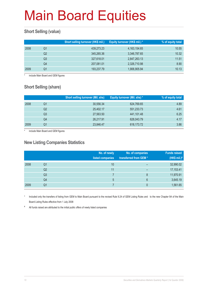#### **Short Selling (value)**

|      |    | Short selling turnover (HK\$ mil.) | Equity turnover (HK\$ mil.) * | % of equity total |
|------|----|------------------------------------|-------------------------------|-------------------|
| 2008 | Ο1 | 439,273.23                         | 4, 163, 154. 65               | 10.55             |
|      | Q2 | 345,265.36                         | 3,346,787.65                  | 10.32             |
|      | Q3 | 327,618.01                         | 2,847,263.13                  | 11.51             |
|      | Q4 | 207,081.01                         | 2,326,710.98                  | 8.90              |
| 2009 | O1 | 193,237.79                         | 1,906,905.94                  | 10.13             |

include Main Board and GEM figures

#### **Short Selling (share)**

|      |    | Short selling turnover (Mil. shs) | <b>Equity turnover (Mil. shs)*</b> | % of equity total |
|------|----|-----------------------------------|------------------------------------|-------------------|
| 2008 | Q1 | 30,556.34                         | 624,769.65                         | 4.89              |
|      | Q2 | 25,402.17                         | 551,233.73                         | 4.61              |
|      | Q3 | 27,563.50                         | 441,101.48                         | 6.25              |
|      | Q4 | 26,217.91                         | 628,043.79                         | 4.17              |
| 2009 | Q1 | 23,846.47                         | 618,173.72                         | 3.86              |

include Main Board and GEM figures

#### **New Listing Companies Statistics**

|      |                | No. of newly<br>listed companies | No. of companies<br>transferred from GEM* | <b>Funds raised</b><br>(HK\$ mil.) $#$ |
|------|----------------|----------------------------------|-------------------------------------------|----------------------------------------|
| 2008 | Q1             | 10                               |                                           | 32,990.02                              |
|      | Q2             | 11                               | $\overline{\phantom{0}}$                  | 17,153.41                              |
|      | Q <sub>3</sub> |                                  | 8                                         | 11,970.91                              |
|      | Q4             | 5                                | 6                                         | 3,645.19                               |
| 2009 | Q1             |                                  |                                           | 1,561.65                               |

Included only the transfers of listing from GEM to Main Board pursuant to the revised Rule 9.24 of GEM Listing Rules and to the new Chapter 9A of the Main Board Listing Rules effective from 1 July 2008

# All funds raised are attributed to the initial public offers of newly listed companies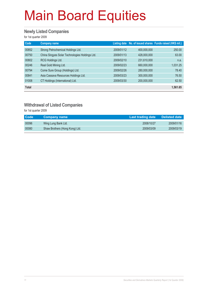#### **Newly Listed Companies**

for 1st quarter 2009

| Code         | <b>Company name</b>                            |            |             | Listing date No. of issued shares Funds raised (HK\$ mil.) |
|--------------|------------------------------------------------|------------|-------------|------------------------------------------------------------|
| 00852        | Strong Petrochemical Holdings Ltd.             | 2009/01/12 | 400,000,000 | 250.00                                                     |
| 00750        | China Singyes Solar Technologies Holdings Ltd. | 2009/01/13 | 428,000,000 | 63.00                                                      |
| 00802        | RCG Holdings Ltd.                              | 2009/02/10 | 231,610,000 | n.a.                                                       |
| 00246        | Real Gold Mining Ltd.                          | 2009/02/23 | 660,000,000 | 1,031.25                                                   |
| 00794        | Come Sure Group (Holdings) Ltd.                | 2009/02/26 | 280,000,000 | 78.40                                                      |
| 00841        | Asia Cassava Resources Holdings Ltd.           | 2009/03/23 | 300,000,000 | 76.50                                                      |
| 01008        | CT Holdings (International) Ltd.               | 2009/03/30 | 200,000,000 | 62.50                                                      |
| <b>Total</b> |                                                |            |             | 1,561.65                                                   |

#### **Withdrawal of Listed Companies**

for 1st quarter 2009

| <b>Code</b> | <b>Company name</b>            | Last trading date | <b>Delisted date</b> |
|-------------|--------------------------------|-------------------|----------------------|
| 00096       | Wing Lung Bank Ltd.            | 2008/10/27        | 2009/01/16           |
| 00080       | Shaw Brothers (Hong Kong) Ltd. | 2009/03/09        | 2009/03/19           |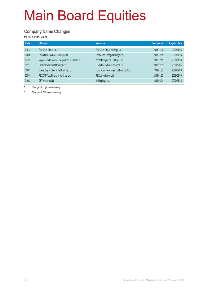#### **Company Name Changes**

for 1st quarter 2009

| Code  | Old name                                      | New name                              | <b>Effective date</b> | <b>Adoption date</b> |
|-------|-----------------------------------------------|---------------------------------------|-----------------------|----------------------|
| 01013 | Wai Chun Group Ltd.                           | Wai Chun Group Holdings Ltd.          | 2008/11/19            | 2009/01/08           |
| 00850 | China Oil Resources Holdings Ltd.             | PetroAsian Energy Holdings Ltd.       | 2008/12/18            | 2009/01/23           |
| 00723 | Magnesium Resources Corporation of China Ltd. | Bright Prosperous Holdings Ltd.       | 2008/12/19            | 2009/01/23           |
| 00111 | Hantec Investment Holdings Ltd.               | Cinda International Holdings Ltd.     | 2008/12/31            | 2009/02/04           |
| 02882 | Ocean Grand Chemicals Holdings Ltd.           | Hong Kong Resources Holdings Co. Ltd. | 2009/01/07            | 2009/02/09           |
| 00555 | REXCAPITAL Financial Holdings Ltd.            | REXLot Holdings Ltd.                  | 2009/01/30            | 2009/03/09           |
| 01003 | GFT Holdings Ltd.                             | 21 Holdings Ltd.                      | 2009/02/24            | 2009/03/25           |

Change of English name only

# Change of Chinese name only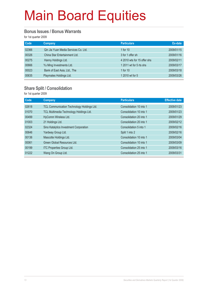#### **Bonus Issues / Bonus Warrants**

for 1st quarter 2009

| Code  | <b>Company</b>                       | <b>Particulars</b>          | Ex-date    |
|-------|--------------------------------------|-----------------------------|------------|
| 02366 | Qin Jia Yuan Media Services Co. Ltd. | 1 for $10$                  | 2009/01/15 |
| 00326 | China Star Entertainment Ltd.        | 3 for 1 offer sh            | 2009/01/16 |
| 00275 | Hanny Holdings Ltd.                  | 4 2010 wts for 15 offer shs | 2009/02/11 |
| 00666 | Yu Ming Investments Ltd.             | 1 2011 wt for 5 rts shs     | 2009/03/17 |
| 00023 | Bank of East Asia, Ltd., The         | 1 for $10$                  | 2009/03/18 |
| 00635 | Playmates Holdings Ltd.              | 1 2010 wt for 5             | 2009/03/26 |

#### **Share Split / Consolidation**

for 1st quarter 2009

| Code  | <b>Company</b>                             | <b>Particulars</b>      | <b>Effective date</b> |
|-------|--------------------------------------------|-------------------------|-----------------------|
| 02618 | TCL Communication Technology Holdings Ltd. | Consolidation 10 into 1 | 2009/01/23            |
| 01070 | TCL Multimedia Technology Holdings Ltd.    | Consolidation 10 into 1 | 2009/01/23            |
| 00499 | HyComm Wireless Ltd.                       | Consolidation 20 into 1 | 2009/01/29            |
| 01003 | 21 Holdings Ltd.                           | Consolidation 20 into 1 | 2009/02/12            |
| 02324 | Sino Katalytics Investment Corporation     | Consolidation 5 into 1  | 2009/02/16            |
| 00646 | Yardway Group Ltd.                         | Split 1 into 2          | 2009/02/16            |
| 00136 | Mascotte Holdings Ltd.                     | Consolidation 10 into 1 | 2009/03/04            |
| 00061 | Green Global Resources Ltd.                | Consolidation 10 into 1 | 2009/03/09            |
| 00199 | ITC Properties Group Ltd.                  | Consolidation 25 into 1 | 2009/03/16            |
| 01222 | Wang On Group Ltd.                         | Consolidation 25 into 1 | 2009/03/31            |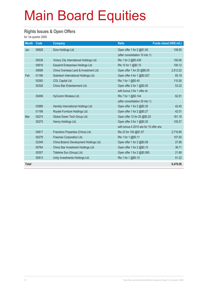#### **Rights Issues & Open Offers**

for 1st quarter 2009

| <b>Month</b> | Code  | <b>Company</b>                           | <b>Ratio</b>                           | Funds raised (HK\$ mil.) |
|--------------|-------|------------------------------------------|----------------------------------------|--------------------------|
| Jan          | 00628 | Dore Holdings Ltd.                       | Open offer 1 for 2 @\$1.00             | 109.55                   |
|              |       |                                          | (after consolidation 10 into 1)        |                          |
|              | 00539 | Victory City International Holdings Ltd. | Rts 1 for 2 @\$0.439                   | 150.06                   |
|              | 00616 | Easyknit Enterprises Holdings Ltd.       | Rts 10 for 1 @\$0.15                   | 100.12                   |
|              | 00688 | China Overseas Land & Investment Ltd.    | Open offer 1 for 25 @\$8.00            | 2,512.22                 |
| Feb          | 01166 | Solartech International Holdings Ltd.    | Open offer 4 for 1 @\$0.027            | 65.19                    |
|              | 00383 | COL Capital Ltd.                         | Rts 1 for 1 @\$0.40                    | 110.26                   |
|              | 00326 | China Star Entertainment Ltd.            | Open offer 2 for 1 @\$0.05             | 53.22                    |
|              |       |                                          | with bonus 3 for 1 offer sh            |                          |
|              | 00499 | HyComm Wireless Ltd.                     | Rts 7 for 1 @\$0.144                   | 62.91                    |
|              |       |                                          | (after consolidation 20 into 1)        |                          |
|              | 03989 | Hembly International Holdings Ltd.       | Open offer 1 for 2 @\$0.30             | 42.45                    |
|              | 01198 | Royale Furniture Holdings Ltd.           | Open offer 1 for 2 @\$0.27             | 42.01                    |
| Mar          | 00274 | Global Green Tech Group Ltd.             | Open offer 12 for 25 @\$0.25           | 161.16                   |
|              | 00275 | Hanny Holdings Ltd.                      | Open offer 3 for 1 @\$0.35             | 105.27                   |
|              |       |                                          | with bonus 4 2010 wts for 15 offer shs |                          |
|              | 00817 | Franshion Properties (China) Ltd.        | Rts 23 for 100 @\$1.67                 | 2,716.85                 |
|              | 00279 | Freeman Corporation Ltd.                 | Rts 1 for 1 @\$0.11                    | 107.50                   |
|              | 02349 | China Botanic Development Holdings Ltd.  | Open offer 1 for 2 @\$0.08             | 27.68                    |
|              | 00764 | China Star Investment Holdings Ltd.      | Open offer 1 for 2 @\$0.10             | 36.71                    |
|              | 00307 | Tidetime Sun (Group) Ltd.                | Open offer 1 for 2 @\$0.065            | 21.69                    |
|              | 00913 | Unity Investments Holdings Ltd.          | Rts 1 for 1 @\$0.10                    | 51.22                    |
| <b>Total</b> |       |                                          |                                        | 6,476.06                 |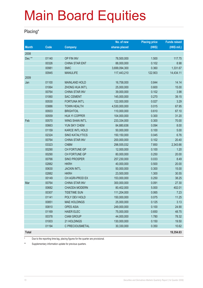#### **Placing\***

|              |       |                        | No. of new    | <b>Placing price</b> | <b>Funds raised</b> |
|--------------|-------|------------------------|---------------|----------------------|---------------------|
| <b>Month</b> | Code  | <b>Company</b>         | shares placed | (HKS)                | (HK\$ mil.)         |
| 2008         |       |                        |               |                      |                     |
| Dec**        | 01140 | OP FIN INV             | 78,500,000    | 1.500                | 117.75              |
|              | 00326 | <b>CHINA STAR ENT</b>  | 88,000,000    | 0.102                | 8.98                |
|              | 00981 | <b>SMIC</b>            | 3,699,094,300 | 0.360                | 1,331.67            |
|              | 00945 | <b>MANULIFE</b>        | 117,443,210   | 122.903              | 14,434.11           |
| 2009         |       |                        |               |                      |                     |
| Jan          | 01100 | <b>MAINLAND HOLD</b>   | 16,758,000    | 0.844                | 14.14               |
|              | 01064 | ZHONG HUA INT'L        | 25,000,000    | 0.600                | 15.00               |
|              | 00764 | CHINA STAR INV         | 39,000,000    | 0.102                | 3.98                |
|              | 01060 | <b>SAC CEMENT</b>      | 145,000,000   | 0.270                | 39.15               |
|              | 00530 | FORTUNA INT'L          | 122,000,000   | 0.027                | 3.29                |
|              | 03886 | <b>TOWN HEALTH</b>     | 4,530,000,000 | 0.015                | 67.95               |
|              | 00933 | <b>BRIGHTOIL</b>       | 110,000,000   | 0.610                | 67.10               |
|              | 00559 | <b>HUA YI COPPER</b>   | 104,000,000   | 0.300                | 31.20               |
| Feb          | 00570 | WING SHAN INT'L        | 233,334,000   | 0.300                | 70.00               |
|              | 00663 | YUN SKY CHEM           | 84,880,636    | 0.094                | 8.00                |
|              | 01159 | <b>KARCE INTL HOLD</b> | 50,000,000    | 0.100                | 5.00                |
|              | 02324 | <b>SINO KATALYTICS</b> | 150,150,000   | 0.045                | 6.76                |
|              | 00764 | <b>CHINA STAR INV</b>  | 200,000,000   | 0.102                | 20.40               |
|              | 03323 | <b>CNBM</b>            | 298,555,032   | 7.850                | 2,343.66            |
|              | 00290 | CH FORTUNE GP          | 12,000,000    | 0.100                | 1.20                |
|              | 00290 | CH FORTUNE GP          | 80,000,000    | 0.250                | 20.00               |
|              | 00766 | <b>SINO PROSPER</b>    | 257,230,000   | 0.033                | 8.49                |
|              | 02882 | <b>HKRH</b>            | 40,000,000    | 0.500                | 20.00               |
|              | 00630 | <b>JACKIN INT'L</b>    | 50,000,000    | 0.300                | 15.00               |
|              | 02882 | <b>HKRH</b>            | 23,500,000    | 1.300                | 30.55               |
|              | 00149 | CH AGRI-PROD EX        | 153,000,000   | 0.250                | 38.25               |
| Mar          | 00764 | CHINA STAR INV         | 300,000,000   | 0.091                | 27.30               |
|              | 00682 | <b>CHAODA MODERN</b>   | 80,402,000    | 5.000                | 402.01              |
|              | 00307 | <b>TIDETIME SUN</b>    | 111,204,000   | 0.065                | 7.23                |
|              | 01141 | POLY DEV HOLD          | 150,000,000   | 0.075                | 11.25               |
|              | 00851 | <b>MAE HOLDINGS</b>    | 25,000,000    | 0.125                | 3.13                |
|              | 00810 | <b>OPES ASIA</b>       | 249,000,000   | 0.100                | 24.90               |
|              | 01169 | <b>HAIER ELEC</b>      | 75,000,000    | 0.650                | 48.75               |
|              | 00378 | <b>CIAM GROUP</b>      | 44,000,000    | 1.780                | 78.32               |
|              | 01003 | 21 HOLDINGS            | 130,000,000   | 0.150                | 19.50               |
|              | 01194 | C PRECIOUSMETAL        | 30,330,000    | 0.350                | 10.62               |
| <b>Total</b> |       |                        |               |                      | 19,354.63           |

\* Due to the reporting time-lag, placing figures for the quarter are provisional.

\*\* Supplementary information update for previous quarters.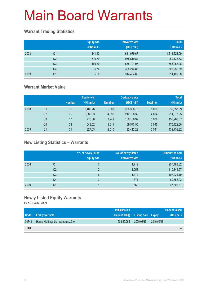#### **Warrant Trading Statistics**

|      |                | <b>Equity wts</b><br>(HK\$ mil.) | Derivative wts<br>(HK\$ mil.) | <b>Total</b><br>(HK\$ mil.) |
|------|----------------|----------------------------------|-------------------------------|-----------------------------|
| 2008 | Q <sub>1</sub> | 441.42                           | 1,611,079.67                  | 1,611,521.09                |
|      | Q <sub>2</sub> | 516.79                           | 958,619.84                    | 959,136.63                  |
|      | Q <sub>3</sub> | 166.30                           | 555,791.97                    | 555,958.28                  |
|      | Q4             | 5.74                             | 308,244.86                    | 308,250.59                  |
| 2009 | Q <sub>1</sub> | 5.00                             | 314,404.68                    | 314,409.68                  |

#### **Warrant Market Value**

|      |                |               | <b>Equity wts</b> |               | <b>Derivative wts</b> |           | <b>Total</b> |
|------|----------------|---------------|-------------------|---------------|-----------------------|-----------|--------------|
|      |                | <b>Number</b> | (HK\$ mil.)       | <b>Number</b> | (HK\$ mil.)           | Total no. | (HK\$ mil.)  |
| 2008 | Q1             | 36            | 3.489.26          | 5.000         | 336,368.73            | 5,036     | 339,857.99   |
|      | Q <sub>2</sub> | 35            | 2,089.63          | 4.599         | 212.788.32            | 4,634     | 214,877.95   |
|      | Q3             | 37            | 776.08            | 3.941         | 156.186.99            | 3.978     | 156,963.07   |
|      | Q4             | 34            | 548.52            | 3.011         | 169,573.55            | 3,045     | 170,122.08   |
| 2009 | Q1             | 31            | 327.03            | 2,510         | 132.412.29            | 2.541     | 132,739.32   |

#### **New Listing Statistics – Warrants**

|      |                | No. of newly listed<br>equity wts | No. of newly listed<br>derivative wts | <b>Amount raised</b><br>(HK\$ mil.) |
|------|----------------|-----------------------------------|---------------------------------------|-------------------------------------|
| 2008 | Q1             |                                   | 1,719                                 | 257,483.82                          |
|      | Q <sub>2</sub> | $\overline{2}$                    | 1,058                                 | 110,344.97                          |
|      | Q <sub>3</sub> | 6                                 | 1,174                                 | 107,224.10                          |
|      | Q4             | 3                                 | 871                                   | 80,858.92                           |
| 2009 | Q1             |                                   | 569                                   | 47,600.67                           |

#### **Newly Listed Equity Warrants**

for 1st quarter 2009

|              |                                   | Initial issued |                                   |            | <b>Amount raised</b> |
|--------------|-----------------------------------|----------------|-----------------------------------|------------|----------------------|
| <b>Code</b>  | <b>Equity warrants</b>            |                | amount (HK\$) Listing date Expiry |            | (HK\$ mil.)          |
| 00749        | Hanny Holdings Ltd. Warrants 2010 | 50.529.258     | 2009/03/19                        | 2010/09/16 |                      |
| <b>Total</b> |                                   |                |                                   |            | -                    |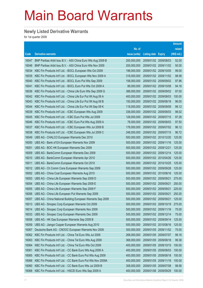#### **Newly Listed Derivative Warrants**

for 1st quarter 2009

|       |                                                              |               |                            |                       | <b>Amount</b> |
|-------|--------------------------------------------------------------|---------------|----------------------------|-----------------------|---------------|
|       |                                                              | No. of        |                            |                       | raised        |
| Code  | <b>Derivative warrants</b>                                   | issue (units) | <b>Listing date Expiry</b> |                       | $(HK$$ mil.)  |
| 16047 | BNP Paribas Arbit Issu B.V. - A50 China Euro Wts Aug 2009 B  | 200,000,000   | 2009/01/02 2009/08/03      |                       | 52.00         |
| 16048 | BNP Paribas Arbit Issu B.V. - A50 China Euro Wts Nov 2009    | 200,000,000   |                            | 2009/01/02 2009/11/02 | 50.00         |
| 16034 | KBC Fin Products Int'l Ltd. - BOCL European Wts Oct 2009     | 198,000,000   |                            | 2009/01/02 2009/10/05 | 99.00         |
| 16035 | KBC Fin Products Int'l Ltd. - BOCL European Wts Nov 2009 A   | 318,000,000   |                            | 2009/01/02 2009/11/02 | 98.58         |
| 16040 | KBC Fin Products Int'l Ltd. - BOCL Euro Put Wts Sep 2009     | 158,000,000   |                            | 2009/01/02 2009/09/02 | 97.96         |
| 16041 | KBC Fin Products Int'l Ltd. - BOCL Euro Put Wts Oct 2009 A   | 88,000,000    |                            | 2009/01/02 2009/10/08 | 94.16         |
| 16036 | KBC Fin Products Int'l Ltd. - China Life Euro Wts Sep 2009 G | 388,000,000   |                            | 2009/01/02 2009/09/02 | 97.00         |
| 16042 | KBC Fin Products Int'l Ltd. - China Life Eur Put Wt Aug 09 A | 400,000,000   |                            | 2009/01/02 2009/08/03 | 100.00        |
| 16043 | KBC Fin Products Int'l Ltd. - China Life Eur Put Wt Aug 09 B | 150,000,000   |                            | 2009/01/02 2009/08/18 | 96.00         |
| 16044 | KBC Fin Products Int'l Ltd. - China Life Eur Put Wt Sep 09 K | 118,000,000   |                            | 2009/01/02 2009/09/09 | 99.12         |
| 16039 | KBC Fin Products Int'l Ltd. - ICBC European Wts Aug 2009     | 338,000,000   |                            | 2009/01/02 2009/08/03 | 98.02         |
| 16045 | KBC Fin Products Int'l Ltd. - ICBC Euro Put Wts Jul 2009     | 128,000,000   |                            | 2009/01/02 2009/07/15 | 97.28         |
| 16046 | KBC Fin Products Int'l Ltd. - ICBC Euro Put Wts Aug 2009 A   | 78,000,000    |                            | 2009/01/02 2009/08/03 | 97.50         |
| 16037 | KBC Fin Products Int'l Ltd. - ICBC European Wts Jul 2009 B   | 178,000,000   |                            | 2009/01/02 2009/07/02 | 96.12         |
| 16038 | KBC Fin Products Int'l Ltd. - ICBC European Wts Jul 2009 C   | 248,000,000   |                            | 2009/01/02 2009/07/15 | 96.72         |
| 16049 | UBS AG - CHALCO European Warrants Dec 2010                   | 500,000,000   |                            | 2009/01/02 2010/12/20 | 125.00        |
| 16050 | UBS AG - Bank of EA European Warrants Nov 2009               | 500,000,000   |                            | 2009/01/02 2009/11/16 | 125.00        |
| 16051 | UBS AG - BOC HK European Warrants Dec 2009                   | 500,000,000   | 2009/01/02 2009/12/21      |                       | 125.00        |
| 16009 | UBS AG - BankComm European Warrants Dec 2009                 | 500,000,000   |                            | 2009/01/02 2009/12/14 | 125.00        |
| 16010 | UBS AG - BankComm European Warrants Apr 2010                 | 500,000,000   |                            | 2009/01/02 2010/04/26 | 125.00        |
| 16011 | UBS AG - BankComm European Warrants Oct 2010                 | 500,000,000   |                            | 2009/01/02 2010/10/25 | 125.00        |
| 16012 | UBS AG - Ch Comm Cons European Warrants Sep 2009             | 500,000,000   |                            | 2009/01/02 2009/09/28 | 125.00        |
| 16052 | UBS AG - China Coal European Warrants Aug 2010               | 500,000,000   |                            | 2009/01/02 2010/08/16 | 125.00        |
| 16053 | UBS AG - China Life European Warrants Sep 2009 D             | 500,000,000   | 2009/01/02 2009/09/21      |                       | 275.00        |
| 16054 | UBS AG - China Life European Warrants Sep 2009 E             | 500,000,000   | 2009/01/02 2009/09/21      |                       | 250.00        |
| 16055 | UBS AG - China Life European Warrants Sep 2009 F             | 500,000,000   | 2009/01/02 2009/09/21      |                       | 225.00        |
| 16056 | UBS AG - China Life European Put Warrants Sep 2009           | 500,000,000   |                            | 2009/01/02 2009/09/21 | 250.00        |
| 16057 | UBS AG - China National Building European Warrants Sep 2009  | 500,000,000   | 2009/01/02 2009/09/21      |                       | 125.00        |
| 16013 | UBS AG - Sinopec Corp European Warrants Oct 2009             | 500,000,000   |                            | 2009/01/02 2009/10/19 | 275.00        |
| 16014 | UBS AG - Sinopec Corp European Warrants Nov 2009             | 500,000,000   | 2009/01/02 2009/11/16      |                       | 75.00         |
| 16033 | UBS AG - Sinopec Corp European Warrants Dec 2009             | 500,000,000   |                            | 2009/01/02 2009/12/14 | 75.00         |
| 16058 | UBS AG - HK Gas European Warrants Sep 2009 B                 | 500,000,000   |                            | 2009/01/02 2009/09/14 | 125.00        |
| 16059 | UBS AG - Jiangxi Copper European Warrants Aug 2010           | 500,000,000   |                            | 2009/01/02 2010/08/16 | 125.00        |
| 16067 | Deutsche Bank AG - CNOOC European Warrants Nov 2009          | 300,000,000   |                            | 2009/01/05 2009/11/02 | 75.00         |
| 16062 | KBC Fin Products Int'l Ltd. - China Tel Euro Wts Jul 2009    | 268,000,000   |                            | 2009/01/05 2009/07/07 | 99.16         |
| 16063 | KBC Fin Products Int'l Ltd. - China Tel Euro Wts Aug 2009    | 368,000,000   |                            | 2009/01/05 2009/08/18 | 99.36         |
| 16064 | KBC Fin Products Int'l Ltd. - China Tel Euro Wts Oct 2009    | 400,000,000   | 2009/01/05                 | 2009/10/15            | 100.00        |
| 16061 | KBC Fin Products Int'l Ltd. - CC Bank Euro Wts Aug 2009 A    | 400,000,000   | 2009/01/05                 | 2009/08/03            | 100.00        |
| 16065 | KBC Fin Products Int'l Ltd. - CC Bank Euro Put Wts Aug 2009  | 400,000,000   | 2009/01/05                 | 2009/08/18            | 100.00        |
| 16066 | KBC Fin Products Int'l Ltd. - CC Bank Euro Put Wts Nov 2009A | 400,000,000   |                            | 2009/01/05 2009/11/18 | 100.00        |
| 16060 | KBC Fin Products Int'l Ltd. - CC Bank Euro Wts Jul 2009 B    | 308,000,000   | 2009/01/05                 | 2009/07/08            | 98.56         |
| 16068 | KBC Fin Products Int'l Ltd. - HSCEI Euro Wts Sep 2009 A      | 400,000,000   | 2009/01/06 2009/09/29      |                       | 100.00        |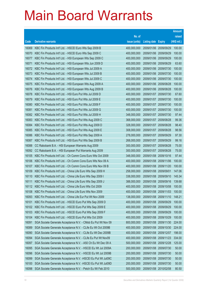|                |                                                                                                                            |                            |                                     |            | <b>Amount</b>    |
|----------------|----------------------------------------------------------------------------------------------------------------------------|----------------------------|-------------------------------------|------------|------------------|
|                |                                                                                                                            | No. of                     |                                     |            | raised           |
| Code           | <b>Derivative warrants</b>                                                                                                 | issue (units)              | <b>Listing date Expiry</b>          |            | (HK\$ mil.)      |
| 16069          | KBC Fin Products Int'l Ltd. - HSCEI Euro Wts Sep 2009 B                                                                    | 400,000,000                | 2009/01/06 2009/09/29               |            | 100.00           |
| 16070          | KBC Fin Products Int'l Ltd. - HSCEI Euro Wts Sep 2009 C                                                                    | 400,000,000                | 2009/01/06 2009/09/29               |            | 100.00           |
| 16077          | KBC Fin Products Int'l Ltd. - HSI European Wts Sep 2009 C                                                                  | 400,000,000                | 2009/01/06                          | 2009/09/29 | 100.00           |
| 16071          | KBC Fin Products Int'l Ltd. - HSI European Wts Jun 2009 D                                                                  | 400,000,000                | 2009/01/06 2009/06/29               |            | 63.60            |
| 16072          | KBC Fin Products Int'l Ltd. - HSI European Wts Jul 2009 A                                                                  | 400,000,000                | 2009/01/06 2009/07/30               |            | 100.00           |
| 16073          | KBC Fin Products Int'l Ltd. - HSI European Wts Jul 2009 B                                                                  | 400,000,000                | 2009/01/06 2009/07/30               |            | 100.00           |
| 16074          | KBC Fin Products Int'l Ltd. - HSI European Wts Jul 2009 C                                                                  | 400,000,000                | 2009/01/06                          | 2009/07/30 | 100.00           |
| 16075          | KBC Fin Products Int'l Ltd. - HSI European Wts Aug 2009 A                                                                  | 400,000,000                | 2009/01/06 2009/08/28               |            | 100.00           |
| 16076          | KBC Fin Products Int'l Ltd. - HSI European Wts Aug 2009 B                                                                  | 400,000,000                | 2009/01/06 2009/08/28               |            | 100.00           |
| 16078          | KBC Fin Products Int'l Ltd. - HSI Euro Put Wts Jul 2009 D                                                                  | 400,000,000                | 2009/01/07 2009/07/30               |            | 67.60            |
| 16079          | KBC Fin Products Int'l Ltd. - HSI Euro Put Wts Jul 2009 E                                                                  | 400,000,000                | 2009/01/07 2009/07/30               |            | 100.00           |
| 16080          | KBC Fin Products Int'l Ltd. - HSI Euro Put Wts Jul 2009 F                                                                  | 400,000,000                | 2009/01/07 2009/07/30               |            | 100.00           |
| 16081          | KBC Fin Products Int'l Ltd. - HSI Euro Put Wts Jul 2009 G                                                                  | 400,000,000                | 2009/01/07 2009/07/30               |            | 100.00           |
| 16082          | KBC Fin Products Int'l Ltd. - HSI Euro Put Wts Jul 2009 H                                                                  | 348,000,000                | 2009/01/07 2009/07/30               |            | 97.44            |
| 16083          | KBC Fin Products Int'l Ltd. - HSI Euro Put Wts Aug 2009 C                                                                  | 368,000,000                | 2009/01/07 2009/08/28               |            | 99.36            |
| 16084          | KBC Fin Products Int'l Ltd. - HSI Euro Put Wts Aug 2009 D                                                                  | 328,000,000                | 2009/01/07 2009/08/28               |            | 98.40            |
| 16085          | KBC Fin Products Int'l Ltd. - HSI Euro Put Wts Aug 2009 E                                                                  | 308,000,000                | 2009/01/07 2009/08/28               |            | 98.56            |
| 16086          | KBC Fin Products Int'l Ltd. - HSI Euro Put Wts Sep 2009 A                                                                  | 278,000,000                | 2009/01/07 2009/09/29               |            | 97.30            |
| 16087          | KBC Fin Products Int'l Ltd. - HSI Euro Put Wts Sep 2009 B                                                                  | 268,000,000                | 2009/01/07 2009/09/29               |            | 99.16            |
| 16088          | CC Rabobank B.A. - HSI European Warrants Aug 2009                                                                          | 300,000,000                | 2009/01/07 2009/08/28               |            | 75.00            |
| 16092          | CC Rabobank B.A. - HSI European Put Warrants Aug 2009                                                                      | 300,000,000                | 2009/01/07 2009/08/28               |            | 75.00            |
| 16105          | KBC Fin Products Int'l Ltd. - Ch Comm Cons Euro Wts Oct 2009                                                               | 348,000,000                | 2009/01/08 2009/10/16               |            | 97.44            |
| 16106          | KBC Fin Products Int'l Ltd. - Ch Comm Cons Euro Wts Nov 09 A                                                               | 400,000,000                | 2009/01/08                          | 2009/11/06 | 100.00           |
| 16107          | KBC Fin Products Int'l Ltd. - Ch Comm Cons Euro Wts Nov 09 B                                                               | 400,000,000                | 2009/01/08 2009/11/20               |            | 100.00           |
| 16109          | KBC Fin Products Int'l Ltd. - China Life Euro Wts Sep 2009 H                                                               | 258,000,000                | 2009/01/08 2009/09/01               |            | 147.06           |
| 16110<br>16111 | KBC Fin Products Int'l Ltd. - China Life Euro Wts Sep 2009 I                                                               | 338,000,000                | 2009/01/08 2009/09/10               |            | 145.34           |
|                | KBC Fin Products Int'l Ltd. - China Life Euro Wts Sep 2009 J<br>KBC Fin Products Int'l Ltd. - China Life Euro Wts Oct 2009 | 388,000,000                | 2009/01/08 2009/09/16               |            | 139.68           |
| 16112<br>16108 | KBC Fin Products Int'l Ltd. - China Life Euro Wts Nov 2009                                                                 | 400,000,000<br>400,000,000 | 2009/01/08 2009/10/08<br>2009/01/08 |            | 100.00<br>100.00 |
| 16093          | KBC Fin Products Int'l Ltd. - China Life Eur Put Wt Nov 2009                                                               | 138,000,000                | 2009/01/08 2009/11/10               | 2009/11/03 | 148.21           |
| 16101          | KBC Fin Products Int'l Ltd. - HSCEI Euro Put Wts Sep 2009 D                                                                | 400,000,000                | 2009/01/08 2009/09/29               |            | 100.00           |
| 16102          | KBC Fin Products Int'l Ltd. - HSCEI Euro Put Wts Sep 2009 E                                                                | 400,000,000                | 2009/01/08 2009/09/29               |            | 100.00           |
| 16103          | KBC Fin Products Int'l Ltd. - HSCEI Euro Put Wts Sep 2009 F                                                                | 400,000,000                | 2009/01/08                          | 2009/09/29 | 100.00           |
| 16104          | KBC Fin Products Int'l Ltd. - HSCEI Euro Put Wts Oct 2009                                                                  | 400,000,000                | 2009/01/08 2009/10/29               |            | 100.00           |
| 16091          | SGA Societe Generale Acceptance N.V. - CMob Eu Put Wt Nov 09                                                               | 800,000,000                | 2009/01/08 2009/11/30               |            | 224.00           |
| 16089          | SGA Societe Generale Acceptance N.V. - CLife Eu Wt Oct 2009B                                                               | 400,000,000                | 2009/01/08 2009/10/30               |            | 224.00           |
| 16090          | SGA Societe Generale Acceptance N.V. - CLife Eu Wt Dec 2009B                                                               | 400,000,000                | 2009/01/08                          | 2009/12/07 | 198.00           |
| 16094          | SGA Societe Generale Acceptance N.V. - CLife Eu Put Wt Nov09                                                               | 400,000,000                | 2009/01/08 2009/11/23               |            | 334.00           |
| 16097          | SGA Societe Generale Acceptance N.V. - A50 Ch Eu Wt Dec 09 A                                                               | 500,000,000                | 2009/01/08 2009/12/28               |            | 125.00           |
| 16095          | SGA Societe Generale Acceptance N.V. - HSCEI Eu Wt Jul 2009A                                                               | 200,000,000                | 2009/01/08 2009/07/30               |            | 50.00            |
| 16096          | SGA Societe Generale Acceptance N.V. - HSCEI Eu Wt Jul 2009B                                                               | 200,000,000                | 2009/01/08                          | 2009/07/30 | 50.00            |
| 16099          | SGA Societe Generale Acceptance N.V. - HSCEI Eu Put Wt Jul09C                                                              | 200,000,000                | 2009/01/08                          | 2009/07/30 | 50.00            |
| 16100          | SGA Societe Generale Acceptance N.V. - HSCEI Eu Put Wt Jul09D                                                              | 200,000,000                | 2009/01/08 2009/07/30               |            | 50.00            |
| 16098          | SGA Societe Generale Acceptance N.V. - Petch Eu Wt Feb 2010                                                                | 500,000,000                | 2009/01/08 2010/02/08               |            | 80.50            |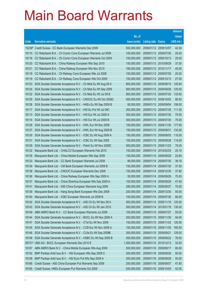|                |                                                                                                                            |                            |                                     |            | <b>Amount</b>    |
|----------------|----------------------------------------------------------------------------------------------------------------------------|----------------------------|-------------------------------------|------------|------------------|
|                |                                                                                                                            | No. of                     |                                     |            | raised           |
| Code           | <b>Derivative warrants</b>                                                                                                 | issue (units)              | <b>Listing date Expiry</b>          |            | (HK\$ mil.)      |
| 15239#         | Credit Suisse - CC Bank European Warrants Dec 2009                                                                         | 500,000,000                | 2009/01/12 2009/12/07               |            | 42.50            |
| 16115          | CC Rabobank B.A. - Ch Comm Cons European Warrants Jul 2009                                                                 | 100,000,000                | 2009/01/13 2009/07/30               |            | 25.00            |
| 16116          | CC Rabobank B.A. - Ch Comm Cons European Warrants Oct 2009                                                                 | 100,000,000                | 2009/01/13                          | 2009/10/13 | 25.00            |
| 16120          | CC Rabobank B.A. - China Railway European Wts Sep 2010                                                                     | 150,000,000                | 2009/01/13 2010/09/29               |            | 37.50            |
| 16121          | CC Rabobank B.A. - China Railway European Wts Nov 2010                                                                     | 180,000,000                | 2009/01/13 2010/11/17               |            | 45.00            |
| 16118          | CC Rabobank B.A. - Ch Railway Cons European Wts Jul 2009                                                                   | 100,000,000                | 2009/01/13 2009/07/30               |            | 25.00            |
| 16119          | CC Rabobank B.A. - Ch Railway Cons European Wts Oct 2009                                                                   | 100,000,000                | 2009/01/13                          | 2009/10/13 | 27.00            |
| 16123          | SGA Societe Generale Acceptance N.V. - Ch Mob Eu Wt Aug 09 A                                                               | 800,000,000                | 2009/01/13                          | 2009/08/10 | 120.80           |
| 16124          | SGA Societe Generale Acceptance N.V. - Ch Mob Eu Wt Sep 2009                                                               | 800,000,000                | 2009/01/13 2009/09/28               |            | 120.00           |
| 16122          | SGA Societe Generale Acceptance N.V. - Ch Mob Eu Wt Jul 09 B                                                               | 800,000,000                | 2009/01/13 2009/07/20               |            | 133.60           |
| 16125          | SGA Societe Generale Acceptance N.V. - CNOOC Eu Wt Oct 2009C                                                               | 500,000,000                | 2009/01/13                          | 2009/10/02 | 88.50            |
| 16126          | SGA Societe Generale Acceptance N.V. - HKEx Eu Wt Sep 2009 B                                                               | 80,000,000                 | 2009/01/13 2009/09/04               |            | 108.00           |
| 16117          | SGA Societe Generale Acceptance N.V. - HSI Eu Put Wt Jul 09C                                                               | 300,000,000                | 2009/01/13 2009/07/30               |            | 111.00           |
| 16113          | SGA Societe Generale Acceptance N.V. - HSI Eur Wt Jul 2009 A                                                               | 300,000,000                | 2009/01/13 2009/07/30               |            | 75.00            |
| 16114          | SGA Societe Generale Acceptance N.V. - HSI Eur Wt Jul 2009 B                                                               | 300,000,000                | 2009/01/13                          | 2009/07/30 | 75.00            |
| 16128          | SGA Societe Generale Acceptance N.V. - HWL Eur Wt Nov 2009                                                                 | 150,000,000                | 2009/01/13 2009/11/30               |            | 177.00           |
| 16127          | SGA Societe Generale Acceptance N.V. - HWL Eur Wt Aug 2009 B                                                               | 150,000,000                | 2009/01/13 2009/08/31               |            | 132.00<br>118.50 |
| 16130<br>16131 | SGA Societe Generale Acceptance N.V. - ICBC Eu Wt Aug 2009 A<br>SGA Societe Generale Acceptance N.V. - ICBC Eu Wt Sep 2009 | 150,000,000<br>150,000,000 | 2009/01/13 2009/08/03<br>2009/01/13 | 2009/09/28 | 114.00           |
| 16129          | SGA Societe Generale Acceptance N.V. - Petch Eu Wt Nov 2009C                                                               | 500,000,000                | 2009/01/13 2009/11/23               |            | 79.00            |
| 16132          | Macquarie Bank Ltd. - CHALCO European Warrants Feb 2010                                                                    | 100,000,000                | 2009/01/14                          | 2010/02/25 | 25.10            |
| 16135          | Macquarie Bank Ltd. - China Mobile European Wts Sep 2009                                                                   | 150,000,000                | 2009/01/14                          | 2009/09/29 | 22.65            |
| 16133          | Macquarie Bank Ltd. - CC Bank European Warrants Jul 2009                                                                   | 88,000,000                 | 2009/01/14                          | 2009/07/30 | 39.16            |
| 16134          | Macquarie Bank Ltd. - CM Bank European Warrants Jul 2009 B                                                                 | 150,000,000                | 2009/01/14                          | 2009/07/30 | 37.50            |
| 16138          | Macquarie Bank Ltd. - CNOOC European Warrants Dec 2009                                                                     | 150,000,000                | 2009/01/14                          | 2009/12/30 | 37.80            |
| 16136          | Macquarie Bank Ltd. - China Railway European Wts Sep 2009 A                                                                | 50,000,000                 | 2009/01/14                          | 2009/09/29 | 70.05            |
| 16137          | Macquarie Bank Ltd. - China Shenhua European Wts Sep 2009 A                                                                | 100,000,000                | 2009/01/14                          | 2009/09/29 | 47.40            |
| 16141          | Macquarie Bank Ltd. - A50 China European Warrants Aug 2009                                                                 | 280,000,000                | 2009/01/14 2009/08/27               |            | 70.00            |
| 16139          | Macquarie Bank Ltd. - Hang Seng Bank European Wts Dec 2009                                                                 | 200,000,000                | 2009/01/14                          | 2009/12/30 | 50.00            |
| 16140          | Macquarie Bank Ltd. - ICBC European Warrants Jul 2009 B                                                                    | 100,000,000                | 2009/01/14                          | 2009/07/30 | 66.00            |
| 16142          | SGA Societe Generale Acceptance N.V. - A50 Ch Eu Wt Nov 09 A                                                               | 500,000,000                | 2009/01/14                          | 2009/11/16 | 125.00           |
| 16143          | SGA Societe Generale Acceptance N.V. - A50 Ch Eu Wt Jan 2010                                                               | 500,000,000                | 2009/01/14                          | 2010/01/18 | 130.00           |
| 16149          | ABN AMRO Bank N.V. - CC Bank European Warrants Jul 2009                                                                    | 100,000,000                | 2009/01/15                          | 2009/07/27 | 55.00            |
| 16144          | SGA Societe Generale Acceptance N.V. - BOCL Eu Wt Nov 2009 A                                                               | 200,000,000                | 2009/01/15                          | 2009/11/30 | 94.00            |
| 16147          | SGA Societe Generale Acceptance N.V. - CTel Eu Wt Nov 2009                                                                 | 150,000,000                | 2009/01/15                          | 2009/11/02 | 120.00           |
| 16145          | SGA Societe Generale Acceptance N.V. - CCB Eur Wt Nov 2009 A                                                               | 150,000,000                | 2009/01/15                          | 2009/11/30 | 165.00           |
| 16146          | SGA Societe Generale Acceptance N.V. - CLife Eu Wt Sep 2009B                                                               | 300,000,000                | 2009/01/15                          | 2009/09/21 | 129.00           |
| 16148          | SGA Societe Generale Acceptance N.V. - HSBC Eu Wt Sep 2009 B                                                               | 500,000,000                | 2009/01/15                          | 2009/09/22 | 76.00            |
|                | 09731# UBS AG - BOCL European Warrants Dec 2010 E                                                                          | 1,000,000,000              | 2009/01/15                          | 2010/12/13 | 33.00            |
| 16167          | ABN AMRO Bank N.V. - China Mobile European Wts Aug 2009                                                                    | 500,000,000                | 2009/01/16                          | 2009/08/17 | 80.00            |
| 16152          | BNP Paribas Arbit Issu B.V. - HSI European Wts Sep 2009 C                                                                  | 200,000,000                | 2009/01/16                          | 2009/09/29 | 50.00            |
| 16158          | BNP Paribas Arbit Issu B.V. - HSI Euro Put Wts Sep 2009 A                                                                  | 200,000,000                | 2009/01/16                          | 2009/09/29 | 50.00            |
| 16166          | Credit Suisse - A50 China European Put Warrants Sep 2009                                                                   | 200,000,000                | 2009/01/16                          | 2009/09/07 | 47.80            |
| 16165          | Credit Suisse - HKEx European Put Warrants Oct 2009                                                                        | 200,000,000                | 2009/01/16                          | 2009/10/05 | 42.00            |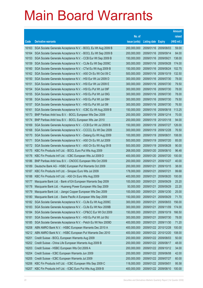|                |                                                                                                                          |                            |                            |                          | <b>Amount</b>   |
|----------------|--------------------------------------------------------------------------------------------------------------------------|----------------------------|----------------------------|--------------------------|-----------------|
|                |                                                                                                                          | No. of                     |                            |                          | raised          |
| Code           | <b>Derivative warrants</b>                                                                                               | issue (units)              | <b>Listing date Expiry</b> |                          | (HK\$ mil.)     |
| 16163          | SGA Societe Generale Acceptance N.V. - BOCL Eu Wt Aug 2009 B                                                             | 200,000,000                | 2009/01/16 2009/08/03      |                          | 59.00           |
| 16164          | SGA Societe Generale Acceptance N.V. - BOCL Eu Wt Sep 2009 B                                                             | 200,000,000                | 2009/01/16 2009/09/14      |                          | 84.00           |
| 16153          | SGA Societe Generale Acceptance N.V. - CCB Eur Wt Sep 2009 B                                                             | 150,000,000                | 2009/01/16                 | 2009/09/21               | 138.00          |
| 16159          | SGA Societe Generale Acceptance N.V. - CLife Eu Wt Sep 2009C                                                             | 300,000,000                | 2009/01/16                 | 2009/09/28               | 174.00          |
| 16160          | SGA Societe Generale Acceptance N.V. - CTel Eu Wt Aug 2009 B                                                             | 150,000,000                |                            | 2009/01/16 2009/08/24    | 102.75          |
| 16162          | SGA Societe Generale Acceptance N.V. - A50 Ch Eu Wt Oct 09 C                                                             | 500,000,000                |                            | 2009/01/16 2009/10/19    | 132.50          |
| 16150          | SGA Societe Generale Acceptance N.V. - HSI Eur Wt Jul 2009 D                                                             | 300,000,000                | 2009/01/16                 | 2009/07/30               | 78.00           |
| 16151          | SGA Societe Generale Acceptance N.V. - HSI Eur Wt Jul 2009 E                                                             | 300,000,000                |                            | 2009/01/16 2009/07/30    | 79.50           |
| 16154          | SGA Societe Generale Acceptance N.V. - HSI Eu Put Wt Jul 09F                                                             | 300,000,000                |                            | 2009/01/16 2009/07/30    | 78.00           |
| 16155          | SGA Societe Generale Acceptance N.V. - HSI Eu Put Wt Jul 09G                                                             | 300,000,000                | 2009/01/16                 | 2009/07/30               | 78.00           |
| 16156          | SGA Societe Generale Acceptance N.V. - HSI Eu Put Wt Jul 09H                                                             | 300,000,000                | 2009/01/16                 | 2009/07/30               | 79.50           |
| 16157          | SGA Societe Generale Acceptance N.V. - HSI Eu Put Wt Jul 091                                                             | 300,000,000                | 2009/01/16                 | 2009/07/30               | 76.50           |
| 16161          | SGA Societe Generale Acceptance N.V. - ICBC Eu Wt Aug 2009 B                                                             | 150,000,000                | 2009/01/16 2009/08/18      |                          | 113.25          |
| 16173          | BNP Paribas Arbit Issu B.V. - BOCL European Wts Dec 2009                                                                 | 200,000,000                | 2009/01/19                 | 2009/12/14               | 70.00           |
| 16174          | BNP Paribas Arbit Issu B.V. - BOCL European Wts Jan 2010                                                                 | 200,000,000                | 2009/01/19                 | 2010/01/18               | 94.00           |
| 16169          | SGA Societe Generale Acceptance N.V. - CCB Eur Wt Jul 2009 B                                                             | 150,000,000                | 2009/01/19                 | 2009/07/27               | 126.00          |
| 16168          | SGA Societe Generale Acceptance N.V. - CCCCL Eu Wt Dec 2009                                                              | 300,000,000                | 2009/01/19                 | 2009/12/28               | 76.50           |
| 16170          | SGA Societe Generale Acceptance N.V. - Datang Eu Wt Aug 2009                                                             | 100,000,000                | 2009/01/19                 | 2009/08/31               | 108.00<br>85.00 |
| 16171<br>16172 | SGA Societe Generale Acceptance N.V. - A50 Ch Eu Wt Jul 2009                                                             | 500,000,000<br>500,000,000 | 2009/01/19<br>2009/01/19   | 2009/07/20<br>2009/08/28 | 90.00           |
| 16175          | SGA Societe Generale Acceptance N.V. - A50 Ch Eu Wt Aug 09 B<br>KBC Fin Products Int'l Ltd. - BOCL Euro Put Wts Aug 2009 | 268,000,000                | 2009/01/20                 | 2009/08/10               | 96.48           |
| 16176          | KBC Fin Products Int'l Ltd. - ICBC European Wts Jul 2009 D                                                               | 400,000,000                | 2009/01/20                 | 2009/07/20               | 100.00          |
| 16186          | BNP Paribas Arbit Issu B.V. - CNOOC European Wts Oct 2009                                                                | 200,000,000                | 2009/01/21                 | 2009/10/27               | 40.00           |
| 16189          | Deutsche Bank AG - HSBC European Put Warrants Oct 2009                                                                   | 200,000,000                | 2009/01/21                 | 2009/10/15               | 38.00           |
| 16187          | KBC Fin Products Int'l Ltd. - Sinopec Euro Wts Jul 2009                                                                  | 178,000,000                | 2009/01/21                 | 2009/07/21               | 99.68           |
| 16188          | KBC Fin Products Int'l Ltd. - A50 Ch Euro Wts Aug 2009                                                                   | 400,000,000                | 2009/01/21                 | 2009/08/20               | 100.00          |
| 16177          | Macquarie Bank Ltd. - Bank of EA European Warrants Sep 2009                                                              | 100,000,000                | 2009/01/21                 | 2009/09/29               | 25.20           |
| 16178          | Macquarie Bank Ltd. - Huaneng Power European Wts Sep 2009                                                                | 50,000,000                 | 2009/01/21                 | 2009/09/29               | 22.20           |
| 16179          | Macquarie Bank Ltd. - Jiangxi Copper European Wts Dec 2009                                                               | 100,000,000                | 2009/01/21                 | 2009/12/30               | 25.00           |
| 16180          | Macquarie Bank Ltd. - Swire Pacific A European Wts Sep 2009                                                              | 150,000,000                | 2009/01/21                 | 2009/09/29               | 71.70           |
| 16182          | SGA Societe Generale Acceptance N.V. - CLife Eu Wt Aug 2009C                                                             | 300,000,000                | 2009/01/21                 | 2009/08/03               | 156.00          |
| 16183          | SGA Societe Generale Acceptance N.V. - CLife Eu Wt Nov 2009B                                                             | 300,000,000                | 2009/01/21                 | 2009/11/09               | 174.00          |
| 16184          | SGA Societe Generale Acceptance N.V. - CP&CC Eur Wt Oct 2009                                                             | 150,000,000                | 2009/01/21                 | 2009/10/19               | 166.50          |
| 16181          | SGA Societe Generale Acceptance N.V. - HSI Eu Put Wt Jul 09J                                                             | 300,000,000                | 2009/01/21                 | 2009/07/30               | 78.00           |
| 16185          | SGA Societe Generale Acceptance N.V. - Petch Eu Wt Nov 2009D                                                             | 400,000,000                | 2009/01/21                 | 2009/11/30               | 71.20           |
| 16208          | ABN AMRO Bank N.V. - HSBC European Warrants Dec 2010 A                                                                   | 400,000,000                |                            | 2009/01/22 2010/12/28    | 100.00          |
| 16212          | ABN AMRO Bank N.V. - HSBC European Put Warrants Dec 2010                                                                 | 400,000,000                | 2009/01/22 2010/12/20      |                          | 108.00          |
| 16201          | Credit Suisse - BOCL European Warrants Aug 2009                                                                          | 200,000,000                | 2009/01/22 2009/08/03      |                          | 50.00           |
| 16202          | Credit Suisse - China Life European Warrants Aug 2009 B                                                                  | 200,000,000                | 2009/01/22 2009/08/17      |                          | 48.00           |
| 16203          | Credit Suisse - HSBC European Wts Oct 2009 A                                                                             | 200,000,000                |                            | 2009/01/22 2009/10/12    | 34.00           |
| 16204          | Credit Suisse - ICBC European Warrants Jun 2009                                                                          | 200,000,000                | 2009/01/22 2009/06/08      |                          | 42.00           |
| 16205          | Credit Suisse - ICBC European Warrants Jul 2009                                                                          | 200,000,000                | 2009/01/22 2009/07/27      |                          | 60.00           |
| 16206          | KBC Fin Products Int'l Ltd. - ICBC European Wts Sep 2009 C                                                               | 118,000,000                | 2009/01/22 2009/09/01      |                          | 95.58           |
| 16207          | KBC Fin Products Int'l Ltd. - ICBC Euro Put Wts Aug 2009 B                                                               | 400,000,000                | 2009/01/22 2009/08/10      |                          | 100.00          |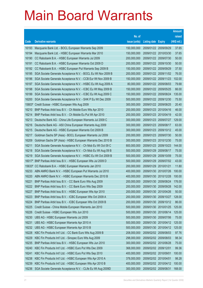|        |                                                              |               |                            |            | <b>Amount</b> |
|--------|--------------------------------------------------------------|---------------|----------------------------|------------|---------------|
|        |                                                              | No. of        |                            |            | raised        |
| Code   | <b>Derivative warrants</b>                                   | issue (units) | <b>Listing date Expiry</b> |            | (HK\$ mil.)   |
| 16193  | Macquarie Bank Ltd. - BOCL European Warrants Sep 2009        | 150,000,000   | 2009/01/22 2009/09/29      |            | 37.65         |
| 16194  | Macquarie Bank Ltd. - HSBC European Warrants Mar 2010        | 150,000,000   | 2009/01/22 2010/03/30      |            | 37.65         |
| 16190  | CC Rabobank B.A. - HSBC European Warrants Jul 2009           | 200,000,000   | 2009/01/22 2009/07/30      |            | 50.00         |
| 16191  | CC Rabobank B.A. - HSBC European Warrants Oct 2009 D         | 200,000,000   | 2009/01/22 2009/10/30      |            | 50.00         |
| 16192  | CC Rabobank B.A. - HSBC European Put Warrants Sep 2009 B     | 150,000,000   | 2009/01/22 2009/09/29      |            | 37.50         |
| 16195  | SGA Societe Generale Acceptance N.V. - BOCL Eu Wt Nov 2009 B | 200,000,000   | 2009/01/22 2009/11/02      |            | 76.00         |
| 16196  | SGA Societe Generale Acceptance N.V. - CCB Eur Wt Nov 2009 B | 150,000,000   | 2009/01/22 2009/11/23      |            | 102.00        |
| 16197  | SGA Societe Generale Acceptance N.V. - HSBC Eu Wt Aug 2009 A | 80,000,000    | 2009/01/22 2009/08/03      |            | 79.68         |
| 16198  | SGA Societe Generale Acceptance N.V. - ICBC Eu Wt May 2009 B | 150,000,000   | 2009/01/22 2009/05/25      |            | 66.00         |
| 16199  | SGA Societe Generale Acceptance N.V. - ICBC Eu Wt Aug 2009 C | 150,000,000   | 2009/01/22 2009/08/24      |            | 135.00        |
| 16200  | SGA Societe Generale Acceptance N.V. - SHK P Eu Wt Dec 2009  | 500,000,000   | 2009/01/22 2009/12/30      |            | 75.50         |
|        | 15803# Credit Suisse - HSBC European Wts Aug 2009            | 300,000,000   | 2009/01/22 2009/08/25      |            | 20.40         |
| 16210  | BNP Paribas Arbit Issu B.V. - Ch Mobile Euro Wts Apr 2010    | 200,000,000   | 2009/01/23 2010/04/16      |            | 46.00         |
| 16214  | BNP Paribas Arbit Issu B.V. - Ch Mobile Eu Put Wt Apr 2010   | 200,000,000   | 2009/01/23 2010/04/19      |            | 42.00         |
| 16213  | Deutsche Bank AG - China Life European Warrants Jul 2009 C   | 300,000,000   | 2009/01/23 2009/07/27      |            | 129.00        |
| 16216  | Deutsche Bank AG - A50 China European Warrants Aug 2009      | 300,000,000   | 2009/01/23 2009/08/17      |            | 63.00         |
| 16215  | Deutsche Bank AG - HSBC European Warrants Oct 2009 B         | 300,000,000   | 2009/01/23 2009/10/12      |            | 45.00         |
| 16217  | Goldman Sachs SP (Asia) - BOCL European Warrants Jul 2009    | 200,000,000   | 2009/01/23 2009/07/30      |            | 50.00         |
| 16209  | Goldman Sachs SP (Asia) - HSBC European Warrants Dec 2010 B  | 300,000,000   | 2009/01/23 2010/12/30      |            | 75.00         |
| 16211  | SGA Societe Generale Acceptance N.V. - Ch Mob Eu Wt Oct 09 C | 800,000,000   | 2009/01/23 2009/10/23      |            | 144.00        |
| 16218  | SGA Societe Generale Acceptance N.V. - Ch Mob Eu Wt Aug 09 B | 500,000,000   | 2009/01/29                 | 2009/08/17 | 75.00         |
| 16219  | SGA Societe Generale Acceptance N.V. - HSBC Eu Wt Oct 2009 B | 500,000,000   | 2009/01/29                 | 2009/10/09 | 75.00         |
| 16017# | BNP Paribas Arbit Issu B.V. - HSBC European Wts Jul 2009 D   | 500,000,000   | 2009/01/29                 | 2009/07/02 | 43.00         |
|        | 15633# CC Rabobank B.A. - HSBC European Warrants Jan 2010    | 200,000,000   | 2009/01/29                 | 2010/01/21 | 11.80         |
| 16233  | ABN AMRO Bank N.V. - HSBC European Put Warrants Jul 2010     | 400,000,000   | 2009/01/30 2010/07/26      |            | 100.00        |
| 16220  | ABN AMRO Bank N.V. - HSBC European Warrants Dec 2010 B       | 400,000,000   | 2009/01/30 2010/12/28      |            | 100.00        |
| 16221  | BNP Paribas Arbit Issu B.V. - CC Bank Euro Wts Aug 2009      | 200,000,000   | 2009/01/30 2009/08/24      |            | 176.00        |
| 16222  | BNP Paribas Arbit Issu B.V. - CC Bank Euro Wts Sep 2009      | 200,000,000   | 2009/01/30 2009/09/28      |            | 142.00        |
| 16227  | BNP Paribas Arbit Issu B.V. - HSBC European Wts Apr 2010     | 200,000,000   | 2009/01/30 2010/04/26      |            | 50.00         |
| 16223  | BNP Paribas Arbit Issu B.V. - ICBC European Wts Oct 2009 A   | 200,000,000   | 2009/01/30 2009/10/27      |            | 128.00        |
| 16224  | BNP Paribas Arbit Issu B.V. - ICBC European Wts Oct 2009 B   | 200,000,000   | 2009/01/30 2009/10/12      |            | 86.00         |
| 16225  | Credit Suisse - China Mobile European Warrants Jan 2010      | 500,000,000   | 2009/01/30 2010/01/25      |            | 125.00        |
| 16226  | Credit Suisse - HSBC European Wts Jun 2010                   | 500,000,000   | 2009/01/30 2010/06/14      |            | 125.00        |
| 16230  | UBS AG - HSBC European Warrants Jul 2009                     | 500,000,000   | 2009/01/30 2009/07/06      |            | 75.00         |
| 16231  | UBS AG - HSBC European Warrants Apr 2010 A                   | 500,000,000   | 2009/01/30 2010/04/12      |            | 125.00        |
| 16232  | UBS AG - HSBC European Warrants Apr 2010 B                   | 500,000,000   | 2009/01/30 2010/04/12      |            | 125.00        |
| 16228  | KBC Fin Products Int'l Ltd. - CC Bank Euro Wts Aug 2009 B    | 208,000,000   | 2009/02/02 2009/08/03      |            | 97.76         |
| 16229  | KBC Fin Products Int'l Ltd. - Sinopec Euro Wts Aug 2009      | 298,000,000   | 2009/02/02 2009/08/03      |            | 98.34         |
| 16235  | BNP Paribas Arbit Issu B.V. - HSBC European Wts Jun 2010     | 300,000,000   | 2009/02/02 2010/06/28      |            | 75.00         |
| 16240  | KBC Fin Products Int'l Ltd. - HSBC Euro Put Wts Dec 2009     | 368,000,000   | 2009/02/02 2009/12/01      |            | 99.36         |
| 16241  | KBC Fin Products Int'l Ltd. - HSBC Euro Put Wts Sep 2010     | 400,000,000   | 2009/02/02 2010/09/01      |            | 100.00        |
| 16238  | KBC Fin Products Int'l Ltd. - HSBC European Wts Apr 2010 A   | 378,000,000   | 2009/02/02 2010/04/01      |            | 98.28         |
| 16239  | KBC Fin Products Int'l Ltd. - HSBC European Wts Apr 2010 B   | 400,000,000   | 2009/02/02 2010/04/12      |            | 100.00        |
| 16236  | SGA Societe Generale Acceptance N.V. - CLife Eu Wt Aug 2009D | 300,000,000   | 2009/02/02 2009/08/31      |            | 168.00        |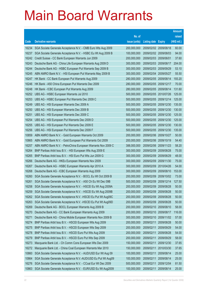|       |                                                               |               |                            |            | <b>Amount</b> |
|-------|---------------------------------------------------------------|---------------|----------------------------|------------|---------------|
|       |                                                               | No. of        |                            |            | raised        |
| Code  | <b>Derivative warrants</b>                                    | issue (units) | <b>Listing date Expiry</b> |            | (HK\$ mil.)   |
| 16234 | SGA Societe Generale Acceptance N.V. - CMB Euro Wts Aug 2009  | 200,000,000   | 2009/02/02 2009/08/18      |            | 60.00         |
| 16237 | SGA Societe Generale Acceptance N.V. - HSBC Eu Wt Aug 2009 B  | 100,000,000   | 2009/02/02 2009/08/03      |            | 94.00         |
| 16242 | Credit Suisse - CC Bank European Warrants Jun 2009            | 200,000,000   | 2009/02/03                 | 2009/06/01 | 37.60         |
| 16243 | Deutsche Bank AG - China Life European Warrants Aug 2009 D    | 300,000,000   | 2009/02/03                 | 2009/08/17 | 204.00        |
| 16244 | Deutsche Bank AG - HSBC European Put Warrants Sep 2009 B      | 300,000,000   | 2009/02/03 2009/09/29      |            | 53.10         |
| 16245 | ABN AMRO Bank N.V. - HSI European Put Warrants May 2009 B     | 300,000,000   | 2009/02/04                 | 2009/05/27 | 55.50         |
| 16247 | HK Bank - CC Bank European Put Warrants Aug 2009              | 280,000,000   | 2009/02/05                 | 2009/08/14 | 193.20        |
| 16246 | HK Bank - A50 China European Put Warrants Dec 2009            | 280,000,000   | 2009/02/05                 | 2009/12/17 | 70.00         |
| 16248 | HK Bank - ICBC European Put Warrants Aug 2009                 | 280,000,000   | 2009/02/05                 | 2009/08/14 | 131.60        |
| 16252 | UBS AG - HSBC European Warrants Jul 2010                      | 500,000,000   | 2009/02/05                 | 2010/07/26 | 125.00        |
| 16253 | UBS AG - HSBC European Put Warrants Dec 2009 C                | 500,000,000   | 2009/02/05                 | 2009/12/14 | 125.00        |
| 16249 | UBS AG - HSI European Warrants Dec 2009 A                     | 500,000,000   | 2009/02/05                 | 2009/12/30 | 135.00        |
| 16250 | UBS AG - HSI European Warrants Dec 2009 B                     | 500,000,000   | 2009/02/05                 | 2009/12/30 | 130.00        |
| 16251 | UBS AG - HSI European Warrants Dec 2009 C                     | 500,000,000   | 2009/02/05                 | 2009/12/30 | 125.00        |
| 16254 | UBS AG - HSI European Put Warrants Dec 2009 D                 | 500,000,000   | 2009/02/05                 | 2009/12/30 | 125.00        |
| 16255 | UBS AG - HSI European Put Warrants Dec 2009 E                 | 500,000,000   | 2009/02/05                 | 2009/12/30 | 130.00        |
| 16256 | UBS AG - HSI European Put Warrants Dec 2009 F                 | 500,000,000   | 2009/02/05                 | 2009/12/30 | 135.00        |
| 10859 | ABN AMRO Bank N.V. - Gold European Warrants Oct 2009          | 200,000,000   | 2009/02/06                 | 2009/10/27 | 50.00         |
| 10865 | ABN AMRO Bank N.V. - Gold European Put Warrants Oct 2009      | 200,000,000   | 2009/02/06                 | 2009/10/19 | 54.40         |
| 16257 | ABN AMRO Bank N.V. - PetroChina European Warrants Nov 2009 C  | 388,000,000   | 2009/02/06                 | 2009/11/23 | 58.20         |
| 16264 | BNP Paribas Arbit Issu B.V. - HSI European Wts Aug 2009 E     | 300,000,000   | 2009/02/09                 | 2009/08/28 | 75.00         |
| 16265 | BNP Paribas Arbit Issu B.V. - HSI Euro Put Wts Jun 2009 G     | 300,000,000   | 2009/02/09                 | 2009/06/29 | 48.00         |
| 16266 | Deutsche Bank AG - HKEx European Warrants Nov 2009            | 300,000,000   | 2009/02/09                 | 2009/11/30 | 75.00         |
| 16267 | Deutsche Bank AG - HSBC European Warrants Apr 2010 A          | 300,000,000   | 2009/02/09                 | 2010/04/26 | 54.00         |
| 16268 | Deutsche Bank AG - ICBC European Warrants Aug 2009            | 300,000,000   | 2009/02/09                 | 2009/08/10 | 153.00        |
| 16260 | SGA Societe Generale Acceptance N.V. - BOCL Eu Wt Oct 2009 B  | 200,000,000   | 2009/02/09                 | 2009/10/02 | 73.00         |
| 16261 | SGA Societe Generale Acceptance N.V. - A50 Ch Eu Wt Dec 09B   | 500,000,000   | 2009/02/09                 | 2009/12/14 | 127.50        |
| 16258 | SGA Societe Generale Acceptance N.V. - HSCEI Eu Wt Aug 2009A  | 200,000,000   | 2009/02/09                 | 2009/08/28 | 50.00         |
| 16259 | SGA Societe Generale Acceptance N.V. - HSCEI Eu Wt Aug 2009B  | 200,000,000   | 2009/02/09                 | 2009/08/28 | 50.00         |
| 16262 | SGA Societe Generale Acceptance N.V. - HSCEI Eu Put Wt Aug09C | 200,000,000   | 2009/02/09                 | 2009/08/28 | 50.00         |
| 16263 | SGA Societe Generale Acceptance N.V. - HSCEI Eu Put Wt Aug09D | 200,000,000   | 2009/02/09                 | 2009/08/28 | 50.00         |
| 16269 | Deutsche Bank AG - BOCL European Warrants Aug 2009 B          | 200,000,000   | 2009/02/10                 | 2009/08/10 | 58.00         |
| 16270 | Deutsche Bank AG - CC Bank European Warrants Aug 2009         | 200,000,000   | 2009/02/10                 | 2009/08/17 | 116.00        |
| 16271 | Deutsche Bank AG - China Mobile European Warrants Nov 2009 B  | 300,000,000   | 2009/02/10                 | 2009/11/02 | 57.00         |
| 16274 | BNP Paribas Arbit Issu B.V. - HSCEI European Wts Aug 2009     | 200,000,000   | 2009/02/11                 | 2009/08/28 | 50.00         |
| 16275 | BNP Paribas Arbit Issu B.V. - HSCEI European Wts Sep 2009     | 200,000,000   | 2009/02/11                 | 2009/09/29 | 54.00         |
| 16278 | BNP Paribas Arbit Issu B.V. - HSCEI Euro Put Wts Aug 2009     | 200,000,000   | 2009/02/11                 | 2009/08/28 | 54.00         |
| 16279 | BNP Paribas Arbit Issu B.V. - HSCEI Euro Put Wts Sep 2009     | 200,000,000   | 2009/02/11                 | 2009/09/29 | 58.00         |
| 16273 | Macquarie Bank Ltd. - Ch Comm Cons European Wts Dec 2009      | 150,000,000   | 2009/02/11                 | 2009/12/30 | 37.65         |
| 16272 | Macquarie Bank Ltd. - China Coal European Warrants Mar 2010   | 150,000,000   | 2009/02/11                 | 2010/03/30 | 37.65         |
| 10860 | SGA Societe Generale Acceptance N.V. - AUD/USD Eur Wt Aug 09  | 100,000,000   | 2009/02/11                 | 2009/08/14 | 25.00         |
| 10864 | SGA Societe Generale Acceptance N.V.-AUD/USD Eu Put Wt Aug09  | 100,000,000   | 2009/02/11                 | 2009/08/14 | 25.00         |
| 16276 | SGA Societe Generale Acceptance N.V. - CCoal Eur Wt Dec 2009  | 500,000,000   | 2009/02/11                 | 2009/12/04 | 81.50         |
| 10863 | SGA Societe Generale Acceptance N.V. - EUR/USD Eu Wt Aug2009  | 100,000,000   | 2009/02/11                 | 2009/08/14 | 25.00         |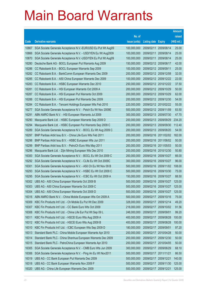| raised<br>No. of<br>(HK\$ mil.)<br>issue (units)<br><b>Derivative warrants</b><br><b>Listing date Expiry</b><br>Code<br>100,000,000<br>25.00<br>10867<br>SGA Societe Generale Acceptance N.V.-EUR/USD Eu Put Wt Aug09<br>2009/02/11<br>2009/08/14<br>SGA Societe Generale Acceptance N.V. - USD/YEN Eu Wt Aug2009<br>100,000,000<br>2009/02/11<br>25.00<br>10866<br>2009/08/14<br>25.00<br>10870<br>SGA Societe Generale Acceptance N.V.-USD/YEN Eu Put Wt Aug09<br>100,000,000<br>2009/02/11<br>2009/08/14<br>2009/02/12<br>42.00<br>16280<br>Deutsche Bank AG - BOCL European Put Warrants Aug 2009<br>150,000,000<br>2009/08/17<br>100,000,000<br>25.00<br>16286<br>CC Rabobank B.A. - BOCL European Warrants Sep 2009<br>2009/02/12 2009/09/11<br>200,000,000<br>2009/02/12 2009/12/08<br>32.00<br>16282<br>CC Rabobank B.A. - BankComm European Warrants Dec 2009<br>16285<br>100,000,000<br>2009/02/12 2009/12/22<br>22.00<br>CC Rabobank B.A. - A50 China European Warrants Dec 2009<br>16283<br>250,000,000<br>2009/02/12<br>37.50<br>CC Rabobank B.A. - HSBC European Warrants Dec 2010<br>2010/12/22<br>200,000,000<br>50.00<br>16281<br>CC Rabobank B.A. - HSI European Warrants Oct 2009 A<br>2009/02/12 2009/10/29<br>200,000,000<br>62.00<br>16287<br>CC Rabobank B.A. - HSI European Put Warrants Oct 2009<br>2009/02/12 2009/10/29<br>54.00<br>16288<br>CC Rabobank B.A. - HSI European Put Warrants Dec 2009<br>200,000,000<br>2009/02/12 2009/12/30<br>16284<br>220,000,000<br>2009/02/12 2010/02/22<br>55.00<br>CC Rabobank B.A. - Tencent Holdings European Wts Feb 2010<br>500,000,000<br>83.50<br>16277<br>SGA Societe Generale Acceptance N.V. - Petch Eu Wt Nov 2009E<br>2009/02/12 2009/11/09<br>16291<br>300,000,000<br>47.70<br>ABN AMRO Bank N.V. - HSI European Warrants Jul 2009<br>2009/02/13<br>2009/07/30<br>234.20<br>16290<br>Macquarie Bank Ltd. - HSBC European Warrants Sep 2009 D<br>200,000,000<br>2009/02/13<br>2009/09/29<br>16294<br>200,000,000<br>2009/02/13<br>112.40<br>Macquarie Bank Ltd. - HSBC European Put Warrants Sep 2009 C<br>2009/09/30<br>200,000,000<br>54.00<br>16289<br>SGA Societe Generale Acceptance N.V. - BOCL Eu Wt Aug 2009 C<br>2009/02/13 2009/08/20<br>200,000,000<br>182.00<br>16297<br>BNP Paribas Arbit Issu B.V. - China Life Euro Wts Feb 2011<br>2009/02/16<br>2011/02/02<br>50.00<br>16298<br>BNP Paribas Arbit Issu B.V. - HSBC European Wts Jun 2011<br>200,000,000<br>2009/02/16<br>2011/06/02<br>200,000,000<br>2009/02/16<br>50.00<br>16299<br>BNP Paribas Arbit Issu B.V. - PetroCh Euro Wts May 2011<br>2011/05/03<br>200,000,000<br>50.80<br>16296<br>Macquarie Bank Ltd. - Zijin Mining European Wts Dec 2010<br>2009/02/16<br>2010/12/30<br>200,000,000<br>66.00<br>16300<br>SGA Societe Generale Acceptance N.V. - BOCL Eu Wt Oct 2009 C<br>2009/02/16<br>2009/10/27<br>96.00<br>16292<br>SGA Societe Generale Acceptance N.V. - CLife Eu Wt Oct 2009C<br>300,000,000<br>2009/02/16<br>2009/10/27<br>16301<br>500,000,000<br>2009/02/16<br>108.00<br>SGA Societe Generale Acceptance N.V. - A50 Ch Eu Wt Nov 09 B<br>2009/11/02<br>500,000,000<br>16293<br>SGA Societe Generale Acceptance N.V. - HSBC Eu Wt Oct 2009 C<br>2009/02/16<br>2009/10/30<br>75.00<br>150,000,000<br>2009/02/16<br>88.50<br>16295<br>SGA Societe Generale Acceptance N.V. - ICBC Eu Wt Oct 2009 A<br>2009/10/27<br>500,000,000<br>2009/02/16<br>125.00<br>16302<br>UBS AG - A50 China European Warrants Oct 2009 B<br>2009/10/27<br>500,000,000<br>125.00<br>16303<br>UBS AG - A50 China European Warrants Oct 2009 C<br>2009/02/16 2009/10/27<br>16304<br>UBS AG - A50 China European Warrants Oct 2009 D<br>500,000,000<br>2009/02/16<br>2009/10/27<br>125.00<br>500,000,000<br>2009/02/17<br>75.00<br>16316<br>ABN AMRO Bank N.V. - China Mobile European Wts Oct 2009 A<br>2009/10/16<br>328,000,000<br>16309<br>KBC Fin Products Int'l Ltd. - Ch Mobile Eu Put Wt Dec 2009<br>2009/02/17<br>2009/12/14<br>49.20<br>218,000,000<br>91.56<br>16307<br>KBC Fin Products Int'l Ltd. - CC Bank Euro Wts Oct 2009<br>2009/02/17<br>2009/10/02<br>99.20<br>16308<br>248,000,000<br>2009/02/17<br>KBC Fin Products Int'l Ltd. - China Life Eur Put Wt Sep 09 L<br>2009/09/01<br>16311<br>400,000,000<br>2009/02/17<br>100.00<br>KBC Fin Products Int'l Ltd. - HSCEI Euro Wts Aug 2009 A<br>2009/08/28<br>400,000,000<br>16312<br>KBC Fin Products Int'l Ltd. - HSCEI Euro Wts Aug 2009 B<br>2009/02/17<br>2009/08/28<br>100.00<br>180,000,000<br>16310<br>KBC Fin Products Int'l Ltd. - ICBC European Wts Sep 2009 D<br>2009/02/17<br>2009/09/01<br>97.20<br>16313<br>Standard Bank PLC - China Mobile European Warrants Apr 2010<br>200,000,000<br>2009/02/17<br>50.00<br>2010/04/28<br>16314<br>200,000,000<br>2009/02/17<br>50.00<br>Standard Bank PLC - China Shenhua European Warrants Dec 2009<br>2009/12/30<br>200,000,000<br>16315<br>Standard Bank PLC - PetroChina European Warrants Apr 2010<br>2009/02/17<br>50.00<br>2010/04/05<br>300,000,000<br>68.10<br>16305<br>SGA Societe Generale Acceptance N.V. - CMB Euro Wts Jun 2009<br>2009/02/17<br>2009/06/29<br>16306<br>SGA Societe Generale Acceptance N.V. - Ping An Eu Wt Nov2011<br>500,000,000<br>2009/02/17<br>86.50<br>2011/11/21<br>16319<br>500,000,000<br>2009/02/17<br>UBS AG - CC Bank European Put Warrants Dec 2009<br>2009/12/21<br>140.00<br>500,000,000<br>16318<br>UBS AG - CC Bank European Warrants Nov 2009 F<br>2009/02/17<br>2009/11/30<br>125.00 |       |                                                |             |            |            | <b>Amount</b> |
|--------------------------------------------------------------------------------------------------------------------------------------------------------------------------------------------------------------------------------------------------------------------------------------------------------------------------------------------------------------------------------------------------------------------------------------------------------------------------------------------------------------------------------------------------------------------------------------------------------------------------------------------------------------------------------------------------------------------------------------------------------------------------------------------------------------------------------------------------------------------------------------------------------------------------------------------------------------------------------------------------------------------------------------------------------------------------------------------------------------------------------------------------------------------------------------------------------------------------------------------------------------------------------------------------------------------------------------------------------------------------------------------------------------------------------------------------------------------------------------------------------------------------------------------------------------------------------------------------------------------------------------------------------------------------------------------------------------------------------------------------------------------------------------------------------------------------------------------------------------------------------------------------------------------------------------------------------------------------------------------------------------------------------------------------------------------------------------------------------------------------------------------------------------------------------------------------------------------------------------------------------------------------------------------------------------------------------------------------------------------------------------------------------------------------------------------------------------------------------------------------------------------------------------------------------------------------------------------------------------------------------------------------------------------------------------------------------------------------------------------------------------------------------------------------------------------------------------------------------------------------------------------------------------------------------------------------------------------------------------------------------------------------------------------------------------------------------------------------------------------------------------------------------------------------------------------------------------------------------------------------------------------------------------------------------------------------------------------------------------------------------------------------------------------------------------------------------------------------------------------------------------------------------------------------------------------------------------------------------------------------------------------------------------------------------------------------------------------------------------------------------------------------------------------------------------------------------------------------------------------------------------------------------------------------------------------------------------------------------------------------------------------------------------------------------------------------------------------------------------------------------------------------------------------------------------------------------------------------------------------------------------------------------------------------------------------------------------------------------------------------------------------------------------------------------------------------------------------------------------------------------------------------------------------------------------------------------------------------------------------------------------------------------------------------------------------------------------------------------------------------------------------------------------------------------------------------------------------------------------------------------------------------------------------------------------------------------------------------------------------------------------------------------------------------------------------------------------------------------------------------------------------------------------------------------------------------------------------------------------------------------------------------------------------------------------------------------------------------------------------------------------------------------------------------------------------------------------------------------------------------------|-------|------------------------------------------------|-------------|------------|------------|---------------|
|                                                                                                                                                                                                                                                                                                                                                                                                                                                                                                                                                                                                                                                                                                                                                                                                                                                                                                                                                                                                                                                                                                                                                                                                                                                                                                                                                                                                                                                                                                                                                                                                                                                                                                                                                                                                                                                                                                                                                                                                                                                                                                                                                                                                                                                                                                                                                                                                                                                                                                                                                                                                                                                                                                                                                                                                                                                                                                                                                                                                                                                                                                                                                                                                                                                                                                                                                                                                                                                                                                                                                                                                                                                                                                                                                                                                                                                                                                                                                                                                                                                                                                                                                                                                                                                                                                                                                                                                                                                                                                                                                                                                                                                                                                                                                                                                                                                                                                                                                                                                                                                                                                                                                                                                                                                                                                                                                                                                                                                                                                        |       |                                                |             |            |            |               |
|                                                                                                                                                                                                                                                                                                                                                                                                                                                                                                                                                                                                                                                                                                                                                                                                                                                                                                                                                                                                                                                                                                                                                                                                                                                                                                                                                                                                                                                                                                                                                                                                                                                                                                                                                                                                                                                                                                                                                                                                                                                                                                                                                                                                                                                                                                                                                                                                                                                                                                                                                                                                                                                                                                                                                                                                                                                                                                                                                                                                                                                                                                                                                                                                                                                                                                                                                                                                                                                                                                                                                                                                                                                                                                                                                                                                                                                                                                                                                                                                                                                                                                                                                                                                                                                                                                                                                                                                                                                                                                                                                                                                                                                                                                                                                                                                                                                                                                                                                                                                                                                                                                                                                                                                                                                                                                                                                                                                                                                                                                        |       |                                                |             |            |            |               |
|                                                                                                                                                                                                                                                                                                                                                                                                                                                                                                                                                                                                                                                                                                                                                                                                                                                                                                                                                                                                                                                                                                                                                                                                                                                                                                                                                                                                                                                                                                                                                                                                                                                                                                                                                                                                                                                                                                                                                                                                                                                                                                                                                                                                                                                                                                                                                                                                                                                                                                                                                                                                                                                                                                                                                                                                                                                                                                                                                                                                                                                                                                                                                                                                                                                                                                                                                                                                                                                                                                                                                                                                                                                                                                                                                                                                                                                                                                                                                                                                                                                                                                                                                                                                                                                                                                                                                                                                                                                                                                                                                                                                                                                                                                                                                                                                                                                                                                                                                                                                                                                                                                                                                                                                                                                                                                                                                                                                                                                                                                        |       |                                                |             |            |            |               |
|                                                                                                                                                                                                                                                                                                                                                                                                                                                                                                                                                                                                                                                                                                                                                                                                                                                                                                                                                                                                                                                                                                                                                                                                                                                                                                                                                                                                                                                                                                                                                                                                                                                                                                                                                                                                                                                                                                                                                                                                                                                                                                                                                                                                                                                                                                                                                                                                                                                                                                                                                                                                                                                                                                                                                                                                                                                                                                                                                                                                                                                                                                                                                                                                                                                                                                                                                                                                                                                                                                                                                                                                                                                                                                                                                                                                                                                                                                                                                                                                                                                                                                                                                                                                                                                                                                                                                                                                                                                                                                                                                                                                                                                                                                                                                                                                                                                                                                                                                                                                                                                                                                                                                                                                                                                                                                                                                                                                                                                                                                        |       |                                                |             |            |            |               |
|                                                                                                                                                                                                                                                                                                                                                                                                                                                                                                                                                                                                                                                                                                                                                                                                                                                                                                                                                                                                                                                                                                                                                                                                                                                                                                                                                                                                                                                                                                                                                                                                                                                                                                                                                                                                                                                                                                                                                                                                                                                                                                                                                                                                                                                                                                                                                                                                                                                                                                                                                                                                                                                                                                                                                                                                                                                                                                                                                                                                                                                                                                                                                                                                                                                                                                                                                                                                                                                                                                                                                                                                                                                                                                                                                                                                                                                                                                                                                                                                                                                                                                                                                                                                                                                                                                                                                                                                                                                                                                                                                                                                                                                                                                                                                                                                                                                                                                                                                                                                                                                                                                                                                                                                                                                                                                                                                                                                                                                                                                        |       |                                                |             |            |            |               |
|                                                                                                                                                                                                                                                                                                                                                                                                                                                                                                                                                                                                                                                                                                                                                                                                                                                                                                                                                                                                                                                                                                                                                                                                                                                                                                                                                                                                                                                                                                                                                                                                                                                                                                                                                                                                                                                                                                                                                                                                                                                                                                                                                                                                                                                                                                                                                                                                                                                                                                                                                                                                                                                                                                                                                                                                                                                                                                                                                                                                                                                                                                                                                                                                                                                                                                                                                                                                                                                                                                                                                                                                                                                                                                                                                                                                                                                                                                                                                                                                                                                                                                                                                                                                                                                                                                                                                                                                                                                                                                                                                                                                                                                                                                                                                                                                                                                                                                                                                                                                                                                                                                                                                                                                                                                                                                                                                                                                                                                                                                        |       |                                                |             |            |            |               |
|                                                                                                                                                                                                                                                                                                                                                                                                                                                                                                                                                                                                                                                                                                                                                                                                                                                                                                                                                                                                                                                                                                                                                                                                                                                                                                                                                                                                                                                                                                                                                                                                                                                                                                                                                                                                                                                                                                                                                                                                                                                                                                                                                                                                                                                                                                                                                                                                                                                                                                                                                                                                                                                                                                                                                                                                                                                                                                                                                                                                                                                                                                                                                                                                                                                                                                                                                                                                                                                                                                                                                                                                                                                                                                                                                                                                                                                                                                                                                                                                                                                                                                                                                                                                                                                                                                                                                                                                                                                                                                                                                                                                                                                                                                                                                                                                                                                                                                                                                                                                                                                                                                                                                                                                                                                                                                                                                                                                                                                                                                        |       |                                                |             |            |            |               |
|                                                                                                                                                                                                                                                                                                                                                                                                                                                                                                                                                                                                                                                                                                                                                                                                                                                                                                                                                                                                                                                                                                                                                                                                                                                                                                                                                                                                                                                                                                                                                                                                                                                                                                                                                                                                                                                                                                                                                                                                                                                                                                                                                                                                                                                                                                                                                                                                                                                                                                                                                                                                                                                                                                                                                                                                                                                                                                                                                                                                                                                                                                                                                                                                                                                                                                                                                                                                                                                                                                                                                                                                                                                                                                                                                                                                                                                                                                                                                                                                                                                                                                                                                                                                                                                                                                                                                                                                                                                                                                                                                                                                                                                                                                                                                                                                                                                                                                                                                                                                                                                                                                                                                                                                                                                                                                                                                                                                                                                                                                        |       |                                                |             |            |            |               |
|                                                                                                                                                                                                                                                                                                                                                                                                                                                                                                                                                                                                                                                                                                                                                                                                                                                                                                                                                                                                                                                                                                                                                                                                                                                                                                                                                                                                                                                                                                                                                                                                                                                                                                                                                                                                                                                                                                                                                                                                                                                                                                                                                                                                                                                                                                                                                                                                                                                                                                                                                                                                                                                                                                                                                                                                                                                                                                                                                                                                                                                                                                                                                                                                                                                                                                                                                                                                                                                                                                                                                                                                                                                                                                                                                                                                                                                                                                                                                                                                                                                                                                                                                                                                                                                                                                                                                                                                                                                                                                                                                                                                                                                                                                                                                                                                                                                                                                                                                                                                                                                                                                                                                                                                                                                                                                                                                                                                                                                                                                        |       |                                                |             |            |            |               |
|                                                                                                                                                                                                                                                                                                                                                                                                                                                                                                                                                                                                                                                                                                                                                                                                                                                                                                                                                                                                                                                                                                                                                                                                                                                                                                                                                                                                                                                                                                                                                                                                                                                                                                                                                                                                                                                                                                                                                                                                                                                                                                                                                                                                                                                                                                                                                                                                                                                                                                                                                                                                                                                                                                                                                                                                                                                                                                                                                                                                                                                                                                                                                                                                                                                                                                                                                                                                                                                                                                                                                                                                                                                                                                                                                                                                                                                                                                                                                                                                                                                                                                                                                                                                                                                                                                                                                                                                                                                                                                                                                                                                                                                                                                                                                                                                                                                                                                                                                                                                                                                                                                                                                                                                                                                                                                                                                                                                                                                                                                        |       |                                                |             |            |            |               |
|                                                                                                                                                                                                                                                                                                                                                                                                                                                                                                                                                                                                                                                                                                                                                                                                                                                                                                                                                                                                                                                                                                                                                                                                                                                                                                                                                                                                                                                                                                                                                                                                                                                                                                                                                                                                                                                                                                                                                                                                                                                                                                                                                                                                                                                                                                                                                                                                                                                                                                                                                                                                                                                                                                                                                                                                                                                                                                                                                                                                                                                                                                                                                                                                                                                                                                                                                                                                                                                                                                                                                                                                                                                                                                                                                                                                                                                                                                                                                                                                                                                                                                                                                                                                                                                                                                                                                                                                                                                                                                                                                                                                                                                                                                                                                                                                                                                                                                                                                                                                                                                                                                                                                                                                                                                                                                                                                                                                                                                                                                        |       |                                                |             |            |            |               |
|                                                                                                                                                                                                                                                                                                                                                                                                                                                                                                                                                                                                                                                                                                                                                                                                                                                                                                                                                                                                                                                                                                                                                                                                                                                                                                                                                                                                                                                                                                                                                                                                                                                                                                                                                                                                                                                                                                                                                                                                                                                                                                                                                                                                                                                                                                                                                                                                                                                                                                                                                                                                                                                                                                                                                                                                                                                                                                                                                                                                                                                                                                                                                                                                                                                                                                                                                                                                                                                                                                                                                                                                                                                                                                                                                                                                                                                                                                                                                                                                                                                                                                                                                                                                                                                                                                                                                                                                                                                                                                                                                                                                                                                                                                                                                                                                                                                                                                                                                                                                                                                                                                                                                                                                                                                                                                                                                                                                                                                                                                        |       |                                                |             |            |            |               |
|                                                                                                                                                                                                                                                                                                                                                                                                                                                                                                                                                                                                                                                                                                                                                                                                                                                                                                                                                                                                                                                                                                                                                                                                                                                                                                                                                                                                                                                                                                                                                                                                                                                                                                                                                                                                                                                                                                                                                                                                                                                                                                                                                                                                                                                                                                                                                                                                                                                                                                                                                                                                                                                                                                                                                                                                                                                                                                                                                                                                                                                                                                                                                                                                                                                                                                                                                                                                                                                                                                                                                                                                                                                                                                                                                                                                                                                                                                                                                                                                                                                                                                                                                                                                                                                                                                                                                                                                                                                                                                                                                                                                                                                                                                                                                                                                                                                                                                                                                                                                                                                                                                                                                                                                                                                                                                                                                                                                                                                                                                        |       |                                                |             |            |            |               |
|                                                                                                                                                                                                                                                                                                                                                                                                                                                                                                                                                                                                                                                                                                                                                                                                                                                                                                                                                                                                                                                                                                                                                                                                                                                                                                                                                                                                                                                                                                                                                                                                                                                                                                                                                                                                                                                                                                                                                                                                                                                                                                                                                                                                                                                                                                                                                                                                                                                                                                                                                                                                                                                                                                                                                                                                                                                                                                                                                                                                                                                                                                                                                                                                                                                                                                                                                                                                                                                                                                                                                                                                                                                                                                                                                                                                                                                                                                                                                                                                                                                                                                                                                                                                                                                                                                                                                                                                                                                                                                                                                                                                                                                                                                                                                                                                                                                                                                                                                                                                                                                                                                                                                                                                                                                                                                                                                                                                                                                                                                        |       |                                                |             |            |            |               |
|                                                                                                                                                                                                                                                                                                                                                                                                                                                                                                                                                                                                                                                                                                                                                                                                                                                                                                                                                                                                                                                                                                                                                                                                                                                                                                                                                                                                                                                                                                                                                                                                                                                                                                                                                                                                                                                                                                                                                                                                                                                                                                                                                                                                                                                                                                                                                                                                                                                                                                                                                                                                                                                                                                                                                                                                                                                                                                                                                                                                                                                                                                                                                                                                                                                                                                                                                                                                                                                                                                                                                                                                                                                                                                                                                                                                                                                                                                                                                                                                                                                                                                                                                                                                                                                                                                                                                                                                                                                                                                                                                                                                                                                                                                                                                                                                                                                                                                                                                                                                                                                                                                                                                                                                                                                                                                                                                                                                                                                                                                        |       |                                                |             |            |            |               |
|                                                                                                                                                                                                                                                                                                                                                                                                                                                                                                                                                                                                                                                                                                                                                                                                                                                                                                                                                                                                                                                                                                                                                                                                                                                                                                                                                                                                                                                                                                                                                                                                                                                                                                                                                                                                                                                                                                                                                                                                                                                                                                                                                                                                                                                                                                                                                                                                                                                                                                                                                                                                                                                                                                                                                                                                                                                                                                                                                                                                                                                                                                                                                                                                                                                                                                                                                                                                                                                                                                                                                                                                                                                                                                                                                                                                                                                                                                                                                                                                                                                                                                                                                                                                                                                                                                                                                                                                                                                                                                                                                                                                                                                                                                                                                                                                                                                                                                                                                                                                                                                                                                                                                                                                                                                                                                                                                                                                                                                                                                        |       |                                                |             |            |            |               |
|                                                                                                                                                                                                                                                                                                                                                                                                                                                                                                                                                                                                                                                                                                                                                                                                                                                                                                                                                                                                                                                                                                                                                                                                                                                                                                                                                                                                                                                                                                                                                                                                                                                                                                                                                                                                                                                                                                                                                                                                                                                                                                                                                                                                                                                                                                                                                                                                                                                                                                                                                                                                                                                                                                                                                                                                                                                                                                                                                                                                                                                                                                                                                                                                                                                                                                                                                                                                                                                                                                                                                                                                                                                                                                                                                                                                                                                                                                                                                                                                                                                                                                                                                                                                                                                                                                                                                                                                                                                                                                                                                                                                                                                                                                                                                                                                                                                                                                                                                                                                                                                                                                                                                                                                                                                                                                                                                                                                                                                                                                        |       |                                                |             |            |            |               |
|                                                                                                                                                                                                                                                                                                                                                                                                                                                                                                                                                                                                                                                                                                                                                                                                                                                                                                                                                                                                                                                                                                                                                                                                                                                                                                                                                                                                                                                                                                                                                                                                                                                                                                                                                                                                                                                                                                                                                                                                                                                                                                                                                                                                                                                                                                                                                                                                                                                                                                                                                                                                                                                                                                                                                                                                                                                                                                                                                                                                                                                                                                                                                                                                                                                                                                                                                                                                                                                                                                                                                                                                                                                                                                                                                                                                                                                                                                                                                                                                                                                                                                                                                                                                                                                                                                                                                                                                                                                                                                                                                                                                                                                                                                                                                                                                                                                                                                                                                                                                                                                                                                                                                                                                                                                                                                                                                                                                                                                                                                        |       |                                                |             |            |            |               |
|                                                                                                                                                                                                                                                                                                                                                                                                                                                                                                                                                                                                                                                                                                                                                                                                                                                                                                                                                                                                                                                                                                                                                                                                                                                                                                                                                                                                                                                                                                                                                                                                                                                                                                                                                                                                                                                                                                                                                                                                                                                                                                                                                                                                                                                                                                                                                                                                                                                                                                                                                                                                                                                                                                                                                                                                                                                                                                                                                                                                                                                                                                                                                                                                                                                                                                                                                                                                                                                                                                                                                                                                                                                                                                                                                                                                                                                                                                                                                                                                                                                                                                                                                                                                                                                                                                                                                                                                                                                                                                                                                                                                                                                                                                                                                                                                                                                                                                                                                                                                                                                                                                                                                                                                                                                                                                                                                                                                                                                                                                        |       |                                                |             |            |            |               |
|                                                                                                                                                                                                                                                                                                                                                                                                                                                                                                                                                                                                                                                                                                                                                                                                                                                                                                                                                                                                                                                                                                                                                                                                                                                                                                                                                                                                                                                                                                                                                                                                                                                                                                                                                                                                                                                                                                                                                                                                                                                                                                                                                                                                                                                                                                                                                                                                                                                                                                                                                                                                                                                                                                                                                                                                                                                                                                                                                                                                                                                                                                                                                                                                                                                                                                                                                                                                                                                                                                                                                                                                                                                                                                                                                                                                                                                                                                                                                                                                                                                                                                                                                                                                                                                                                                                                                                                                                                                                                                                                                                                                                                                                                                                                                                                                                                                                                                                                                                                                                                                                                                                                                                                                                                                                                                                                                                                                                                                                                                        |       |                                                |             |            |            |               |
|                                                                                                                                                                                                                                                                                                                                                                                                                                                                                                                                                                                                                                                                                                                                                                                                                                                                                                                                                                                                                                                                                                                                                                                                                                                                                                                                                                                                                                                                                                                                                                                                                                                                                                                                                                                                                                                                                                                                                                                                                                                                                                                                                                                                                                                                                                                                                                                                                                                                                                                                                                                                                                                                                                                                                                                                                                                                                                                                                                                                                                                                                                                                                                                                                                                                                                                                                                                                                                                                                                                                                                                                                                                                                                                                                                                                                                                                                                                                                                                                                                                                                                                                                                                                                                                                                                                                                                                                                                                                                                                                                                                                                                                                                                                                                                                                                                                                                                                                                                                                                                                                                                                                                                                                                                                                                                                                                                                                                                                                                                        |       |                                                |             |            |            |               |
|                                                                                                                                                                                                                                                                                                                                                                                                                                                                                                                                                                                                                                                                                                                                                                                                                                                                                                                                                                                                                                                                                                                                                                                                                                                                                                                                                                                                                                                                                                                                                                                                                                                                                                                                                                                                                                                                                                                                                                                                                                                                                                                                                                                                                                                                                                                                                                                                                                                                                                                                                                                                                                                                                                                                                                                                                                                                                                                                                                                                                                                                                                                                                                                                                                                                                                                                                                                                                                                                                                                                                                                                                                                                                                                                                                                                                                                                                                                                                                                                                                                                                                                                                                                                                                                                                                                                                                                                                                                                                                                                                                                                                                                                                                                                                                                                                                                                                                                                                                                                                                                                                                                                                                                                                                                                                                                                                                                                                                                                                                        |       |                                                |             |            |            |               |
|                                                                                                                                                                                                                                                                                                                                                                                                                                                                                                                                                                                                                                                                                                                                                                                                                                                                                                                                                                                                                                                                                                                                                                                                                                                                                                                                                                                                                                                                                                                                                                                                                                                                                                                                                                                                                                                                                                                                                                                                                                                                                                                                                                                                                                                                                                                                                                                                                                                                                                                                                                                                                                                                                                                                                                                                                                                                                                                                                                                                                                                                                                                                                                                                                                                                                                                                                                                                                                                                                                                                                                                                                                                                                                                                                                                                                                                                                                                                                                                                                                                                                                                                                                                                                                                                                                                                                                                                                                                                                                                                                                                                                                                                                                                                                                                                                                                                                                                                                                                                                                                                                                                                                                                                                                                                                                                                                                                                                                                                                                        |       |                                                |             |            |            |               |
|                                                                                                                                                                                                                                                                                                                                                                                                                                                                                                                                                                                                                                                                                                                                                                                                                                                                                                                                                                                                                                                                                                                                                                                                                                                                                                                                                                                                                                                                                                                                                                                                                                                                                                                                                                                                                                                                                                                                                                                                                                                                                                                                                                                                                                                                                                                                                                                                                                                                                                                                                                                                                                                                                                                                                                                                                                                                                                                                                                                                                                                                                                                                                                                                                                                                                                                                                                                                                                                                                                                                                                                                                                                                                                                                                                                                                                                                                                                                                                                                                                                                                                                                                                                                                                                                                                                                                                                                                                                                                                                                                                                                                                                                                                                                                                                                                                                                                                                                                                                                                                                                                                                                                                                                                                                                                                                                                                                                                                                                                                        |       |                                                |             |            |            |               |
|                                                                                                                                                                                                                                                                                                                                                                                                                                                                                                                                                                                                                                                                                                                                                                                                                                                                                                                                                                                                                                                                                                                                                                                                                                                                                                                                                                                                                                                                                                                                                                                                                                                                                                                                                                                                                                                                                                                                                                                                                                                                                                                                                                                                                                                                                                                                                                                                                                                                                                                                                                                                                                                                                                                                                                                                                                                                                                                                                                                                                                                                                                                                                                                                                                                                                                                                                                                                                                                                                                                                                                                                                                                                                                                                                                                                                                                                                                                                                                                                                                                                                                                                                                                                                                                                                                                                                                                                                                                                                                                                                                                                                                                                                                                                                                                                                                                                                                                                                                                                                                                                                                                                                                                                                                                                                                                                                                                                                                                                                                        |       |                                                |             |            |            |               |
|                                                                                                                                                                                                                                                                                                                                                                                                                                                                                                                                                                                                                                                                                                                                                                                                                                                                                                                                                                                                                                                                                                                                                                                                                                                                                                                                                                                                                                                                                                                                                                                                                                                                                                                                                                                                                                                                                                                                                                                                                                                                                                                                                                                                                                                                                                                                                                                                                                                                                                                                                                                                                                                                                                                                                                                                                                                                                                                                                                                                                                                                                                                                                                                                                                                                                                                                                                                                                                                                                                                                                                                                                                                                                                                                                                                                                                                                                                                                                                                                                                                                                                                                                                                                                                                                                                                                                                                                                                                                                                                                                                                                                                                                                                                                                                                                                                                                                                                                                                                                                                                                                                                                                                                                                                                                                                                                                                                                                                                                                                        |       |                                                |             |            |            |               |
|                                                                                                                                                                                                                                                                                                                                                                                                                                                                                                                                                                                                                                                                                                                                                                                                                                                                                                                                                                                                                                                                                                                                                                                                                                                                                                                                                                                                                                                                                                                                                                                                                                                                                                                                                                                                                                                                                                                                                                                                                                                                                                                                                                                                                                                                                                                                                                                                                                                                                                                                                                                                                                                                                                                                                                                                                                                                                                                                                                                                                                                                                                                                                                                                                                                                                                                                                                                                                                                                                                                                                                                                                                                                                                                                                                                                                                                                                                                                                                                                                                                                                                                                                                                                                                                                                                                                                                                                                                                                                                                                                                                                                                                                                                                                                                                                                                                                                                                                                                                                                                                                                                                                                                                                                                                                                                                                                                                                                                                                                                        |       |                                                |             |            |            |               |
|                                                                                                                                                                                                                                                                                                                                                                                                                                                                                                                                                                                                                                                                                                                                                                                                                                                                                                                                                                                                                                                                                                                                                                                                                                                                                                                                                                                                                                                                                                                                                                                                                                                                                                                                                                                                                                                                                                                                                                                                                                                                                                                                                                                                                                                                                                                                                                                                                                                                                                                                                                                                                                                                                                                                                                                                                                                                                                                                                                                                                                                                                                                                                                                                                                                                                                                                                                                                                                                                                                                                                                                                                                                                                                                                                                                                                                                                                                                                                                                                                                                                                                                                                                                                                                                                                                                                                                                                                                                                                                                                                                                                                                                                                                                                                                                                                                                                                                                                                                                                                                                                                                                                                                                                                                                                                                                                                                                                                                                                                                        |       |                                                |             |            |            |               |
|                                                                                                                                                                                                                                                                                                                                                                                                                                                                                                                                                                                                                                                                                                                                                                                                                                                                                                                                                                                                                                                                                                                                                                                                                                                                                                                                                                                                                                                                                                                                                                                                                                                                                                                                                                                                                                                                                                                                                                                                                                                                                                                                                                                                                                                                                                                                                                                                                                                                                                                                                                                                                                                                                                                                                                                                                                                                                                                                                                                                                                                                                                                                                                                                                                                                                                                                                                                                                                                                                                                                                                                                                                                                                                                                                                                                                                                                                                                                                                                                                                                                                                                                                                                                                                                                                                                                                                                                                                                                                                                                                                                                                                                                                                                                                                                                                                                                                                                                                                                                                                                                                                                                                                                                                                                                                                                                                                                                                                                                                                        |       |                                                |             |            |            |               |
|                                                                                                                                                                                                                                                                                                                                                                                                                                                                                                                                                                                                                                                                                                                                                                                                                                                                                                                                                                                                                                                                                                                                                                                                                                                                                                                                                                                                                                                                                                                                                                                                                                                                                                                                                                                                                                                                                                                                                                                                                                                                                                                                                                                                                                                                                                                                                                                                                                                                                                                                                                                                                                                                                                                                                                                                                                                                                                                                                                                                                                                                                                                                                                                                                                                                                                                                                                                                                                                                                                                                                                                                                                                                                                                                                                                                                                                                                                                                                                                                                                                                                                                                                                                                                                                                                                                                                                                                                                                                                                                                                                                                                                                                                                                                                                                                                                                                                                                                                                                                                                                                                                                                                                                                                                                                                                                                                                                                                                                                                                        |       |                                                |             |            |            |               |
|                                                                                                                                                                                                                                                                                                                                                                                                                                                                                                                                                                                                                                                                                                                                                                                                                                                                                                                                                                                                                                                                                                                                                                                                                                                                                                                                                                                                                                                                                                                                                                                                                                                                                                                                                                                                                                                                                                                                                                                                                                                                                                                                                                                                                                                                                                                                                                                                                                                                                                                                                                                                                                                                                                                                                                                                                                                                                                                                                                                                                                                                                                                                                                                                                                                                                                                                                                                                                                                                                                                                                                                                                                                                                                                                                                                                                                                                                                                                                                                                                                                                                                                                                                                                                                                                                                                                                                                                                                                                                                                                                                                                                                                                                                                                                                                                                                                                                                                                                                                                                                                                                                                                                                                                                                                                                                                                                                                                                                                                                                        |       |                                                |             |            |            |               |
|                                                                                                                                                                                                                                                                                                                                                                                                                                                                                                                                                                                                                                                                                                                                                                                                                                                                                                                                                                                                                                                                                                                                                                                                                                                                                                                                                                                                                                                                                                                                                                                                                                                                                                                                                                                                                                                                                                                                                                                                                                                                                                                                                                                                                                                                                                                                                                                                                                                                                                                                                                                                                                                                                                                                                                                                                                                                                                                                                                                                                                                                                                                                                                                                                                                                                                                                                                                                                                                                                                                                                                                                                                                                                                                                                                                                                                                                                                                                                                                                                                                                                                                                                                                                                                                                                                                                                                                                                                                                                                                                                                                                                                                                                                                                                                                                                                                                                                                                                                                                                                                                                                                                                                                                                                                                                                                                                                                                                                                                                                        |       |                                                |             |            |            |               |
|                                                                                                                                                                                                                                                                                                                                                                                                                                                                                                                                                                                                                                                                                                                                                                                                                                                                                                                                                                                                                                                                                                                                                                                                                                                                                                                                                                                                                                                                                                                                                                                                                                                                                                                                                                                                                                                                                                                                                                                                                                                                                                                                                                                                                                                                                                                                                                                                                                                                                                                                                                                                                                                                                                                                                                                                                                                                                                                                                                                                                                                                                                                                                                                                                                                                                                                                                                                                                                                                                                                                                                                                                                                                                                                                                                                                                                                                                                                                                                                                                                                                                                                                                                                                                                                                                                                                                                                                                                                                                                                                                                                                                                                                                                                                                                                                                                                                                                                                                                                                                                                                                                                                                                                                                                                                                                                                                                                                                                                                                                        |       |                                                |             |            |            |               |
|                                                                                                                                                                                                                                                                                                                                                                                                                                                                                                                                                                                                                                                                                                                                                                                                                                                                                                                                                                                                                                                                                                                                                                                                                                                                                                                                                                                                                                                                                                                                                                                                                                                                                                                                                                                                                                                                                                                                                                                                                                                                                                                                                                                                                                                                                                                                                                                                                                                                                                                                                                                                                                                                                                                                                                                                                                                                                                                                                                                                                                                                                                                                                                                                                                                                                                                                                                                                                                                                                                                                                                                                                                                                                                                                                                                                                                                                                                                                                                                                                                                                                                                                                                                                                                                                                                                                                                                                                                                                                                                                                                                                                                                                                                                                                                                                                                                                                                                                                                                                                                                                                                                                                                                                                                                                                                                                                                                                                                                                                                        |       |                                                |             |            |            |               |
|                                                                                                                                                                                                                                                                                                                                                                                                                                                                                                                                                                                                                                                                                                                                                                                                                                                                                                                                                                                                                                                                                                                                                                                                                                                                                                                                                                                                                                                                                                                                                                                                                                                                                                                                                                                                                                                                                                                                                                                                                                                                                                                                                                                                                                                                                                                                                                                                                                                                                                                                                                                                                                                                                                                                                                                                                                                                                                                                                                                                                                                                                                                                                                                                                                                                                                                                                                                                                                                                                                                                                                                                                                                                                                                                                                                                                                                                                                                                                                                                                                                                                                                                                                                                                                                                                                                                                                                                                                                                                                                                                                                                                                                                                                                                                                                                                                                                                                                                                                                                                                                                                                                                                                                                                                                                                                                                                                                                                                                                                                        |       |                                                |             |            |            |               |
|                                                                                                                                                                                                                                                                                                                                                                                                                                                                                                                                                                                                                                                                                                                                                                                                                                                                                                                                                                                                                                                                                                                                                                                                                                                                                                                                                                                                                                                                                                                                                                                                                                                                                                                                                                                                                                                                                                                                                                                                                                                                                                                                                                                                                                                                                                                                                                                                                                                                                                                                                                                                                                                                                                                                                                                                                                                                                                                                                                                                                                                                                                                                                                                                                                                                                                                                                                                                                                                                                                                                                                                                                                                                                                                                                                                                                                                                                                                                                                                                                                                                                                                                                                                                                                                                                                                                                                                                                                                                                                                                                                                                                                                                                                                                                                                                                                                                                                                                                                                                                                                                                                                                                                                                                                                                                                                                                                                                                                                                                                        |       |                                                |             |            |            |               |
|                                                                                                                                                                                                                                                                                                                                                                                                                                                                                                                                                                                                                                                                                                                                                                                                                                                                                                                                                                                                                                                                                                                                                                                                                                                                                                                                                                                                                                                                                                                                                                                                                                                                                                                                                                                                                                                                                                                                                                                                                                                                                                                                                                                                                                                                                                                                                                                                                                                                                                                                                                                                                                                                                                                                                                                                                                                                                                                                                                                                                                                                                                                                                                                                                                                                                                                                                                                                                                                                                                                                                                                                                                                                                                                                                                                                                                                                                                                                                                                                                                                                                                                                                                                                                                                                                                                                                                                                                                                                                                                                                                                                                                                                                                                                                                                                                                                                                                                                                                                                                                                                                                                                                                                                                                                                                                                                                                                                                                                                                                        |       |                                                |             |            |            |               |
|                                                                                                                                                                                                                                                                                                                                                                                                                                                                                                                                                                                                                                                                                                                                                                                                                                                                                                                                                                                                                                                                                                                                                                                                                                                                                                                                                                                                                                                                                                                                                                                                                                                                                                                                                                                                                                                                                                                                                                                                                                                                                                                                                                                                                                                                                                                                                                                                                                                                                                                                                                                                                                                                                                                                                                                                                                                                                                                                                                                                                                                                                                                                                                                                                                                                                                                                                                                                                                                                                                                                                                                                                                                                                                                                                                                                                                                                                                                                                                                                                                                                                                                                                                                                                                                                                                                                                                                                                                                                                                                                                                                                                                                                                                                                                                                                                                                                                                                                                                                                                                                                                                                                                                                                                                                                                                                                                                                                                                                                                                        |       |                                                |             |            |            |               |
|                                                                                                                                                                                                                                                                                                                                                                                                                                                                                                                                                                                                                                                                                                                                                                                                                                                                                                                                                                                                                                                                                                                                                                                                                                                                                                                                                                                                                                                                                                                                                                                                                                                                                                                                                                                                                                                                                                                                                                                                                                                                                                                                                                                                                                                                                                                                                                                                                                                                                                                                                                                                                                                                                                                                                                                                                                                                                                                                                                                                                                                                                                                                                                                                                                                                                                                                                                                                                                                                                                                                                                                                                                                                                                                                                                                                                                                                                                                                                                                                                                                                                                                                                                                                                                                                                                                                                                                                                                                                                                                                                                                                                                                                                                                                                                                                                                                                                                                                                                                                                                                                                                                                                                                                                                                                                                                                                                                                                                                                                                        |       |                                                |             |            |            |               |
|                                                                                                                                                                                                                                                                                                                                                                                                                                                                                                                                                                                                                                                                                                                                                                                                                                                                                                                                                                                                                                                                                                                                                                                                                                                                                                                                                                                                                                                                                                                                                                                                                                                                                                                                                                                                                                                                                                                                                                                                                                                                                                                                                                                                                                                                                                                                                                                                                                                                                                                                                                                                                                                                                                                                                                                                                                                                                                                                                                                                                                                                                                                                                                                                                                                                                                                                                                                                                                                                                                                                                                                                                                                                                                                                                                                                                                                                                                                                                                                                                                                                                                                                                                                                                                                                                                                                                                                                                                                                                                                                                                                                                                                                                                                                                                                                                                                                                                                                                                                                                                                                                                                                                                                                                                                                                                                                                                                                                                                                                                        |       |                                                |             |            |            |               |
|                                                                                                                                                                                                                                                                                                                                                                                                                                                                                                                                                                                                                                                                                                                                                                                                                                                                                                                                                                                                                                                                                                                                                                                                                                                                                                                                                                                                                                                                                                                                                                                                                                                                                                                                                                                                                                                                                                                                                                                                                                                                                                                                                                                                                                                                                                                                                                                                                                                                                                                                                                                                                                                                                                                                                                                                                                                                                                                                                                                                                                                                                                                                                                                                                                                                                                                                                                                                                                                                                                                                                                                                                                                                                                                                                                                                                                                                                                                                                                                                                                                                                                                                                                                                                                                                                                                                                                                                                                                                                                                                                                                                                                                                                                                                                                                                                                                                                                                                                                                                                                                                                                                                                                                                                                                                                                                                                                                                                                                                                                        |       |                                                |             |            |            |               |
|                                                                                                                                                                                                                                                                                                                                                                                                                                                                                                                                                                                                                                                                                                                                                                                                                                                                                                                                                                                                                                                                                                                                                                                                                                                                                                                                                                                                                                                                                                                                                                                                                                                                                                                                                                                                                                                                                                                                                                                                                                                                                                                                                                                                                                                                                                                                                                                                                                                                                                                                                                                                                                                                                                                                                                                                                                                                                                                                                                                                                                                                                                                                                                                                                                                                                                                                                                                                                                                                                                                                                                                                                                                                                                                                                                                                                                                                                                                                                                                                                                                                                                                                                                                                                                                                                                                                                                                                                                                                                                                                                                                                                                                                                                                                                                                                                                                                                                                                                                                                                                                                                                                                                                                                                                                                                                                                                                                                                                                                                                        |       |                                                |             |            |            |               |
|                                                                                                                                                                                                                                                                                                                                                                                                                                                                                                                                                                                                                                                                                                                                                                                                                                                                                                                                                                                                                                                                                                                                                                                                                                                                                                                                                                                                                                                                                                                                                                                                                                                                                                                                                                                                                                                                                                                                                                                                                                                                                                                                                                                                                                                                                                                                                                                                                                                                                                                                                                                                                                                                                                                                                                                                                                                                                                                                                                                                                                                                                                                                                                                                                                                                                                                                                                                                                                                                                                                                                                                                                                                                                                                                                                                                                                                                                                                                                                                                                                                                                                                                                                                                                                                                                                                                                                                                                                                                                                                                                                                                                                                                                                                                                                                                                                                                                                                                                                                                                                                                                                                                                                                                                                                                                                                                                                                                                                                                                                        |       |                                                |             |            |            |               |
|                                                                                                                                                                                                                                                                                                                                                                                                                                                                                                                                                                                                                                                                                                                                                                                                                                                                                                                                                                                                                                                                                                                                                                                                                                                                                                                                                                                                                                                                                                                                                                                                                                                                                                                                                                                                                                                                                                                                                                                                                                                                                                                                                                                                                                                                                                                                                                                                                                                                                                                                                                                                                                                                                                                                                                                                                                                                                                                                                                                                                                                                                                                                                                                                                                                                                                                                                                                                                                                                                                                                                                                                                                                                                                                                                                                                                                                                                                                                                                                                                                                                                                                                                                                                                                                                                                                                                                                                                                                                                                                                                                                                                                                                                                                                                                                                                                                                                                                                                                                                                                                                                                                                                                                                                                                                                                                                                                                                                                                                                                        |       |                                                |             |            |            |               |
|                                                                                                                                                                                                                                                                                                                                                                                                                                                                                                                                                                                                                                                                                                                                                                                                                                                                                                                                                                                                                                                                                                                                                                                                                                                                                                                                                                                                                                                                                                                                                                                                                                                                                                                                                                                                                                                                                                                                                                                                                                                                                                                                                                                                                                                                                                                                                                                                                                                                                                                                                                                                                                                                                                                                                                                                                                                                                                                                                                                                                                                                                                                                                                                                                                                                                                                                                                                                                                                                                                                                                                                                                                                                                                                                                                                                                                                                                                                                                                                                                                                                                                                                                                                                                                                                                                                                                                                                                                                                                                                                                                                                                                                                                                                                                                                                                                                                                                                                                                                                                                                                                                                                                                                                                                                                                                                                                                                                                                                                                                        | 16320 | UBS AG - China Life European Warrants Dec 2009 | 500,000,000 | 2009/02/17 | 2009/12/21 | 125.00        |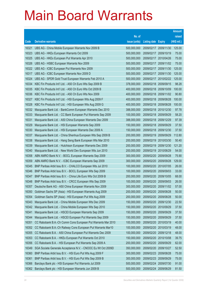|       |                                                              |               |                     |                       | <b>Amount</b> |
|-------|--------------------------------------------------------------|---------------|---------------------|-----------------------|---------------|
|       |                                                              | No. of        |                     |                       | raised        |
| Code  | <b>Derivative warrants</b>                                   | issue (units) | Listing date Expiry |                       | (HK\$ mil.)   |
| 16321 | UBS AG - China Mobile European Warrants Nov 2009 B           | 500,000,000   |                     | 2009/02/17 2009/11/30 | 125.00        |
| 16323 | UBS AG - HKEx European Warrants Oct 2009                     | 500,000,000   |                     | 2009/02/17 2009/10/19 | 75.00         |
| 16325 | UBS AG - HKEx European Put Warrants Apr 2010                 | 500,000,000   | 2009/02/17          | 2010/04/26            | 75.00         |
| 16326 | UBS AG - HSBC European Warrants Nov 2009                     | 500,000,000   | 2009/02/17          | 2009/11/02            | 75.00         |
| 16322 | UBS AG - ICBC European Put Warrants Nov 2009                 | 500,000,000   | 2009/02/17          | 2009/11/30            | 125.00        |
| 16317 | UBS AG - ICBC European Warrants Nov 2009 D                   | 500,000,000   | 2009/02/17          | 2009/11/30            | 125.00        |
| 16324 | UBS AG - SPDR Gold Trust European Warrants Feb 2010 A        | 500,000,000   | 2009/02/17          | 2010/02/22            | 125.00        |
| 16334 | KBC Fin Products Int'l Ltd. - A50 Ch Euro Wts Sep 2009 B     | 378,000,000   | 2009/02/18          | 2009/09/15            | 98.28         |
| 16335 | KBC Fin Products Int'l Ltd. - A50 Ch Euro Wts Oct 2009 B     | 400,000,000   | 2009/02/18          | 2009/10/09            | 100.00        |
| 16336 | KBC Fin Products Int'l Ltd. - A50 Ch Euro Wts Nov 2009       | 400,000,000   | 2009/02/18          | 2009/11/02            | 90.80         |
| 16327 | KBC Fin Products Int'l Ltd. - HSI European Wts Aug 2009 F    | 400,000,000   | 2009/02/18          | 2009/08/28            | 100.00        |
| 16328 | KBC Fin Products Int'l Ltd. - HSI European Wts Aug 2009 G    | 400,000,000   | 2009/02/18          | 2009/08/28            | 100.00        |
| 16332 | Macquarie Bank Ltd. - BankComm European Warrants Dec 2010    | 388,000,000   | 2009/02/18          | 2010/12/30            | 97.78         |
| 16333 | Macquarie Bank Ltd. - CC Bank European Put Warrants Sep 2009 | 100,000,000   | 2009/02/18          | 2009/09/29            | 58.20         |
| 16331 | Macquarie Bank Ltd. - A50 China European Warrants Dec 2009   | 388,000,000   | 2009/02/18          | 2009/12/29            | 97.39         |
| 16329 | Macquarie Bank Ltd. - HSI European Warrants Sep 2009         | 150,000,000   | 2009/02/18          | 2009/09/29            | 37.50         |
| 16330 | Macquarie Bank Ltd. - HSI European Warrants Dec 2009 A       | 150,000,000   | 2009/02/18          | 2009/12/30            | 37.50         |
| 16337 | Macquarie Bank Ltd. - China Shenhua European Wts Sep 2009 B  | 200,000,000   | 2009/02/19          | 2009/09/29            | 112.80        |
| 16338 | Macquarie Bank Ltd. - Hang Seng Bank European Wts Mar 2010   | 200,000,000   | 2009/02/19          | 2010/03/30            | 50.40         |
| 16339 | Macquarie Bank Ltd. - Hutchison European Warrants Dec 2009   | 200,000,000   | 2009/02/19          | 2009/12/30            | 121.20        |
| 16340 | Macquarie Bank Ltd. - New World Dev European Wts Jun 2010    | 200,000,000   | 2009/02/19          | 2010/06/29            | 54.00         |
| 16358 | ABN AMRO Bank N.V. - BOCL European Warrants Sep 2009         | 300,000,000   | 2009/02/20          | 2009/09/28            | 75.90         |
| 16359 | ABN AMRO Bank N.V. - ICBC European Warrants Sep 2009         | 300,000,000   | 2009/02/20          | 2009/09/28            | 129.00        |
| 16345 | BNP Paribas Arbit Issu B.V. - CHALCO European Wts Jul 2010   | 100,000,000   | 2009/02/20          | 2010/07/05            | 26.00         |
| 16346 | BNP Paribas Arbit Issu B.V. - BOCL European Wts Sep 2009     | 100,000,000   | 2009/02/20          | 2009/09/03            | 33.00         |
| 16347 | BNP Paribas Arbit Issu B.V. - China Life Euro Wts Oct 2009 B | 200,000,000   | 2009/02/20          | 2009/10/05            | 68.00         |
| 16348 | BNP Paribas Arbit Issu B.V. - CRCC European Wts Sep 2009     | 100,000,000   | 2009/02/20          | 2009/09/03            | 26.00         |
| 16357 | Deutsche Bank AG - A50 China European Warrants Nov 2009      | 300,000,000   |                     | 2009/02/20 2009/11/02 | 57.00         |
| 16350 | Goldman Sachs SP (Asia) - HSI European Warrants Aug 2009     | 200,000,000   | 2009/02/20          | 2009/08/28            | 50.00         |
| 16354 | Goldman Sachs SP (Asia) - HSI European Put Wts Aug 2009      | 200,000,000   | 2009/02/20          | 2009/08/28            | 50.00         |
| 16343 | Macquarie Bank Ltd. - China Mobile European Wts Dec 2009     | 150,000,000   | 2009/02/20          | 2009/12/30            | 22.50         |
| 16342 | Macquarie Bank Ltd. - China Mobile European Wts Sep 2010     | 150,000,000   | 2009/02/20          | 2010/09/29            | 37.50         |
| 16341 | Macquarie Bank Ltd. - HSCEI European Warrants Sep 2009       | 150,000,000   | 2009/02/20          | 2009/09/29            | 37.50         |
| 16344 | Macquarie Bank Ltd. - HSCEI European Put Warrants Sep 2009   | 150,000,000   | 2009/02/20          | 2009/09/29            | 37.50         |
| 16351 | CC Rabobank B.A.-Ch Comm Cons European Put Warrants Mar 2010 | 100,000,000   | 2009/02/20          | 2010/03/19            | 40.00         |
| 16352 | CC Rabobank B.A.-Ch Railway Cons European Put Warrants Mar10 | 100,000,000   | 2009/02/20          | 2010/03/19            | 48.00         |
| 16355 | CC Rabobank B.A. - A50 China European Put Warrants Dec 2009  | 100,000,000   | 2009/02/20          | 2009/12/18            | 48.00         |
| 16353 | CC Rabobank B.A. - HKEx European Put Warrants Oct 2010       | 150,000,000   | 2009/02/20          | 2010/10/08            | 39.75         |
| 16356 | CC Rabobank B.A. - HSI European Put Warrants Sep 2009 A      | 200,000,000   | 2009/02/20          | 2009/09/29            | 62.00         |
| 16349 | SGA Societe Generale Acceptance N.V. - CNOOC Eu Wt Oct 2009D | 350,000,000   | 2009/02/20          | 2009/10/27            | 52.50         |
| 16360 | BNP Paribas Arbit Issu B.V. - HSI Euro Put Wts Aug 2009 F    | 300,000,000   | 2009/02/23          | 2009/08/28            | 75.00         |
| 16361 | BNP Paribas Arbit Issu B.V. - HSI Euro Put Wts Sep 2009 B    | 300,000,000   | 2009/02/23          | 2009/09/29            | 75.00         |
| 16366 | Barclays Bank plc - HSI European Put Warrants Jul 2009       | 500,000,000   | 2009/02/24          | 2009/07/30            | 91.00         |
| 16362 | Barclays Bank plc - HSI European Warrants Jun 2009 B         | 500,000,000   | 2009/02/24          | 2009/06/29            | 81.50         |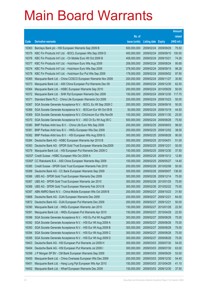|        |                                                              |               |                            |                       | <b>Amount</b> |
|--------|--------------------------------------------------------------|---------------|----------------------------|-----------------------|---------------|
|        |                                                              | No. of        |                            |                       | raised        |
| Code   | <b>Derivative warrants</b>                                   | issue (units) | <b>Listing date Expiry</b> |                       | (HK\$ mil.)   |
| 16363  | Barclays Bank plc - HSI European Warrants Sep 2009 B         | 500,000,000   | 2009/02/24                 | 2009/09/29            | 75.50         |
| 16375  | KBC Fin Products Int'l Ltd. - BOCL European Wts Sep 2009 D   | 400,000,000   | 2009/02/24                 | 2009/09/10            | 100.00        |
| 16376  | KBC Fin Products Int'l Ltd. - Ch Mobile Euro Wt Oct 2009 B   | 408,000,000   | 2009/02/24                 | 2009/10/21            | 74.26         |
| 16377  | KBC Fin Products Int'l Ltd. - Hutchison Euro Wts Aug 2009    | 208,000,000   | 2009/02/24 2009/08/24      |                       | 95.68         |
| 16374  | KBC Fin Products Int'l Ltd. - Hutchison Euro Wts Sep 2009    | 378,000,000   | 2009/02/24                 | 2009/09/15            | 98.28         |
| 16378  | KBC Fin Products Int'l Ltd. - Hutchison Eur Put Wts Sep 2009 | 178,000,000   | 2009/02/24                 | 2009/09/02            | 97.90         |
| 16365  | Macquarie Bank Ltd. - China COSCO European Warrants Nov 2009 | 200,000,000   | 2009/02/24                 | 2009/11/27            | 30.80         |
| 16373  | Macquarie Bank Ltd. - A50 China European Put Warrants Dec 09 | 250,000,000   |                            | 2009/02/24 2009/12/30 | 62.50         |
| 16364  | Macquarie Bank Ltd. - HSBC European Warrants Sep 2010        | 200,000,000   | 2009/02/24                 | 2010/09/29            | 50.00         |
| 16372  | Macquarie Bank Ltd. - SHK Ppt European Warrants Dec 2009     | 150,000,000   | 2009/02/24                 | 2009/12/30            | 117.75        |
| 16371  | Standard Bank PLC - China Life European Warrants Oct 2009    | 200,000,000   | 2009/02/24                 | 2009/10/23            | 50.00         |
| 16367  | SGA Societe Generale Acceptance N.V. - BOCL Eu Wt Sep 2009 C | 200,000,000   |                            | 2009/02/24 2009/09/16 | 50.00         |
| 16368  | SGA Societe Generale Acceptance N.V. - BOCom Eur Wt Oct 09 B | 50,000,000    | 2009/02/24                 | 2009/10/19            | 44.50         |
| 16369  | SGA Societe Generale Acceptance N.V.-ChiUnicom Eur Wts Nov09 | 100,000,000   | 2009/02/24                 | 2009/11/30            | 25.00         |
| 16370  | SGA Societe Generale Acceptance N.V. - A50 Ch Eu Wt Aug 09 C | 500,000,000   | 2009/02/24                 | 2009/08/28            | 75.50         |
| 16380  | BNP Paribas Arbit Issu B.V. - China Life Euro Wts Sep 2009   | 200,000,000   |                            | 2009/02/25 2009/09/03 | 98.00         |
| 16381  | BNP Paribas Arbit Issu B.V. - HKEx European Wts Dec 2009     | 200,000,000   | 2009/02/25                 | 2009/12/02            | 38.00         |
| 16382  | BNP Paribas Arbit Issu B.V. - HSI European Wts Aug 2009 G    | 300,000,000   | 2009/02/25 2009/08/28      |                       | 90.00         |
| 16384  | Deutsche Bank AG - HSBC European Warrants Apr 2010 B         | 300,000,000   | 2009/02/25                 | 2010/04/01            | 51.00         |
| 16383  | Deutsche Bank AG - SPDR Gold Trust European Warrants Dec2009 | 200,000,000   | 2009/02/25 2009/12/21      |                       | 50.00         |
| 16379  | Macquarie Bank Ltd. - HSI European Put Warrants Dec 2009 C   | 150,000,000   | 2009/02/25                 | 2009/12/30            | 37.50         |
| 16203# | Credit Suisse - HSBC European Wts Oct 2009 A                 | 200,000,000   |                            | 2009/02/25 2009/10/12 | 12.80         |
| 15350# | CC Rabobank B.A. - A50 China European Warrants May 2009      | 100,000,000   | 2009/02/25                 | 2009/05/27            | 14.40         |
| 16385  | Credit Suisse - SPDR Gold Trust European Warrants Feb 2010   | 200,000,000   | 2009/02/26 2010/02/08      |                       | 50.00         |
| 16389  | Deutsche Bank AG - CC Bank European Warrants Sep 2009        | 300,000,000   |                            | 2009/02/26 2009/09/07 | 136.50        |
| 16386  | UBS AG - SPDR Gold Trust European Warrants Dec 2009          | 300,000,000   | 2009/02/26 2009/12/14      |                       | 75.00         |
| 16387  | UBS AG - SPDR Gold Trust European Warrants Jan 2010          | 300,000,000   |                            | 2009/02/26 2010/01/25 | 75.00         |
| 16388  | UBS AG - SPDR Gold Trust European Warrants Feb 2010 B        | 300,000,000   | 2009/02/26 2010/02/22      |                       | 75.00         |
| 16397  | ABN AMRO Bank N.V. - China Mobile European Wts Oct 2009 B    | 200,000,000   | 2009/02/27                 | 2009/10/23            | 31.60         |
| 10868  | Deutsche Bank AG - DJIA European Warrants Dec 2009           | 200,000,000   | 2009/02/27                 | 2009/12/21            | 64.00         |
| 10872  | Deutsche Bank AG - DJIA European Put Warrants Dec 2009       | 200,000,000   | 2009/02/27                 | 2009/12/21            | 50.00         |
| 16390  | Macquarie Bank Ltd. - HKEx European Warrants Jan 2010        | 150,000,000   | 2009/02/27                 | 2010/01/28            | 22.50         |
| 16391  | Macquarie Bank Ltd. - HKEx European Put Warrants Apr 2010    | 150,000,000   | 2009/02/27                 | 2010/04/29            | 22.50         |
| 16396  | SGA Societe Generale Acceptance N.V. - HSI Eu Put Wt Aug2009 | 300,000,000   | 2009/02/27                 | 2009/08/28            | 75.00         |
| 16392  | SGA Societe Generale Acceptance N.V. - HSI Eur Wt Aug 2009 A | 300,000,000   | 2009/02/27                 | 2009/08/28            | 75.00         |
| 16393  | SGA Societe Generale Acceptance N.V. - HSI Eur Wt Aug 2009 B | 300,000,000   | 2009/02/27                 | 2009/08/28            | 75.00         |
| 16394  | SGA Societe Generale Acceptance N.V. - HSI Eur Wt Aug 2009 C | 300,000,000   | 2009/02/27                 | 2009/08/28            | 75.00         |
| 16395  | SGA Societe Generale Acceptance N.V. - HSI Eur Wt Aug 2009 D | 300,000,000   | 2009/02/27                 | 2009/08/28            | 75.00         |
| 16403  | Deutsche Bank AG - HSI European Put Warrants Jul 2009 H      | 300,000,000   | 2009/03/03                 | 2009/07/30            | 54.00         |
| 16404  | Deutsche Bank AG - HSI European Put Warrants Jul 2009 I      | 300,000,000   | 2009/03/03                 | 2009/07/30            | 63.00         |
| 16399  | J P Morgan SP BV - CM Bank European Warrants Sep 2009        | 200,000,000   | 2009/03/03                 | 2009/09/29            | 53.00         |
| 16400  | Macquarie Bank Ltd. - China Overseas European Wts Dec 2009   | 200,000,000   | 2009/03/03                 | 2009/12/30            | 54.40         |
| 16401  | Macquarie Bank Ltd. - Hang Lung Ppt European Wts Apr 2010    | 150,000,000   | 2009/03/03                 | 2010/04/29            | 41.10         |
| 16402  | Macquarie Bank Ltd. - Wharf European Warrants Dec 2009       | 150,000,000   | 2009/03/03                 | 2009/12/30            | 37.50         |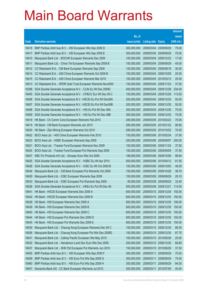|       |                                                               |               |                       |                       | <b>Amount</b> |
|-------|---------------------------------------------------------------|---------------|-----------------------|-----------------------|---------------|
|       |                                                               | No. of        |                       |                       | raised        |
| Code  | <b>Derivative warrants</b>                                    | issue (units) | <b>Listing date</b>   | <b>Expiry</b>         | (HK\$ mil.)   |
| 16416 | BNP Paribas Arbit Issu B.V. - HSI European Wts Sep 2009 D     | 300,000,000   | 2009/03/04            | 2009/09/29            | 75.00         |
| 16417 | BNP Paribas Arbit Issu B.V. - HSI European Wts Sep 2009 E     | 300,000,000   |                       | 2009/03/04 2009/09/29 | 75.00         |
| 16410 | Macquarie Bank Ltd. - BOCHK European Warrants Dec 2009        | 100,000,000   | 2009/03/04            | 2009/12/23            | 17.00         |
| 16411 | Macquarie Bank Ltd. - China Tel European Warrants Sep 2009 B  | 150,000,000   | 2009/03/04            | 2009/09/29            | 45.00         |
| 16412 | CC Rabobank B.A. - CM Bank European Warrants Sep 2009         | 120,000,000   | 2009/03/04            | 2009/09/18            | 30.00         |
| 16414 | CC Rabobank B.A. - A50 China European Warrants Oct 2009 B     | 100,000,000   |                       | 2009/03/04 2009/10/09 | 25.00         |
| 16415 | CC Rabobank B.A. - A50 China European Warrants Mar 2010       | 100,000,000   | 2009/03/04            | 2010/03/12            | 25.00         |
| 16413 | CC Rabobank B.A. - SPDR Gold Trust European Warrants Nov2009  | 150,000,000   | 2009/03/04            | 2009/11/23            | 37.50         |
| 16398 | SGA Societe Generale Acceptance N.V. - CLife Eu Wt Dec 2009C  | 400,000,000   | 2009/03/04            | 2009/12/28            | 234.00        |
| 16405 | SGA Societe Generale Acceptance N.V. - CP&CC Eur Wt Dec 09 C  | 100,000,000   |                       | 2009/03/04 2009/12/28 | 113.00        |
| 16406 | SGA Societe Generale Acceptance N.V. - HSCEI Eu Put Wt Dec09A | 200,000,000   | 2009/03/04            | 2009/12/30            | 50.00         |
| 16407 | SGA Societe Generale Acceptance N.V. - HSCEI Eu Put Wt Dec09B | 200,000,000   |                       | 2009/03/04 2009/12/30 | 50.00         |
| 16408 | SGA Societe Generale Acceptance N.V. - HSI Eu Put Wt Dec 09A  | 300,000,000   |                       | 2009/03/04 2009/12/30 | 75.00         |
| 16409 | SGA Societe Generale Acceptance N.V. - HSI Eu Put Wt Dec 09B  | 300,000,000   |                       | 2009/03/04 2009/12/30 | 75.00         |
| 16418 | HK Bank - Ch Comm Cons European Warrants Feb 2010             | 280,000,000   | 2009/03/05            | 2010/02/22            | 70.00         |
| 16419 | HK Bank - CM Bank European Warrants Jan 2010                  | 280,000,000   |                       | 2009/03/05 2010/01/22 | 86.80         |
| 16420 | HK Bank - Zijin Mining European Warrants Oct 2010             | 280,000,000   |                       | 2009/03/05 2010/10/22 | 70.00         |
| 16422 | BOCI Asia Ltd. - A50 China European Warrants Feb 2010         | 150,000,000   |                       | 2009/03/06 2010/02/24 | 37.50         |
| 16423 | BOCI Asia Ltd. - HSBC European Warrants Sep 2009              | 200,000,000   | 2009/03/06            | 2009/09/07            | 200.00        |
| 16421 | BOCI Asia Ltd. - Tracker Fund European Warrants Nov 2009      | 150,000,000   |                       | 2009/03/06 2009/11/24 | 37.50         |
| 16424 | BOCI Asia Ltd. - Tracker Fund European Put Warrants Sep 2009  | 150,000,000   |                       | 2009/03/06 2009/09/09 | 37.50         |
| 16427 | KBC Fin Products Int'l Ltd. - Sinopec Euro Wts Oct 2009       | 188,000,000   |                       | 2009/03/06 2009/10/09 | 99.64         |
| 16425 | SGA Societe Generale Acceptance N.V. - HSBC Eu Wt Apr 2010    | 500,000,000   | 2009/03/06            | 2010/04/12            | 81.50         |
| 16426 | SGA Societe Generale Acceptance N.V. - ICBC Eu Wt Oct 2009 B  | 100,000,000   |                       | 2009/03/06 2009/10/05 | 46.00         |
| 16434 | Macquarie Bank Ltd. - CM Bank European Put Warrants Oct 2009  | 150,000,000   | 2009/03/09            | 2009/10/29            | 38.70         |
| 16429 | Macquarie Bank Ltd. - ICBC European Warrants Sep 2009         | 100,000,000   | 2009/03/09            | 2009/09/29            | 29.10         |
| 16433 | Macquarie Bank Ltd. - ICBC European Put Warrants Sep 2009     | 80,000,000    | 2009/03/09            | 2009/09/29            | 32.40         |
| 16428 | SGA Societe Generale Acceptance N.V. - HKEx Eu Put Wt Dec 09  | 500,000,000   | 2009/03/09 2009/12/21 |                       | 114.00        |
| 16441 | HK Bank - HSCEI European Warrants Dec 2009 A                  | 600,000,000   | 2009/03/10            | 2009/12/30            | 150.00        |
| 16442 | HK Bank - HSCEI European Warrants Dec 2009 B                  | 600,000,000   |                       | 2009/03/10 2009/12/30 | 150.00        |
| 16438 | HK Bank - HSI European Warrants Dec 2009 A                    | 600,000,000   |                       | 2009/03/10 2009/12/30 | 156.00        |
| 16439 | HK Bank - HSI European Warrants Dec 2009 B                    | 600,000,000   | 2009/03/10            | 2009/12/30            | 150.00        |
| 16440 | HK Bank - HSI European Warrants Dec 2009 C                    | 600,000,000   | 2009/03/10            | 2009/12/30            | 150.00        |
| 16444 | HK Bank - HSI European Put Warrants Dec 2009 D                | 600,000,000   | 2009/03/10            | 2009/12/30            | 150.00        |
| 16445 | HK Bank - HSI European Put Warrants Dec 2009 E                | 600,000,000   |                       | 2009/03/10 2009/12/30 | 150.00        |
| 16430 | Macquarie Bank Ltd. - Cheung Kong European Warrants Dec 09 C  | 150,000,000   | 2009/03/10            | 2009/12/30            | 88.35         |
| 16436 | Macquarie Bank Ltd. - Cheung Kong European Put Wts Dec 2009D  | 150,000,000   | 2009/03/10            | 2009/12/30            | 87.75         |
| 16431 | Macquarie Bank Ltd. - Cathay Pacific European Wts May 2010    | 100,000,000   | 2009/03/10            | 2010/05/28            | 25.00         |
| 16432 | Macquarie Bank Ltd. - Henderson Land Dev Euro Wts Dec 2009    | 200,000,000   | 2009/03/10            | 2009/12/30            | 68.80         |
| 16437 | Macquarie Bank Ltd. - SHK Ppt European Put Warrants Jun 2010  | 150,000,000   | 2009/03/10            | 2010/06/29            | 37.50         |
| 16455 | BNP Paribas Arbit Issu B.V. - HSI European Wts Sep 2009 F     | 300,000,000   | 2009/03/11            | 2009/09/29            | 75.00         |
| 16459 | BNP Paribas Arbit Issu B.V. - HSI Euro Put Wts Sep 2009 G     | 300,000,000   | 2009/03/11            | 2009/09/29            | 75.00         |
| 16460 | BNP Paribas Arbit Issu B.V. - HSI Euro Put Wts Sep 2009 H     | 300,000,000   | 2009/03/11            | 2009/09/29            | 84.00         |
| 16451 | Deutsche Bank AG - CC Bank European Warrants Jul 2010         | 300,000,000   | 2009/03/11            | 2010/07/05            | 45.00         |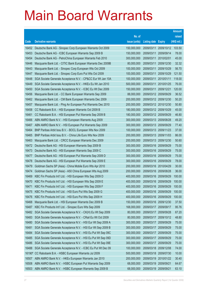|        |                                                              |               |                            |                       | <b>Amount</b> |
|--------|--------------------------------------------------------------|---------------|----------------------------|-----------------------|---------------|
|        |                                                              | No. of        |                            |                       | raised        |
| Code   | <b>Derivative warrants</b>                                   | issue (units) | <b>Listing date Expiry</b> |                       | (HK\$ mil.)   |
| 16452  | Deutsche Bank AG - Sinopec Corp European Warrants Oct 2009   | 150,000,000   | 2009/03/11                 | 2009/10/12            | 103.50        |
| 16453  | Deutsche Bank AG - ICBC European Warrants Sep 2009 B         | 150,000,000   | 2009/03/11                 | 2009/09/14            | 78.00         |
| 16454  | Deutsche Bank AG - PetroChina European Warrants Feb 2010     | 300,000,000   | 2009/03/11                 | 2010/02/01            | 45.00         |
| 16446  | Macquarie Bank Ltd. - CITIC Bank European Warrants Dec 2009B | 80,000,000    | 2009/03/11                 | 2009/12/30            | 32.32         |
| 16443  | Macquarie Bank Ltd. - Sinopec Corp European Wts Oct 2009     | 100,000,000   | 2009/03/11                 | 2009/10/29            | 56.70         |
| 16447  | Macquarie Bank Ltd. - Sinopec Corp Euro Put Wts Oct 2009     | 100,000,000   | 2009/03/11                 | 2009/10/29            | 121.50        |
| 16448  | SGA Societe Generale Acceptance N.V. - CP&CC Eur Wt Jan 10A  | 100,000,000   | 2009/03/11                 | 2010/01/11            | 118.00        |
| 16449  | SGA Societe Generale Acceptance N.V. - HKEx Eu Wt Jan 2010   | 500,000,000   | 2009/03/11                 | 2010/01/25            | 76.00         |
| 16450  | SGA Societe Generale Acceptance N.V. - ICBC Eu Wt Dec 2009   | 150,000,000   | 2009/03/11                 | 2009/12/21            | 120.00        |
| 16456  | Macquarie Bank Ltd. - CC Bank European Warrants Sep 2009     | 88,000,000    |                            | 2009/03/12 2009/09/29 | 36.52         |
| 16462  | Macquarie Bank Ltd. - CM Bank European Warrants Dec 2009     | 200,000,000   | 2009/03/12                 | 2009/12/30            | 50.20         |
| 16457  | Macquarie Bank Ltd. - Ping An European Put Warrants Dec 2010 | 200,000,000   | 2009/03/12                 | 2010/12/30            | 50.80         |
| 16458  | CC Rabobank B.A. - HSI European Warrants Oct 2009 B          | 180,000,000   |                            | 2009/03/12 2009/10/29 | 45.00         |
| 16461  | CC Rabobank B.A. - HSI European Put Warrants Sep 2009 B      | 180,000,000   |                            | 2009/03/12 2009/09/29 | 46.80         |
| 16466  | ABN AMRO Bank N.V. - HSI European Warrants Aug 2009          | 300,000,000   | 2009/03/13                 | 2009/08/28            | 49.20         |
| 16467  | ABN AMRO Bank N.V. - HSI European Put Warrants Sep 2009      | 300,000,000   | 2009/03/13                 | 2009/09/29            | 77.40         |
| 16464  | BNP Paribas Arbit Issu B.V. - BOCL European Wts Nov 2009     | 100,000,000   | 2009/03/13                 | 2009/11/23            | 37.00         |
| 16465  | BNP Paribas Arbit Issu B.V. - China Life Euro Wts Nov 2009   | 200,000,000   | 2009/03/13                 | 2009/11/03            | 86.00         |
| 16463  | Macquarie Bank Ltd. - CRCC European Warrants Dec 2009        | 200,000,000   | 2009/03/13                 | 2009/12/30            | 50.60         |
| 16472  | Deutsche Bank AG - HSI European Warrants Sep 2009 B          | 300,000,000   | 2009/03/16                 | 2009/09/29            | 75.00         |
| 16473  | Deutsche Bank AG - HSI European Warrants Sep 2009 C          | 300,000,000   | 2009/03/16                 | 2009/09/29            | 75.00         |
| 16477  | Deutsche Bank AG - HSI European Put Warrants Sep 2009 D      | 300,000,000   | 2009/03/16                 | 2009/09/29            | 75.00         |
| 16478  | Deutsche Bank AG - HSI European Put Warrants Sep 2009 E      | 300,000,000   | 2009/03/16                 | 2009/09/29            | 78.00         |
| 16479  | Goldman Sachs SP (Asia) - China Mobile Euro Wts Apr 2010     | 200,000,000   | 2009/03/16                 | 2010/04/29            | 30.00         |
| 16474  | Goldman Sachs SP (Asia) - A50 China European Wts Aug 2009    | 200,000,000   | 2009/03/16                 | 2009/08/28            | 36.00         |
| 16469  | KBC Fin Products Int'l Ltd. - HSI European Wts Sep 2009 D    | 400,000,000   | 2009/03/16                 | 2009/09/29            | 100.00        |
| 16470  | KBC Fin Products Int'l Ltd. - HSI European Wts Sep 2009 E    | 400,000,000   | 2009/03/16                 | 2009/09/29            | 100.00        |
| 16471  | KBC Fin Products Int'l Ltd. - HSI European Wts Sep 2009 F    | 400,000,000   | 2009/03/16                 | 2009/09/29            | 100.00        |
| 16475  | KBC Fin Products Int'l Ltd. - HSI Euro Put Wts Sep 2009 G    | 400,000,000   | 2009/03/16                 | 2009/09/29            | 100.00        |
| 16476  | KBC Fin Products Int'l Ltd. - HSI Euro Put Wts Sep 2009 H    | 400,000,000   | 2009/03/16                 | 2009/09/29            | 100.00        |
| 16468  | Macquarie Bank Ltd. - HSI European Warrants Dec 2009 B       | 150,000,000   | 2009/03/16                 | 2009/12/30            | 37.50         |
| 16487  | KBC Fin Products Int'l Ltd. - Sinopec Euro Wts Sep 2009      | 168,000,000   | 2009/03/17                 | 2009/09/17            | 95.76         |
| 16482  | SGA Societe Generale Acceptance N.V. - CK(H) Eu Wt Sep 2009  | 80,000,000    | 2009/03/17                 | 2009/09/28            | 67.20         |
| 16483  | SGA Societe Generale Acceptance N.V. - CRail Eu Wt Oct 2009  | 80,000,000    | 2009/03/17                 | 2009/10/12            | 48.80         |
| 16480  | SGA Societe Generale Acceptance N.V. - HSI Eur Wt Sep 2009 A | 300,000,000   | 2009/03/17                 | 2009/09/29            | 75.00         |
| 16481  | SGA Societe Generale Acceptance N.V. - HSI Eur Wt Sep 2009 B | 300,000,000   | 2009/03/17                 | 2009/09/29            | 75.00         |
| 16484  | SGA Societe Generale Acceptance N.V. - HSI Eu Put Wt Sep 09C | 300,000,000   | 2009/03/17                 | 2009/09/29            | 75.00         |
| 16485  | SGA Societe Generale Acceptance N.V. - HSI Eu Put Wt Sep 09D | 300,000,000   | 2009/03/17                 | 2009/09/29            | 75.00         |
| 16486  | SGA Societe Generale Acceptance N.V. - HSI Eu Put Wt Sep 09E | 300,000,000   | 2009/03/17                 | 2009/09/29            | 75.00         |
| 16488  | SGA Societe Generale Acceptance N.V. - ICBC Eu Put Wt Dec 09 | 100,000,000   | 2009/03/18                 | 2009/12/08            | 74.00         |
| 16190# | CC Rabobank B.A. - HSBC European Warrants Jul 2009           | 500,000,000   | 2009/03/18                 | 2009/07/30            | 10.00         |
| 16507  | ABN AMRO Bank N.V. - HKEx European Warrants Jan 2010         | 200,000,000   | 2009/03/19                 | 2010/01/22            | 30.40         |
| 16508  | ABN AMRO Bank N.V. - HSBC European Put Warrants Sep 2009     | 68,000,000    | 2009/03/19                 | 2009/09/21            | 64.67         |
| 16503  | ABN AMRO Bank N.V. - HSBC European Warrants Sep 2009 B       | 68,000,000    | 2009/03/19                 | 2009/09/21            | 63.10         |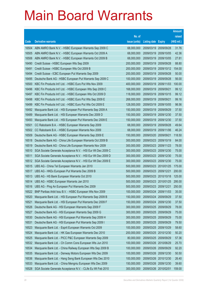|       |                                                              |               |                       |               | <b>Amount</b> |
|-------|--------------------------------------------------------------|---------------|-----------------------|---------------|---------------|
|       |                                                              | No. of        |                       |               | raised        |
| Code  | <b>Derivative warrants</b>                                   | issue (units) | <b>Listing date</b>   | <b>Expiry</b> | (HK\$ mil.)   |
| 16504 | ABN AMRO Bank N.V. - HSBC European Warrants Sep 2009 C       | 68,000,000    | 2009/03/19            | 2009/09/28    | 31.76         |
| 16505 | ABN AMRO Bank N.V. - HSBC European Warrants Oct 2009 A       | 68,000,000    | 2009/03/19            | 2009/10/05    | 42.36         |
| 16506 | ABN AMRO Bank N.V. - HSBC European Warrants Oct 2009 B       | 68,000,000    | 2009/03/19            | 2009/10/05    | 27.81         |
| 16490 | Credit Suisse - HSBC European Wts Sep 2009                   | 200,000,000   | 2009/03/19            | 2009/09/28    | 88.80         |
| 16491 | Credit Suisse - HSBC European Wts Oct 2009 B                 | 200,000,000   | 2009/03/19            | 2009/10/12    | 154.00        |
| 16494 | Credit Suisse - ICBC European Put Warrants Sep 2009          | 200,000,000   | 2009/03/19            | 2009/09/28    | 50.00         |
| 16495 | Deutsche Bank AG - HSBC European Put Warrants Sep 2009 C     | 100,000,000   | 2009/03/19            | 2009/09/28    | 56.00         |
| 16500 | KBC Fin Products Int'l Ltd. - HSBC Euro Put Wts Nov 2009     | 400,000,000   | 2009/03/19            | 2009/11/03    | 100.00        |
| 16496 | KBC Fin Products Int'l Ltd. - HSBC European Wts Sep 2009 C   | 168,000,000   | 2009/03/19            | 2009/09/21    | 99.12         |
| 16497 | KBC Fin Products Int'l Ltd. - HSBC European Wts Oct 2009 D   | 118,000,000   | 2009/03/19            | 2009/10/15    | 99.12         |
| 16498 | KBC Fin Products Int'l Ltd. - HSBC Euro Put Wts Sep 2009 E   | 268,000,000   | 2009/03/19            | 2009/09/21    | 99.16         |
| 16499 | KBC Fin Products Int'l Ltd. - HSBC Euro Put Wts Oct 2009 E   | 128,000,000   | 2009/03/19            | 2009/10/05    | 98.56         |
| 16492 | Macquarie Bank Ltd. - HSI European Put Warrants Sep 2009 A   | 150,000,000   | 2009/03/19            | 2009/09/29    | 37.50         |
| 16489 | Macquarie Bank Ltd. - HSI European Warrants Dec 2009 D       | 150,000,000   | 2009/03/19            | 2009/12/30    | 37.50         |
| 16493 | Macquarie Bank Ltd. - HSI European Put Warrants Dec 2009 E   | 150,000,000   | 2009/03/19            | 2009/12/30    | 37.50         |
| 16501 | CC Rabobank B.A. - HSBC European Warrants Sep 2009           | 68,000,000    | 2009/03/19            | 2009/09/28    | 49.64         |
| 16502 | CC Rabobank B.A. - HSBC European Warrants Nov 2009           | 68,000,000    | 2009/03/19            | 2009/11/06    | 46.24         |
| 16509 | Deutsche Bank AG - HSBC European Warrants Sep 2009 E         | 150,000,000   | 2009/03/20            | 2009/09/21    | 118.50        |
| 16518 | Deutsche Bank AG - China Life European Warrants Oct 2009 B   | 300,000,000   | 2009/03/23            | 2009/10/19    | 84.00         |
| 16519 | Deutsche Bank AG - China Life European Warrants Nov 2009     | 300,000,000   | 2009/03/23 2009/11/23 |               | 78.00         |
| 16510 | SGA Societe Generale Acceptance N.V. - HSI Eur Wt Dec 2009 C | 300,000,000   | 2009/03/23 2009/12/30 |               | 75.00         |
| 16511 | SGA Societe Generale Acceptance N.V. - HSI Eur Wt Dec 2009 D | 300,000,000   | 2009/03/23 2009/12/30 |               | 75.00         |
| 16512 | SGA Societe Generale Acceptance N.V. - HSI Eur Wt Dec 2009 E | 300,000,000   | 2009/03/23            | 2009/12/30    | 75.00         |
| 16515 | UBS AG - China Tel European Warrants Jan 2010                | 500,000,000   | 2009/03/23 2010/01/25 |               | 175.00        |
| 16517 | UBS AG - HKEx European Put Warrants Dec 2009 B               | 500,000,000   | 2009/03/23 2009/12/21 |               | 200.00        |
| 16513 | UBS AG - HS Bank European Warrants Oct 2010                  | 500,000,000   | 2009/03/23 2010/10/18 |               | 125.00        |
| 16514 | UBS AG - HSBC European Warrants Jan 2010                     | 500,000,000   | 2009/03/23 2010/01/25 |               | 295.00        |
| 16516 | UBS AG - Ping An European Put Warrants Dec 2009              | 500,000,000   | 2009/03/23 2009/12/21 |               | 250.00        |
| 16522 | BNP Paribas Arbit Issu B.V. - HSBC European Wts Nov 2009     | 100,000,000   | 2009/03/24            | 2009/11/03    | 35.00         |
| 16520 | Macquarie Bank Ltd. - HSI European Put Warrants Sep 2009 B   | 150,000,000   | 2009/03/24            | 2009/09/29    | 37.50         |
| 16521 | Macquarie Bank Ltd. - HSI European Put Warrants Dec 2009 F   | 150,000,000   | 2009/03/24            | 2009/12/30    | 37.50         |
| 16526 | Deutsche Bank AG - HSI European Warrants Sep 2009 F          | 300,000,000   | 2009/03/25            | 2009/09/29    | 78.00         |
| 16527 | Deutsche Bank AG - HSI European Warrants Sep 2009 G          | 300,000,000   | 2009/03/25            | 2009/09/29    | 75.00         |
| 16530 | Deutsche Bank AG - HSI European Put Warrants Sep 2009 H      | 300,000,000   | 2009/03/25            | 2009/09/29    | 75.00         |
| 16531 | Deutsche Bank AG - HSI European Put Warrants Sep 2009 I      | 300,000,000   | 2009/03/25            | 2009/09/29    | 79.50         |
| 16523 | Macquarie Bank Ltd. - Esprit European Warrants Oct 2009      | 100,000,000   | 2009/03/25            | 2009/10/29    | 58.60         |
| 16524 | Macquarie Bank Ltd. - HK Gas European Warrants Dec 2010      | 200,000,000   | 2009/03/25            | 2010/12/30    | 50.20         |
| 16525 | Macquarie Bank Ltd. - PICC P&C European Warrants Sep 2009    | 80,000,000    | 2009/03/25            | 2009/09/29    | 57.36         |
| 16532 | Macquarie Bank Ltd. - Ch Comm Cons European Wts Jun 2010     | 100,000,000   | 2009/03/26            | 2010/06/29    | 25.70         |
| 16534 | Macquarie Bank Ltd. - China Railway European Wts Sep 2009 B  | 100,000,000   | 2009/03/26            | 2009/09/29    | 92.20         |
| 16535 | Macquarie Bank Ltd. - Denway Motors European Wts Dec 2009    | 100,000,000   | 2009/03/26            | 2009/12/30    | 50.50         |
| 16536 | Macquarie Bank Ltd. - Hang Seng Bank European Wts Dec 2010   | 100,000,000   | 2009/03/26            | 2010/12/30    | 26.40         |
| 16533 | Macquarie Bank Ltd. - China Mengniu European Wts Dec 2009    | 150,000,000   | 2009/03/26            | 2009/12/30    | 39.60         |
| 16528 | SGA Societe Generale Acceptance N.V. - CLife Eu Wt Feb 2010  | 300,000,000   | 2009/03/26 2010/02/01 |               | 159.00        |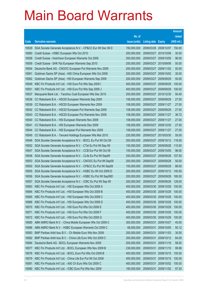|       |                                                              |               |                            |                       | <b>Amount</b> |
|-------|--------------------------------------------------------------|---------------|----------------------------|-----------------------|---------------|
|       |                                                              | No. of        |                            |                       | raised        |
| Code  | <b>Derivative warrants</b>                                   | issue (units) | <b>Listing date Expiry</b> |                       | (HK\$ mil.)   |
| 16529 | SGA Societe Generale Acceptance N.V. - CP&CC Eur Wt Dec 09 D | 150,000,000   |                            | 2009/03/26 2009/12/07 | 150.00        |
| 16560 | Credit Suisse - HSBC European Wts Oct 2010                   | 200,000,000   | 2009/03/27 2010/10/06      |                       | 30.00         |
| 16558 | Credit Suisse - Hutchison European Warrants Oct 2009         | 200,000,000   | 2009/03/27                 | 2009/10/05            | 96.00         |
| 16559 | Credit Suisse - SHK Ppt European Warrants Sep 2010           | 200,000,000   |                            | 2009/03/27 2010/09/06 | 50.00         |
| 16554 | Deutsche Bank AG - CNOOC European Put Warrants Nov 2009      | 200,000,000   |                            | 2009/03/27 2009/11/02 | 50.00         |
| 16561 | Goldman Sachs SP (Asia) - A50 China European Wts Oct 2009    | 200,000,000   | 2009/03/27                 | 2009/10/02            | 30.00         |
| 16562 | Goldman Sachs SP (Asia) - HSI European Warrants Sep 2009     | 200,000,000   | 2009/03/27                 | 2009/09/29            | 50.00         |
| 16549 | KBC Fin Products Int'l Ltd. - HSI Euro Put Wts Sep 2009 I    | 400,000,000   | 2009/03/27                 | 2009/09/29            | 100.00        |
| 16551 | KBC Fin Products Int'l Ltd. - HSI Euro Put Wts Sep 2009 J    | 400,000,000   |                            | 2009/03/27 2009/09/29 | 100.00        |
| 16537 | Macquarie Bank Ltd. - Yanzhou Coal European Wts Dec 2010     | 200,000,000   | 2009/03/27                 | 2010/12/30            | 50.40         |
| 16538 | CC Rabobank B.A. - HSCEI European Warrants Sep 2009          | 108,000,000   | 2009/03/27                 | 2009/09/29            | 27.00         |
| 16539 | CC Rabobank B.A. - HSCEI European Warrants Nov 2009          | 108,000,000   | 2009/03/27 2009/11/27      |                       | 27.00         |
| 16542 | CC Rabobank B.A. - HSCEI European Put Warrants Sep 2009      | 108,000,000   |                            | 2009/03/27 2009/09/29 | 27.00         |
| 16543 | CC Rabobank B.A. - HSCEI European Put Warrants Nov 2009      | 108,000,000   |                            | 2009/03/27 2009/11/27 | 36.72         |
| 16540 | CC Rabobank B.A. - HSI European Warrants Nov 2009            | 108,000,000   | 2009/03/27                 | 2009/11/27            | 27.00         |
| 16541 | CC Rabobank B.A. - HSI European Warrants Dec 2009            | 108,000,000   |                            | 2009/03/27 2009/12/30 | 27.00         |
| 16544 | CC Rabobank B.A. - HSI European Put Warrants Nov 2009        | 108,000,000   | 2009/03/27 2009/11/27      |                       | 27.00         |
| 16545 | CC Rabobank B.A. - Tencent Holdings European Wts Mar 2010    | 220,000,000   | 2009/03/27                 | 2010/03/30            | 55.00         |
| 16546 | SGA Societe Generale Acceptance N.V. - BOCL Eu Put Wt Oct 09 | 200,000,000   | 2009/03/27                 | 2009/10/12            | 116.00        |
| 16552 | SGA Societe Generale Acceptance N.V. - CTel Eu Put Wt Sep 09 | 150,000,000   | 2009/03/27                 | 2009/09/28            | 115.50        |
| 16547 | SGA Societe Generale Acceptance N.V. - CCB Eur Put Wt Oct 09 | 100,000,000   | 2009/03/27                 | 2009/10/05            | 96.00         |
| 16548 | SGA Societe Generale Acceptance N.V. - CLife Eu Put Wt Sep09 | 250,000,000   | 2009/03/27                 | 2009/09/28            | 107.50        |
| 16553 | SGA Societe Generale Acceptance N.V. - CNOOC Eu Put Wt Sep09 | 200,000,000   | 2009/03/27                 | 2009/09/28            | 50.00         |
| 16550 | SGA Societe Generale Acceptance N.V. - CP&CC Eu Put Wt Sep09 | 100,000,000   | 2009/03/27                 | 2009/09/29            | 88.00         |
| 16555 | SGA Societe Generale Acceptance N.V. - HSBC Eu Wt Oct 2009 D | 200,000,000   | 2009/03/27                 | 2009/10/12            | 140.00        |
| 16556 | SGA Societe Generale Acceptance N.V. - HSBC Eu Put Wt Sep09D | 200,000,000   | 2009/03/27                 | 2009/09/28            | 180.00        |
| 16557 | SGA Societe Generale Acceptance N.V. - ICBC Eu Put Wt Sep 09 | 200,000,000   | 2009/03/27                 | 2009/09/28            | 128.00        |
| 16563 | KBC Fin Products Int'l Ltd. - HSI European Wts Oct 2009 A    | 400,000,000   | 2009/03/30 2009/10/29      |                       | 100.00        |
| 16564 | KBC Fin Products Int'l Ltd. - HSI European Wts Oct 2009 B    | 400,000,000   | 2009/03/30 2009/10/29      |                       | 100.00        |
| 16565 | KBC Fin Products Int'l Ltd. - HSI European Wts Oct 2009 C    | 400,000,000   | 2009/03/30 2009/10/29      |                       | 100.00        |
| 16566 | KBC Fin Products Int'l Ltd. - HSI European Wts Oct 2009 D    | 400,000,000   | 2009/03/30 2009/10/29      |                       | 100.00        |
| 16570 | KBC Fin Products Int'l Ltd. - HSI Euro Put Wts Oct 2009 E    | 400,000,000   | 2009/03/30 2009/10/29      |                       | 100.00        |
| 16571 | KBC Fin Products Int'l Ltd. - HSI Euro Put Wts Oct 2009 F    | 400,000,000   | 2009/03/30                 | 2009/10/29            | 100.00        |
| 16572 | KBC Fin Products Int'l Ltd. - HSI Euro Put Wts Oct 2009 G    | 400,000,000   | 2009/03/30                 | 2009/10/29            | 100.00        |
| 16585 | ABN AMRO Bank N.V. - China Mobile European Wts Oct 2009 C    | 300,000,000   | 2009/03/31                 | 2009/10/27            | 45.00         |
| 16586 | ABN AMRO Bank N.V. - HSBC European Warrants Oct 2009 C       | 68,000,000    | 2009/03/31                 | 2009/10/05            | 50.12         |
| 16583 | BNP Paribas Arbit Issu B.V. - Ch Mobile Euro Wts Nov 2009    | 200,000,000   | 2009/03/31                 | 2009/11/03            | 30.00         |
| 16582 | BNP Paribas Arbit Issu B.V. - China Life Euro Wts Oct 2009 C | 200,000,000   | 2009/03/31                 | 2009/10/12            | 84.00         |
| 16584 | Deutsche Bank AG - BOCL European Warrants Nov 2009           | 200,000,000   | 2009/03/31                 | 2009/11/16            | 58.00         |
| 16577 | KBC Fin Products Int'l Ltd. - BOCL European Wts Nov 2009 B   | 238,000,000   | 2009/03/31                 | 2009/11/10            | 99.96         |
| 16578 | KBC Fin Products Int'l Ltd. - BOCL Euro Put Wts Oct 2009 B   | 400,000,000   | 2009/03/31                 | 2009/10/15            | 100.00        |
| 16579 | KBC Fin Products Int'l Ltd. - China Life Eur Put Wt Oct 2009 | 400,000,000   | 2009/03/31                 | 2009/10/15            | 100.00        |
| 16581 | KBC Fin Products Int'l Ltd. - A50 Ch Euro Wts Oct 2009 C     | 400,000,000   | 2009/03/31                 | 2009/10/02            | 100.00        |
| 16580 | KBC Fin Products Int'l Ltd. - ICBC Euro Put Wts Nov 2009     | 180,000,000   | 2009/03/31                 | 2009/11/02            | 97.20         |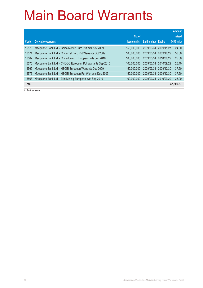|              |                                                            |                      |                     |               | <b>Amount</b> |
|--------------|------------------------------------------------------------|----------------------|---------------------|---------------|---------------|
|              |                                                            | No. of               |                     |               | raised        |
| Code         | Derivative warrants                                        | <i>issue (units)</i> | <b>Listing date</b> | <b>Expiry</b> | (HK\$ mil.)   |
| 16573        | Macquarie Bank Ltd. - China Mobile Euro Put Wts Nov 2009   | 150,000,000          | 2009/03/31          | 2009/11/27    | 24.90         |
| 16574        | Macquarie Bank Ltd. - China Tel Euro Put Warrants Oct 2009 | 100.000.000          | 2009/03/31          | 2009/10/29    | 56.60         |
| 16567        | Macquarie Bank Ltd. - China Unicom European Wts Jun 2010   | 100.000.000          | 2009/03/31          | 2010/06/29    | 25.00         |
| 16575        | Macquarie Bank Ltd. - CNOOC European Put Warrants Sep 2010 | 100.000.000          | 2009/03/31          | 2010/09/29    | 25.40         |
| 16569        | Macquarie Bank Ltd. - HSCEI European Warrants Dec 2009     | 150,000,000          | 2009/03/31          | 2009/12/30    | 37.50         |
| 16576        | Macquarie Bank Ltd. - HSCEI European Put Warrants Dec 2009 | 150,000,000          | 2009/03/31          | 2009/12/30    | 37.50         |
| 16568        | Macquarie Bank Ltd. - Zijin Mining European Wts Sep 2010   | 100.000.000          | 2009/03/31          | 2010/09/29    | 25.00         |
| <b>Total</b> |                                                            |                      |                     |               | 47,600.67     |

# Further issue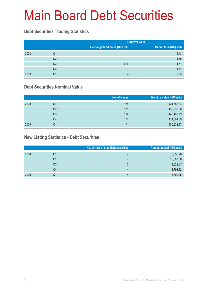## Main Board Debt Securities

#### **Debt Securities Trading Statistics**

|      |                |                                | <b>Turnover value</b>   |  |  |
|------|----------------|--------------------------------|-------------------------|--|--|
|      |                | Exchange fund notes (HK\$ mil) | Market total (HK\$ mil) |  |  |
| 2008 | Q1             | -                              | 2.43                    |  |  |
|      | Q <sub>2</sub> | -                              | 1.75                    |  |  |
|      | Q <sub>3</sub> | 0.26                           | 1.51                    |  |  |
|      | Q4             | -                              | 1.71                    |  |  |
| 2009 | Q1             | -                              | 2.93                    |  |  |

#### **Debt Securities Nominal Value**

|      |    | No. of issues | Nominal value (HK\$ mil.) |
|------|----|---------------|---------------------------|
| 2008 | Q1 | 174           | 424,656.34                |
|      | Q2 | 175           | 435,938.30                |
|      | Q3 | 174           | 440,409.79                |
|      | Q4 | 172           | 414,001.69                |
| 2009 | Q1 | 171           | 405,332.13                |

#### **New Listing Statistics - Debt Securities**

|      |    | No. of newly listed debt securities | Amount raised (HK\$ mil.) |
|------|----|-------------------------------------|---------------------------|
| 2008 | Q1 | 4                                   | 8,355.96                  |
|      | Q2 |                                     | 16,607.66                 |
|      | Q3 | 5                                   | 11,822.87                 |
|      | Q4 | 4                                   | 4,791.32                  |
| 2009 | Q1 | 4                                   | 5,309.25                  |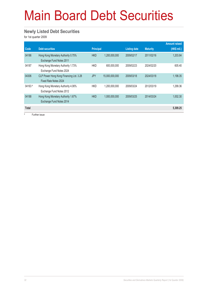## Main Board Debt Securities

#### **Newly Listed Debt Securities**

for 1st quarter 2009

|              |                                                                  |                  |                |                     |                 | <b>Amount raised</b> |
|--------------|------------------------------------------------------------------|------------------|----------------|---------------------|-----------------|----------------------|
| Code         | <b>Debt securities</b>                                           | <b>Principal</b> |                | <b>Listing date</b> | <b>Maturity</b> | (HK\$ mil.)          |
| 04186        | Hong Kong Monetary Authority 0.75%<br>Exchange Fund Notes 2011   | <b>HKD</b>       | 1,200,000,000  | 2009/02/17          | 2011/02/16      | 1,203.84             |
| 04187        | Hong Kong Monetary Authority 1.73%<br>Exchange Fund Notes 2024   | <b>HKD</b>       | 600.000.000    | 2009/02/23          | 2024/02/20      | 605.40               |
| 04306        | CLP Power Hong Kong Financing Ltd. 3.28<br>Fixed Rate Notes 2024 | <b>JPY</b>       | 15,000,000,000 | 2009/03/18          | 2024/03/18      | 1,198.35             |
| $04163$ #    | Hong Kong Monetary Authority 4.06%<br>Exchange Fund Notes 2012   | <b>HKD</b>       | 1,200,000,000  | 2009/03/24          | 2012/03/19      | 1.299.36             |
| 04188        | Hong Kong Monetary Authority 1.67%<br>Exchange Fund Notes 2014   | <b>HKD</b>       | 1,000,000,000  | 2009/03/25          | 2014/03/24      | 1.002.30             |
| <b>Total</b> |                                                                  |                  |                |                     |                 | 5,309.25             |

# Further issue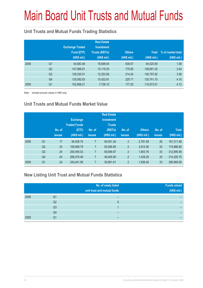## Main Board Unit Trusts and Mutual Funds

#### **Unit Trusts and Mutual Funds Trading Statistics**

|      |                | <b>Exchange Traded</b><br>Fund (ETF)<br>(HK\$ mil.) | <b>Real Estate</b><br><b>Investment</b><br><b>Trusts (REITs)</b><br>(HK\$ mil.) | <b>Others</b><br>(HK\$ mil.) | <b>Total</b><br>(HK\$ mil.) | % of market total<br>(HK\$ mil.) |
|------|----------------|-----------------------------------------------------|---------------------------------------------------------------------------------|------------------------------|-----------------------------|----------------------------------|
| 2008 | Q <sub>1</sub> | 44,683.48                                           | 18,698.54                                                                       | 638.57                       | 64,020.59                   | 1.08                             |
|      | Q <sub>2</sub> | 147,996.81                                          | 10,119.33                                                                       | 775.06                       | 158,891.20                  | 3.44                             |
|      | Q <sub>3</sub> | 128,330.01                                          | 12,253.56                                                                       | 214.24                       | 140,797.82                  | 3.58                             |
|      | Q4             | 120,092.63                                          | 10,422.81                                                                       | 225.71                       | 130,741.15                  | 4.16                             |
| 2009 | Q <sub>1</sub> | 102,668.21                                          | 7,728.10                                                                        | 177.20                       | 110,573.51                  | 4.13                             |

Note: Include turnover values in HKD only.

#### **Unit Trusts and Mutual Funds Market Value**

|      |                | No. of<br><b>issues</b> | <b>Exchange</b><br><b>Traded Funds</b><br>(ETF)<br>(HK\$ mil.) | No. of<br>issues | <b>Real Estate</b><br><b>Investment</b><br><b>Trusts</b><br>(REITs)<br>(HK\$ mil.) | No. of<br><b>issues</b> | <b>Others</b><br>(HK\$ mil.) | No. of<br>issues | <b>Total</b><br>(HK\$ mil.) |
|------|----------------|-------------------------|----------------------------------------------------------------|------------------|------------------------------------------------------------------------------------|-------------------------|------------------------------|------------------|-----------------------------|
| 2008 | Q <sub>1</sub> | 17                      | 94.528.75                                                      |                  | 64,001.26                                                                          | $\overline{2}$          | 2,781.89                     | 26               | 161,311.89                  |
|      | Q <sub>2</sub> | 23                      | 109,069.79                                                     | 7                | 63,006.95                                                                          | $\overline{2}$          | 2,912.06                     | 32               | 174,988.80                  |
|      | Q <sub>3</sub> | 24                      | 250,445.02                                                     | 7                | 60,646.67                                                                          | $\overline{2}$          | 1,803.76                     | 33               | 312,895.46                  |
|      | Q4             | 24                      | 266,475.46                                                     |                  | 46,405.95                                                                          | $\overline{2}$          | 1,439.29                     | 33               | 314,320.70                  |
| 2009 | Q <sub>1</sub> | 24                      | 343,441.56                                                     |                  | 50,891.61                                                                          | $\overline{2}$          | 1,636.40                     | 33               | 395,969.58                  |

#### **New Listing Unit Trust and Mutual Funds Statistics**

|      |    | No. of newly listed<br>unit trust and mutual funds | <b>Funds raised</b><br>(HK\$ mil.) |
|------|----|----------------------------------------------------|------------------------------------|
| 2008 | Q1 |                                                    |                                    |
|      | Q2 | 6                                                  | -                                  |
|      | Q3 |                                                    | -                                  |
|      | Q4 | -                                                  | -                                  |
| 2009 | Q1 |                                                    | -                                  |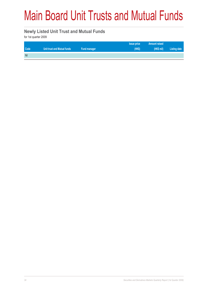## Main Board Unit Trusts and Mutual Funds

#### **Newly Listed Unit Trust and Mutual Funds**

for 1st quarter 2009

|      |                             |              | <b>Issue price</b> | <b>Amount raised</b> |              |
|------|-----------------------------|--------------|--------------------|----------------------|--------------|
| Code | Unit trust and Mutual funds | Fund manager | (HKS)              | (HK\$ mil)           | Listing date |
| Nil  |                             |              |                    |                      |              |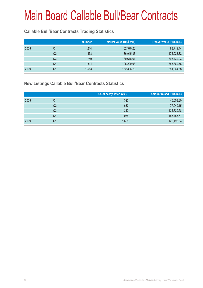## Main Board Callable Bull/Bear Contracts

#### **Callable Bull/Bear Contracts Trading Statistics**

|      |    | <b>Number</b> | Market value (HK\$ mil.) | Turnover value (HK\$ mil.) |
|------|----|---------------|--------------------------|----------------------------|
| 2008 | Q1 | 214           | 52,370.20                | 83,719.44                  |
|      | Q2 | 453           | 86,945.83                | 176,028.32                 |
|      | Q3 | 759           | 130,618.61               | 396,439.23                 |
|      | Q4 | 1,314         | 195,229.08               | 383,369.78                 |
| 2009 | Q1 | 1,513         | 152,386.79               | 351,364.58                 |

#### **New Listings Callable Bull/Bear Contracts Statistics**

|      |                | No. of newly listed CBBC | Amount raised (HK\$ mil.) |
|------|----------------|--------------------------|---------------------------|
| 2008 | Q1             | 323                      | 45,053.80                 |
|      | Q <sub>2</sub> | 630                      | 77,040.15                 |
|      | Q3             | 1,343                    | 135,720.58                |
|      | Q4             | 1,935                    | 185,485.67                |
| 2009 | Q1             | 1,628                    | 129,192.54                |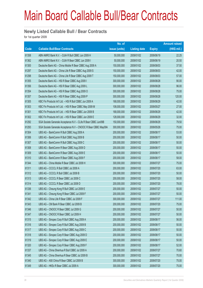#### **Newly Listed Callable Bull / Bear Contracts**

for 1st quarter 2009

|       |                                                                | No. of        |                     |               | <b>Amount raised</b> |
|-------|----------------------------------------------------------------|---------------|---------------------|---------------|----------------------|
| Code  | <b>Callable Bull/Bear Contracts</b>                            | issue (units) | <b>Listing date</b> | <b>Expiry</b> | $(HK$$ mil.)         |
| 61358 | ABN AMRO Bank N.V. - DJIA R Bull CBBC Jun 2009 H               | 50,000,000    | 2009/01/02          | 2009/06/19    | 22.25                |
| 61362 | ABN AMRO Bank N.V. - DJIA R Bear CBBC Jun 2009 I               | 50,000,000    | 2009/01/02          | 2009/06/19    | 20.50                |
| 61300 | Deutsche Bank AG - China Mobile R Bear CBBC Aug 2009 A         | 150,000,000   | 2009/01/02          | 2009/08/03    | 37.50                |
| 61297 | Deutsche Bank AG - China Life R Bear CBBC Aug 2009 S           | 150,000,000   | 2009/01/02          | 2009/08/03    | 42.00                |
| 61298 | Deutsche Bank AG - China Life R Bear CBBC Aug 2009 T           | 150,000,000   | 2009/01/02          | 2009/08/03    | 57.00                |
| 61355 | Deutsche Bank AG - HSI R Bear CBBC Aug 2009 I                  | 300,000,000   | 2009/01/02          | 2009/08/28    | 90.00                |
| 61356 | Deutsche Bank AG - HSI R Bear CBBC Aug 2009 L                  | 300,000,000   | 2009/01/02          | 2009/08/28    | 96.00                |
| 61354 | Deutsche Bank AG - HSI R Bear CBBC Aug 2009 O                  | 300,000,000   | 2009/01/02          | 2009/08/28    | 75.00                |
| 61357 | Deutsche Bank AG - HSI R Bear CBBC Aug 2009 P                  | 300,000,000   | 2009/01/02          | 2009/08/28    | 120.00               |
| 61305 | KBC Fin Products Int'l Ltd. - HSI R Bull CBBC Jun 2009 A       | 168,000,000   | 2009/01/02          | 2009/06/29    | 42.00                |
| 61303 | KBC Fin Products Int'l Ltd. - HSI R Bear CBBC May 2009 M       | 108,000,000   | 2009/01/02          | 2009/05/27    | 27.00                |
| 61301 | KBC Fin Products Int'l Ltd. - HSI R Bear CBBC Jun 2009 B       | 168,000,000   | 2009/01/02          | 2009/06/29    | 42.00                |
| 61302 | KBC Fin Products Int'l Ltd. - HSI R Bear CBBC Jun 2009 E       | 128,000,000   | 2009/01/02          | 2009/06/29    | 32.00                |
| 61292 | SGA Societe Generale Acceptance N.V - CLife R Bear CBBC Jun09B | 150,000,000   | 2009/01/02          | 2009/06/29    | 79.50                |
| 61293 | SGA Societe Generale Acceptance N.V - CNOOC R Bear CBBC May09A | 300,000,000   | 2009/01/02          | 2009/05/26    | 75.00                |
| 61304 | UBS AG - BankComm R Bull CBBC Aug 2009 A                       | 200,000,000   | 2009/01/02          | 2009/08/17    | 53.00                |
| 61306 | UBS AG - BankComm R Bull CBBC Aug 2009 B                       | 200,000,000   | 2009/01/02          | 2009/08/17    | 50.00                |
| 61307 | UBS AG - BankComm R Bull CBBC Aug 2009 C                       | 200,000,000   | 2009/01/02          | 2009/08/17    | 50.00                |
| 61308 | UBS AG - BankComm R Bear CBBC Aug 2009 D                       | 200,000,000   | 2009/01/02          | 2009/08/17    | 50.00                |
| 61309 | UBS AG - BankComm R Bear CBBC Aug 2009 E                       | 200,000,000   | 2009/01/02          | 2009/08/17    | 50.00                |
| 61310 | UBS AG - BankComm R Bear CBBC Aug 2009 F                       | 200,000,000   | 2009/01/02          | 2009/08/17    | 58.00                |
| 61344 | UBS AG - China Mobile R Bear CBBC Jul 2009 H                   | 300,000,000   | 2009/01/02          | 2009/07/27    | 75.00                |
| 61311 | UBS AG - CCCCL R Bull CBBC Jul 2009 A                          | 200,000,000   | 2009/01/02          | 2009/07/20    | 63.00                |
| 61312 | UBS AG - CCCCL R Bull CBBC Jul 2009 B                          | 200,000,000   | 2009/01/02          | 2009/07/20    | 50.00                |
| 61313 | UBS AG - CCCCL R Bear CBBC Jul 2009 C                          | 200,000,000   | 2009/01/02          | 2009/07/20    | 58.00                |
| 61314 | UBS AG - CCCCL R Bear CBBC Jul 2009 D                          | 200,000,000   | 2009/01/02          | 2009/07/20    | 78.00                |
| 61336 | UBS AG - Cheung Kong R Bull CBBC Jul 2009 E                    | 200,000,000   | 2009/01/02          | 2009/07/27    | 50.00                |
| 61341 | UBS AG - Cheung Kong R Bear CBBC Jul 2009 F                    | 200,000,000   | 2009/01/02          | 2009/07/27    | 50.00                |
| 61342 | UBS AG - China Life R Bear CBBC Jul 2009 F                     | 300,000,000   | 2009/01/02          | 2009/07/27    | 111.00               |
| 61343 | UBS AG - CM Bank R Bear CBBC Jul 2009 B                        | 200,000,000   | 2009/01/02          | 2009/07/20    | 75.00                |
| 61346 | UBS AG - CNOOC R Bear CBBC Jul 2009 G                          | 200,000,000   | 2009/01/02          | 2009/07/27    | 50.00                |
| 61347 | UBS AG - CNOOC R Bear CBBC Jul 2009 H                          | 200,000,000   | 2009/01/02          | 2009/07/27    | 50.00                |
| 61315 | UBS AG - Sinopec Corp R Bull CBBC Aug 2009 A                   | 200,000,000   | 2009/01/02          | 2009/08/17    | 56.00                |
| 61316 | UBS AG - Sinopec Corp R Bull CBBC Aug 2009 B                   | 200,000,000   | 2009/01/02          | 2009/08/17    | 50.00                |
| 61317 | UBS AG - Sinopec Corp R Bull CBBC Aug 2009 C                   | 200,000,000   | 2009/01/02          | 2009/08/17    | 50.00                |
| 61318 | UBS AG - Sinopec Corp R Bear CBBC Aug 2009 D                   | 200,000,000   | 2009/01/02          | 2009/08/17    | 50.00                |
| 61319 | UBS AG - Sinopec Corp R Bear CBBC Aug 2009 E                   | 200,000,000   | 2009/01/02          | 2009/08/17    | 50.00                |
| 61320 | UBS AG - Sinopec Corp R Bear CBBC Aug 2009 F                   | 200,000,000   | 2009/01/02          | 2009/08/17    | 52.00                |
| 61337 | UBS AG - China Shenhua R Bull CBBC Jul 2009 A                  | 200,000,000   | 2009/01/02          | 2009/07/27    | 70.60                |
| 61345 | UBS AG - China Shenhua R Bear CBBC Jul 2009 B                  | 200,000,000   | 2009/01/02          | 2009/07/27    | 70.00                |
| 61340 | UBS AG - A50 China R Bear CBBC Jul 2009 B                      | 300,000,000   | 2009/01/02          | 2009/07/20    | 75.00                |
| 61349 | UBS AG - HKEx R Bear CBBC Jul 2009 A                           | 300,000,000   | 2009/01/02          | 2009/07/20    | 75.00                |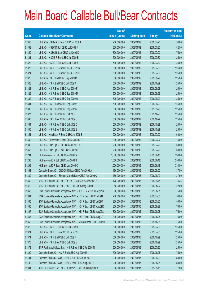|       |                                                                | No. of        |                     |               | <b>Amount raised</b> |
|-------|----------------------------------------------------------------|---------------|---------------------|---------------|----------------------|
| Code  | <b>Callable Bull/Bear Contracts</b>                            | issue (units) | <b>Listing date</b> | <b>Expiry</b> | $(HK$$ mil.)         |
| 61348 | UBS AG - HS Bank R Bear CBBC Jul 2009 A                        | 200,000,000   | 2009/01/02          | 2009/07/20    | 50.00                |
| 61338 | UBS AG - HSBC R Bull CBBC Jul 2009 J                           | 300,000,000   | 2009/01/02          | 2009/07/20    | 82.50                |
| 61350 | UBS AG - HSBC R Bear CBBC Jul 2009 K                           | 300,000,000   | 2009/01/02          | 2009/07/20    | 75.00                |
| 61321 | UBS AG - HSCEI R Bull CBBC Jul 2009 E                          | 500,000,000   | 2009/01/02          | 2009/07/30    | 125.00               |
| 61322 | UBS AG - HSCEI R Bull CBBC Jul 2009 F                          | 500,000,000   | 2009/01/02          | 2009/07/30    | 125.00               |
| 61323 | UBS AG - HSCEI R Bear CBBC Jul 2009 G                          | 500,000,000   | 2009/01/02          | 2009/07/30    | 125.00               |
| 61324 | UBS AG - HSCEI R Bear CBBC Jul 2009 H                          | 500,000,000   | 2009/01/02          | 2009/07/30    | 125.00               |
| 61325 | UBS AG - HSI R Bull CBBC Sep 2009 R                            | 500,000,000   | 2009/01/02          | 2009/09/29    | 125.00               |
| 61326 | UBS AG - HSI R Bull CBBC Oct 2009 A                            | 500,000,000   | 2009/01/02          | 2009/10/29    | 125.00               |
| 61328 | UBS AG - HSI R Bear CBBC Aug 2009 F                            | 500,000,000   | 2009/01/02          | 2009/08/28    | 125.00               |
| 61329 | UBS AG - HSI R Bear CBBC Sep 2009 M                            | 500,000,000   | 2009/01/02          | 2009/09/29    | 125.00               |
| 61332 | UBS AG - HSI R Bear CBBC Sep 2009 W                            | 500,000,000   | 2009/01/02          | 2009/09/29    | 125.00               |
| 61331 | UBS AG - HSI R Bear CBBC Sep 2009 Y                            | 500,000,000   | 2009/01/02          | 2009/09/29    | 125.00               |
| 61330 | UBS AG - HSI R Bear CBBC Sep 2009 Z                            | 500,000,000   | 2009/01/02          | 2009/09/29    | 125.00               |
| 61327 | UBS AG - HSI R Bear CBBC Oct 2009 B                            | 500,000,000   | 2009/01/02          | 2009/10/29    | 125.00               |
| 61333 | UBS AG - HSI R Bear CBBC Oct 2009 C                            | 500,000,000   | 2009/01/02          | 2009/10/29    | 125.00               |
| 61334 | UBS AG - HSI R Bear CBBC Oct 2009 D                            | 500,000,000   | 2009/01/02          | 2009/10/29    | 125.00               |
| 61335 | UBS AG - HSI R Bear CBBC Oct 2009 E                            | 500,000,000   | 2009/01/02          | 2009/10/29    | 125.00               |
| 61351 | UBS AG - Hutchison R Bear CBBC Jul 2009 E                      | 200,000,000   | 2009/01/02          | 2009/07/20    | 50.00                |
| 61352 | UBS AG - Petrochina R Bear CBBC Jul 2009 G                     | 300,000,000   | 2009/01/02          | 2009/07/27    | 75.00                |
| 61339 | UBS AG - SHK Ppt R Bull CBBC Jul 2009 A                        | 200,000,000   | 2009/01/02          | 2009/07/20    | 50.00                |
| 61353 | UBS AG - SHK Ppt R Bear CBBC Jul 2009 B                        | 200,000,000   | 2009/01/02          | 2009/07/20    | 50.00                |
| 61294 | HK Bank - A50 R Bull CBBC Jun 2009 A                           | 1,000,000,000 | 2009/01/05          | 2009/06/18    | 330.00               |
| 61296 | HK Bank - A50 R Bull CBBC Jun 2009 B                           | 1,000,000,000 | 2009/01/05          | 2009/06/18    | 250.00               |
| 61299 | HK Bank - A50 R Bear CBBC Jun 2009 C                           | 1,000,000,000 | 2009/01/05          | 2009/06/18    | 330.00               |
| 61361 | Deutsche Bank AG - CNOOC R Bear CBBC Aug 2009 A                | 150,000,000   | 2009/01/05          | 2009/08/03    | 37.50                |
| 61360 | Deutsche Bank AG - Sinopec Corp R Bear CBBC Aug 2009 C         | 150,000,000   | 2009/01/05          | 2009/08/03    | 37.50                |
| 61359 | KBC Fin Products Int'l Ltd. - Ch Life R Bear CBBC Apr 2009 B   | 128,000,000   | 2009/01/05          | 2009/04/15    | 74.24                |
| 61372 | KBC Fin Products Int'l Ltd. - HSI R Bull CBBC May 2009 L       | 88,000,000    | 2009/01/05          | 2009/05/27    | 22.00                |
| 61363 | SGA Societe Generale Acceptance N.V. - A50 R Bear CBBC Aug09A  | 300,000,000   | 2009/01/05          | 2009/08/31    | 75.00                |
| 61364 | SGA Societe Generale Acceptance N.V. - HSI R Bear CBBC Jul09N  | 200,000,000   | 2009/01/05          | 2009/07/30    | 50.00                |
| 61365 | SGA Societe Generale Acceptance N.V. - HSI R Bear CBBC Jul090  | 200,000,000   | 2009/01/05          | 2009/07/30    | 50.00                |
| 61366 | SGA Societe Generale Acceptance N.V. - HSI R Bear CBBC Aug09R  | 300,000,000   | 2009/01/05          | 2009/08/28    | 75.00                |
| 61367 | SGA Societe Generale Acceptance N.V. - HSI R Bear CBBC Aug09S  | 300,000,000   | 2009/01/05          | 2009/08/28    | 75.00                |
| 61368 | SGA Societe Generale Acceptance N.V. - HSI R Bear CBBC Aug09T  | 300,000,000   | 2009/01/05          | 2009/08/28    | 75.00                |
| 61369 | SGA Societe Generale Acceptance N.V - PetCh R Bear CBBC Oct09A | 300,000,000   | 2009/01/05          | 2009/10/05    | 75.00                |
| 61370 | UBS AG - HSCEI R Bull CBBC Jul 2009 I                          | 500,000,000   | 2009/01/05          | 2009/07/30    | 125.00               |
| 61374 | UBS AG - HSCEI R Bear CBBC Jul 2009 J                          | 500,000,000   | 2009/01/05          | 2009/07/30    | 125.00               |
| 61371 | UBS AG - HSI R Bull CBBC Oct 2009 F                            | 500,000,000   | 2009/01/05          | 2009/10/29    | 125.00               |
| 61375 | UBS AG - HSI R Bear CBBC Oct 2009 G                            | 500,000,000   | 2009/01/05          | 2009/10/29    | 125.00               |
| 61373 | BNP Paribas Arbit Issu B.V. - HSI R Bear CBBC Jul 2009 N       | 500,000,000   | 2009/01/06          | 2009/07/30    | 125.00               |
| 61390 | Deutsche Bank AG - HSI R Bull CBBC Aug 2009 U                  | 300,000,000   | 2009/01/07          | 2009/08/28    | 75.00                |
| 61401 | Goldman Sachs SP (Asia) - HSI R Bull CBBC Sep 2009 B           | 200,000,000   | 2009/01/07          | 2009/09/29    | 50.00                |
| 61402 | Goldman Sachs SP (Asia) - HSI R Bear CBBC Aug 2009 B           | 200,000,000   | 2009/01/07          | 2009/08/28    | 50.00                |
| 61391 | KBC Fin Products Int'l Ltd. - Ch Mobile R Bull CBBC May2009A   | 308,000,000   | 2009/01/07          | 2009/05/18    | 77.00                |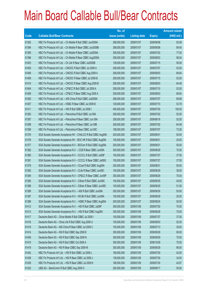|       |                                                                | No. of        |                     |               | <b>Amount raised</b> |
|-------|----------------------------------------------------------------|---------------|---------------------|---------------|----------------------|
| Code  | <b>Callable Bull/Bear Contracts</b>                            | issue (units) | <b>Listing date</b> | <b>Expiry</b> | $(HK$$ mil.)         |
| 61392 | KBC Fin Products Int'l Ltd. - Ch Mobile R Bull CBBC Jun2009A   | 268,000,000   | 2009/01/07          | 2009/06/08    | 83.08                |
| 61394 | KBC Fin Products Int'l Ltd. - Ch Mobile R Bear CBBC Jun2009B   | 298,000,000   | 2009/01/07          | 2009/06/08    | 89.40                |
| 61395 | KBC Fin Products Int'l Ltd. - Ch Mobile R Bear CBBC Jul2009A   | 308,000,000   | 2009/01/07          | 2009/07/02    | 77.00                |
| 61396 | KBC Fin Products Int'l Ltd. - Ch Mobile R Bear CBBC Aug2009A   | 258,000,000   | 2009/01/07          | 2009/08/03    | 98.04                |
| 61403 | KBC Fin Products Int'l Ltd. - Ch Life R Bear CBBC Jul2009B     | 138,000,000   | 2009/01/07          | 2009/07/15    | 56.58                |
| 61405 | KBC Fin Products Int'l Ltd. - CNOOC R Bull CBBC Jul 2009 A     | 208,000,000   | 2009/01/07          | 2009/07/07    | 52.00                |
| 61406 | KBC Fin Products Int'l Ltd. - CNOOC R Bull CBBC Aug 2009 A     | 208,000,000   | 2009/01/07          | 2009/08/03    | 68.64                |
| 61409 | KBC Fin Products Int'l Ltd. - CNOOC R Bear CBBC Jul 2009 B     | 208,000,000   | 2009/01/07          | 2009/07/15    | 52.00                |
| 61410 | KBC Fin Products Int'l Ltd. - CNOOC R Bear CBBC Aug 2009 B     | 208,000,000   | 2009/01/07          | 2009/08/03    | 64.48                |
| 61404 | KBC Fin Products Int'l Ltd. - CP&CC R Bull CBBC Jul 2009 A     | 208,000,000   | 2009/01/07          | 2009/07/10    | 52.00                |
| 61408 | KBC Fin Products Int'l Ltd. - CP&CC R Bear CBBC Aug 2009 A     | 208,000,000   | 2009/01/07          | 2009/08/03    | 68.64                |
| 61400 | KBC Fin Products Int'l Ltd. - A50 China R Bull CBBC Jul2009A   | 268,000,000   | 2009/01/07          | 2009/07/07    | 69.68                |
| 61407 | KBC Fin Products Int'l Ltd. - HSBC R Bear CBBC Jul 2009 B      | 128,000,000   | 2009/01/07          | 2009/07/10    | 53.76                |
| 61411 | KBC Fin Products Int'l Ltd. - HSI R Bull CBBC Jul 2009 I       | 400,000,000   | 2009/01/07          | 2009/07/30    | 100.00               |
| 61393 | KBC Fin Products Int'l Ltd. - Petrochina R Bull CBBC Jul 09A   | 208,000,000   | 2009/01/07          | 2009/07/02    | 52.00                |
| 61397 | KBC Fin Products Int'l Ltd. - Petrochina R Bear CBBC Jun 09A   | 208,000,000   | 2009/01/07          | 2009/06/18    | 52.00                |
| 61398 | KBC Fin Products Int'l Ltd. - Petrochina R Bear CBBC Jul 09B   | 208,000,000   | 2009/01/07          | 2009/07/02    | 64.48                |
| 61399 | KBC Fin Products Int'l Ltd. - Petrochina R Bear CBBC Jul 09C   | 198,000,000   | 2009/01/07          | 2009/07/07    | 73.26                |
| 61376 | SGA Societe Generale Acceptance NV - CHALCO R Bull CBBC Aug09A | 200,000,000   | 2009/01/07          | 2009/08/31    | 50.00                |
| 61378 | SGA Societe Generale Acceptance NV - BOC HK R Bull CBBC Aug09A | 100,000,000   | 2009/01/07          | 2009/08/31    | 25.00                |
| 61377 | SGA Societe Generale Acceptance N.V - BOCom R Bull CBBC Aug09A | 200,000,000   | 2009/01/07          | 2009/08/31    | 50.00                |
| 61382 | SGA Societe Generale Acceptance N.V. - CCB R Bear CBBC Jun09A  | 300,000,000   | 2009/01/07          | 2009/06/29    | 75.00                |
| 61380 | SGA Societe Generale Acceptance N.V - CCCCL R Bull CBBC Jul09F | 150,000,000   | 2009/01/07          | 2009/07/27    | 37.50                |
| 61381 | SGA Societe Generale Acceptance N.V - CCCCL R Bear CBBC Jul09G | 150,000,000   | 2009/01/07          | 2009/07/27    | 37.50                |
| 61379 | SGA Societe Generale Acceptance N.V - CCoal R Bull CBBC Aug09A | 200,000,000   | 2009/01/07          | 2009/08/31    | 50.00                |
| 61383 | SGA Societe Generale Acceptance N.V - CLife R Bear CBBC Jun09C | 100,000,000   | 2009/01/07          | 2009/06/29    | 38.00                |
| 61384 | SGA Societe Generale Acceptance N.V - CP&CC R Bear CBBC Jun09F | 300,000,000   | 2009/01/07          | 2009/06/29    | 75.00                |
| 61385 | SGA Societe Generale Acceptance N.V - CShen R Bull CBBC Jun09C | 100,000,000   | 2009/01/07          | 2009/06/30    | 45.00                |
| 61386 | SGA Societe Generale Acceptance N.V - CShen R Bear CBBC Jun09D | 100,000,000   | 2009/01/07          | 2009/06/30    | 51.00                |
| 61389 | SGA Societe Generale Acceptance N.V. - A50 R Bull CBBC Jun09A  | 200,000,000   | 2009/01/07          | 2009/06/30    | 50.00                |
| 61387 | SGA Societe Generale Acceptance N.V - HS Bk R Bull CBBC Jun09A | 100,000,000   | 2009/01/07          | 2009/06/29    | 25.00                |
| 61388 | SGA Societe Generale Acceptance N.V. - HSBC R Bear CBBC Aug09A | 200,000,000   | 2009/01/07          | 2009/08/24    | 50.00                |
| 61412 | SGA Societe Generale Acceptance N.V. - HSI R Bull CBBC Jul09P  | 300,000,000   | 2009/01/08          | 2009/07/30    | 75.00                |
| 61413 | SGA Societe Generale Acceptance N.V. - HSI R Bull CBBC Aug09U  | 300,000,000   | 2009/01/08          | 2009/08/28    | 75.00                |
| 61417 | Deutsche Bank AG - China Mobile R Bull CBBC Jul 2009 I         | 150,000,000   | 2009/01/09          | 2009/07/27    | 37.50                |
| 61416 | Deutsche Bank AG - China Life R Bull CBBC Aug 2009 U           | 150,000,000   | 2009/01/09          | 2009/08/03    | 52.50                |
| 61419 | Deutsche Bank AG - A50 China R Bear CBBC Jul 2009 C            | 150,000,000   | 2009/01/09          | 2009/07/13    | 39.00                |
| 61414 | Deutsche Bank AG - HSI R Bull CBBC Sep 2009 E                  | 300,000,000   | 2009/01/09          | 2009/09/29    | 90.00                |
| 61440 | Deutsche Bank AG - HSI R Bull CBBC Sep 2009 N                  | 300,000,000   | 2009/01/09          | 2009/09/29    | 75.00                |
| 61415 | Deutsche Bank AG - HSI R Bull CBBC Oct 2009 A                  | 300,000,000   | 2009/01/09          | 2009/10/29    | 75.00                |
| 61418 | Deutsche Bank AG - HSI R Bear CBBC Sep 2009 M                  | 300,000,000   | 2009/01/09          | 2009/09/29    | 96.00                |
| 61442 | KBC Fin Products Int'l Ltd. - HSI R Bull CBBC Jul 2009 L       | 168,000,000   | 2009/01/09          | 2009/07/30    | 42.00                |
| 61438 | KBC Fin Products Int'l Ltd. - HSI R Bear CBBC Jul 2009 J       | 138,000,000   | 2009/01/09          | 2009/07/30    | 34.50                |
| 61439 | KBC Fin Products Int'l Ltd. - HSI R Bear CBBC Jul 2009 K       | 168,000,000   | 2009/01/09          | 2009/07/30    | 42.67                |
| 61432 | UBS AG - BankComm R Bull CBBC Aug 2009 G                       | 200,000,000   | 2009/01/09          | 2009/08/17    | 50.00                |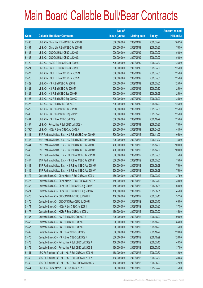|        |                                                          | No. of        |                     |               | <b>Amount raised</b> |
|--------|----------------------------------------------------------|---------------|---------------------|---------------|----------------------|
| Code   | <b>Callable Bull/Bear Contracts</b>                      | issue (units) | <b>Listing date</b> | <b>Expiry</b> | $(HK$$ mil.)         |
| 61433  | UBS AG - China Life R Bull CBBC Jul 2009 G               | 300,000,000   | 2009/01/09          | 2009/07/27    | 106.50               |
| 61434  | UBS AG - China Life R Bull CBBC Jul 2009 H               | 300,000,000   | 2009/01/09          | 2009/07/27    | 76.50                |
| 61435  | UBS AG - CNOOC R Bull CBBC Jul 2009 I                    | 200,000,000   | 2009/01/09          | 2009/07/27    | 50.00                |
| 61436  | UBS AG - CNOOC R Bull CBBC Jul 2009 J                    | 200,000,000   | 2009/01/09          | 2009/07/27    | 50.00                |
| 61420  | UBS AG - HSCEI R Bull CBBC Jul 2009 K                    | 500,000,000   | 2009/01/09          | 2009/07/30    | 125.00               |
| 61421  | UBS AG - HSCEI R Bull CBBC Jul 2009 L                    | 500,000,000   | 2009/01/09          | 2009/07/30    | 125.00               |
| 61427  | UBS AG - HSCEI R Bear CBBC Jul 2009 M                    | 500,000,000   | 2009/01/09          | 2009/07/30    | 125.00               |
| 61428  | UBS AG - HSCEI R Bear CBBC Jul 2009 N                    | 500,000,000   | 2009/01/09          | 2009/07/30    | 125.00               |
| 61422  | UBS AG - HSI R Bull CBBC Jul 2009 L                      | 500,000,000   | 2009/01/09          | 2009/07/30    | 125.00               |
| 61423  | UBS AG - HSI R Bull CBBC Jul 2009 M                      | 500,000,000   | 2009/01/09          | 2009/07/30    | 125.00               |
| 61424  | UBS AG - HSI R Bull CBBC Sep 2009 M                      | 500,000,000   | 2009/01/09          | 2009/09/29    | 125.00               |
| 61425  | UBS AG - HSI R Bull CBBC Sep 2009 X                      | 500,000,000   | 2009/01/09          | 2009/09/29    | 125.00               |
| 61426  | UBS AG - HSI R Bull CBBC Oct 2009 H                      | 500,000,000   | 2009/01/09          | 2009/10/29    | 125.00               |
| 61429  | UBS AG - HSI R Bear CBBC Jul 2009 N                      | 500,000,000   | 2009/01/09          | 2009/07/30    | 125.00               |
| 61430  | UBS AG - HSI R Bear CBBC Sep 2009 Y                      | 500,000,000   | 2009/01/09          | 2009/09/29    | 125.00               |
| 61431  | UBS AG - HSI R Bear CBBC Oct 2009 I                      | 500,000,000   | 2009/01/09          | 2009/10/29    | 125.00               |
| 61437  | UBS AG - Petrochina R Bull CBBC Jul 2009 H               | 300,000,000   | 2009/01/09          | 2009/07/27    | 75.00                |
| 31796# | UBS AG - HKEx R Bear CBBC Apr 2009 A                     | 200,000,000   | 2009/01/09          | 2009/04/06    | 44.00                |
| 61441  | BNP Paribas Arbit Issu B.V. - HSI R Bull CBBC Nov 2009 M | 300,000,000   | 2009/01/12          | 2009/11/27    | 105.00               |
| 61443  | BNP Paribas Arbit Issu B.V. - HSI R Bull CBBC Nov 2009 N | 300,000,000   | 2009/01/12          | 2009/11/27    | 75.00                |
| 61444  | BNP Paribas Arbit Issu B.V. - HSI R Bull CBBC Dec 2009 L | 400,000,000   | 2009/01/12          | 2009/12/30    | 100.00               |
| 61445  | BNP Paribas Arbit Issu B.V. - HSI R Bull CBBC Dec 2009 M | 400,000,000   | 2009/01/12          | 2009/12/30    | 100.00               |
| 61446  | BNP Paribas Arbit Issu B.V. - HSI R Bear CBBC Jul 2009 O | 300,000,000   | 2009/01/12          | 2009/07/30    | 75.00                |
| 61447  | BNP Paribas Arbit Issu B.V. - HSI R Bear CBBC Jul 2009 P | 300,000,000   | 2009/01/12          | 2009/07/30    | 75.00                |
| 61448  | BNP Paribas Arbit Issu B.V. - HSI R Bear CBBC Aug 2009 U | 300,000,000   | 2009/01/12          | 2009/08/28    | 75.00                |
| 61449  | BNP Paribas Arbit Issu B.V. - HSI R Bear CBBC Aug 2009 V | 300,000,000   | 2009/01/12          | 2009/08/28    | 75.00                |
| 61472  | Deutsche Bank AG - China Mobile R Bull CBBC Jul 2009 J   | 150,000,000   | 2009/01/12          | 2009/07/13    | 37.50                |
| 61475  | Deutsche Bank AG - China Mobile R Bear CBBC Jul 2009 K   | 150,000,000   | 2009/01/12          | 2009/07/13    | 39.00                |
| 61468  | Deutsche Bank AG - China Life R Bull CBBC Aug 2009 V     | 150,000,000   | 2009/01/12          | 2009/08/31    | 60.00                |
| 61471  | Deutsche Bank AG - China Life R Bull CBBC Aug 2009 W     | 150,000,000   | 2009/01/12          | 2009/08/31    | 45.00                |
| 61473  | Deutsche Bank AG - CNOOC R Bull CBBC Jul 2009 H          | 150,000,000   | 2009/01/12          | 2009/07/13    | 37.50                |
| 61476  | Deutsche Bank AG - CNOOC R Bear CBBC Jul 2009 I          | 150,000,000   | 2009/01/12          | 2009/07/13    | 63.00                |
| 61474  | Deutsche Bank AG - HKEx R Bull CBBC Jul 2009 I           | 150,000,000   | 2009/01/12          | 2009/07/20    | 37.50                |
| 61477  | Deutsche Bank AG - HKEx R Bear CBBC Jul 2009 J           | 150,000,000   | 2009/01/12          | 2009/07/20    | 45.00                |
| 61465  | Deutsche Bank AG - HSI R Bull CBBC Oct 2009 B            | 300,000,000   | 2009/01/12          | 2009/10/29    | 90.00                |
| 61466  | Deutsche Bank AG - HSI R Bull CBBC Oct 2009 C            | 300,000,000   | 2009/01/12          | 2009/10/29    | 84.00                |
| 61467  | Deutsche Bank AG - HSI R Bull CBBC Oct 2009 D            | 300,000,000   | 2009/01/12          | 2009/10/29    | 75.00                |
| 61469  | Deutsche Bank AG - HSI R Bear CBBC Oct 2009 E            | 300,000,000   | 2009/01/12          | 2009/10/29    | 120.00               |
| 61470  | Deutsche Bank AG - HSI R Bear CBBC Oct 2009 F            | 300,000,000   | 2009/01/12          | 2009/10/29    | 126.00               |
| 61478  | Deutsche Bank AG - Petrochina R Bull CBBC Jul 2009 A     | 150,000,000   | 2009/01/12          | 2009/07/13    | 40.50                |
| 61479  | Deutsche Bank AG - Petrochina R Bull CBBC Jul 2009 B     | 150,000,000   | 2009/01/12          | 2009/07/13    | 37.50                |
| 61451  | KBC Fin Products Int'l Ltd. - HSI R Bull CBBC Jul 2009 M | 168,000,000   | 2009/01/12          | 2009/07/30    | 42.00                |
| 61452  | KBC Fin Products Int'l Ltd. - HSI R Bull CBBC Jul 2009 N | 118,000,000   | 2009/01/12          | 2009/07/30    | 30.68                |
| 61450  | KBC Fin Products Int'l Ltd. - HSI R Bear CBBC Jun 2009 M | 168,000,000   | 2009/01/12          | 2009/06/29    | 42.00                |
| 61454  | UBS AG - China Mobile R Bull CBBC Jul 2009 I             | 300,000,000   | 2009/01/12          | 2009/07/27    | 75.00                |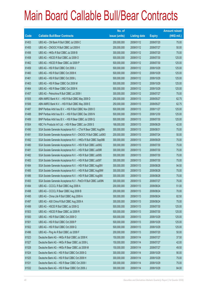|       |                                                                | No. of        |                     |               | <b>Amount raised</b> |
|-------|----------------------------------------------------------------|---------------|---------------------|---------------|----------------------|
| Code  | <b>Callable Bull/Bear Contracts</b>                            | issue (units) | <b>Listing date</b> | <b>Expiry</b> | (HK\$ mil.)          |
| 61453 | UBS AG - CM Bank R Bull CBBC Jul 2009 C                        | 200,000,000   | 2009/01/12          | 2009/07/20    | 75.00                |
| 61455 | UBS AG - CNOOC R Bull CBBC Jul 2009 K                          | 200,000,000   | 2009/01/12          | 2009/07/27    | 50.00                |
| 61456 | UBS AG - HKEx R Bull CBBC Jul 2009 B                           | 300,000,000   | 2009/01/12          | 2009/07/20    | 75.00                |
| 61458 | UBS AG - HSCEI R Bull CBBC Jul 2009 O                          | 500,000,000   | 2009/01/12          | 2009/07/30    | 125.00               |
| 61462 | UBS AG - HSCEI R Bear CBBC Jul 2009 P                          | 500,000,000   | 2009/01/12          | 2009/07/30    | 125.00               |
| 61459 | UBS AG - HSI R Bull CBBC Oct 2009 J                            | 500,000,000   | 2009/01/12          | 2009/10/29    | 125.00               |
| 61460 | UBS AG - HSI R Bull CBBC Oct 2009 K                            | 500,000,000   | 2009/01/12          | 2009/10/29    | 125.00               |
| 61461 | UBS AG - HSI R Bull CBBC Oct 2009 L                            | 500,000,000   | 2009/01/12          | 2009/10/29    | 125.00               |
| 61463 | UBS AG - HSI R Bear CBBC Oct 2009 M                            | 500,000,000   | 2009/01/12          | 2009/10/29    | 125.00               |
| 61464 | UBS AG - HSI R Bear CBBC Oct 2009 N                            | 500,000,000   | 2009/01/12          | 2009/10/29    | 125.00               |
| 61457 | UBS AG - Petrochina R Bull CBBC Jul 2009 I                     | 300,000,000   | 2009/01/12          | 2009/07/27    | 75.00                |
| 61505 | ABN AMRO Bank N.V. - HSI R Bull CBBC May 2009 D                | 250,000,000   | 2009/01/13          | 2009/05/27    | 62.75                |
| 61506 | ABN AMRO Bank N.V. - HSI R Bull CBBC May 2009 E                | 250,000,000   | 2009/01/13          | 2009/05/27    | 62.75                |
| 61487 | BNP Paribas Arbit Issu B.V. - HSI R Bull CBBC Nov 2009 O       | 500,000,000   | 2009/01/13          | 2009/11/27    | 125.00               |
| 61488 | BNP Paribas Arbit Issu B.V. - HSI R Bull CBBC Dec 2009 N       | 500,000,000   | 2009/01/13          | 2009/12/30    | 125.00               |
| 61489 | BNP Paribas Arbit Issu B.V. - HSI R Bear CBBC Jul 2009 Q       | 500,000,000   | 2009/01/13          | 2009/07/30    | 125.00               |
| 61504 | KBC Fin Products Int'l Ltd. - HSI R Bear CBBC Jun 2009 S       | 168,000,000   | 2009/01/13          | 2009/06/29    | 42.00                |
| 61490 | SGA Societe Generale Acceptance N.V. - CTel R Bear CBBC Aug09A | 300,000,000   | 2009/01/13          | 2009/08/31    | 75.00                |
| 61491 | SGA Societe Generale Acceptance N.V - CNOOC R Bull CBBC Jul090 | 200,000,000   | 2009/01/13          | 2009/07/24    | 50.00                |
| 61492 | SGA Societe Generale Acceptance N.V. - HKEx R Bull CBBC Sep09B | 300,000,000   | 2009/01/13          | 2009/09/29    | 75.00                |
| 61480 | SGA Societe Generale Acceptance N.V. - HSI R Bull CBBC Jul09Q  | 300,000,000   | 2009/01/13          | 2009/07/30    | 75.00                |
| 61481 | SGA Societe Generale Acceptance N.V. - HSI R Bull CBBC Jul09R  | 300,000,000   | 2009/01/13          | 2009/07/30    | 75.00                |
| 61482 | SGA Societe Generale Acceptance N.V. - HSI R Bull CBBC Jul09S  | 300,000,000   | 2009/01/13          | 2009/07/30    | 75.00                |
| 61483 | SGA Societe Generale Acceptance N.V. - HSI R Bull CBBC Jul09T  | 300,000,000   | 2009/01/13          | 2009/07/30    | 75.00                |
| 61484 | SGA Societe Generale Acceptance N.V. - HSI R Bull CBBC Aug09V  | 300,000,000   | 2009/01/13          | 2009/08/28    | 94.50                |
| 61485 | SGA Societe Generale Acceptance N.V. - HSI R Bull CBBC Aug09W  | 300,000,000   | 2009/01/13          | 2009/08/28    | 75.00                |
| 61486 | SGA Societe Generale Acceptance N.V. - HSI R Bull CBBC Aug09X  | 300,000,000   | 2009/01/13          | 2009/08/28    | 75.00                |
| 61493 | SGA Societe Generale Acceptance N.V - PetCh R Bull CBBC Jul09N | 300,000,000   | 2009/01/13          | 2009/07/27    | 75.00                |
| 61494 | UBS AG - CCCCL R Bull CBBC Aug 2009 A                          | 200,000,000   | 2009/01/13          | 2009/08/24    | 51.00                |
| 61498 | UBS AG - CCCCL R Bear CBBC Aug 2009 B                          | 200,000,000   | 2009/01/13          | 2009/08/24    | 70.00                |
| 61495 | UBS AG - China Life R Bull CBBC Aug 2009 A                     | 300,000,000   | 2009/01/13          | 2009/08/24    | 82.50                |
| 61497 | UBS AG - A50 China R Bull CBBC Aug 2009 A                      | 300,000,000   | 2009/01/13          | 2009/08/24    | 75.00                |
| 61499 | UBS AG - HSCEI R Bull CBBC Jul 2009 Q                          | 500,000,000   | 2009/01/13          | 2009/07/30    | 125.00               |
| 61503 | UBS AG - HSCEI R Bear CBBC Jul 2009 R                          | 500,000,000   | 2009/01/13          | 2009/07/30    | 125.00               |
| 61500 | UBS AG - HSI R Bull CBBC Oct 2009 O                            | 500,000,000   | 2009/01/13          | 2009/10/29    | 125.00               |
| 61501 | UBS AG - HSI R Bull CBBC Oct 2009 P                            | 500,000,000   | 2009/01/13          | 2009/10/29    | 125.00               |
| 61502 | UBS AG - HSI R Bull CBBC Oct 2009 Q                            | 500,000,000   | 2009/01/13          | 2009/10/29    | 125.00               |
| 61496 | UBS AG - Ping An R Bull CBBC Jul 2009 F                        | 200,000,000   | 2009/01/13          | 2009/07/20    | 50.00                |
| 61523 | Deutsche Bank AG - HKEx R Bull CBBC Jul 2009 K                 | 150,000,000   | 2009/01/14          | 2009/07/27    | 37.50                |
| 61527 | Deutsche Bank AG - HKEx R Bear CBBC Jul 2009 L                 | 150,000,000   | 2009/01/14          | 2009/07/27    | 42.00                |
| 61528 | Deutsche Bank AG - HKEx R Bear CBBC Jul 2009 M                 | 150,000,000   | 2009/01/14          | 2009/07/27    | 49.50                |
| 61524 | Deutsche Bank AG - HSI R Bull CBBC Oct 2009 G                  | 300,000,000   | 2009/01/14          | 2009/10/29    | 90.00                |
| 61525 | Deutsche Bank AG - HSI R Bull CBBC Oct 2009 H                  | 300,000,000   | 2009/01/14          | 2009/10/29    | 75.00                |
| 61531 | Deutsche Bank AG - HSI R Bear CBBC Oct 2009 I                  | 300,000,000   | 2009/01/14          | 2009/10/29    | 75.00                |
| 61532 | Deutsche Bank AG - HSI R Bear CBBC Oct 2009 J                  | 300,000,000   | 2009/01/14          | 2009/10/29    | 84.00                |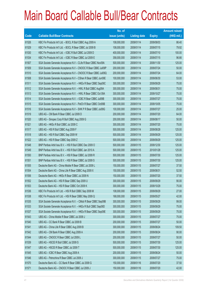|             |                                                                | No. of        |                     |               | <b>Amount raised</b> |
|-------------|----------------------------------------------------------------|---------------|---------------------|---------------|----------------------|
| <b>Code</b> | <b>Callable Bull/Bear Contracts</b>                            | issue (units) | <b>Listing date</b> | <b>Expiry</b> | $(HK$$ mil.)         |
| 61526       | KBC Fin Products Int'l Ltd. - BOCL R Bull CBBC Aug 2009 A      | 108,000,000   | 2009/01/14          | 2009/08/03    | 86.40                |
| 61529       | KBC Fin Products Int'l Ltd. - BOCL R Bear CBBC Jul 2009 B      | 108,000,000   | 2009/01/14          | 2009/07/15    | 79.92                |
| 61530       | KBC Fin Products Int'l Ltd. - ICBC R Bull CBBC Jul 2009 D      | 400,000,000   | 2009/01/14          | 2009/07/10    | 100.00               |
| 61534       | KBC Fin Products Int'l Ltd. - ICBC R Bear CBBC Jul 2009 E      | 358,000,000   | 2009/01/14          | 2009/07/15    | 96.66                |
| 61507       | SGA Societe Generale Acceptance N.V - CLife R Bear CBBC Nov09A | 500,000,000   | 2009/01/14          | 2009/11/30    | 125.00               |
| 61509       | SGA Societe Generale Acceptance N.V - CNOOC R Bear CBBC Jul09P | 200,000,000   | 2009/01/14          | 2009/07/24    | 50.00                |
| 61510       | SGA Societe Generale Acceptance N.V - CNOOC R Bear CBBC Jul09Q | 200,000,000   | 2009/01/14          | 2009/07/24    | 64.00                |
| 61508       | SGA Societe Generale Acceptance N.V - CShen R Bear CBBC Jun09E | 100,000,000   | 2009/01/14          | 2009/06/30    | 53.00                |
| 61511       | SGA Societe Generale Acceptance N.V. - HKEx R Bear CBBC Sep09C | 300,000,000   | 2009/01/14          | 2009/09/29    | 75.00                |
| 61512       | SGA Societe Generale Acceptance N.V. - HWL R Bull CBBC Aug09A  | 300,000,000   | 2009/01/14          | 2009/08/31    | 75.00                |
| 61513       | SGA Societe Generale Acceptance N.V. - HWL R Bear CBBC Oct 09A | 300,000,000   | 2009/01/14          | 2009/10/27    | 75.00                |
| 61514       | SGA Societe Generale Acceptance N.V. - ICBC R Bear CBBC Jul09B | 300,000,000   | 2009/01/14          | 2009/07/27    | 75.00                |
| 61515       | SGA Societe Generale Acceptance N.V - PetCh R Bear CBBC Oct09B | 300,000,000   | 2009/01/14          | 2009/10/05    | 75.00                |
| 61516       | SGA Societe Generale Acceptance N.V - SHK P R Bear CBBC Jul09G | 100,000,000   | 2009/01/14          | 2009/07/27    | 25.00                |
| 61519       | UBS AG - CM Bank R Bear CBBC Jul 2009 D                        | 200,000,000   | 2009/01/14          | 2009/07/20    | 64.00                |
| 61520       | UBS AG - Sinopec Corp R Bull CBBC Aug 2009 G                   | 200,000,000   | 2009/01/14          | 2009/08/17    | 50.00                |
| 61521       | UBS AG - HKEx R Bull CBBC Jul 2009 C                           | 300,000,000   | 2009/01/14          | 2009/07/20    | 75.00                |
| 61517       | UBS AG - HSI R Bull CBBC Aug 2009 F                            | 500,000,000   | 2009/01/14          | 2009/08/28    | 125.00               |
| 61518       | UBS AG - HSI R Bull CBBC Sep 2009 W                            | 500,000,000   | 2009/01/14          | 2009/09/29    | 125.00               |
| 61522       | UBS AG - HSI R Bear CBBC Sep 2009 Z                            | 500,000,000   | 2009/01/14          | 2009/09/29    | 125.00               |
| 61548       | BNP Paribas Arbit Issu B.V. - HSI R Bull CBBC Dec 2009 O       | 500,000,000   | 2009/01/15          | 2009/12/30    | 125.00               |
| 61549       | BNP Paribas Arbit Issu B.V. - HSI R Bull CBBC Jan 2010 A       | 500,000,000   | 2009/01/15          | 2010/01/28    | 125.00               |
| 61550       | BNP Paribas Arbit Issu B.V. - HSI R Bear CBBC Jul 2009 R       | 500,000,000   | 2009/01/15          | 2009/07/30    | 125.00               |
| 61551       | BNP Paribas Arbit Issu B.V. - HSI R Bear CBBC Jul 2009 S       | 500,000,000   | 2009/01/15          | 2009/07/30    | 125.00               |
| 61555       | Deutsche Bank AG - China Mobile R Bear CBBC Jul 2009 L         | 150,000,000   | 2009/01/15          | 2009/07/27    | 37.50                |
| 61554       | Deutsche Bank AG - China Life R Bear CBBC Aug 2009 X           | 150,000,000   | 2009/01/15          | 2009/08/31    | 52.50                |
| 61556       | Deutsche Bank AG - HKEx R Bear CBBC Jul 2009 N                 | 150,000,000   | 2009/01/15          | 2009/07/20    | 37.50                |
| 61552       | Deutsche Bank AG - HSI R Bear CBBC Sep 2009 U                  | 300,000,000   | 2009/01/15          | 2009/09/29    | 90.00                |
| 61553       | Deutsche Bank AG - HSI R Bear CBBC Oct 2009 K                  | 300,000,000   | 2009/01/15          | 2009/10/29    | 75.00                |
| 61536       | KBC Fin Products Int'l Ltd. - HSI R Bull CBBC Sep 2009 M       | 108,000,000   | 2009/01/15          | 2009/09/29    | 27.00                |
| 61538       | KBC Fin Products Int'l Ltd. - HSI R Bear CBBC May 2009 Q       | 168,000,000   | 2009/01/15          | 2009/05/27    | 42.00                |
| 61535       | SGA Societe Generale Acceptance N.V. - CMob R Bear CBBC Sep09B | 300,000,000   | 2009/01/15          | 2009/09/29    | 99.00                |
| 61533       | SGA Societe Generale Acceptance N.V. - HKEx R Bull CBBC Sep09D | 300,000,000   | 2009/01/15          | 2009/09/29    | 75.00                |
| 61537       | SGA Societe Generale Acceptance N.V. - HKEx R Bear CBBC Sep09E | 300,000,000   | 2009/01/15          | 2009/09/29    | 75.00                |
| 61543       | UBS AG - China Mobile R Bear CBBC Jul 2009 J                   | 300,000,000   | 2009/01/15          | 2009/07/27    | 75.00                |
| 61540       | UBS AG - CC Bank R Bear CBBC Jul 2009 B                        | 200,000,000   | 2009/01/15          | 2009/07/27    | 50.00                |
| 61541       | UBS AG - China Life R Bear CBBC Aug 2009 B                     | 300,000,000   | 2009/01/15          | 2009/08/24    | 109.50               |
| 61542       | UBS AG - CM Bank R Bear CBBC Aug 2009 A                        | 200,000,000   | 2009/01/15          | 2009/08/24    | 90.00                |
| 61544       | UBS AG - CNOOC R Bear CBBC Jul 2009 L                          | 200,000,000   | 2009/01/15          | 2009/07/27    | 50.00                |
| 61539       | UBS AG - HSCEI R Bull CBBC Jul 2009 S                          | 500,000,000   | 2009/01/15          | 2009/07/30    | 125.00               |
| 61547       | UBS AG - HSCEI R Bear CBBC Jul 2009 T                          | 500,000,000   | 2009/01/15          | 2009/07/30    | 125.00               |
| 61545       | UBS AG - ICBC R Bear CBBC Aug 2009 A                           | 200,000,000   | 2009/01/15          | 2009/08/24    | 50.00                |
| 61546       | UBS AG - Petrochina R Bear CBBC Jul 2009 J                     | 300,000,000   | 2009/01/15          | 2009/07/27    | 75.00                |
| 61570       | Deutsche Bank AG - CC Bank R Bear CBBC Jul 2009 G              | 150,000,000   | 2009/01/16          | 2009/07/20    | 37.50                |
| 61571       | Deutsche Bank AG - CNOOC R Bear CBBC Jul 2009 J                | 150,000,000   | 2009/01/16          | 2009/07/20    | 42.00                |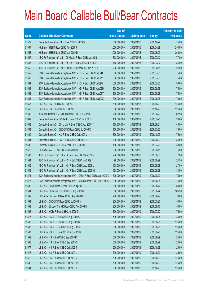|       |                                                                    | No. of        |                     |               | <b>Amount raised</b> |
|-------|--------------------------------------------------------------------|---------------|---------------------|---------------|----------------------|
| Code  | <b>Callable Bull/Bear Contracts</b>                                | issue (units) | <b>Listing date</b> | <b>Expiry</b> | $(HK$$ mil.)         |
| 61572 | Deutsche Bank AG - HSI R Bear CBBC Oct 2009 L                      | 300,000,000   | 2009/01/16          | 2009/10/29    | 75.00                |
| 61557 | HK Bank - HSI R Bear CBBC Apr 2009 F                               | 1,000,000,000 | 2009/01/16          | 2009/04/29    | 250.00               |
| 61558 | HK Bank - HSI R Bear CBBC Jun 2009 D                               | 1,000,000,000 | 2009/01/16          | 2009/06/29    | 250.00               |
| 61567 | KBC Fin Products Int'l Ltd. - Ch Mobile R Bear CBBC Jul 09 B       | 308,000,000   | 2009/01/16          | 2009/07/10    | 77.00                |
| 61566 | KBC Fin Products Int'l Ltd. - Ch Life R Bear CBBC Jul 2009 C       | 168,000,000   | 2009/01/16          | 2009/07/07    | 84.00                |
| 61568 | KBC Fin Products Int'l Ltd. - CNOOC R Bear CBBC Jun 2009 A         | 208,000,000   | 2009/01/16          | 2009/06/15    | 52.00                |
| 61559 | SGA Societe Generale Acceptance N.V. - HSI R Bear CBBC Jul09U      | 300,000,000   | 2009/01/16          | 2009/07/30    | 75.00                |
| 61560 | SGA Societe Generale Acceptance N.V. - HSI R Bear CBBC Jul09V      | 300,000,000   | 2009/01/16          | 2009/07/30    | 75.00                |
| 61561 | SGA Societe Generale Acceptance N.V. - HSI R Bear CBBC Jul09W      | 300,000,000   | 2009/01/16          | 2009/07/30    | 96.00                |
| 61564 | SGA Societe Generale Acceptance N.V. - HSI R Bear CBBC Aug09D      | 300,000,000   | 2009/01/16          | 2009/08/28    | 75.00                |
| 61562 | SGA Societe Generale Acceptance N.V. - HSI R Bear CBBC Aug09Y      | 300,000,000   | 2009/01/16          | 2009/08/28    | 75.00                |
| 61563 | SGA Societe Generale Acceptance N.V. - HSI R Bear CBBC Aug09Z      | 300,000,000   | 2009/01/16          | 2009/08/28    | 75.00                |
| 61565 | UBS AG - HSI R Bull CBBC Oct 2009 R                                | 500,000,000   | 2009/01/16          | 2009/10/29    | 125.00               |
| 61569 | UBS AG - HSI R Bear CBBC Oct 2009 S                                | 500,000,000   | 2009/01/16          | 2009/10/29    | 125.00               |
| 61599 | ABN AMRO Bank N.V. - HSI R Bear CBBC Jun 2009 F                    | 250,000,000   | 2009/01/19          | 2009/06/29    | 62.50                |
| 61602 | Deutsche Bank AG - CC Bank R Bear CBBC Jul 2009 H                  | 150,000,000   | 2009/01/19          | 2009/07/20    | 39.00                |
| 61603 | Deutsche Bank AG - China Life R Bear CBBC Aug 2009 Y               | 150,000,000   | 2009/01/19          | 2009/08/31    | 49.50                |
| 61604 | Deutsche Bank AG - CNOOC R Bear CBBC Jul 2009 K                    | 150,000,000   | 2009/01/19          | 2009/07/20    | 39.00                |
| 61600 | Deutsche Bank AG - HSI R Bear CBBC Oct 2009 M                      | 300,000,000   | 2009/01/19          | 2009/10/29    | 75.00                |
| 61601 | Deutsche Bank AG - HSI R Bear CBBC Oct 2009 N                      | 300,000,000   | 2009/01/19          | 2009/10/29    | 84.00                |
| 61605 | Deutsche Bank AG - ICBC R Bear CBBC Jul 2009 C                     | 150,000,000   | 2009/01/19          | 2009/07/20    | 39.00                |
| 61573 | HK Bank - A50 R Bear CBBC Jun 2009 D                               | 300,000,000   | 2009/01/19          | 2009/06/18    | 75.00                |
| 61587 | KBC Fin Products Int'l Ltd. - HKEx R Bear CBBC Aug 2009 B          | 288,000,000   | 2009/01/19          | 2009/08/03    | 72.00                |
| 61584 | KBC Fin Products Int'l Ltd. - HSI R Bull CBBC Jun 2009 T           | 98,000,000    | 2009/01/19          | 2009/06/29    | 24.50                |
| 61585 | KBC Fin Products Int'l Ltd. - HSI R Bear CBBC Aug 2009 L           | 108,000,000   | 2009/01/19          | 2009/08/28    | 27.00                |
| 61586 | KBC Fin Products Int'l Ltd. - HSI R Bear CBBC Aug 2009 M           | 138,000,000   | 2009/01/19          | 2009/08/28    | 34.50                |
| 61574 | SGA Societe Generale Acceptance N.V. - CMob R Bear CBBC Sep 2009 C | 300,000,000   | 2009/01/19          | 2009/09/29    | 75.00                |
| 61575 | SGA Societe Generale Acceptance N.V - PetCh R Bear CBBC Oct 2009 C | 300,000,000   | 2009/01/19          | 2009/10/05    | 75.00                |
| 61590 | UBS AG - BankComm R Bear CBBC Aug 2009 H                           | 200,000,000   | 2009/01/19          | 2009/08/17    | 50.00                |
| 61591 | UBS AG - China Life R Bear CBBC Aug 2009 C                         | 300,000,000   | 2009/01/19          | 2009/08/24    | 106.50               |
| 61592 | UBS AG - CM Bank R Bear CBBC Aug 2009 B                            | 200,000,000   | 2009/01/19          | 2009/08/24    | 78.00                |
| 61594 | UBS AG - CNOOC R Bear CBBC Jul 2009 M                              | 200,000,000   | 2009/01/19          | 2009/07/27    | 50.00                |
| 61593 | UBS AG - Sinopec Corp R Bear CBBC Aug 2009 H                       | 200,000,000   | 2009/01/19          | 2009/08/17    | 50.00                |
| 61596 | UBS AG - HKEx R Bear CBBC Jul 2009 D                               | 300,000,000   | 2009/01/19          | 2009/07/20    | 75.00                |
| 61576 | UBS AG - HSCEI R Bull CBBC Aug 2009 A                              | 500,000,000   | 2009/01/19          | 2009/08/28    | 125.00               |
| 61588 | UBS AG - HSCEI R Bull CBBC Aug 2009 C                              | 500,000,000   | 2009/01/19          | 2009/08/28    | 125.00               |
| 61583 | UBS AG - HSCEI R Bear CBBC Aug 2009 B                              | 500,000,000   | 2009/01/19          | 2009/08/28    | 125.00               |
| 61597 | UBS AG - HSCEI R Bear CBBC Aug 2009 D                              | 500,000,000   | 2009/01/19          | 2009/08/28    | 125.00               |
| 61589 | UBS AG - HSI R Bull CBBC Sep 2009 R                                | 500,000,000   | 2009/01/19          | 2009/09/29    | 125.00               |
| 61598 | UBS AG - HSI R Bear CBBC Sep 2009 X                                | 500,000,000   | 2009/01/19          | 2009/09/29    | 125.00               |
| 61577 | UBS AG - HSI R Bear CBBC Oct 2009 T                                | 500,000,000   | 2009/01/19          | 2009/10/29    | 125.00               |
| 61578 | UBS AG - HSI R Bear CBBC Oct 2009 U                                | 500,000,000   | 2009/01/19          | 2009/10/29    | 125.00               |
| 61579 | UBS AG - HSI R Bear CBBC Oct 2009 V                                | 500,000,000   | 2009/01/19          | 2009/10/29    | 125.00               |
| 61580 | UBS AG - HSI R Bear CBBC Oct 2009 W                                | 500,000,000   | 2009/01/19          | 2009/10/29    | 125.00               |
| 61581 | UBS AG - HSI R Bear CBBC Oct 2009 X                                | 500,000,000   | 2009/01/19          | 2009/10/29    | 125.00               |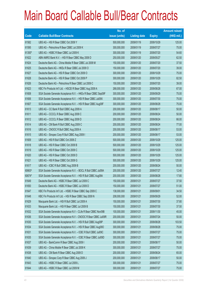|        |                                                                | No. of        |                     |               | <b>Amount raised</b> |
|--------|----------------------------------------------------------------|---------------|---------------------|---------------|----------------------|
| Code   | <b>Callable Bull/Bear Contracts</b>                            | issue (units) | <b>Listing date</b> | <b>Expiry</b> | (HK\$ mil.)          |
| 61582  | UBS AG - HSI R Bear CBBC Oct 2009 Y                            | 500,000,000   | 2009/01/19          | 2009/10/29    | 125.00               |
| 61595  | UBS AG - Petrochina R Bear CBBC Jul 2009 K                     | 300,000,000   | 2009/01/19          | 2009/07/27    | 75.00                |
| 61350# | UBS AG - HSBC R Bear CBBC Jul 2009 K                           | 300,000,000   | 2009/01/19          | 2009/07/20    | 54.60                |
| 61622  | ABN AMRO Bank N.V. - HSI R Bear CBBC May 2009 D                | 250,000,000   | 2009/01/20          | 2009/05/27    | 62.50                |
| 61624  | Deutsche Bank AG - China Mobile R Bear CBBC Jul 2009 M         | 150,000,000   | 2009/01/20          | 2009/07/20    | 37.50                |
| 61625  | Deutsche Bank AG - HKEx R Bear CBBC Jul 2009 O                 | 150,000,000   | 2009/01/20          | 2009/07/20    | 39.00                |
| 61627  | Deutsche Bank AG - HSI R Bear CBBC Oct 2009 O                  | 300,000,000   | 2009/01/20          | 2009/10/29    | 75.00                |
| 61628  | Deutsche Bank AG - HSI R Bear CBBC Oct 2009 P                  | 300,000,000   | 2009/01/20          | 2009/10/29    | 82.50                |
| 61626  | Deutsche Bank AG - Petrochina R Bear CBBC Jul 2009 C           | 150,000,000   | 2009/01/20          | 2009/07/20    | 39.00                |
| 61623  | KBC Fin Products Int'l Ltd. - HSCEI R Bear CBBC Aug 2009 A     | 268,000,000   | 2009/01/20          | 2009/08/28    | 67.00                |
| 61608  | SGA Societe Generale Acceptance N.V. - HKEx R Bear CBBC Sep09F | 300,000,000   | 2009/01/20          | 2009/09/29    | 75.00                |
| 61606  | SGA Societe Generale Acceptance N.V. - HSI R Bear CBBC Jul09X  | 300,000,000   | 2009/01/20          | 2009/07/30    | 75.00                |
| 61607  | SGA Societe Generale Acceptance N.V. - HSI R Bear CBBC Aug09F  | 300,000,000   | 2009/01/20          | 2009/08/28    | 75.00                |
| 61613  | UBS AG - CC Bank R Bull CBBC Aug 2009 A                        | 200,000,000   | 2009/01/20          | 2009/08/17    | 50.00                |
| 61611  | UBS AG - CCCCL R Bear CBBC Aug 2009 C                          | 200,000,000   | 2009/01/20          | 2009/08/24    | 50.00                |
| 61612  | UBS AG - CCCCL R Bear CBBC Aug 2009 D                          | 200,000,000   | 2009/01/20          | 2009/08/24    | 66.00                |
| 61614  | UBS AG - CM Bank R Bull CBBC Aug 2009 C                        | 200,000,000   | 2009/01/20          | 2009/08/24    | 77.00                |
| 61616  | UBS AG - CNOOC R Bull CBBC Aug 2009 A                          | 200,000,000   | 2009/01/20          | 2009/08/17    | 53.00                |
| 61615  | UBS AG - Sinopec Corp R Bull CBBC Aug 2009 I                   | 200,000,000   | 2009/01/20          | 2009/08/17    | 53.00                |
| 61609  | UBS AG - HSI R Bull CBBC Oct 2009 Z                            | 500,000,000   | 2009/01/20          | 2009/10/29    | 125.00               |
| 61618  | UBS AG - HSI R Bear CBBC Oct 2009 B                            | 500,000,000   | 2009/01/20          | 2009/10/29    | 125.00               |
| 61619  | UBS AG - HSI R Bear CBBC Oct 2009 C                            | 500,000,000   | 2009/01/20          | 2009/10/29    | 125.00               |
| 61620  | UBS AG - HSI R Bear CBBC Oct 2009 D                            | 500,000,000   | 2009/01/20          | 2009/10/29    | 125.00               |
| 61621  | UBS AG - HSI R Bear CBBC Oct 2009 G                            | 500,000,000   | 2009/01/20          | 2009/10/29    | 125.00               |
| 61617  | UBS AG - ICBC R Bull CBBC Aug 2009 B                           | 200,000,000   | 2009/01/20          | 2009/08/24    | 50.00                |
| 60663# | SGA Societe Generale Acceptance N.V. - BOCL R Bull CBBC Jul09A | 200,000,000   | 2009/01/20          | 2009/07/27    | 12.40                |
| 60674# | SGA Societe Generale Acceptance N.V. - HSI R Bull CBBC Aug09A  | 200,000,000   | 2009/01/20          | 2009/08/28    | 17.80                |
| 61649  | Deutsche Bank AG - HSBC R Bear CBBC Jul 2009 C                 | 150,000,000   | 2009/01/21          | 2009/07/27    | 37.50                |
| 61650  | Deutsche Bank AG - HSBC R Bear CBBC Jul 2009 D                 | 150,000,000   | 2009/01/21          | 2009/07/27    | 51.00                |
| 61647  | KBC Fin Products Int'l Ltd. - HSBC R Bear CBBC Sep 2009 C      | 138,000,000   | 2009/01/21          | 2009/09/01    | 34.50                |
| 61648  | KBC Fin Products Int'l Ltd. - HSI R Bear CBBC Sep 2009 N       | 208,000,000   | 2009/01/21          | 2009/09/29    | 52.00                |
| 61629  | Macquarie Bank Ltd. - HSI R Bull CBBC Jul 2009 A               | 150,000,000   | 2009/01/21          | 2009/07/30    | 37.80                |
| 61633  | Macquarie Bank Ltd. - HSI R Bear CBBC Jul 2009 B               | 150,000,000   | 2009/01/21          | 2009/07/30    | 37.50                |
| 61632  | SGA Societe Generale Acceptance N.V - CLife R Bear CBBC Nov09B | 100,000,000   | 2009/01/21          | 2009/11/30    | 45.00                |
| 61636  | SGA Societe Generale Acceptance N.V - CNOOC R Bear CBBC Jul09R | 200,000,000   | 2009/01/21          | 2009/07/24    | 50.00                |
| 61630  | SGA Societe Generale Acceptance N.V. - HSI R Bull CBBC Aug09P  | 300,000,000   | 2009/01/21          | 2009/08/28    | 103.50               |
| 61634  | SGA Societe Generale Acceptance N.V. - HSI R Bear CBBC Aug090  | 300,000,000   | 2009/01/21          | 2009/08/28    | 75.00                |
| 61631  | SGA Societe Generale Acceptance N.V. - ICBC R Bull CBBC Jul09C | 300,000,000   | 2009/01/21          | 2009/07/27    | 75.00                |
| 61635  | SGA Societe Generale Acceptance N.V. - ICBC R Bear CBBC Jul09D | 300,000,000   | 2009/01/21          | 2009/07/27    | 75.00                |
| 61637  | UBS AG - BankComm R Bear CBBC Aug 2009 I                       | 200,000,000   | 2009/01/21          | 2009/08/17    | 50.00                |
| 61639  | UBS AG - China Mobile R Bear CBBC Jul 2009 K                   | 300,000,000   | 2009/01/21          | 2009/07/27    | 75.00                |
| 61638  | UBS AG - CM Bank R Bear CBBC Aug 2009 D                        | 200,000,000   | 2009/01/21          | 2009/08/24    | 65.00                |
| 61640  | UBS AG - Sinopec Corp R Bear CBBC Aug 2009 J                   | 200,000,000   | 2009/01/21          | 2009/08/17    | 50.00                |
| 61643  | UBS AG - HSBC R Bear CBBC Jul 2009 L                           | 300,000,000   | 2009/01/21          | 2009/07/27    | 75.00                |
| 61644  | UBS AG - HSBC R Bear CBBC Jul 2009 M                           | 300,000,000   | 2009/01/21          | 2009/07/27    | 75.00                |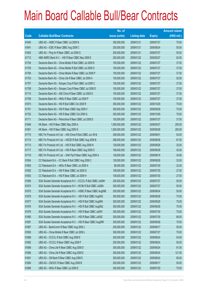|       |                                                                | No. of        |                     |               | <b>Amount raised</b> |
|-------|----------------------------------------------------------------|---------------|---------------------|---------------|----------------------|
| Code  | <b>Callable Bull/Bear Contracts</b>                            | issue (units) | <b>Listing date</b> | <b>Expiry</b> | (HK\$ mil.)          |
| 61645 | UBS AG - HSBC R Bear CBBC Jul 2009 N                           | 300,000,000   | 2009/01/21          | 2009/07/27    | 75.00                |
| 61641 | UBS AG - ICBC R Bear CBBC Aug 2009 C                           | 200,000,000   | 2009/01/21          | 2009/08/24    | 50.00                |
| 61642 | UBS AG - Ping An R Bear CBBC Jul 2009 G                        | 200,000,000   | 2009/01/21          | 2009/07/27    | 50.00                |
| 61712 | ABN AMRO Bank N.V. - HSI R Bear CBBC May 2009 E                | 250,000,000   | 2009/01/22          | 2009/05/27    | 62.50                |
| 61704 | Deutsche Bank AG - China Mobile R Bull CBBC Jul 2009 N         | 150,000,000   | 2009/01/22          | 2009/07/27    | 37.50                |
| 61705 | Deutsche Bank AG - China Mobile R Bull CBBC Jul 2009 O         | 150,000,000   | 2009/01/22          | 2009/07/27    | 37.50                |
| 61706 | Deutsche Bank AG - China Mobile R Bear CBBC Jul 2009 P         | 150,000,000   | 2009/01/22          | 2009/07/27    | 37.50                |
| 61703 | Deutsche Bank AG - China Life R Bear CBBC Jul 2009 A           | 150,000,000   | 2009/01/22          | 2009/07/27    | 52.50                |
| 61707 | Deutsche Bank AG - Sinopec Corp R Bull CBBC Jul 2009 C         | 150,000,000   | 2009/01/22          | 2009/07/27    | 37.50                |
| 61708 | Deutsche Bank AG - Sinopec Corp R Bear CBBC Jul 2009 D         | 150,000,000   | 2009/01/22          | 2009/07/27    | 37.50                |
| 61710 | Deutsche Bank AG - A50 China R Bear CBBC Jul 2009 D            | 150,000,000   | 2009/01/22          | 2009/07/27    | 37.50                |
| 61709 | Deutsche Bank AG - HKEx R Bear CBBC Jul 2009 P                 | 150,000,000   | 2009/01/22          | 2009/07/27    | 37.50                |
| 61673 | Deutsche Bank AG - HSI R Bull CBBC Oct 2009 R                  | 300,000,000   | 2009/01/22          | 2009/10/29    | 75.00                |
| 61701 | Deutsche Bank AG - HSI R Bear CBBC Sep 2009 V                  | 300,000,000   | 2009/01/22          | 2009/09/29    | 75.00                |
| 61702 | Deutsche Bank AG - HSI R Bear CBBC Oct 2009 Q                  | 300,000,000   | 2009/01/22          | 2009/10/29    | 75.00                |
| 61711 | Deutsche Bank AG - Petrochina R Bear CBBC Jul 2009 D           | 150,000,000   | 2009/01/22          | 2009/07/27    | 37.50                |
| 61646 | HK Bank - HSI R Bear CBBC May 2009 A                           | 1,000,000,000 | 2009/01/22          | 2009/05/27    | 250.00               |
| 61651 | HK Bank - HSI R Bear CBBC Aug 2009 G                           | 1,000,000,000 | 2009/01/22          | 2009/08/28    | 250.00               |
| 61715 | KBC Fin Products Int'l Ltd. - A50 China R Bull CBBC Jun 09 B   | 208,000,000   | 2009/01/22          | 2009/06/01    | 52.00                |
| 61714 | KBC Fin Products Int'l Ltd. - HSCEI R Bull CBBC Aug 2009 B     | 268,000,000   | 2009/01/22          | 2009/08/28    | 67.00                |
| 61713 | KBC Fin Products Int'l Ltd. - HSI R Bull CBBC Aug 2009 N       | 128,000,000   | 2009/01/22          | 2009/08/28    | 32.00                |
| 61717 | KBC Fin Products Int'l Ltd. - HSI R Bear CBBC Aug 2009 O       | 168,000,000   | 2009/01/22          | 2009/08/28    | 42.00                |
| 61716 | KBC Fin Products Int'l Ltd. - SHK Ppt R Bear CBBC Aug 2009 A   | 128,000,000   | 2009/01/22          | 2009/08/18    | 34.56                |
| 61654 | CC Rabobank B.A. - CC Bank R Bull CBBC Aug 2009 C              | 128,000,000   | 2009/01/22          | 2009/08/28    | 32.00                |
| 61655 | CC Rabobank B.A. - HKEx R Bear CBBC Jul 2009 A                 | 88,000,000    | 2009/01/22          | 2009/07/30    | 22.00                |
| 61652 | CC Rabobank B.A. - HSI R Bear CBBC Jul 2009 G                  | 108,000,000   | 2009/01/22          | 2009/07/30    | 27.00                |
| 61653 | CC Rabobank B.A. - HSI R Bear CBBC Jul 2009 H                  | 108,000,000   | 2009/01/22          | 2009/07/30    | 27.00                |
| 61656 | SGA Societe Generale Acceptance N.V - CCCCL R Bull CBBC Jul09H | 200,000,000   | 2009/01/22          | 2009/07/27    | 50.00                |
| 61674 | SGA Societe Generale Acceptance N.V - HS Bk R Bull CBBC Jul09A | 200,000,000   | 2009/01/22          | 2009/07/27    | 50.00                |
| 61675 | SGA Societe Generale Acceptance N.V. - HSBC R Bear CBBC Aug09B | 200,000,000   | 2009/01/22          | 2009/08/24    | 50.00                |
| 61678 | SGA Societe Generale Acceptance N.V. - HSI R Bull CBBC Aug09G  | 300,000,000   | 2009/01/22          | 2009/08/28    | 75.00                |
| 61677 | SGA Societe Generale Acceptance N.V. - HSI R Bull CBBC Aug09H  | 300,000,000   | 2009/01/22          | 2009/08/28    | 75.00                |
| 61676 | SGA Societe Generale Acceptance N.V. - HSI R Bull CBBC Aug09Q  | 300,000,000   | 2009/01/22          | 2009/08/28    | 75.00                |
| 61679 | SGA Societe Generale Acceptance N.V. - HSI R Bear CBBC Jul09Y  | 300,000,000   | 2009/01/22          | 2009/07/30    | 75.00                |
| 61680 | SGA Societe Generale Acceptance N.V. - HSI R Bear CBBC Jul09Z  | 300,000,000   | 2009/01/22          | 2009/07/30    | 88.50                |
| 61681 | SGA Societe Generale Acceptance N.V. - HSI R Bear CBBC Aug09R  | 300,000,000   | 2009/01/22          | 2009/08/28    | 75.00                |
| 61687 | UBS AG - BankComm R Bear CBBC Aug 2009 J                       | 200,000,000   | 2009/01/22          | 2009/08/17    | 50.00                |
| 61693 | UBS AG - China Mobile R Bear CBBC Jul 2009 L                   | 300,000,000   | 2009/01/22          | 2009/07/27    | 75.00                |
| 61688 | UBS AG - CCCCL R Bull CBBC Aug 2009 E                          | 200,000,000   | 2009/01/22          | 2009/08/24    | 54.00                |
| 61692 | UBS AG - CCCCL R Bear CBBC Aug 2009 F                          | 200,000,000   | 2009/01/22          | 2009/08/24    | 50.00                |
| 61689 | UBS AG - China Life R Bear CBBC Aug 2009 D                     | 300,000,000   | 2009/01/22          | 2009/08/24    | 91.50                |
| 61690 | UBS AG - China Life R Bear CBBC Aug 2009 E                     | 300,000,000   | 2009/01/22          | 2009/08/24    | 121.50               |
| 61691 | UBS AG - CM Bank R Bear CBBC Aug 2009 E                        | 200,000,000   | 2009/01/22          | 2009/08/24    | 65.00                |
| 61694 | UBS AG - CNOOC R Bear CBBC Aug 2009 B                          | 200,000,000   | 2009/01/22          | 2009/08/17    | 50.00                |
| 61696 | UBS AG - HKEx R Bear CBBC Jul 2009 E                           | 300,000,000   | 2009/01/22          | 2009/07/20    | 75.00                |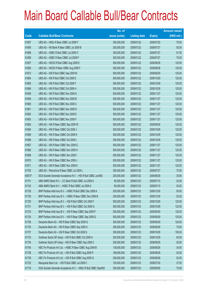|        |                                                                | No. of        |                     |               | <b>Amount raised</b> |
|--------|----------------------------------------------------------------|---------------|---------------------|---------------|----------------------|
| Code   | <b>Callable Bull/Bear Contracts</b>                            | issue (units) | <b>Listing date</b> | <b>Expiry</b> | $(HK$$ mil.)         |
| 61697  | UBS AG - HKEx R Bear CBBC Jul 2009 F                           | 300,000,000   | 2009/01/22          | 2009/07/20    | 75.00                |
| 61695  | UBS AG - HS Bank R Bear CBBC Jul 2009 B                        | 200,000,000   | 2009/01/22          | 2009/07/27    | 50.00                |
| 61698  | UBS AG - HSBC R Bull CBBC Jul 2009 O                           | 300,000,000   | 2009/01/22          | 2009/07/27    | 91.50                |
| 61699  | UBS AG - HSBC R Bear CBBC Jul 2009 P                           | 300,000,000   | 2009/01/22          | 2009/07/27    | 75.00                |
| 61657  | UBS AG - HSCEI R Bull CBBC Aug 2009 E                          | 500,000,000   | 2009/01/22          | 2009/08/28    | 125.00               |
| 61682  | UBS AG - HSCEI R Bear CBBC Aug 2009 F                          | 500,000,000   | 2009/01/22          | 2009/08/28    | 125.00               |
| 61672  | UBS AG - HSI R Bull CBBC Sep 2009 M                            | 500,000,000   | 2009/01/22          | 2009/09/29    | 125.00               |
| 61664  | UBS AG - HSI R Bull CBBC Oct 2009 E                            | 500,000,000   | 2009/01/22          | 2009/10/29    | 125.00               |
| 61665  | UBS AG - HSI R Bull CBBC Oct 2009 F                            | 500,000,000   | 2009/01/22          | 2009/10/29    | 125.00               |
| 61666  | UBS AG - HSI R Bull CBBC Oct 2009 H                            | 500,000,000   | 2009/01/22          | 2009/10/29    | 125.00               |
| 61658  | UBS AG - HSI R Bull CBBC Nov 2009 A                            | 500,000,000   | 2009/01/22          | 2009/11/27    | 125.00               |
| 61659  | UBS AG - HSI R Bull CBBC Nov 2009 B                            | 500,000,000   | 2009/01/22          | 2009/11/27    | 125.00               |
| 61660  | UBS AG - HSI R Bull CBBC Nov 2009 C                            | 500,000,000   | 2009/01/22          | 2009/11/27    | 125.00               |
| 61661  | UBS AG - HSI R Bull CBBC Nov 2009 D                            | 500,000,000   | 2009/01/22          | 2009/11/27    | 125.00               |
| 61662  | UBS AG - HSI R Bull CBBC Nov 2009 E                            | 500,000,000   | 2009/01/22          | 2009/11/27    | 125.00               |
| 61663  | UBS AG - HSI R Bull CBBC Nov 2009 F                            | 500,000,000   | 2009/01/22          | 2009/11/27    | 125.00               |
| 61683  | UBS AG - HSI R Bear CBBC Sep 2009 W                            | 500,000,000   | 2009/01/22          | 2009/09/29    | 125.00               |
| 61684  | UBS AG - HSI R Bear CBBC Oct 2009 J                            | 500,000,000   | 2009/01/22          | 2009/10/29    | 125.00               |
| 61685  | UBS AG - HSI R Bear CBBC Oct 2009 K                            | 500,000,000   | 2009/01/22          | 2009/10/29    | 125.00               |
| 61686  | UBS AG - HSI R Bear CBBC Oct 2009 L                            | 500,000,000   | 2009/01/22          | 2009/10/29    | 125.00               |
| 61667  | UBS AG - HSI R Bear CBBC Nov 2009 G                            | 500,000,000   | 2009/01/22          | 2009/11/27    | 125.00               |
| 61668  | UBS AG - HSI R Bear CBBC Nov 2009 H                            | 500,000,000   | 2009/01/22          | 2009/11/27    | 125.00               |
| 61669  | UBS AG - HSI R Bear CBBC Nov 2009 I                            | 500,000,000   | 2009/01/22          | 2009/11/27    | 125.00               |
| 61670  | UBS AG - HSI R Bear CBBC Nov 2009 J                            | 500,000,000   | 2009/01/22          | 2009/11/27    | 125.00               |
| 61671  | UBS AG - HSI R Bear CBBC Nov 2009 K                            | 500,000,000   | 2009/01/22          | 2009/11/27    | 125.00               |
| 61700  | UBS AG - Petrochina R Bear CBBC Jul 2009 L                     | 300,000,000   | 2009/01/22          | 2009/07/27    | 75.00                |
| 60673# | SGA Societe Generale Acceptance N.V. - HSI R Bull CBBC Jun09G  | 200,000,000   | 2009/01/22          | 2009/06/29    | 30.80                |
| 61741  | ABN AMRO Bank N.V. - CC Bank R Bull CBBC Jul 2009 A            | 80,000,000    | 2009/01/23          | 2009/07/10    | 20.00                |
| 61742  | ABN AMRO Bank N.V. - HSBC R Bull CBBC Jul 2009 A               | 80,000,000    | 2009/01/23          | 2009/07/10    | 20.00                |
| 61726  | BNP Paribas Arbit Issu B.V. - HSBC R Bull CBBC Dec 2009 A      | 200,000,000   | 2009/01/23          | 2009/12/30    | 50.00                |
| 61730  | BNP Paribas Arbit Issu B.V. - HSBC R Bear CBBC Dec 2009 B      | 200,000,000   | 2009/01/23          | 2009/12/30    | 52.00                |
| 61720  | BNP Paribas Arbit Issu B.V. - HSI R Bull CBBC Oct 2009 F       | 500,000,000   | 2009/01/23          | 2009/10/29    | 125.00               |
| 61721  | BNP Paribas Arbit Issu B.V. - HSI R Bull CBBC Oct 2009 G       | 500,000,000   | 2009/01/23          | 2009/10/29    | 125.00               |
| 61723  | BNP Paribas Arbit Issu B.V. - HSI R Bear CBBC Sep 2009 P       | 500,000,000   | 2009/01/23          | 2009/09/29    | 125.00               |
| 61724  | BNP Paribas Arbit Issu B.V. - HSI R Bear CBBC Sep 2009 Q       | 500,000,000   | 2009/01/23          | 2009/09/29    | 125.00               |
| 61736  | Deutsche Bank AG - HSI R Bear CBBC Sep 2009 Q                  | 300,000,000   | 2009/01/23          | 2009/09/29    | 120.00               |
| 61735  | Deutsche Bank AG - HSI R Bear CBBC Sep 2009 X                  | 300,000,000   | 2009/01/23          | 2009/09/29    | 75.00                |
| 61737  | Deutsche Bank AG - HSI R Bear CBBC Oct 2009 S                  | 300,000,000   | 2009/01/23          | 2009/10/29    | 105.00               |
| 61733  | Goldman Sachs SP (Asia) - HSI R Bull CBBC Oct 2009 A           | 200,000,000   | 2009/01/23          | 2009/10/29    | 50.00                |
| 61734  | Goldman Sachs SP (Asia) - HSI R Bear CBBC Sep 2009 C           | 200,000,000   | 2009/01/23          | 2009/09/29    | 50.00                |
| 61740  | KBC Fin Products Int'l Ltd. - HSBC R Bear CBBC Aug 2009 B      | 138,000,000   | 2009/01/23          | 2009/08/28    | 34.50                |
| 61738  | KBC Fin Products Int'l Ltd. - HSI R Bull CBBC Aug 2009 P       | 168,000,000   | 2009/01/23          | 2009/08/28    | 42.00                |
| 61739  | KBC Fin Products Int'l Ltd. - HSI R Bull CBBC Aug 2009 Q       | 208,000,000   | 2009/01/23          | 2009/08/28    | 52.00                |
| 61725  | Macquarie Bank Ltd. - HSI R Bull CBBC Jul 2009 C               | 150,000,000   | 2009/01/23          | 2009/07/30    | 37.50                |
| 61718  | SGA Societe Generale Acceptance N.V. - HKEx R Bull CBBC Sep09G | 300,000,000   | 2009/01/23          | 2009/09/29    | 75.00                |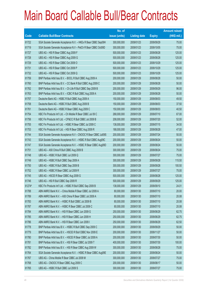|             |                                                                | No. of        |                     |               | <b>Amount raised</b> |
|-------------|----------------------------------------------------------------|---------------|---------------------|---------------|----------------------|
| <b>Code</b> | <b>Callable Bull/Bear Contracts</b>                            | issue (units) | <b>Listing date</b> | <b>Expiry</b> | $(HK$$ mil.)         |
| 61722       | SGA Societe Generale Acceptance N.V. - HKEx R Bear CBBC Sep09H | 300,000,000   | 2009/01/23          | 2009/09/29    | 75.00                |
| 61719       | SGA Societe Generale Acceptance N.V - PetCh R Bear CBBC Oct09D | 300,000,000   | 2009/01/23          | 2009/10/05    | 75.00                |
| 61727       | UBS AG - HSI R Bear CBBC Aug 2009 F                            | 500,000,000   | 2009/01/23          | 2009/08/28    | 125.00               |
| 61728       | UBS AG - HSI R Bear CBBC Aug 2009 G                            | 500,000,000   | 2009/01/23          | 2009/08/28    | 125.00               |
| 61729       | UBS AG - HSI R Bear CBBC Oct 2009 O                            | 500,000,000   | 2009/01/23          | 2009/10/29    | 125.00               |
| 61731       | UBS AG - HSI R Bear CBBC Oct 2009 P                            | 500,000,000   | 2009/01/23          | 2009/10/29    | 125.00               |
| 61732       | UBS AG - HSI R Bear CBBC Oct 2009 Q                            | 500,000,000   | 2009/01/23          | 2009/10/29    | 125.00               |
| 61759       | BNP Paribas Arbit Issu B.V. - BOCL R Bull CBBC Aug 2009 A      | 200,000,000   | 2009/01/29          | 2009/08/28    | 50.00                |
| 61760       | BNP Paribas Arbit Issu B.V. - CC Bank R Bull CBBC Aug 2009 C   | 200,000,000   | 2009/01/29          | 2009/08/28    | 50.00                |
| 61762       | BNP Paribas Arbit Issu B.V. - Ch Life R Bull CBBC Sep 2009 B   | 200,000,000   | 2009/01/29          | 2009/09/29    | 96.00                |
| 61763       | BNP Paribas Arbit Issu B.V. - ICBC R Bull CBBC Aug 2009 A      | 200,000,000   | 2009/01/29          | 2009/08/28    | 50.00                |
| 61757       | Deutsche Bank AG - HSBC R Bull CBBC Aug 2009 A                 | 150,000,000   | 2009/01/29          | 2009/08/03    | 49.50                |
| 61758       | Deutsche Bank AG - HSBC R Bull CBBC Aug 2009 B                 | 150,000,000   | 2009/01/29          | 2009/08/03    | 37.50                |
| 61761       | Deutsche Bank AG - HSBC R Bear CBBC Aug 2009 C                 | 150,000,000   | 2009/01/29          | 2009/08/03    | 40.50                |
| 61754       | KBC Fin Products Int'l Ltd. - Ch Mobile R Bear CBBC Jul 09 C   | 268,000,000   | 2009/01/29          | 2009/07/10    | 67.00                |
| 61756       | KBC Fin Products Int'l Ltd. - CP&CC R Bull CBBC Jul 2009 B     | 208,000,000   | 2009/01/29          | 2009/07/20    | 52.00                |
| 61755       | KBC Fin Products Int'l Ltd. - HSBC R Bear CBBC Jul 2009 C      | 138,000,000   | 2009/01/29          | 2009/07/15    | 34.50                |
| 61753       | KBC Fin Products Int'l Ltd. - HSI R Bear CBBC Aug 2009 R       | 188,000,000   | 2009/01/29          | 2009/08/28    | 47.00                |
| 61744       | SGA Societe Generale Acceptance N.V - CNOOC R Bear CBBC Jul09S | 200,000,000   | 2009/01/29          | 2009/07/24    | 50.00                |
| 61743       | SGA Societe Generale Acceptance N.V. - HSBC R Bull CBBC Aug09C | 200,000,000   | 2009/01/29          | 2009/08/24    | 50.00                |
| 61747       | SGA Societe Generale Acceptance N.V. - HSBC R Bear CBBC Aug09D | 200,000,000   | 2009/01/29          | 2009/08/24    | 50.00                |
| 61751       | UBS AG - A50 China R Bull CBBC Aug 2009 B                      | 300,000,000   | 2009/01/29          | 2009/08/24    | 75.00                |
| 61748       | UBS AG - HSBC R Bull CBBC Jul 2009 Q                           | 300,000,000   | 2009/01/29          | 2009/07/27    | 75.00                |
| 61749       | UBS AG - HSBC R Bull CBBC Sep 2009 A                           | 300,000,000   | 2009/01/29          | 2009/09/28    | 115.50               |
| 61750       | UBS AG - HSBC R Bull CBBC Sep 2009 B                           | 300,000,000   | 2009/01/29          | 2009/09/28    | 100.50               |
| 61752       | UBS AG - HSBC R Bear CBBC Jul 2009 R                           | 300,000,000   | 2009/01/29          | 2009/07/27    | 75.00                |
| 61745       | UBS AG - HSCEI R Bear CBBC Aug 2009 G                          | 500,000,000   | 2009/01/29          | 2009/08/28    | 125.00               |
| 61746       | UBS AG - HSI R Bull CBBC Sep 2009 R                            | 500,000,000   | 2009/01/29          | 2009/09/29    | 125.00               |
| 61274#      | KBC Fin Products Int'l Ltd. - HSBC R Bull CBBC Sep 2009 B      | 138,000,000   | 2009/01/29          | 2009/09/10    | 24.01                |
| 61788       | ABN AMRO Bank N.V. - China Mobile R Bear CBBC Jul 2009 A       | 80,000,000    | 2009/01/30          | 2009/07/10    | 20.00                |
| 61789       | ABN AMRO Bank N.V. - A50 China R Bear CBBC Jul 2009 A          | 80,000,000    | 2009/01/30          | 2009/07/10    | 20.08                |
| 61783       | ABN AMRO Bank N.V. - HSBC R Bull CBBC Jul 2009 B               | 80,000,000    | 2009/01/30          | 2009/07/10    | 20.08                |
| 61787       | ABN AMRO Bank N.V. - HSBC R Bear CBBC Jul 2009 C               | 80,000,000    | 2009/01/30          | 2009/07/10    | 20.08                |
| 61784       | ABN AMRO Bank N.V. - HSI R Bear CBBC Jun 2009 G                | 250,000,000   | 2009/01/30          | 2009/06/29    | 62.75                |
| 61785       | ABN AMRO Bank N.V. - HSI R Bear CBBC Jun 2009 H                | 250,000,000   | 2009/01/30          | 2009/06/29    | 62.75                |
| 61786       | ABN AMRO Bank N.V. - HSI R Bear CBBC Jun 2009 I                | 250,000,000   | 2009/01/30          | 2009/06/29    | 62.50                |
| 61778       | BNP Paribas Arbit Issu B.V. - HSBC R Bull CBBC Sep 2009 C      | 200,000,000   | 2009/01/30          | 2009/09/29    | 50.00                |
| 61779       | BNP Paribas Arbit Issu B.V. - HSCEI R Bull CBBC Nov 2009 E     | 200,000,000   | 2009/01/30          | 2009/11/27    | 50.00                |
| 61780       | BNP Paribas Arbit Issu B.V. - HSCEI R Bear CBBC Jul 2009 A     | 200,000,000   | 2009/01/30          | 2009/07/30    | 50.00                |
| 61781       | BNP Paribas Arbit Issu B.V. - HSI R Bear CBBC Jul 2009 T       | 400,000,000   | 2009/01/30          | 2009/07/30    | 100.00               |
| 61782       | BNP Paribas Arbit Issu B.V. - HSI R Bear CBBC Aug 2009 W       | 300,000,000   | 2009/01/30          | 2009/08/28    | 75.00                |
| 61764       | SGA Societe Generale Acceptance N.V. - HSBC R Bear CBBC Aug09E | 200,000,000   | 2009/01/30          | 2009/08/24    | 50.00                |
| 61767       | UBS AG - China Mobile R Bear CBBC Jul 2009 M                   | 300,000,000   | 2009/01/30          | 2009/07/27    | 75.00                |
| 61768       | UBS AG - CNOOC R Bear CBBC Aug 2009 C                          | 200,000,000   | 2009/01/30          | 2009/08/17    | 50.00                |
| 61765       | UBS AG - HSBC R Bull CBBC Jul 2009 S                           | 300,000,000   | 2009/01/30          | 2009/07/27    | 75.00                |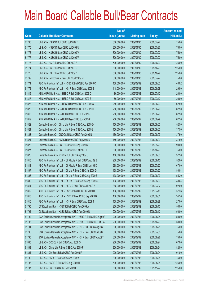|                          |                                                                | No. of        |                     |               | <b>Amount raised</b> |
|--------------------------|----------------------------------------------------------------|---------------|---------------------|---------------|----------------------|
| $\overline{\text{Code}}$ | <b>Callable Bull/Bear Contracts</b>                            | issue (units) | <b>Listing date</b> | <b>Expiry</b> | $(HK$$ mil.)         |
| 61766                    | UBS AG - HSBC R Bull CBBC Jul 2009 T                           | 300,000,000   | 2009/01/30          | 2009/07/27    | 75.00                |
| 61770                    | UBS AG - HSBC R Bear CBBC Jul 2009 U                           | 300,000,000   | 2009/01/30          | 2009/07/27    | 75.00                |
| 61776                    | UBS AG - HSBC R Bear CBBC Jul 2009 V                           | 300,000,000   | 2009/01/30          | 2009/07/20    | 75.00                |
| 61777                    | UBS AG - HSBC R Bear CBBC Jul 2009 W                           | 300,000,000   | 2009/01/30          | 2009/07/20    | 75.00                |
| 61773                    | UBS AG - HSI R Bear CBBC Oct 2009 A                            | 500,000,000   | 2009/01/30          | 2009/10/29    | 125.00               |
| 61774                    | UBS AG - HSI R Bear CBBC Oct 2009 R                            | 500,000,000   | 2009/01/30          | 2009/10/29    | 125.00               |
| 61775                    | UBS AG - HSI R Bear CBBC Oct 2009 Z                            | 500,000,000   | 2009/01/30          | 2009/10/29    | 125.00               |
| 61769                    | UBS AG - Petrochina R Bear CBBC Jul 2009 M                     | 300,000,000   | 2009/01/30          | 2009/07/27    | 75.00                |
| 61771                    | KBC Fin Products Int'l Ltd. - HSBC R Bull CBBC Aug 2009 C      | 138,000,000   | 2009/02/02          | 2009/08/03    | 40.02                |
| 61772                    | KBC Fin Products Int'l Ltd. - HSI R Bear CBBC Aug 2009 S       | 118,000,000   | 2009/02/02          | 2009/08/28    | 29.50                |
| 61816                    | ABN AMRO Bank N.V. - HSBC R Bull CBBC Jul 2009 D               | 80,000,000    | 2009/02/02          | 2009/07/10    | 20.00                |
| 61817                    | ABN AMRO Bank N.V. - HSBC R Bull CBBC Jul 2009 E               | 80,000,000    | 2009/02/02          | 2009/07/10    | 20.00                |
| 61828                    | ABN AMRO Bank N.V. - HSCEI R Bear CBBC Jun 2009 G              | 250,000,000   | 2009/02/02          | 2009/06/29    | 62.50                |
| 61820                    | ABN AMRO Bank N.V. - HSCEI R Bear CBBC Jun 2009 H              | 250,000,000   | 2009/02/02          | 2009/06/29    | 62.50                |
| 61818                    | ABN AMRO Bank N.V. - HSI R Bear CBBC Jun 2009 J                | 250,000,000   | 2009/02/02          | 2009/06/29    | 62.50                |
| 61819                    | ABN AMRO Bank N.V. - HSI R Bear CBBC Jun 2009 K                | 250,000,000   | 2009/02/02          | 2009/06/29    | 62.50                |
| 61822                    | Deutsche Bank AG - China Life R Bear CBBC Aug 2009 D           | 150,000,000   | 2009/02/02          | 2009/08/03    | 52.50                |
| 61821                    | Deutsche Bank AG - China Life R Bear CBBC Aug 2009 Z           | 150,000,000   | 2009/02/02          | 2009/08/03    | 37.50                |
| 61823                    | Deutsche Bank AG - CNOOC R Bear CBBC Aug 2009 B                | 150,000,000   | 2009/02/02          | 2009/08/03    | 37.50                |
| 61824                    | Deutsche Bank AG - HSBC R Bear CBBC Aug 2009 D                 | 150,000,000   | 2009/02/02          | 2009/08/03    | 37.50                |
| 61826                    | Deutsche Bank AG - HSI R Bear CBBC Sep 2009 W                  | 300,000,000   | 2009/02/02          | 2009/09/29    | 90.00                |
| 61827                    | Deutsche Bank AG - HSI R Bear CBBC Oct 2009 T                  | 300,000,000   | 2009/02/02          | 2009/10/29    | 75.00                |
| 61825                    | Deutsche Bank AG - ICBC R Bull CBBC Aug 2009 C                 | 150,000,000   | 2009/02/02          | 2009/08/03    | 37.50                |
| 61810                    | KBC Fin Products Int'l Ltd. - Ch Mobile R Bull CBBC Aug 09 B   | 208,000,000   | 2009/02/02          | 2009/08/10    | 52.00                |
| 61811                    | KBC Fin Products Int'l Ltd. - Ch Mobile R Bear CBBC Jul 09 D   | 268,000,000   | 2009/02/02          | 2009/07/20    | 67.00                |
| 61807                    | KBC Fin Products Int'l Ltd. - Ch Life R Bear CBBC Jul 2009 D   | 138,000,000   | 2009/02/02          | 2009/07/20    | 80.04                |
| 61808                    | KBC Fin Products Int'l Ltd. - Ch Life R Bear CBBC Aug 2009 B   | 138,000,000   | 2009/02/02          | 2009/08/03    | 55.20                |
| 61809                    | KBC Fin Products Int'l Ltd. - Ch Life R Bear CBBC Sep 2009 C   | 138,000,000   | 2009/02/02          | 2009/09/09    | 38.64                |
| 61814                    | KBC Fin Products Int'l Ltd. - HKEx R Bear CBBC Jul 2009 A      | 368,000,000   | 2009/02/02          | 2009/07/02    | 92.00                |
| 61812                    | KBC Fin Products Int'l Ltd. - HSBC R Bull CBBC Jul 2009 D      | 138,000,000   | 2009/02/02          | 2009/07/10    | 37.26                |
| 61813                    | KBC Fin Products Int'l Ltd. - HSBC R Bear CBBC Sep 2009 D      | 138,000,000   | 2009/02/02          | 2009/09/01    | 34.50                |
| 61815                    | KBC Fin Products Int'l Ltd. - HSI R Bear CBBC Aug 2009 T       | 108,000,000   | 2009/02/02          | 2009/08/28    | 27.00                |
| 61790                    | CC Rabobank B.A. - HSBC R Bull CBBC Aug 2009 A                 | 200,000,000   | 2009/02/02          | 2009/08/10    | 50.00                |
| 61794                    | CC Rabobank B.A. - HSBC R Bear CBBC Aug 2009 B                 | 200,000,000   | 2009/02/02          | 2009/08/10    | 50.00                |
| 61792                    | SGA Societe Generale Acceptance N.V. - HSBC R Bull CBBC Aug09F | 200,000,000   | 2009/02/02          | 2009/08/24    | 50.00                |
| 61793                    | SGA Societe Generale Acceptance N.V. - HSBC R Bull CBBC Oct09A | 200,000,000   | 2009/02/02          | 2009/10/23    | 50.00                |
| 61791                    | SGA Societe Generale Acceptance N.V. - HSI R Bull CBBC Aug09S  | 300,000,000   | 2009/02/02          | 2009/08/28    | 75.00                |
| 61796                    | SGA Societe Generale Acceptance N.V. - HSI R Bear CBBC Jul09B  | 300,000,000   | 2009/02/02          | 2009/07/30    | 75.00                |
| 61795                    | SGA Societe Generale Acceptance N.V. - HSI R Bear CBBC Aug09T  | 300,000,000   | 2009/02/02          | 2009/08/28    | 75.00                |
| 61800                    | UBS AG - CCCCL R Bull CBBC Aug 2009 G                          | 200,000,000   | 2009/02/02          | 2009/08/24    | 67.00                |
| 61803                    | UBS AG - China Life R Bear CBBC Aug 2009 F                     | 300,000,000   | 2009/02/02          | 2009/08/24    | 82.50                |
| 61804                    | UBS AG - CM Bank R Bull CBBC Aug 2009 F                        | 200,000,000   | 2009/02/02          | 2009/08/24    | 101.00               |
| 61799                    | UBS AG - HKEx R Bear CBBC Sep 2009 A                           | 300,000,000   | 2009/02/02          | 2009/09/28    | 75.00                |
| 61798                    | UBS AG - HSCEI R Bull CBBC Aug 2009 H                          | 500,000,000   | 2009/02/02          | 2009/08/28    | 125.00               |
| 61797                    | UBS AG - HSI R Bull CBBC Nov 2009 L                            | 500,000,000   | 2009/02/02          | 2009/11/27    | 125.00               |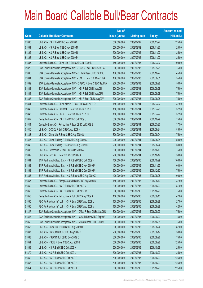|       |                                                                | No. of        |                     |               | <b>Amount raised</b> |
|-------|----------------------------------------------------------------|---------------|---------------------|---------------|----------------------|
| Code  | <b>Callable Bull/Bear Contracts</b>                            | issue (units) | <b>Listing date</b> | <b>Expiry</b> | (HK\$ mil.)          |
| 61805 | UBS AG - HSI R Bull CBBC Nov 2009 O                            | 500,000,000   | 2009/02/02          | 2009/11/27    | 125.00               |
| 61801 | UBS AG - HSI R Bear CBBC Nov 2009 M                            | 500,000,000   | 2009/02/02          | 2009/11/27    | 125.00               |
| 61802 | UBS AG - HSI R Bear CBBC Nov 2009 N                            | 500,000,000   | 2009/02/02          | 2009/11/27    | 125.00               |
| 61806 | UBS AG - HSI R Bear CBBC Nov 2009 P                            | 500,000,000   | 2009/02/02          | 2009/11/27    | 125.00               |
| 61835 | Deutsche Bank AG - China Life R Bull CBBC Jul 2009 B           | 150,000,000   | 2009/02/03          | 2009/07/27    | 109.50               |
| 61829 | SGA Societe Generale Acceptance N.V. - CCB R Bear CBBC Sep09A  | 300,000,000   | 2009/02/03          | 2009/09/28    | 75.00                |
| 61830 | SGA Societe Generale Acceptance N.V - CLife R Bear CBBC Oct09C | 100,000,000   | 2009/02/03          | 2009/10/27    | 45.00                |
| 61831 | SGA Societe Generale Acceptance N.V. - CMB R Bear CBBC Aug 09A | 100,000,000   | 2009/02/03          | 2009/08/31    | 55.00                |
| 61832 | SGA Societe Generale Acceptance N.V - CP&CC R Bear CBBC Sep09A | 200,000,000   | 2009/02/03          | 2009/09/28    | 50.00                |
| 61833 | SGA Societe Generale Acceptance N.V. - HSI R Bull CBBC Aug091  | 300,000,000   | 2009/02/03          | 2009/08/28    | 75.00                |
| 61834 | SGA Societe Generale Acceptance N.V. - HSI R Bull CBBC Aug09U  | 300,000,000   | 2009/02/03          | 2009/08/28    | 75.00                |
| 61837 | SGA Societe Generale Acceptance N.V. - HSI R Bear CBBC Aug09V  | 300,000,000   | 2009/02/03          | 2009/08/28    | 75.00                |
| 61841 | Deutsche Bank AG - China Mobile R Bear CBBC Jul 2009 Q         | 150,000,000   | 2009/02/04          | 2009/07/27    | 37.50                |
| 61840 | Deutsche Bank AG - CC Bank R Bear CBBC Jul 2009 I              | 150,000,000   | 2009/02/04          | 2009/07/20    | 37.50                |
| 61843 | Deutsche Bank AG - HKEx R Bear CBBC Jul 2009 Q                 | 150,000,000   | 2009/02/04          | 2009/07/27    | 37.50                |
| 61842 | Deutsche Bank AG - HSI R Bull CBBC Oct 2009 U                  | 300,000,000   | 2009/02/04          | 2009/10/29    | 75.00                |
| 61844 | Deutsche Bank AG - Petrochina R Bear CBBC Jul 2009 E           | 150,000,000   | 2009/02/04          | 2009/07/27    | 37.50                |
| 61846 | UBS AG - CCCCL R Bull CBBC Aug 2009 H                          | 200,000,000   | 2009/02/04          | 2009/08/24    | 83.00                |
| 61838 | UBS AG - China Life R Bear CBBC Aug 2009 G                     | 300,000,000   | 2009/02/04          | 2009/08/24    | 75.00                |
| 61845 | UBS AG - China Railway R Bull CBBC Aug 2009 A                  | 200,000,000   | 2009/02/04          | 2009/08/24    | 50.00                |
| 61849 | UBS AG - China Railway R Bear CBBC Aug 2009 B                  | 200,000,000   | 2009/02/04          | 2009/08/24    | 50.00                |
| 61836 | UBS AG - Petrochina R Bear CBBC Oct 2009 A                     | 300,000,000   | 2009/02/04          | 2009/10/19    | 75.00                |
| 61839 | UBS AG - Ping An R Bear CBBC Oct 2009 A                        | 200,000,000   | 2009/02/04          | 2009/10/19    | 50.00                |
| 61861 | BNP Paribas Arbit Issu B.V. - HSI R Bull CBBC Oct 2009 H       | 400,000,000   | 2009/02/05          | 2009/10/29    | 100.00               |
| 61862 | BNP Paribas Arbit Issu B.V. - HSI R Bull CBBC Nov 2009 P       | 400,000,000   | 2009/02/05          | 2009/11/27    | 100.00               |
| 61863 | BNP Paribas Arbit Issu B.V. - HSI R Bull CBBC Dec 2009 P       | 300,000,000   | 2009/02/05          | 2009/12/30    | 75.00                |
| 61865 | BNP Paribas Arbit Issu B.V. - HSI R Bear CBBC Aug 2009 X       | 400.000.000   | 2009/02/05          | 2009/08/28    | 100.00               |
| 61857 | Deutsche Bank AG - Sinopec Corp R Bull CBBC Aug 2009 D         | 150,000,000   | 2009/02/05          | 2009/08/10    | 37.50                |
| 61859 | Deutsche Bank AG - HSI R Bull CBBC Oct 2009 V                  | 300,000,000   | 2009/02/05          | 2009/10/29    | 81.00                |
| 61860 | Deutsche Bank AG - HSI R Bull CBBC Oct 2009 W                  | 300,000,000   | 2009/02/05          | 2009/10/29    | 75.00                |
| 61858 | Deutsche Bank AG - Petrochina R Bull CBBC Aug 2009 A           | 150,000,000   | 2009/02/05          | 2009/08/10    | 42.00                |
| 61855 | KBC Fin Products Int'l Ltd. - HSI R Bear CBBC Aug 2009 U       | 108,000,000   | 2009/02/05          | 2009/08/28    | 27.00                |
| 61856 | KBC Fin Products Int'l Ltd. - HSI R Bear CBBC Aug 2009 V       | 168,000,000   | 2009/02/05          | 2009/08/28    | 42.00                |
| 61847 | SGA Societe Generale Acceptance N.V. - CMob R Bear CBBC Sep09D | 300,000,000   | 2009/02/05          | 2009/09/29    | 75.00                |
| 61848 | SGA Societe Generale Acceptance N.V. - ICBC R Bear CBBC Sep09A | 300,000,000   | 2009/02/05          | 2009/09/29    | 75.00                |
| 61850 | SGA Societe Generale Acceptance N.V - PetCh R Bear CBBC Oct09E | 300,000,000   | 2009/02/05          | 2009/10/05    | 75.00                |
| 61866 | UBS AG - China Life R Bull CBBC Aug 2009 H                     | 300,000,000   | 2009/02/05          | 2009/08/24    | 87.00                |
| 61867 | UBS AG - CNOOC R Bull CBBC Aug 2009 D                          | 200,000,000   | 2009/02/05          | 2009/08/17    | 50.00                |
| 61868 | UBS AG - HSBC R Bull CBBC Sep 2009 C                           | 300,000,000   | 2009/02/05          | 2009/09/28    | 75.00                |
| 61851 | UBS AG - HSCEIR Bear CBBC Aug 2009 I                           | 500,000,000   | 2009/02/05          | 2009/08/28    | 125.00               |
| 61869 | UBS AG - HSI R Bull CBBC Oct 2009 K                            | 500,000,000   | 2009/02/05          | 2009/10/29    | 125.00               |
| 61870 | UBS AG - HSI R Bull CBBC Oct 2009 L                            | 500,000,000   | 2009/02/05          | 2009/10/29    | 125.00               |
| 61852 | UBS AG - HSI R Bear CBBC Oct 2009 F                            | 500,000,000   | 2009/02/05          | 2009/10/29    | 125.00               |
| 61853 | UBS AG - HSI R Bear CBBC Oct 2009 H                            | 500,000,000   | 2009/02/05          | 2009/10/29    | 125.00               |
| 61854 | UBS AG - HSI R Bear CBBC Oct 2009 J                            | 500,000,000   | 2009/02/05          | 2009/10/29    | 125.00               |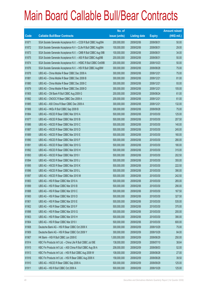|             |                                                                | No. of        |                     |               | <b>Amount raised</b> |
|-------------|----------------------------------------------------------------|---------------|---------------------|---------------|----------------------|
| <b>Code</b> | <b>Callable Bull/Bear Contracts</b>                            | issue (units) | <b>Listing date</b> | <b>Expiry</b> | $(HK$$ mil.)         |
| 61871       | SGA Societe Generale Acceptance N.V. - CCB R Bull CBBC Aug09A  | 200,000,000   | 2009/02/06          | 2009/08/31    | 50.00                |
| 61872       | SGA Societe Generale Acceptance N.V - CLife R Bull CBBC Aug09A | 100,000,000   | 2009/02/06          | 2009/08/31    | 29.00                |
| 61873       | SGA Societe Generale Acceptance N.V. - CMB R Bull CBBC Aug 09B | 100,000,000   | 2009/02/06          | 2009/08/31    | 34.00                |
| 61875       | SGA Societe Generale Acceptance N.V. - A50 R Bull CBBC Aug09B  | 200,000,000   | 2009/02/06          | 2009/08/31    | 50.00                |
| 61874       | SGA Societe Generale Acceptance N.V. - HSBC R Bull CBBC Oct09B | 200,000,000   | 2009/02/06          | 2009/10/23    | 50.00                |
| 61876       | SGA Societe Generale Acceptance N.V. - HSI R Bull CBBC Aug09W  | 300,000,000   | 2009/02/06          | 2009/08/28    | 75.00                |
| 61878       | UBS AG - China Mobile R Bear CBBC Dec 2009 A                   | 300,000,000   | 2009/02/06          | 2009/12/21    | 75.00                |
| 61881       | UBS AG - China Mobile R Bear CBBC Dec 2009 B                   | 300,000,000   | 2009/02/06          | 2009/12/21    | 81.00                |
| 61880       | UBS AG - China Mobile R Bear CBBC Dec 2009 C                   | 300,000,000   | 2009/02/06          | 2009/12/21    | 93.00                |
| 61879       | UBS AG - China Mobile R Bear CBBC Dec 2009 D                   | 300,000,000   | 2009/02/06          | 2009/12/21    | 105.00               |
| 61905       | UBS AG - CM Bank R Bull CBBC Aug 2009 G                        | 200,000,000   | 2009/02/06          | 2009/08/24    | 61.00                |
| 61882       | UBS AG - CNOOC R Bear CBBC Dec 2009 A                          | 200,000,000   | 2009/02/06          | 2009/12/21    | 61.00                |
| 61885       | UBS AG - A50 China R Bear CBBC Dec 2009 A                      | 300,000,000   | 2009/02/06          | 2009/12/21    | 132.00               |
| 61906       | UBS AG - HKEx R Bull CBBC Sep 2009 B                           | 300,000,000   | 2009/02/06          | 2009/09/28    | 75.00                |
| 61884       | UBS AG - HSCEI R Bear CBBC Mar 2010 A                          | 500,000,000   | 2009/02/06          | 2010/03/30    | 125.00               |
| 61877       | UBS AG - HSCEIR Bear CBBC Mar 2010 B                           | 500,000,000   | 2009/02/06          | 2010/03/30    | 207.50               |
| 61886       | UBS AG - HSCEI R Bear CBBC Mar 2010 C                          | 500,000,000   | 2009/02/06          | 2010/03/30    | 140.00               |
| 61887       | UBS AG - HSCEIR Bear CBBC Mar 2010 D                           | 500,000,000   | 2009/02/06          | 2010/03/30    | 245.00               |
| 61889       | UBS AG - HSCEI R Bear CBBC Mar 2010 E                          | 500,000,000   | 2009/02/06          | 2010/03/30    | 160.00               |
| 61890       | UBS AG - HSCEIR Bear CBBC Mar 2010 F                           | 500,000,000   | 2009/02/06          | 2010/03/30    | 280.00               |
| 61891       | UBS AG - HSCEI R Bear CBBC Mar 2010 G                          | 500,000,000   | 2009/02/06          | 2010/03/30    | 180.00               |
| 61892       | UBS AG - HSCEI R Bear CBBC Mar 2010 H                          | 500,000,000   | 2009/02/06          | 2010/03/30    | 315.00               |
| 61893       | UBS AG - HSCEI R Bear CBBC Mar 2010 I                          | 500,000,000   | 2009/02/06          | 2010/03/30    | 202.50               |
| 61894       | UBS AG - HSCEI R Bear CBBC Mar 2010 J                          | 500,000,000   | 2009/02/06          | 2010/03/30    | 355.00               |
| 61895       | UBS AG - HSCEI R Bear CBBC Mar 2010 K                          | 500,000,000   | 2009/02/06          | 2010/03/30    | 222.50               |
| 61896       | UBS AG - HSCEIR Bear CBBC Mar 2010 L                           | 500,000,000   | 2009/02/06          | 2010/03/30    | 390.00               |
| 61897       | UBS AG - HSCEI R Bear CBBC Mar 2010 M                          | 500,000,000   | 2009/02/06          | 2010/03/30    | 242.50               |
| 61883       | UBS AG - HSI R Bear CBBC Mar 2010 A                            | 500,000,000   | 2009/02/06          | 2010/03/30    | 265.00               |
| 61899       | UBS AG - HSI R Bear CBBC Mar 2010 B                            | 500,000,000   | 2009/02/06          | 2010/03/30    | 290.00               |
| 61888       | UBS AG - HSI R Bear CBBC Mar 2010 C                            | 500,000,000   | 2009/02/06          | 2010/03/30    | 167.50               |
| 61900       | UBS AG - HSI R Bear CBBC Mar 2010 D                            | 500,000,000   | 2009/02/06          | 2010/03/30    | 327.50               |
| 61901       | UBS AG - HSI R Bear CBBC Mar 2010 E                            | 500,000,000   | 2009/02/06          | 2010/03/30    | 535.00               |
| 61902       | UBS AG - HSI R Bear CBBC Mar 2010 F                            | 500,000,000   | 2009/02/06          | 2010/03/30    | 370.00               |
| 61898       | UBS AG - HSI R Bear CBBC Mar 2010 G                            | 500,000,000   | 2009/02/06          | 2010/03/30    | 200.00               |
| 61903       | UBS AG - HSI R Bear CBBC Mar 2010 H                            | 500,000,000   | 2009/02/06          | 2010/03/30    | 390.00               |
| 61904       | UBS AG - HSI R Bear CBBC Mar 2010 I                            | 500,000,000   | 2009/02/06          | 2010/03/30    | 600.00               |
| 61908       | Deutsche Bank AG - HSI R Bear CBBC Oct 2009 X                  | 300,000,000   | 2009/02/09          | 2009/10/29    | 75.00                |
| 61909       | Deutsche Bank AG - HSI R Bear CBBC Oct 2009 Y                  | 300,000,000   | 2009/02/09          | 2009/10/29    | 84.00                |
| 61907       | HK Bank - HSI R Bull CBBC Jun 2009 E                           | 1,000,000,000 | 2009/02/09          | 2009/06/29    | 250.00               |
| 61914       | KBC Fin Products Int'l Ltd. - China Life R Bull CBBC Jul 09E   | 138,000,000   | 2009/02/09          | 2009/07/10    | 38.64                |
| 61915       | KBC Fin Products Int'l Ltd. - A50 China R Bull CBBC Aug 09 A   | 208,000,000   | 2009/02/09          | 2009/08/03    | 52.00                |
| 61913       | KBC Fin Products Int'l Ltd. - HSI R Bull CBBC Aug 2009 W       | 108,000,000   | 2009/02/09          | 2009/08/28    | 27.00                |
| 61916       | KBC Fin Products Int'l Ltd. - HSI R Bear CBBC Aug 2009 X       | 158,000,000   | 2009/02/09          | 2009/08/28    | 39.50                |
| 61910       | UBS AG - HSCEI R Bear CBBC Sep 2009 A                          | 500,000,000   | 2009/02/09          | 2009/09/29    | 125.00               |
| 61911       | UBS AG - HSI R Bull CBBC Oct 2009 A                            | 500,000,000   | 2009/02/09          | 2009/10/29    | 125.00               |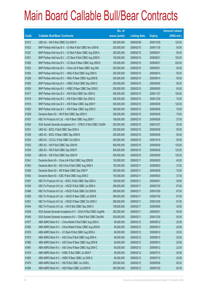|       |                                                                | No. of        |                     |               | <b>Amount raised</b> |
|-------|----------------------------------------------------------------|---------------|---------------------|---------------|----------------------|
| Code  | <b>Callable Bull/Bear Contracts</b>                            | issue (units) | <b>Listing date</b> | <b>Expiry</b> | (HK\$ mil.)          |
| 61912 | UBS AG - HSI R Bull CBBC Oct 2009 R                            | 500,000,000   | 2009/02/09          | 2009/10/29    | 125.00               |
| 61923 | BNP Paribas Arbit Issu B.V. - Ch Mob R Bull CBBC Nov 2009 B    | 200,000,000   | 2009/02/10          | 2009/11/30    | 50.00                |
| 61927 | BNP Paribas Arbit Issu B.V. - Ch Mob R Bear CBBC Aug 2009 A    | 200,000,000   | 2009/02/10          | 2009/08/31    | 50.00                |
| 61921 | BNP Paribas Arbit Issu B.V. - CC Bank R Bull CBBC Aug 2009 D   | 100,000,000   | 2009/02/10          | 2009/08/31    | 150.00               |
| 61926 | BNP Paribas Arbit Issu B.V. - CC Bank R Bear CBBC Aug 2009 E   | 100,000,000   | 2009/02/10          | 2009/08/31    | 220.00               |
| 61922 | BNP Paribas Arbit Issu B.V. - China Life R Bear CBBC Aug 09A   | 200,000,000   | 2009/02/10          | 2009/08/31    | 50.00                |
| 61924 | BNP Paribas Arbit Issu B.V. - HKEx R Bull CBBC Aug 2009 A      | 200,000,000   | 2009/02/10          | 2009/08/14    | 50.00                |
| 61928 | BNP Paribas Arbit Issu B.V. - HKEx R Bear CBBC Aug 2009 B      | 200,000,000   | 2009/02/10          | 2009/08/14    | 50.00                |
| 61925 | BNP Paribas Arbit Issu B.V. - HSBC R Bull CBBC Sep 2009 D      | 200,000,000   | 2009/02/10          | 2009/09/30    | 50.00                |
| 61929 | BNP Paribas Arbit Issu B.V. - HSBC R Bear CBBC Sep 2009 E      | 200,000,000   | 2009/02/10          | 2009/09/30    | 50.00                |
| 61917 | BNP Paribas Arbit Issu B.V. - HSI R Bull CBBC Nov 2009 Q       | 400,000,000   | 2009/02/10          | 2009/11/27    | 100.00               |
| 61918 | BNP Paribas Arbit Issu B.V. - HSI R Bull CBBC Dec 2009 Q       | 300,000,000   | 2009/02/10          | 2009/12/30    | 75.00                |
| 61919 | BNP Paribas Arbit Issu B.V. - HSI R Bear CBBC Aug 2009 Y       | 500,000,000   | 2009/02/10          | 2009/08/28    | 125.00               |
| 61920 | BNP Paribas Arbit Issu B.V. - HSI R Bear CBBC Aug 2009 Z       | 300,000,000   | 2009/02/10          | 2009/08/28    | 75.00                |
| 61938 | Deutsche Bank AG - HSI R Bull CBBC Sep 2009 O                  | 300,000,000   | 2009/02/10          | 2009/09/29    | 75.00                |
| 61937 | KBC Fin Products Int'l Ltd. - HSI R Bear CBBC Aug 2009 Y       | 108,000,000   | 2009/02/10          | 2009/08/28    | 27.00                |
| 61930 | SGA Societe Generale Acceptance N.V - CP&CC R Bull CBBC Oct09A | 200,000,000   | 2009/02/10          | 2009/10/27    | 50.00                |
| 61931 | UBS AG - BOCL R Bull CBBC Sep 2009 A                           | 200,000,000   | 2009/02/10          | 2009/09/28    | 50.00                |
| 61936 | UBS AG - BOCL R Bear CBBC Sep 2009 B                           | 200,000,000   | 2009/02/10          | 2009/09/28    | 50.00                |
| 61932 | UBS AG - CCCCL R Bull CBBC Oct 2009 A                          | 200,000,000   | 2009/02/10          | 2009/10/19    | 50.00                |
| 61933 | UBS AG - HSI R Bull CBBC Sep 2009 M                            | 500,000,000   | 2009/02/10          | 2009/09/29    | 125.00               |
| 61934 | UBS AG - HSI R Bull CBBC Sep 2009 R                            | 500,000,000   | 2009/02/10          | 2009/09/29    | 125.00               |
| 61935 | UBS AG - HSI R Bull CBBC Sep 2009 W                            | 500,000,000   | 2009/02/10          | 2009/09/29    | 125.00               |
| 61941 | Deutsche Bank AG - China Life R Bull CBBC Aug 2009 B           | 150,000,000   | 2009/02/11          | 2009/08/03    | 45.00                |
| 61943 | Deutsche Bank AG - A50 China R Bull CBBC Aug 2009 A            | 150,000,000   | 2009/02/11          | 2009/08/03    | 37.50                |
| 61948 | Deutsche Bank AG - HSI R Bear CBBC Sep 2009 P                  | 300,000,000   | 2009/02/11          | 2009/09/29    | 75.00                |
| 61942 | Deutsche Bank AG - ICBC R Bull CBBC Aug 2009 D                 | 150,000,000   | 2009/02/11          | 2009/08/03    | 37.50                |
| 61947 | KBC Fin Products Int'l Ltd. - BOCL R Bull CBBC Sep 2009 A      | 158,000,000   | 2009/02/11          | 2009/09/21    | 39.50                |
| 61945 | KBC Fin Products Int'l Ltd. - HSCEI R Bull CBBC Jul 2009 A     | 268,000,000   | 2009/02/11          | 2009/07/30    | 67.00                |
| 61946 | KBC Fin Products Int'l Ltd. - HSCEI R Bull CBBC Oct 2009 B     | 268,000,000   | 2009/02/11          | 2009/10/29    | 67.00                |
| 61950 | KBC Fin Products Int'l Ltd. - HSCEI R Bear CBBC Jul 2009 B     | 268,000,000   | 2009/02/11          | 2009/07/30    | 67.00                |
| 61951 | KBC Fin Products Int'l Ltd. - HSCEI R Bear CBBC Oct 2009 C     | 268,000,000   | 2009/02/11          | 2009/10/29    | 67.00                |
| 61944 | KBC Fin Products Int'l Ltd. - HSI R Bull CBBC Sep 2009 O       | 158,000,000   | 2009/02/11          | 2009/09/29    | 39.50                |
| 61939 | SGA Societe Generale Acceptance N.V - CK(H) R Bull CBBC Aug09A | 200,000,000   | 2009/02/11          | 2009/08/31    | 50.00                |
| 61940 | SGA Societe Generale Acceptance N.V - CRail R Bull CBBC Dec09A | 200,000,000   | 2009/02/11          | 2009/12/30    | 50.00                |
| 61977 | ABN AMRO Bank N.V. - China Mobile R Bull CBBC Aug 2009 A       | 80,000,000    | 2009/02/12          | 2009/08/12    | 20.08                |
| 61982 | ABN AMRO Bank N.V. - China Mobile R Bear CBBC Aug 2009 B       | 80,000,000    | 2009/02/12          | 2009/08/12    | 20.08                |
| 61976 | ABN AMRO Bank N.V. - CC Bank R Bull CBBC Aug 2009 A            | 80,000,000    | 2009/02/12          | 2009/08/12    | 20.00                |
| 61975 | ABN AMRO Bank N.V. - A50 China R Bull CBBC Aug 2009 A          | 80,000,000    | 2009/02/12          | 2009/08/12    | 20.00                |
| 61980 | ABN AMRO Bank N.V. - A50 China R Bear CBBC Aug 2009 B          | 80,000,000    | 2009/02/12          | 2009/08/12    | 20.08                |
| 61981 | ABN AMRO Bank N.V. - A50 China R Bear CBBC Aug 2009 C          | 80,000,000    | 2009/02/12          | 2009/08/12    | 22.40                |
| 61978 | ABN AMRO Bank N.V. - HSBC R Bull CBBC Jul 2009 F               | 80,000,000    | 2009/02/12          | 2009/07/10    | 20.08                |
| 61983 | ABN AMRO Bank N.V. - HSBC R Bear CBBC Jul 2009 G               | 80,000,000    | 2009/02/12          | 2009/07/10    | 20.08                |
| 61979 | ABN AMRO Bank N.V. - HSI R Bull CBBC Jun 2009 L                | 250,000,000   | 2009/02/12          | 2009/06/29    | 62.50                |
| 61984 | ABN AMRO Bank N.V. - HSI R Bear CBBC Jul 2009 W                | 250,000,000   | 2009/02/12          | 2009/07/30    | 62.50                |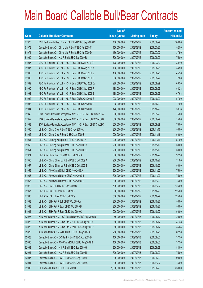|       |                                                               | No. of        |                     |               | <b>Amount raised</b> |
|-------|---------------------------------------------------------------|---------------|---------------------|---------------|----------------------|
| Code  | <b>Callable Bull/Bear Contracts</b>                           | issue (units) | <b>Listing date</b> | <b>Expiry</b> | (HK\$ mil.)          |
| 61970 | BNP Paribas Arbit Issu B.V. - HSI R Bull CBBC Sep 2009 R      | 400,000,000   | 2009/02/12          | 2009/09/29    | 100.00               |
| 61973 | Deutsche Bank AG - China Life R Bull CBBC Jul 2009 C          | 150,000,000   | 2009/02/12          | 2009/07/27    | 52.50                |
| 61974 | Deutsche Bank AG - China Life R Bull CBBC Jul 2009 D          | 150,000,000   | 2009/02/12          | 2009/07/27    | 37.50                |
| 61969 | Deutsche Bank AG - HSI R Bull CBBC Sep 2009 R                 | 300,000,000   | 2009/02/12          | 2009/09/29    | 75.00                |
| 61985 | KBC Fin Products Int'l Ltd. - HSI R Bear CBBC Jul 2009 O      | 128,000,000   | 2009/02/12          | 2009/07/30    | 38.40                |
| 61987 | KBC Fin Products Int'l Ltd. - HSI R Bear CBBC Aug 2009 A      | 138,000,000   | 2009/02/12          | 2009/08/28    | 34.50                |
| 61986 | KBC Fin Products Int'l Ltd. - HSI R Bear CBBC Aug 2009 Z      | 168,000,000   | 2009/02/12          | 2009/08/28    | 45.36                |
| 61988 | KBC Fin Products Int'l Ltd. - HSI R Bear CBBC Sep 2009 P      | 308,000,000   | 2009/02/12          | 2009/09/29    | 77.00                |
| 61989 | KBC Fin Products Int'l Ltd. - HSI R Bear CBBC Sep 2009 Q      | 278,000,000   | 2009/02/12          | 2009/09/29    | 69.50                |
| 61990 | KBC Fin Products Int'l Ltd. - HSI R Bear CBBC Sep 2009 R      | 188,000,000   | 2009/02/12          | 2009/09/29    | 58.28                |
| 61991 | KBC Fin Products Int'l Ltd. - HSI R Bear CBBC Sep 2009 S      | 188,000,000   | 2009/02/12          | 2009/09/29    | 67.68                |
| 61992 | KBC Fin Products Int'l Ltd. - HSI R Bear CBBC Oct 2009 E      | 228,000,000   | 2009/02/12          | 2009/10/29    | 57.00                |
| 61993 | KBC Fin Products Int'l Ltd. - HSI R Bear CBBC Oct 2009 F      | 308,000,000   | 2009/02/12          | 2009/10/29    | 77.00                |
| 61994 | KBC Fin Products Int'l Ltd. - HSI R Bear CBBC Oct 2009 G      | 128,000,000   | 2009/02/12          | 2009/10/29    | 53.76                |
| 61949 | SGA Societe Generale Acceptance N.V. - HSI R Bear CBBC Sep09A | 300,000,000   | 2009/02/12          | 2009/09/29    | 75.00                |
| 61952 | SGA Societe Generale Acceptance N.V. - HSI R Bear CBBC Sep09B | 300,000,000   | 2009/02/12          | 2009/09/29    | 75.00                |
| 61953 | SGA Societe Generale Acceptance N.V. - HSI R Bear CBBC Sep09C | 300,000,000   | 2009/02/12          | 2009/09/29    | 75.00                |
| 61955 | UBS AG - China Coal R Bull CBBC Nov 2009 A                    | 200,000,000   | 2009/02/12          | 2009/11/16    | 50.00                |
| 61962 | UBS AG - China Coal R Bear CBBC Nov 2009 B                    | 200,000,000   | 2009/02/12          | 2009/11/16    | 50.00                |
| 61954 | UBS AG - Cheung Kong R Bull CBBC Nov 2009 A                   | 200,000,000   | 2009/02/12          | 2009/11/16    | 51.00                |
| 61960 | UBS AG - Cheung Kong R Bear CBBC Nov 2009 B                   | 200,000,000   | 2009/02/12          | 2009/11/16    | 50.00                |
| 61961 | UBS AG - Cheung Kong R Bear CBBC Nov 2009 C                   | 200,000,000   | 2009/02/12          | 2009/11/16    | 50.00                |
| 61971 | UBS AG - China Life R Bull CBBC Oct 2009 A                    | 300,000,000   | 2009/02/12          | 2009/10/27    | 97.50                |
| 61956 | UBS AG - China Shenhua R Bull CBBC Oct 2009 A                 | 200,000,000   | 2009/02/12          | 2009/10/27    | 71.00                |
| 61957 | UBS AG - China Shenhua R Bull CBBC Oct 2009 B                 | 200,000,000   | 2009/02/12          | 2009/10/27    | 50.00                |
| 61959 | UBS AG - A50 China R Bull CBBC Nov 2009 A                     | 300,000,000   | 2009/02/12          | 2009/11/23    | 75.00                |
| 61965 | UBS AG - A50 China R Bear CBBC Nov 2009 B                     | 300,000,000   | 2009/02/12          | 2009/11/23    | 75.00                |
| 61966 | UBS AG - A50 China R Bear CBBC Nov 2009 C                     | 300,000,000   | 2009/02/12          | 2009/11/23    | 75.00                |
| 61972 | UBS AG - HSI R Bull CBBC Nov 2009 Q                           | 500,000,000   | 2009/02/12          | 2009/11/27    | 125.00               |
| 61967 | UBS AG - HSI R Bear CBBC Oct 2009 F                           | 500,000,000   | 2009/02/12          | 2009/10/29    | 125.00               |
| 61968 | UBS AG - HSI R Bear CBBC Oct 2009 H                           | 500,000,000   | 2009/02/12          | 2009/10/29    | 125.00               |
| 61958 | UBS AG - SHK Ppt R Bull CBBC Oct 2009 A                       | 200,000,000   | 2009/02/12          | 2009/10/27    | 50.00                |
| 61963 | UBS AG - SHK Ppt R Bear CBBC Oct 2009 B                       | 200,000,000   | 2009/02/12          | 2009/10/27    | 50.00                |
| 61964 | UBS AG - SHK Ppt R Bear CBBC Oct 2009 C                       | 200,000,000   | 2009/02/12          | 2009/10/27    | 50.00                |
| 62027 | ABN AMRO Bank N.V. - CC Bank R Bear CBBC Aug 2009 B           | 80,000,000    | 2009/02/13          | 2009/08/12    | 20.00                |
| 62025 | ABN AMRO Bank N.V. - Ch Life R Bull CBBC Aug 2009 A           | 80,000,000    | 2009/02/13          | 2009/08/12    | 41.28                |
| 62028 | ABN AMRO Bank N.V. - Ch Life R Bear CBBC Aug 2009 B           | 80,000,000    | 2009/02/13          | 2009/08/12    | 36.64                |
| 62026 | ABN AMRO Bank N.V. - HSI R Bull CBBC Aug 2009 A               | 250,000,000   | 2009/02/13          | 2009/08/28    | 62.50                |
| 62023 | Deutsche Bank AG - CC Bank R Bull CBBC Aug 2009 D             | 150,000,000   | 2009/02/13          | 2009/08/03    | 37.50                |
| 62005 | Deutsche Bank AG - A50 China R Bull CBBC Aug 2009 B           | 150,000,000   | 2009/02/13          | 2009/08/03    | 37.50                |
| 62003 | Deutsche Bank AG - HSI R Bull CBBC Sep 2009 G                 | 300,000,000   | 2009/02/13          | 2009/09/29    | 84.00                |
| 62024 | Deutsche Bank AG - HSI R Bull CBBC Sep 2009 N                 | 300,000,000   | 2009/02/13          | 2009/09/29    | 75.00                |
| 62007 | Deutsche Bank AG - HSI R Bear CBBC Sep 2009 F                 | 300,000,000   | 2009/02/13          | 2009/09/29    | 99.00                |
| 62004 | Deutsche Bank AG - HSI R Bear CBBC Nov 2009 A                 | 300,000,000   | 2009/02/13          | 2009/11/27    | 75.00                |
| 61995 | HK Bank - HSI R Bull CBBC Jun 2009 F                          | 1,000,000,000 | 2009/02/13          | 2009/06/29    | 250.00               |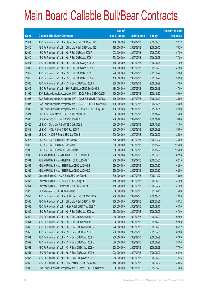|       |                                                                | No. of        |                     |               | <b>Amount raised</b> |
|-------|----------------------------------------------------------------|---------------|---------------------|---------------|----------------------|
| Code  | <b>Callable Bull/Bear Contracts</b>                            | issue (units) | <b>Listing date</b> | <b>Expiry</b> | (HK\$ mil.)          |
| 62014 | KBC Fin Products Int'l Ltd. - China Life R Bull CBBC Aug 09C   | 188,000,000   | 2009/02/13          | 2009/08/03    | 92.12                |
| 62015 | KBC Fin Products Int'l Ltd. - China Life R Bull CBBC Aug 09D   | 188,000,000   | 2009/02/13          | 2009/08/10    | 75.20                |
| 62009 | KBC Fin Products Int'l Ltd. - HSI R Bull CBBC Jul 2009 P       | 228,000,000   | 2009/02/13          | 2009/07/30    | 57.00                |
| 62010 | KBC Fin Products Int'l Ltd. - HSI R Bull CBBC Aug 2009 N       | 308,000,000   | 2009/02/13          | 2009/08/28    | 77.00                |
| 62011 | KBC Fin Products Int'l Ltd. - HSI R Bull CBBC Aug 2009 O       | 188,000,000   | 2009/02/13          | 2009/08/28    | 47.00                |
| 62008 | KBC Fin Products Int'l Ltd. - HSI R Bull CBBC Sep 2009 T       | 188,000,000   | 2009/02/13          | 2009/09/29    | 47.00                |
| 62012 | KBC Fin Products Int'l Ltd. - HSI R Bull CBBC Sep 2009 U       | 228,000,000   | 2009/02/13          | 2009/09/29    | 57.00                |
| 62013 | KBC Fin Products Int'l Ltd. - HSI R Bull CBBC Sep 2009 V       | 158,000,000   | 2009/02/13          | 2009/09/29    | 39.50                |
| 62006 | KBC Fin Products Int'l Ltd. - HSI R Bear CBBC Aug 2009 P       | 228,000,000   | 2009/02/13          | 2009/08/28    | 57.00                |
| 62016 | KBC Fin Products Int'l Ltd. - SHK Ppt R Bear CBBC Sep 2009 B   | 188,000,000   | 2009/02/13          | 2009/09/18    | 47.00                |
| 61996 | SGA Societe Generale Acceptance N.V. - BOCL R Bear CBBC Oct09A | 100,000,000   | 2009/02/13          | 2009/10/30    | 99.00                |
| 61998 | SGA Societe Generale Acceptance N.V. - COVS R Bull CBBC Oct09A | 100,000,000   | 2009/02/13          | 2009/10/19    | 25.00                |
| 61997 | SGA Societe Generale Acceptance N.V - CCCCL R Bull CBBC Sep09A | 100,000,000   | 2009/02/13          | 2009/09/28    | 25.00                |
| 62002 | SGA Societe Generale Acceptance N.V - CLife R Bull CBBC Aug09B | 100,000,000   | 2009/02/13          | 2009/08/31    | 37.00                |
| 62021 | UBS AG - China Mobile R Bull CBBC Oct 2009 A                   | 300,000,000   | 2009/02/13          | 2009/10/27    | 75.00                |
| 62000 | UBS AG - CCCCL R Bull CBBC Oct 2009 B                          | 200,000,000   | 2009/02/13          | 2009/10/19    | 50.00                |
| 62020 | UBS AG - China Life R Bull CBBC Oct 2009 B                     | 300,000,000   | 2009/02/13          | 2009/10/27    | 81.00                |
| 62019 | UBS AG - HKEx R Bear CBBC Sep 2009 C                           | 300,000,000   | 2009/02/13          | 2009/09/28    | 93.00                |
| 62001 | UBS AG - HSCEI R Bear CBBC Sep 2009 B                          | 500,000,000   | 2009/02/13          | 2009/09/29    | 125.00               |
| 62017 | UBS AG - HSI R Bull CBBC Nov 2009 S                            | 500,000,000   | 2009/02/13          | 2009/11/27    | 125.00               |
| 62018 | UBS AG - HSI R Bull CBBC Nov 2009 T                            | 500,000,000   | 2009/02/13          | 2009/11/27    | 125.00               |
| 61999 | UBS AG - HSI R Bear CBBC Nov 2009 R                            | 500,000,000   | 2009/02/13          | 2009/11/27    | 125.00               |
| 62060 | ABN AMRO Bank N.V. - HSI R Bull CBBC Jul 2009 X                | 250,000,000   | 2009/02/16          | 2009/07/30    | 62.50                |
| 62061 | ABN AMRO Bank N.V. - HSI R Bull CBBC Jul 2009 Y                | 250,000,000   | 2009/02/16          | 2009/07/30    | 62.75                |
| 62066 | ABN AMRO Bank N.V. - HSI R Bear CBBC Jul 2009 E                | 250,000,000   | 2009/02/16          | 2009/07/30    | 62.50                |
| 62065 | ABN AMRO Bank N.V. - HSI R Bear CBBC Jul 2009 Z                | 250,000,000   | 2009/02/16          | 2009/07/30    | 62.50                |
| 62062 | Deutsche Bank AG - HSI R Bull CBBC Nov 2009 B                  | 300,000,000   | 2009/02/16          | 2009/11/27    | 75.00                |
| 62063 | Deutsche Bank AG - ICBC R Bull CBBC Aug 2009 E                 | 150,000,000   | 2009/02/16          | 2009/08/03    | 37.50                |
| 62064 | Deutsche Bank AG - Petrochina R Bull CBBC Jul 2009 F           | 150,000,000   | 2009/02/16          | 2009/07/27    | 37.50                |
| 62022 | HK Bank - A50 R Bull CBBC Jun 2009 E                           | 300,000,000   | 2009/02/16          | 2009/06/18    | 75.00                |
| 62057 | KBC Fin Products Int'l Ltd. - Ch Mobile R Bull CBBC Oct 09 A   | 258,000,000   | 2009/02/16          | 2009/10/05    | 79.98                |
| 62056 | KBC Fin Products Int'l Ltd. - China Life R Bull CBBC Jul 09F   | 168,000,000   | 2009/02/16          | 2009/07/06    | 90.72                |
| 62058 | KBC Fin Products Int'l Ltd. - HKEx R Bull CBBC Sep 2009 A      | 258,000,000   | 2009/02/16          | 2009/09/10    | 64.50                |
| 62039 | KBC Fin Products Int'l Ltd. - HSI R Bull CBBC Sep 2009 W       | 268,000,000   | 2009/02/16          | 2009/09/29    | 67.00                |
| 62040 | KBC Fin Products Int'l Ltd. - HSI R Bull CBBC Oct 2009 H       | 368,000,000   | 2009/02/16          | 2009/10/29    | 92.00                |
| 62041 | KBC Fin Products Int'l Ltd. - HSI R Bull CBBC Oct 2009 I       | 368,000,000   | 2009/02/16          | 2009/10/29    | 92.00                |
| 62049 | KBC Fin Products Int'l Ltd. - HSI R Bear CBBC Jun 2009 Q       | 228,000,000   | 2009/02/16          | 2009/06/29    | 66.12                |
| 62050 | KBC Fin Products Int'l Ltd. - HSI R Bear CBBC Jul 2009 Q       | 268,000,000   | 2009/02/16          | 2009/07/30    | 67.00                |
| 62051 | KBC Fin Products Int'l Ltd. - HSI R Bear CBBC Aug 2009 R       | 268,000,000   | 2009/02/16          | 2009/08/28    | 67.00                |
| 62052 | KBC Fin Products Int'l Ltd. - HSI R Bear CBBC Aug 2009 S       | 378,000,000   | 2009/02/16          | 2009/08/28    | 94.50                |
| 62053 | KBC Fin Products Int'l Ltd. - HSI R Bear CBBC Sep 2009 X       | 308,000,000   | 2009/02/16          | 2009/09/29    | 77.00                |
| 62054 | KBC Fin Products Int'l Ltd. - HSI R Bear CBBC Sep 2009 Y       | 228,000,000   | 2009/02/16          | 2009/09/29    | 68.40                |
| 62055 | KBC Fin Products Int'l Ltd. - HSI R Bear CBBC Sep 2009 Z       | 268,000,000   | 2009/02/16          | 2009/09/29    | 72.36                |
| 62059 | KBC Fin Products Int'l Ltd. - SHK Ppt R Bull CBBC Sep 2009 C   | 148,000,000   | 2009/02/16          | 2009/09/07    | 39.96                |
| 62030 | SGA Societe Generale Acceptance N.V. - CMob R Bull CBBC Sep09E | 300,000,000   | 2009/02/16          | 2009/09/29    | 75.00                |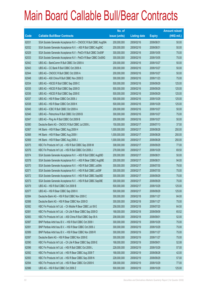|       |                                                                | No. of        |                     |               | <b>Amount raised</b> |
|-------|----------------------------------------------------------------|---------------|---------------------|---------------|----------------------|
| Code  | <b>Callable Bull/Bear Contracts</b>                            | issue (units) | <b>Listing date</b> | <b>Expiry</b> | (HK\$ mil.)          |
| 62031 | SGA Societe Generale Acceptance N.V - CNOOC R Bull CBBC Aug09A | 200,000,000   | 2009/02/16          | 2009/08/31    | 50.00                |
| 62032 | SGA Societe Generale Acceptance N.V. - A50 R Bull CBBC Aug09C  | 200,000,000   | 2009/02/16          | 2009/08/31    | 50.00                |
| 62029 | SGA Societe Generale Acceptance N.V - PetCh R Bull CBBC Oct09F | 300,000,000   | 2009/02/16          | 2009/10/05    | 75.00                |
| 62033 | SGA Societe Generale Acceptance N.V - PetCh R Bear CBBC Oct09G | 300,000,000   | 2009/02/16          | 2009/10/05    | 75.00                |
| 62042 | UBS AG - BankComm R Bull CBBC Oct 2009 A                       | 200,000,000   | 2009/02/16          | 2009/10/27    | 50.00                |
| 62043 | UBS AG - CC Bank R Bull CBBC Oct 2009 A                        | 200,000,000   | 2009/02/16          | 2009/10/27    | 50.00                |
| 62044 | UBS AG - CNOOC R Bull CBBC Oct 2009 A                          | 200,000,000   | 2009/02/16          | 2009/10/27    | 50.00                |
| 62048 | UBS AG - A50 China R Bull CBBC Nov 2009 D                      | 300,000,000   | 2009/02/16          | 2009/11/23    | 75.00                |
| 62034 | UBS AG - HSCEI R Bull CBBC Sep 2009 C                          | 500,000,000   | 2009/02/16          | 2009/09/29    | 125.00               |
| 62035 | UBS AG - HSCEI R Bull CBBC Sep 2009 D                          | 500,000,000   | 2009/02/16          | 2009/09/29    | 125.00               |
| 62036 | UBS AG - HSCEI R Bull CBBC Sep 2009 E                          | 500,000,000   | 2009/02/16          | 2009/09/29    | 125.00               |
| 62037 | UBS AG - HSI R Bear CBBC Oct 2009 J                            | 500,000,000   | 2009/02/16          | 2009/10/29    | 125.00               |
| 62038 | UBS AG - HSI R Bear CBBC Oct 2009 K                            | 500,000,000   | 2009/02/16          | 2009/10/29    | 125.00               |
| 62045 | UBS AG - ICBC R Bull CBBC Oct 2009 A                           | 200,000,000   | 2009/02/16          | 2009/10/27    | 50.00                |
| 62046 | UBS AG - Petrochina R Bull CBBC Oct 2009 B                     | 300,000,000   | 2009/02/16          | 2009/10/27    | 75.00                |
| 62047 | UBS AG - Ping An R Bull CBBC Oct 2009 B                        | 200,000,000   | 2009/02/16          | 2009/10/27    | 50.00                |
| 62080 | Deutsche Bank AG - CNOOC R Bull CBBC Jul 2009 L                | 150,000,000   | 2009/02/17          | 2009/07/13    | 37.50                |
| 62067 | HK Bank - HSI R Bear CBBC Aug 2009 H                           | 1,000,000,000 | 2009/02/17          | 2009/08/28    | 250.00               |
| 62068 | HK Bank - HSI R Bear CBBC Aug 2009 I                           | 1,000,000,000 | 2009/02/17          | 2009/08/28    | 250.00               |
| 62069 | HK Bank - HSI R Bear CBBC Aug 2009 J                           | 1,000,000,000 | 2009/02/17          | 2009/08/28    | 250.00               |
| 62075 | KBC Fin Products Int'l Ltd. - HSI R Bull CBBC Sep 2009 M       | 308,000,000   | 2009/02/17          | 2009/09/29    | 77.00                |
| 62076 | KBC Fin Products Int'l Ltd. - HSI R Bull CBBC Oct 2009 J       | 278,000,000   | 2009/02/17          | 2009/10/29    | 69.50                |
| 62074 | SGA Societe Generale Acceptance N.V. - A50 R Bull CBBC Aug09D  | 200,000,000   | 2009/02/17          | 2009/08/31    | 50.00                |
| 62078 | SGA Societe Generale Acceptance N.V. - A50 R Bear CBBC Aug09E  | 200,000,000   | 2009/02/17          | 2009/08/31    | 94.00                |
| 62070 | SGA Societe Generale Acceptance N.V. - HSI R Bull CBBC Jul09A  | 300,000,000   | 2009/02/17          | 2009/07/30    | 79.50                |
| 62071 | SGA Societe Generale Acceptance N.V. - HSI R Bull CBBC Jul09F  | 300,000,000   | 2009/02/17          | 2009/07/30    | 75.00                |
| 62072 | SGA Societe Generale Acceptance N.V. - HSI R Bull CBBC Sep09D  | 300,000,000   | 2009/02/17          | 2009/09/29    | 75.00                |
| 62073 | SGA Societe Generale Acceptance N.V. - HSI R Bull CBBC Sep09E  | 300,000,000   | 2009/02/17          | 2009/09/29    | 75.00                |
| 62079 | UBS AG - HSI R Bull CBBC Oct 2009 B                            | 500,000,000   | 2009/02/17          | 2009/10/29    | 125.00               |
| 62077 | UBS AG - HSI R Bear CBBC Sep 2009 X                            | 500,000,000   | 2009/02/17          | 2009/09/29    | 125.00               |
| 62084 | Deutsche Bank AG - HSI R Bull CBBC Nov 2009 C                  | 300,000,000   | 2009/02/18          | 2009/11/27    | 84.00                |
| 62088 | Deutsche Bank AG - HSI R Bear CBBC Nov 2009 D                  | 300,000,000   | 2009/02/18          | 2009/11/27    | 75.00                |
| 62082 | KBC Fin Products Int'l Ltd. - Ch Mobile R Bear CBBC Jul 09 E   | 258,000,000   | 2009/02/18          | 2009/07/20    | 64.50                |
| 62081 | KBC Fin Products Int'l Ltd. - Ch Life R Bear CBBC Sep 2009 D   | 168,000,000   | 2009/02/18          | 2009/09/09    | 65.52                |
| 62083 | KBC Fin Products Int'l Ltd. - A50 China R Bull CBBC Sep 09 A   | 208,000,000   | 2009/02/18          | 2009/09/01    | 52.00                |
| 62087 | BNP Paribas Arbit Issu B.V. - HSI R Bull CBBC Oct 2009 I       | 300,000,000   | 2009/02/19          | 2009/10/29    | 75.00                |
| 62091 | BNP Paribas Arbit Issu B.V. - HSI R Bear CBBC Oct 2009 J       | 300,000,000   | 2009/02/19          | 2009/10/29    | 75.00                |
| 62089 | BNP Paribas Arbit Issu B.V. - HSI R Bear CBBC Nov 2009 R       | 300,000,000   | 2009/02/19          | 2009/11/27    | 75.00                |
| 62097 | Deutsche Bank AG - HSI R Bear CBBC Nov 2009 E                  | 300,000,000   | 2009/02/19          | 2009/11/27    | 75.00                |
| 62090 | KBC Fin Products Int'l Ltd. - Ch Life R Bear CBBC Sep 2009 E   | 168,000,000   | 2009/02/19          | 2009/09/01    | 52.08                |
| 62096 | KBC Fin Products Int'l Ltd. - HSI R Bull CBBC Oct 2009 L       | 228,000,000   | 2009/02/19          | 2009/10/29    | 57.00                |
| 62092 | KBC Fin Products Int'l Ltd. - HSI R Bear CBBC Aug 2009 T       | 168,000,000   | 2009/02/19          | 2009/08/28    | 42.00                |
| 62093 | KBC Fin Products Int'l Ltd. - HSI R Bear CBBC Sep 2009 N       | 228,000,000   | 2009/02/19          | 2009/09/29    | 57.00                |
| 62094 | KBC Fin Products Int'l Ltd. - HSI R Bear CBBC Oct 2009 K       | 308,000,000   | 2009/02/19          | 2009/10/29    | 77.00                |
| 62086 | UBS AG - HSI R Bull CBBC Oct 2009 Z                            | 500,000,000   | 2009/02/19          | 2009/10/29    | 125.00               |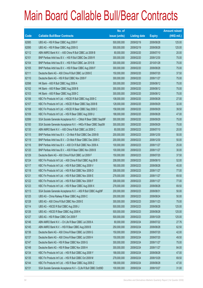|       |                                                                | No. of        |                     |               | <b>Amount raised</b> |
|-------|----------------------------------------------------------------|---------------|---------------------|---------------|----------------------|
| Code  | <b>Callable Bull/Bear Contracts</b>                            | issue (units) | <b>Listing date</b> | <b>Expiry</b> | (HK\$ mil.)          |
| 62085 | UBS AG - HSI R Bear CBBC Aug 2009 F                            | 500,000,000   | 2009/02/19          | 2009/08/28    | 125.00               |
| 62095 | UBS AG - HSI R Bear CBBC Aug 2009 G                            | 500,000,000   | 2009/02/19          | 2009/08/28    | 125.00               |
| 62112 | ABN AMRO Bank N.V. - A50 China R Bull CBBC Jul 2009 B          | 80,000,000    | 2009/02/20          | 2009/07/10    | 20.00                |
| 62101 | BNP Paribas Arbit Issu B.V. - HSI R Bull CBBC Dec 2009 R       | 300,000,000   | 2009/02/20          | 2009/12/30    | 75.00                |
| 62104 | BNP Paribas Arbit Issu B.V. - HSI R Bull CBBC Jan 2010 B       | 300,000,000   | 2009/02/20          | 2010/01/28    | 75.00                |
| 62105 | BNP Paribas Arbit Issu B.V. - HSI R Bear CBBC Aug 2009 F       | 300,000,000   | 2009/02/20          | 2009/08/28    | 75.00                |
| 62111 | Deutsche Bank AG - A50 China R Bull CBBC Jul 2009 E            | 150,000,000   | 2009/02/20          | 2009/07/20    | 37.50                |
| 62110 | Deutsche Bank AG - HSI R Bull CBBC Nov 2009 F                  | 300,000,000   | 2009/02/20          | 2009/11/27    | 75.00                |
| 62098 | HK Bank - A50 R Bull CBBC Aug 2009 A                           | 300,000,000   | 2009/02/20          | 2009/08/12    | 75.00                |
| 62102 | HK Bank - A50 R Bear CBBC Aug 2009 B                           | 300,000,000   | 2009/02/20          | 2009/08/12    | 75.00                |
| 62103 | HK Bank - A50 R Bear CBBC Aug 2009 C                           | 300,000,000   | 2009/02/20          | 2009/08/12    | 75.00                |
| 62106 | KBC Fin Products Int'l Ltd. - HSCEI R Bull CBBC Aug 2009 C     | 108,000,000   | 2009/02/20          | 2009/08/28    | 27.00                |
| 62107 | KBC Fin Products Int'l Ltd. - HSCEI R Bear CBBC Sep 2009 B     | 128,000,000   | 2009/02/20          | 2009/09/29    | 32.00                |
| 62108 | KBC Fin Products Int'l Ltd. - HSCEI R Bear CBBC Sep 2009 C     | 158,000,000   | 2009/02/20          | 2009/09/29    | 39.50                |
| 62109 | KBC Fin Products Int'l Ltd. - HSI R Bear CBBC Aug 2009 U       | 188,000,000   | 2009/02/20          | 2009/08/28    | 47.00                |
| 62099 | SGA Societe Generale Acceptance N.V. - CMob R Bear CBBC Sep09F | 300,000,000   | 2009/02/20          | 2009/09/29    | 75.00                |
| 62100 | SGA Societe Generale Acceptance N.V. - HKEx R Bear CBBC Sep091 | 300,000,000   | 2009/02/20          | 2009/09/29    | 75.00                |
| 62130 | ABN AMRO Bank N.V. - A50 China R Bull CBBC Jul 2009 C          | 80,000,000    | 2009/02/23          | 2009/07/10    | 20.00                |
| 62115 | BNP Paribas Arbit Issu B.V. - Ch Mob R Bull CBBC Dec 2009 B    | 200,000,000   | 2009/02/23          | 2009/12/30    | 50.00                |
| 62119 | BNP Paribas Arbit Issu B.V. - Ch Mob R Bear CBBC Dec 2009 C    | 200,000,000   | 2009/02/23          | 2009/12/30    | 50.00                |
| 62116 | BNP Paribas Arbit Issu B.V. - A50 Ch R Bull CBBC Nov 2009 A    | 100,000,000   | 2009/02/23          | 2009/11/27    | 25.00                |
| 62120 | BNP Paribas Arbit Issu B.V. - A50 R Bear CBBC Nov 2009 B       | 100,000,000   | 2009/02/23          | 2009/11/27    | 30.00                |
| 62129 | Deutsche Bank AG - A50 China R Bull CBBC Jul 2009 F            | 150,000,000   | 2009/02/23          | 2009/07/20    | 37.50                |
| 62124 | KBC Fin Products Int'l Ltd. - A50 China R Bull CBBC Aug 09 B   | 208,000,000   | 2009/02/23          | 2009/08/10    | 52.00                |
| 62117 | KBC Fin Products Int'l Ltd. - HSI R Bull CBBC Aug 2009 V       | 180,000,000   | 2009/02/23          | 2009/08/28    | 45.00                |
| 62118 | KBC Fin Products Int'l Ltd. - HSI R Bull CBBC Nov 2009 D       | 308,000,000   | 2009/02/23          | 2009/11/27    | 77.00                |
| 62121 | KBC Fin Products Int'l Ltd. - HSI R Bull CBBC Nov 2009 E       | 278,000,000   | 2009/02/23          | 2009/11/27    | 69.50                |
| 62122 | KBC Fin Products Int'l Ltd. - HSI R Bull CBBC Nov 2009 F       | 308,000,000   | 2009/02/23          | 2009/11/27    | 77.00                |
| 62123 | KBC Fin Products Int'l Ltd. - HSI R Bear CBBC Aug 2009 X       | 278,000,000   | 2009/02/23          | 2009/08/28    | 69.50                |
| 62113 | SGA Societe Generale Acceptance N.V. - A50 R Bull CBBC Aug09F  | 200,000,000   | 2009/02/23          | 2009/08/31    | 50.00                |
| 62125 | UBS AG - China Railway R Bear CBBC Aug 2009 C                  | 200,000,000   | 2009/02/23          | 2009/08/24    | 50.00                |
| 62128 | UBS AG - A50 China R Bull CBBC Nov 2009 E                      | 300,000,000   | 2009/02/23          | 2009/11/23    | 75.00                |
| 62114 | UBS AG - HSCEI R Bull CBBC Aug 2009 J                          | 500,000,000   | 2009/02/23          | 2009/08/28    | 125.00               |
| 62126 | UBS AG - HSCEI R Bear CBBC Aug 2009 K                          | 500,000,000   | 2009/02/23          | 2009/08/28    | 125.00               |
| 62127 | UBS AG - HSI R Bear CBBC Oct 2009 F                            | 500,000,000   | 2009/02/23          | 2009/10/29    | 125.00               |
| 62146 | ABN AMRO Bank N.V. - Ch Life R Bear CBBC Jul 2009 A            | 80,000,000    | 2009/02/24          | 2009/07/22    | 27.76                |
| 62145 | ABN AMRO Bank N.V. - HSI R Bear CBBC Aug 2009 B                | 250,000,000   | 2009/02/24          | 2009/08/28    | 62.50                |
| 62136 | Deutsche Bank AG - A50 China R Bear CBBC Jul 2009 G            | 150,000,000   | 2009/02/24          | 2009/07/20    | 42.00                |
| 62137 | Deutsche Bank AG - A50 China R Bear CBBC Jul 2009 H            | 150,000,000   | 2009/02/24          | 2009/07/20    | 49.50                |
| 62147 | Deutsche Bank AG - HSI R Bear CBBC Nov 2009 G                  | 300,000,000   | 2009/02/24          | 2009/11/27    | 75.00                |
| 62148 | Deutsche Bank AG - HSI R Bear CBBC Nov 2009 H                  | 300,000,000   | 2009/02/24          | 2009/11/27    | 84.00                |
| 62134 | KBC Fin Products Int'l Ltd. - HSI R Bull CBBC Aug 2009 Y       | 188,000,000   | 2009/02/24          | 2009/08/28    | 47.00                |
| 62135 | KBC Fin Products Int'l Ltd. - HSI R Bull CBBC Oct 2009 M       | 278,000,000   | 2009/02/24          | 2009/10/29    | 69.50                |
| 62144 | KBC Fin Products Int'l Ltd. - HSI R Bear CBBC Aug 2009 Z       | 188,000,000   | 2009/02/24          | 2009/08/28    | 47.00                |
| 62131 | SGA Societe Generale Acceptance N.V - CLife R Bull CBBC Oct09D | 100,000,000   | 2009/02/24          | 2009/10/27    | 31.00                |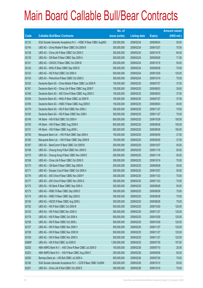|        |                                                                | No. of        |                     |               | <b>Amount raised</b> |
|--------|----------------------------------------------------------------|---------------|---------------------|---------------|----------------------|
| Code   | <b>Callable Bull/Bear Contracts</b>                            | issue (units) | <b>Listing date</b> | <b>Expiry</b> | $(HK$$ mil.)         |
| 62132  | SGA Societe Generale Acceptance N.V. - HSBC R Bear CBBC Aug09G | 200,000,000   | 2009/02/24          | 2009/08/24    | 50.00                |
| 62140  | UBS AG - China Mobile R Bear CBBC Oct 2009 B                   | 300,000,000   | 2009/02/24          | 2009/10/27    | 75.00                |
| 62138  | UBS AG - China Life R Bear CBBC Oct 2009 C                     | 300,000,000   | 2009/02/24          | 2009/10/19    | 84.00                |
| 62139  | UBS AG - CM Bank R Bear CBBC Sep 2009 A                        | 200,000,000   | 2009/02/24          | 2009/09/28    | 71.00                |
| 62141  | UBS AG - CNOOC R Bear CBBC Oct 2009 B                          | 200,000,000   | 2009/02/24          | 2009/10/19    | 50.00                |
| 62142  | UBS AG - HKEx R Bear CBBC Sep 2009 D                           | 300,000,000   | 2009/02/24          | 2009/09/28    | 75.00                |
| 62133  | UBS AG - HSI R Bull CBBC Oct 2009 H                            | 500,000,000   | 2009/02/24          | 2009/10/29    | 125.00               |
| 62143  | UBS AG - Petrochina R Bear CBBC Oct 2009 C                     | 300,000,000   | 2009/02/24          | 2009/10/19    | 75.00                |
| 62162  | Deutsche Bank AG - China Mobile R Bear CBBC Jul 2009 R         | 150,000,000   | 2009/02/25          | 2009/07/27    | 37.50                |
| 62161  | Deutsche Bank AG - China Life R Bear CBBC Aug 2009 F           | 150,000,000   | 2009/02/25          | 2009/08/03    | 39.00                |
| 62166  | Deutsche Bank AG - A50 China R Bear CBBC Aug 2009 C            | 150,000,000   | 2009/02/25          | 2009/08/03    | 37.50                |
| 62164  | Deutsche Bank AG - HKEx R Bear CBBC Jul 2009 R                 | 150,000,000   | 2009/02/25          | 2009/07/27    | 37.50                |
| 62165  | Deutsche Bank AG - HSBC R Bear CBBC Aug 2009 E                 | 150,000,000   | 2009/02/25          | 2009/08/03    | 40.50                |
| 62179  | Deutsche Bank AG - HSI R Bull CBBC Nov 2009 J                  | 300,000,000   | 2009/02/25          | 2009/11/27    | 75.00                |
| 62163  | Deutsche Bank AG - HSI R Bear CBBC Nov 2009 I                  | 300,000,000   | 2009/02/25          | 2009/11/27    | 75.00                |
| 62149  | HK Bank - HSI R Bull CBBC Oct 2009 A                           | 600,000,000   | 2009/02/25          | 2009/10/29    | 150.00               |
| 62150  | HK Bank - HSI R Bear CBBC Aug 2009 K                           | 600,000,000   | 2009/02/25          | 2009/08/28    | 150.00               |
| 62151  | HK Bank - HSI R Bear CBBC Aug 2009 L                           | 600,000,000   | 2009/02/25          | 2009/08/28    | 150.00               |
| 62155  | Macquarie Bank Ltd. - HSI R Bull CBBC Sep 2009 A               | 150,000,000   | 2009/02/25          | 2009/09/29    | 37.50                |
| 62160  | Macquarie Bank Ltd. - HSI R Bear CBBC Sep 2009 B               | 150,000,000   | 2009/02/25          | 2009/09/29    | 37.50                |
| 62167  | UBS AG - BankComm R Bear CBBC Oct 2009 B                       | 200,000,000   | 2009/02/25          | 2009/10/27    | 50.00                |
| 62168  | UBS AG - Cheung Kong R Bull CBBC Nov 2009 D                    | 200,000,000   | 2009/02/25          | 2009/11/16    | 50.00                |
| 62175  | UBS AG - Cheung Kong R Bear CBBC Nov 2009 E                    | 200,000,000   | 2009/02/25          | 2009/11/16    | 50.00                |
| 62169  | UBS AG - China Life R Bear CBBC Oct 2009 D                     | 300,000,000   | 2009/02/25          | 2009/10/19    | 75.00                |
| 62170  | UBS AG - CM Bank R Bear CBBC Sep 2009 B                        | 200,000,000   | 2009/02/25          | 2009/09/28    | 59.00                |
| 62171  | UBS AG - Sinopec Corp R Bear CBBC Oct 2009 A                   | 200,000,000   | 2009/02/25          | 2009/10/27    | 50.00                |
| 62176  | UBS AG - A50 China R Bear CBBC Nov 2009 F                      | 300,000,000   | 2009/02/25          | 2009/11/23    | 75.00                |
| 62177  | UBS AG - A50 China R Bear CBBC Nov 2009 G                      | 300,000,000   | 2009/02/25          | 2009/11/23    | 75.00                |
| 62172  | UBS AG - HS Bank R Bear CBBC Sep 2009 A                        | 200,000,000   | 2009/02/25          | 2009/09/28    | 50.00                |
| 62173  | UBS AG - HSBC R Bear CBBC Sep 2009 D                           | 300,000,000   | 2009/02/25          | 2009/09/28    | 75.00                |
| 62174  | UBS AG - HSBC R Bear CBBC Sep 2009 E                           | 300,000,000   | 2009/02/25          | 2009/09/28    | 75.00                |
| 62154  | UBS AG - HSCEI R Bear CBBC Aug 2009 L                          | 300,000,000   | 2009/02/25          | 2009/08/28    | 75.00                |
| 62152  | UBS AG - HSI R Bull CBBC Oct 2009 B                            | 500,000,000   | 2009/02/25          | 2009/10/29    | 125.00               |
| 62153  | UBS AG - HSI R Bull CBBC Nov 2009 U                            | 500,000,000   | 2009/02/25          | 2009/11/27    | 125.00               |
| 62178  | UBS AG - HSI R Bear CBBC Oct 2009 A                            | 500,000,000   | 2009/02/25          | 2009/10/29    | 125.00               |
| 62156  | UBS AG - HSI R Bear CBBC Oct 2009 L                            | 500,000,000   | 2009/02/25          | 2009/10/29    | 125.00               |
| 62157  | UBS AG - HSI R Bear CBBC Nov 2009 V                            | 500,000,000   | 2009/02/25          | 2009/11/27    | 125.00               |
| 62158  | UBS AG - HSI R Bear CBBC Nov 2009 W                            | 500,000,000   | 2009/02/25          | 2009/11/27    | 125.00               |
| 62159  | UBS AG - HSI R Bear CBBC Nov 2009 X                            | 500,000,000   | 2009/02/25          | 2009/11/27    | 125.00               |
| 60606# | UBS AG - HSI R Bull CBBC Jul 2009 D                            | 1,000,000,000 | 2009/02/25          | 2009/07/30    | 107.00               |
| 62202  | ABN AMRO Bank N.V. - A50 China R Bear CBBC Jul 2009 D          | 100,000,000   | 2009/02/26          | 2009/07/10    | 25.00                |
| 62203  | ABN AMRO Bank N.V. - HSI R Bear CBBC Aug 2009 C                | 250,000,000   | 2009/02/26          | 2009/08/28    | 62.50                |
| 62200  | Barclays Bank plc - HSI Bull CBBC Jul 2009 A                   | 500,000,000   | 2009/02/26          | 2009/07/30    | 79.50                |
| 62180  | SGA Societe Generale Acceptance N.V. - CCB R Bear CBBC Oct09A  | 200,000,000   | 2009/02/26          | 2009/10/12    | 50.00                |
| 62201  | UBS AG - China Life R Bull CBBC Oct 2009 E                     | 300,000,000   | 2009/02/26          | 2009/10/19    | 75.00                |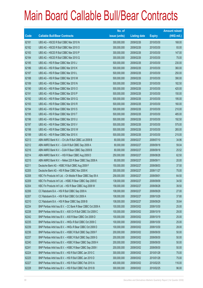|       |                                                              | No. of        |                     |               | <b>Amount raised</b> |
|-------|--------------------------------------------------------------|---------------|---------------------|---------------|----------------------|
| Code  | <b>Callable Bull/Bear Contracts</b>                          | issue (units) | <b>Listing date</b> | <b>Expiry</b> | $(HK$$ mil.)         |
| 62181 | UBS AG - HSCEI R Bull CBBC Mar 2010 N                        | 300,000,000   | 2009/02/26          | 2010/03/30    | 168.00               |
| 62182 | UBS AG - HSCEI R Bull CBBC Mar 2010 O                        | 300,000,000   | 2009/02/26          | 2010/03/30    | 93.00                |
| 62183 | UBS AG - HSCEI R Bull CBBC Mar 2010 P                        | 300,000,000   | 2009/02/26          | 2010/03/30    | 147.00               |
| 62184 | UBS AG - HSCEI R Bull CBBC Mar 2010 Q                        | 300,000,000   | 2009/02/26          | 2010/03/30    | 75.00                |
| 62185 | UBS AG - HSI R Bear CBBC Mar 2010 J                          | 500,000,000   | 2009/02/26          | 2010/03/30    | 230.00               |
| 62186 | UBS AG - HSI R Bear CBBC Mar 2010 K                          | 500,000,000   | 2009/02/26          | 2010/03/30    | 360.00               |
| 62187 | UBS AG - HSI R Bear CBBC Mar 2010 L                          | 500,000,000   | 2009/02/26          | 2010/03/30    | 250.00               |
| 62188 | UBS AG - HSI R Bear CBBC Mar 2010 M                          | 500,000,000   | 2009/02/26          | 2010/03/30    | 390.00               |
| 62189 | UBS AG - HSI R Bear CBBC Mar 2010 N                          | 500,000,000   | 2009/02/26          | 2010/03/30    | 182.50               |
| 62190 | UBS AG - HSI R Bear CBBC Mar 2010 O                          | 500,000,000   | 2009/02/26          | 2010/03/30    | 420.00               |
| 62191 | UBS AG - HSI R Bear CBBC Mar 2010 P                          | 500,000,000   | 2009/02/26          | 2010/03/30    | 150.00               |
| 62192 | UBS AG - HSI R Bear CBBC Mar 2010 Q                          | 500,000,000   | 2009/02/26          | 2010/03/30    | 195.00               |
| 62193 | UBS AG - HSI R Bear CBBC Mar 2010 R                          | 500,000,000   | 2009/02/26          | 2010/03/30    | 160.00               |
| 62194 | UBS AG - HSI R Bear CBBC Mar 2010 S                          | 500,000,000   | 2009/02/26          | 2010/03/30    | 210.00               |
| 62195 | UBS AG - HSI R Bear CBBC Mar 2010 T                          | 500,000,000   | 2009/02/26          | 2010/03/30    | 485.00               |
| 62196 | UBS AG - HSI R Bear CBBC Mar 2010 U                          | 500,000,000   | 2009/02/26          | 2010/03/30    | 192.50               |
| 62197 | UBS AG - HSI R Bear CBBC Mar 2010 V                          | 500,000,000   | 2009/02/26          | 2010/03/30    | 575.00               |
| 62198 | UBS AG - HSI R Bear CBBC Mar 2010 W                          | 500,000,000   | 2009/02/26          | 2010/03/30    | 265.00               |
| 62199 | UBS AG - HSI R Bear CBBC Mar 2010 X                          | 500,000,000   | 2009/02/26          | 2010/03/30    | 215.00               |
| 62213 | ABN AMRO Bank N.V. - Ch Life R Bull CBBC Jul 2009 B          | 80,000,000    | 2009/02/27          | 2009/07/10    | 34.96                |
| 62212 | ABN AMRO Bank N.V. - DJIA R Bull CBBC Sep 2009 A             | 80,000,000    | 2009/02/27          | 2009/09/18    | 59.04                |
| 62216 | ABN AMRO Bank N.V. - DJIA R Bear CBBC Sep 2009 B             | 80,000,000    | 2009/02/27          | 2009/09/18    | 25.52                |
| 62214 | ABN AMRO Bank N.V. - HSI R Bear CBBC Aug 2009 D              | 250,000,000   | 2009/02/27          | 2009/08/28    | 62.50                |
| 62215 | ABN AMRO Bank N.V. - Nikkei 225 R Bear CBBC Sep 2009 A       | 80,000,000    | 2009/02/27          | 2009/09/11    | 20.00                |
| 62211 | Deutsche Bank AG - HSBC R Bull CBBC Aug 2009 F               | 150,000,000   | 2009/02/27          | 2009/08/03    | 37.50                |
| 62205 | Deutsche Bank AG - HSI R Bear CBBC Nov 2009 K                | 300,000,000   | 2009/02/27          | 2009/11/27    | 75.00                |
| 62208 | KBC Fin Products Int'l Ltd. - Ch Mobile R Bear CBBC Sep 09 A | 258,000,000   | 2009/02/27          | 2009/09/01    | 64.50                |
| 62209 | KBC Fin Products Int'l Ltd. - HSBC R Bear CBBC Sep 2009 E    | 138,000,000   | 2009/02/27          | 2009/09/09    | 34.50                |
| 62204 | KBC Fin Products Int'l Ltd. - HSI R Bear CBBC Aug 2009 W     | 158,000,000   | 2009/02/27          | 2009/08/28    | 39.50                |
| 62206 | CC Rabobank B.A. - HSI R Bull CBBC Sep 2009 A                | 108,000,000   | 2009/02/27          | 2009/09/29    | 27.00                |
| 62207 | CC Rabobank B.A. - HSI R Bull CBBC Oct 2009 A                | 108,000,000   | 2009/02/27          | 2009/10/29    | 37.80                |
| 62210 | CC Rabobank B.A. - HSI R Bear CBBC Sep 2009 B                | 108,000,000   | 2009/02/27          | 2009/09/29    | 35.64                |
| 62234 | BNP Paribas Arbit Issu B.V. - CC Bank R Bear CBBC Oct 2009 A | 100,000,000   | 2009/03/02          | 2009/10/30    | 25.00                |
| 62238 | BNP Paribas Arbit Issu B.V. - A50 Ch R Bull CBBC Oct 2009 C  | 100,000,000   | 2009/03/02          | 2009/10/19    | 29.00                |
| 62242 | BNP Paribas Arbit Issu B.V. - A50 R Bear CBBC Oct 2009 D     | 100,000,000   | 2009/03/02          | 2009/10/19    | 25.00                |
| 62235 | BNP Paribas Arbit Issu B.V. - HKEx R Bull CBBC Oct 2009 C    | 100,000,000   | 2009/03/02          | 2009/10/30    | 25.00                |
| 62239 | BNP Paribas Arbit Issu B.V. - HKEx R Bear CBBC Oct 2009 D    | 100,000,000   | 2009/03/02          | 2009/10/30    | 28.00                |
| 62236 | BNP Paribas Arbit Issu B.V. - HSBC R Bull CBBC Sep 2009 F    | 200,000,000   | 2009/03/02          | 2009/09/30    | 50.00                |
| 62237 | BNP Paribas Arbit Issu B.V. - HSBC R Bull CBBC Sep 2009 G    | 200,000,000   | 2009/03/02          | 2009/09/30    | 50.00                |
| 62240 | BNP Paribas Arbit Issu B.V. - HSBC R Bear CBBC Sep 2009 H    | 200,000,000   | 2009/03/02          | 2009/09/30    | 50.00                |
| 62241 | BNP Paribas Arbit Issu B.V. - HSBC R Bear CBBC Sep 2009 I    | 200,000,000   | 2009/03/02          | 2009/09/30    | 50.00                |
| 62224 | BNP Paribas Arbit Issu B.V. - HSI R Bull CBBC Jan 2010 C     | 300,000,000   | 2009/03/02          | 2010/01/28    | 75.00                |
| 62225 | BNP Paribas Arbit Issu B.V. - HSI R Bull CBBC Jan 2010 D     | 300,000,000   | 2009/03/02          | 2010/01/28    | 75.00                |
| 62227 | BNP Paribas Arbit Issu B.V. - HSI R Bull CBBC Feb 2010 A     | 400,000,000   | 2009/03/02          | 2010/02/25    | 116.00               |
| 62228 | BNP Paribas Arbit Issu B.V. - HSI R Bull CBBC Feb 2010 B     | 300,000,000   | 2009/03/02          | 2010/02/25    | 96.00                |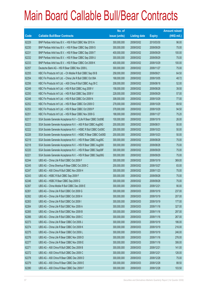|       |                                                                | No. of        |                     |               | <b>Amount raised</b> |
|-------|----------------------------------------------------------------|---------------|---------------------|---------------|----------------------|
| Code  | <b>Callable Bull/Bear Contracts</b>                            | issue (units) | <b>Listing date</b> | <b>Expiry</b> | $(HK$$ mil.)         |
| 62229 | BNP Paribas Arbit Issu B.V. - HSI R Bull CBBC Mar 2010 A       | 300,000,000   | 2009/03/02          | 2010/03/30    | 96.00                |
| 62230 | BNP Paribas Arbit Issu B.V. - HSI R Bear CBBC Sep 2009 S       | 300,000,000   | 2009/03/02          | 2009/09/29    | 75.00                |
| 62231 | BNP Paribas Arbit Issu B.V. - HSI R Bear CBBC Sep 2009 T       | 400,000,000   | 2009/03/02          | 2009/09/29    | 100.00               |
| 62232 | BNP Paribas Arbit Issu B.V. - HSI R Bear CBBC Sep 2009 U       | 300,000,000   | 2009/03/02          | 2009/09/29    | 75.00                |
| 62233 | BNP Paribas Arbit Issu B.V. - HSI R Bear CBBC Oct 2009 K       | 400,000,000   | 2009/03/02          | 2009/10/29    | 100.00               |
| 62257 | Deutsche Bank AG - HSI R Bear CBBC Nov 2009 L                  | 300,000,000   | 2009/03/02          | 2009/11/27    | 75.00                |
| 62255 | KBC Fin Products Int'l Ltd. - Ch Mobile R Bull CBBC Sep 09 B   | 258,000,000   | 2009/03/02          | 2009/09/21    | 64.50                |
| 62254 | KBC Fin Products Int'l Ltd. - China Life R Bull CBBC Oct 09A   | 168,000,000   | 2009/03/02          | 2009/10/05    | 48.72                |
| 62256 | KBC Fin Products Int'l Ltd. - A50 China R Bull CBBC Aug 09 C   | 208,000,000   | 2009/03/02          | 2009/08/18    | 52.00                |
| 62249 | KBC Fin Products Int'l Ltd. - HSI R Bull CBBC Aug 2009 V       | 158,000,000   | 2009/03/02          | 2009/08/28    | 39.50                |
| 62250 | KBC Fin Products Int'l Ltd. - HSI R Bull CBBC Sep 2009 V       | 228,000,000   | 2009/03/02          | 2009/09/29    | 57.00                |
| 62248 | KBC Fin Products Int'l Ltd. - HSI R Bull CBBC Oct 2009 N       | 308,000,000   | 2009/03/02          | 2009/10/29    | 77.00                |
| 62252 | KBC Fin Products Int'l Ltd. - HSI R Bear CBBC Oct 2009 O       | 278,000,000   | 2009/03/02          | 2009/10/29    | 69.50                |
| 62253 | KBC Fin Products Int'l Ltd. - HSI R Bear CBBC Oct 2009 P       | 378,000,000   | 2009/03/02          | 2009/10/29    | 94.50                |
| 62251 | KBC Fin Products Int'l Ltd. - HSI R Bear CBBC Nov 2009 G       | 188,000,000   | 2009/03/02          | 2009/11/27    | 75.20                |
| 62217 | SGA Societe Generale Acceptance N.V - CLife R Bear CBBC Oct09E | 100,000,000   | 2009/03/02          | 2009/10/19    | 26.00                |
| 62223 | SGA Societe Generale Acceptance N.V. - A50 R Bull CBBC Aug09G  | 200,000,000   | 2009/03/02          | 2009/08/31    | 50.00                |
| 62222 | SGA Societe Generale Acceptance N.V. - HSBC R Bull CBBC Oct09C | 200,000,000   | 2009/03/02          | 2009/10/23    | 50.00                |
| 62226 | SGA Societe Generale Acceptance N.V. - HSBC R Bear CBBC Oct09D | 200,000,000   | 2009/03/02          | 2009/10/23    | 50.00                |
| 62219 | SGA Societe Generale Acceptance N.V. - HSI R Bear CBBC Aug09C  | 300,000,000   | 2009/03/02          | 2009/08/28    | 75.00                |
| 62218 | SGA Societe Generale Acceptance N.V. - HSI R Bear CBBC Aug09X  | 300,000,000   | 2009/03/02          | 2009/08/28    | 75.00                |
| 62220 | SGA Societe Generale Acceptance N.V. - HSI R Bear CBBC Sep09F  | 300,000,000   | 2009/03/02          | 2009/09/29    | 75.00                |
| 62221 | SGA Societe Generale Acceptance N.V. - HSI R Bear CBBC Sep09G  | 300,000,000   | 2009/03/02          | 2009/09/29    | 75.00                |
| 62244 | UBS AG - China Life R Bull CBBC Oct 2009 F                     | 300,000,000   | 2009/03/02          | 2009/10/19    | 369.00               |
| 62245 | UBS AG - China Shenhua R Bear CBBC Oct 2009 C                  | 200,000,000   | 2009/03/02          | 2009/10/27    | 83.00                |
| 62247 | UBS AG - A50 China R Bull CBBC Nov 2009 H                      | 300,000,000   | 2009/03/02          | 2009/11/23    | 75.00                |
| 62243 | UBS AG - HSBC R Bull CBBC Sep 2009 F                           | 300,000,000   | 2009/03/02          | 2009/09/28    | 75.00                |
| 62246 | UBS AG - HSBC R Bear CBBC Sep 2009 G                           | 300,000,000   | 2009/03/02          | 2009/09/28    | 75.00                |
| 62267 | UBS AG - China Mobile R Bull CBBC Dec 2009 E                   | 300,000,000   | 2009/03/03          | 2009/12/21    | 90.00                |
| 62261 | UBS AG - China Life R Bull CBBC Oct 2009 G                     | 300,000,000   | 2009/03/03          | 2009/10/19    | 237.00               |
| 62262 | UBS AG - China Life R Bull CBBC Oct 2009 H                     | 300,000,000   | 2009/03/03          | 2009/10/19    | 207.00               |
| 62263 | UBS AG - China Life R Bull CBBC Oct 2009 I                     | 300,000,000   | 2009/03/03          | 2009/10/19    | 177.00               |
| 62264 | UBS AG - China Life R Bull CBBC Nov 2009 A                     | 300,000,000   | 2009/03/03          | 2009/11/16    | 327.00               |
| 62265 | UBS AG - China Life R Bull CBBC Nov 2009 B                     | 300,000,000   | 2009/03/03          | 2009/11/16    | 297.00               |
| 62266 | UBS AG - China Life R Bull CBBC Nov 2009 C                     | 300,000,000   | 2009/03/03          | 2009/11/16    | 267.00               |
| 62273 | UBS AG - China Life R Bear CBBC Oct 2009 J                     | 300,000,000   | 2009/03/03          | 2009/10/19    | 186.00               |
| 62274 | UBS AG - China Life R Bear CBBC Oct 2009 K                     | 300,000,000   | 2009/03/03          | 2009/10/19    | 216.00               |
| 62275 | UBS AG - China Life R Bear CBBC Oct 2009 L                     | 300,000,000   | 2009/03/03          | 2009/10/19    | 246.00               |
| 62276 | UBS AG - China Life R Bear CBBC Nov 2009 D                     | 300,000,000   | 2009/03/03          | 2009/11/16    | 276.00               |
| 62277 | UBS AG - China Life R Bear CBBC Nov 2009 E                     | 300,000,000   | 2009/03/03          | 2009/11/16    | 306.00               |
| 62271 | UBS AG - A50 China R Bull CBBC Dec 2009 B                      | 300,000,000   | 2009/03/03          | 2009/12/21    | 141.00               |
| 62272 | UBS AG - A50 China R Bull CBBC Dec 2009 C                      | 300,000,000   | 2009/03/03          | 2009/12/21    | 126.00               |
| 62278 | UBS AG - A50 China R Bear CBBC Dec 2009 D                      | 300,000,000   | 2009/03/03          | 2009/12/28    | 75.00                |
| 62279 | UBS AG - A50 China R Bear CBBC Dec 2009 E                      | 300,000,000   | 2009/03/03          | 2009/12/28    | 88.50                |
| 62280 | UBS AG - A50 China R Bear CBBC Dec 2009 F                      | 300,000,000   | 2009/03/03          | 2009/12/28    | 103.50               |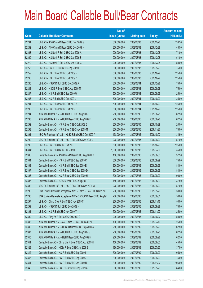|         |                                                                | No. of        |                     |               | <b>Amount raised</b> |
|---------|----------------------------------------------------------------|---------------|---------------------|---------------|----------------------|
| Code    | <b>Callable Bull/Bear Contracts</b>                            | issue (units) | <b>Listing date</b> | <b>Expiry</b> | $(HK$$ mil.)         |
| 62281   | UBS AG - A50 China R Bear CBBC Dec 2009 G                      | 300,000,000   | 2009/03/03          | 2009/12/28    | 133.50               |
| 62282   | UBS AG - A50 China R Bear CBBC Dec 2009 H                      | 300,000,000   | 2009/03/03          | 2009/12/28    | 148.50               |
| 62268   | UBS AG - HS Bank R Bull CBBC Dec 2009 A                        | 200,000,000   | 2009/03/03          | 2009/12/28    | 71.00                |
| 62269   | UBS AG - HS Bank R Bull CBBC Dec 2009 B                        | 200,000,000   | 2009/03/03          | 2009/12/28    | 51.00                |
| 62270   | UBS AG - HS Bank R Bull CBBC Dec 2009 C                        | 200,000,000   | 2009/03/03          | 2009/12/28    | 50.00                |
| 62258   | UBS AG - HSCEI R Bull CBBC Sep 2009 F                          | 300,000,000   | 2009/03/03          | 2009/09/29    | 75.00                |
| 62259   | UBS AG - HSI R Bear CBBC Oct 2009 R                            | 500,000,000   | 2009/03/03          | 2009/10/29    | 125.00               |
| 62260   | UBS AG - HSI R Bear CBBC Oct 2009 Z                            | 500,000,000   | 2009/03/03          | 2009/10/29    | 125.00               |
| 62286   | UBS AG - HSBC R Bull CBBC Dec 2009 A                           | 300,000,000   | 2009/03/04          | 2009/12/28    | 75.00                |
| 62283   | UBS AG - HSCEI R Bear CBBC Aug 2009 M                          | 300,000,000   | 2009/03/04          | 2009/08/28    | 75.00                |
| 62287   | UBS AG - HSI R Bull CBBC Sep 2009 W                            | 500,000,000   | 2009/03/04          | 2009/09/29    | 125.00               |
| 62288   | UBS AG - HSI R Bull CBBC Oct 2009 L                            | 500,000,000   | 2009/03/04          | 2009/10/29    | 125.00               |
| 62284   | UBS AG - HSI R Bear CBBC Oct 2009 A                            | 500,000,000   | 2009/03/04          | 2009/10/29    | 125.00               |
| 62285   | UBS AG - HSI R Bear CBBC Oct 2009 H                            | 500,000,000   | 2009/03/04          | 2009/10/29    | 125.00               |
| 62294   | ABN AMRO Bank N.V. - HSI R Bull CBBC Aug 2009 E                | 250,000,000   | 2009/03/05          | 2009/08/28    | 62.50                |
| 62298   | ABN AMRO Bank N.V. - HSI R Bear CBBC Aug 2009 F                | 250,000,000   | 2009/03/05          | 2009/08/28    | 62.50                |
| 62292   | Deutsche Bank AG - HSI R Bear CBBC Oct 2009 Z                  | 300,000,000   | 2009/03/05          | 2009/10/29    | 120.00               |
| 62293   | Deutsche Bank AG - HSI R Bear CBBC Nov 2009 M                  | 300,000,000   | 2009/03/05          | 2009/11/27    | 75.00                |
| 62291   | KBC Fin Products Int'l Ltd. - HSBC R Bull CBBC Oct 2009 A      | 138,000,000   | 2009/03/05          | 2009/10/02    | 34.50                |
| 62290   | KBC Fin Products Int'l Ltd. - HSI R Bull CBBC Sep 2009 U       | 228,000,000   | 2009/03/05          | 2009/09/29    | 57.00                |
| 62289   | UBS AG - HSI R Bull CBBC Oct 2009 B                            | 500,000,000   | 2009/03/05          | 2009/10/29    | 125.00               |
| 60334 # | UBS AG - HSI R Bull CBBC Jul 2009 K                            | 1,000,000,000 | 2009/03/05          | 2009/07/30    | 35.00                |
| 62306   | Deutsche Bank AG - A50 China R Bear CBBC Aug 2009 D            | 150,000,000   | 2009/03/06          | 2009/08/03    | 37.50                |
| 62304   | Deutsche Bank AG - HSI R Bull CBBC Sep 2009 C                  | 300,000,000   | 2009/03/06          | 2009/09/29    | 75.00                |
| 62303   | Deutsche Bank AG - HSI R Bull CBBC Sep 2009 E                  | 300,000,000   | 2009/03/06          | 2009/09/29    | 84.00                |
| 62307   | Deutsche Bank AG - HSI R Bear CBBC Sep 2009 D                  | 300,000,000   | 2009/03/06          | 2009/09/29    | 84.00                |
| 62308   | Deutsche Bank AG - HSI R Bear CBBC Sep 2009 H                  | 300,000,000   | 2009/03/06          | 2009/09/29    | 90.00                |
| 62305   | Deutsche Bank AG - ICBC R Bear CBBC Aug 2009 F                 | 150,000,000   | 2009/03/06          | 2009/08/03    | 37.50                |
| 62302   | KBC Fin Products Int'l Ltd. - HSI R Bear CBBC Sep 2009 W       | 228,000,000   | 2009/03/06          | 2009/09/29    | 57.00                |
| 62295   | SGA Societe Generale Acceptance N.V. - CMob R Bear CBBC Sep09G | 200,000,000   | 2009/03/06          | 2009/09/29    | 50.00                |
| 62296   | SGA Societe Generale Acceptance N.V - CNOOC R Bear CBBC Aug09B | 200,000,000   | 2009/03/06          | 2009/08/31    | 50.00                |
| 62297   | UBS AG - China Coal R Bull CBBC Nov 2009 C                     | 200,000,000   | 2009/03/06          | 2009/11/16    | 50.00                |
| 62299   | UBS AG - HSBC R Bull CBBC Sep 2009 H                           | 300,000,000   | 2009/03/06          | 2009/09/28    | 75.00                |
| 62301   | UBS AG - HSI R Bull CBBC Nov 2009 Y                            | 500,000,000   | 2009/03/06          | 2009/11/27    | 125.00               |
| 62300   | UBS AG - Ping An R Bull CBBC Oct 2009 C                        | 200,000,000   | 2009/03/06          | 2009/10/27    | 50.00                |
| 62338   | ABN AMRO Bank N.V. - A50 China R Bear CBBC Jul 2009 E          | 100,000,000   | 2009/03/09          | 2009/07/10    | 25.00                |
| 62339   | ABN AMRO Bank N.V. - HSCEI R Bear CBBC Sep 2009 A              | 250,000,000   | 2009/03/09          | 2009/09/29    | 62.50                |
| 62337   | ABN AMRO Bank N.V. - HSI R Bull CBBC Aug 2009 G                | 250,000,000   | 2009/03/09          | 2009/08/28    | 62.50                |
| 62340   | ABN AMRO Bank N.V. - HSI R Bear CBBC Aug 2009 H                | 250,000,000   | 2009/03/09          | 2009/08/28    | 62.50                |
| 62341   | Deutsche Bank AG - China Life R Bear CBBC Aug 2009 H           | 150,000,000   | 2009/03/09          | 2009/08/03    | 45.00                |
| 62329   | Deutsche Bank AG - HKEx R Bear CBBC Jul 2009 S                 | 150,000,000   | 2009/03/09          | 2009/07/27    | 37.50                |
| 62342   | Deutsche Bank AG - HSI R Bull CBBC Sep 2009 I                  | 300,000,000   | 2009/03/09          | 2009/09/29    | 105.00               |
| 62343   | Deutsche Bank AG - HSI R Bull CBBC Sep 2009 J                  | 300,000,000   | 2009/03/09          | 2009/09/29    | 75.00                |
| 62344   | Deutsche Bank AG - HSI R Bull CBBC Nov 2009 N                  | 300,000,000   | 2009/03/09          | 2009/11/27    | 105.00               |
| 62345   | Deutsche Bank AG - HSI R Bear CBBC Sep 2009 A                  | 300,000,000   | 2009/03/09          | 2009/09/29    | 84.00                |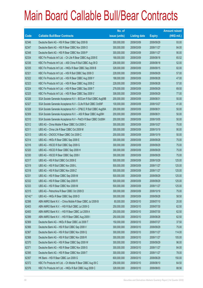|         |                                                                | No. of        |                     |               | <b>Amount raised</b> |
|---------|----------------------------------------------------------------|---------------|---------------------|---------------|----------------------|
| Code    | <b>Callable Bull/Bear Contracts</b>                            | issue (units) | <b>Listing date</b> | <b>Expiry</b> | (HK\$ mil.)          |
| 62346   | Deutsche Bank AG - HSI R Bear CBBC Sep 2009 B                  | 300,000,000   | 2009/03/09          | 2009/09/29    | 93.00                |
| 62347   | Deutsche Bank AG - HSI R Bear CBBC Nov 2009 O                  | 300,000,000   | 2009/03/09          | 2009/11/27    | 84.00                |
| 62348   | Deutsche Bank AG - HSI R Bear CBBC Nov 2009 P                  | 300,000,000   | 2009/03/09          | 2009/11/27    | 90.00                |
| 62334   | KBC Fin Products Int'l Ltd. - Ch Life R Bear CBBC Aug 2009 E   | 168,000,000   | 2009/03/09          | 2009/08/18    | 65.52                |
| 62336   | KBC Fin Products Int'l Ltd. - A50 China R Bull CBBC Aug 09 D   | 208,000,000   | 2009/03/09          | 2009/08/18    | 52.00                |
| 62335   | KBC Fin Products Int'l Ltd. - HKEx R Bear CBBC Sep 2009 B      | 328,000,000   | 2009/03/09          | 2009/09/15    | 82.00                |
| 62321   | KBC Fin Products Int'l Ltd. - HSI R Bull CBBC Sep 2009 O       | 228,000,000   | 2009/03/09          | 2009/09/29    | 57.00                |
| 62322   | KBC Fin Products Int'l Ltd. - HSI R Bear CBBC Aug 2009 Y       | 188,000,000   | 2009/03/09          | 2009/08/28    | 47.00                |
| 62323   | KBC Fin Products Int'l Ltd. - HSI R Bear CBBC Aug 2009 Z       | 228,000,000   | 2009/03/09          | 2009/08/28    | 57.00                |
| 62324   | KBC Fin Products Int'l Ltd. - HSI R Bear CBBC Sep 2009 T       | 278,000,000   | 2009/03/09          | 2009/09/29    | 69.50                |
| 62325   | KBC Fin Products Int'l Ltd. - HSI R Bear CBBC Sep 2009 V       | 308,000,000   | 2009/03/09          | 2009/09/29    | 77.00                |
| 62326   | SGA Societe Generale Acceptance N.V - BOCom R Bull CBBC Aug09B | 200,000,000   | 2009/03/09          | 2009/08/31    | 50.00                |
| 62327   | SGA Societe Generale Acceptance N.V - CLife R Bull CBBC Oct09F | 100,000,000   | 2009/03/09          | 2009/10/27    | 41.00                |
| 62328   | SGA Societe Generale Acceptance N.V - CP&CC R Bull CBBC Aug09A | 200,000,000   | 2009/03/09          | 2009/08/31    | 50.00                |
| 62309   | SGA Societe Generale Acceptance N.V. - A50 R Bear CBBC Aug09H  | 200,000,000   | 2009/03/09          | 2009/08/31    | 50.00                |
| 62310   | SGA Societe Generale Acceptance N.V - PetCh R Bear CBBC Oct09H | 200,000,000   | 2009/03/09          | 2009/10/05    | 50.00                |
| 62312   | UBS AG - China Mobile R Bear CBBC Oct 2009 C                   | 300,000,000   | 2009/03/09          | 2009/10/27    | 75.00                |
| 62311   | UBS AG - China Life R Bear CBBC Oct 2009 M                     | 300,000,000   | 2009/03/09          | 2009/10/19    | 90.00                |
| 62313   | UBS AG - CNOOC R Bear CBBC Oct 2009 C                          | 200,000,000   | 2009/03/09          | 2009/10/19    | 50.00                |
| 62314   | UBS AG - HKEx R Bear CBBC Sep 2009 E                           | 300,000,000   | 2009/03/09          | 2009/09/28    | 75.00                |
| 62316   | UBS AG - HSCEI R Bull CBBC Sep 2009 G                          | 300,000,000   | 2009/03/09          | 2009/09/29    | 75.00                |
| 62320   | UBS AG - HSCEI R Bear CBBC Sep 2009 H                          | 300,000,000   | 2009/03/09          | 2009/09/29    | 75.00                |
| 62330   | UBS AG - HSCEI R Bear CBBC Sep 2009 I                          | 300,000,000   | 2009/03/09          | 2009/09/29    | 75.00                |
| 62317   | UBS AG - HSI R Bull CBBC Oct 2009 E                            | 500,000,000   | 2009/03/09          | 2009/10/29    | 125.00               |
| 62319   | UBS AG - HSI R Bull CBBC Nov 2009 L                            | 500,000,000   | 2009/03/09          | 2009/11/27    | 125.00               |
| 62318   | UBS AG - HSI R Bull CBBC Nov 2009 Z                            | 500,000,000   | 2009/03/09          | 2009/11/27    | 125.00               |
| 62331   | UBS AG - HSI R Bear CBBC Sep 2009 M                            | 500,000,000   | 2009/03/09          | 2009/09/29    | 125.00               |
| 62332   | UBS AG - HSI R Bear CBBC Sep 2009 R                            | 500,000,000   | 2009/03/09          | 2009/09/29    | 125.00               |
| 62333   | UBS AG - HSI R Bear CBBC Nov 2009 M                            | 500,000,000   | 2009/03/09          | 2009/11/27    | 125.00               |
| 62315   | UBS AG - Petrochina R Bear CBBC Oct 2009 D                     | 300,000,000   | 2009/03/09          | 2009/10/19    | 75.00                |
| 62142 # | UBS AG - HKEx R Bear CBBC Sep 2009 D                           | 300,000,000   | 2009/03/09          | 2009/09/28    | 58.50                |
| 62398   | ABN AMRO Bank N.V. - China Mobile R Bear CBBC Jul 2009 B       | 80,000,000    | 2009/03/10          | 2009/07/10    | 20.00                |
| 62403   | ABN AMRO Bank N.V. - HSI R Bull CBBC Jul 2009 G                | 250,000,000   | 2009/03/10          | 2009/07/30    | 62.50                |
| 62400   | ABN AMRO Bank N.V. - HSI R Bear CBBC Jul 2009 A                | 250,000,000   | 2009/03/10          | 2009/07/30    | 62.50                |
| 62399   | ABN AMRO Bank N.V. - HSI R Bear CBBC Aug 2009 I                | 250,000,000   | 2009/03/10          | 2009/08/28    | 62.50                |
| 62369   | Deutsche Bank AG - HKEx R Bear CBBC Jul 2009 T                 | 150,000,000   | 2009/03/10          | 2009/07/27    | 37.50                |
| 62366   | Deutsche Bank AG - HSI R Bull CBBC Sep 2009 V                  | 300,000,000   | 2009/03/10          | 2009/09/29    | 75.00                |
| 62367   | Deutsche Bank AG - HSI R Bull CBBC Nov 2009 Q                  | 300,000,000   | 2009/03/10          | 2009/11/27    | 114.00               |
| 62368   | Deutsche Bank AG - HSI R Bull CBBC Nov 2009 R                  | 300,000,000   | 2009/03/10          | 2009/11/27    | 105.00               |
| 62370   | Deutsche Bank AG - HSI R Bear CBBC Sep 2009 W                  | 300,000,000   | 2009/03/10          | 2009/09/29    | 96.00                |
| 62371   | Deutsche Bank AG - HSI R Bear CBBC Nov 2009 S                  | 300,000,000   | 2009/03/10          | 2009/11/27    | 84.00                |
| 62395   | Deutsche Bank AG - HSI R Bear CBBC Nov 2009 T                  | 300,000,000   | 2009/03/10          | 2009/11/27    | 78.00                |
| 62357   | HK Bank - HSI R Bear CBBC Jun 2009 G                           | 600,000,000   | 2009/03/10          | 2009/06/29    | 150.00               |
| 62372   | KBC Fin Products Int'l Ltd. - Ch Mobile R Bear CBBC Aug 09 C   | 258,000,000   | 2009/03/10          | 2009/08/10    | 64.50                |
| 62376   | KBC Fin Products Int'l Ltd. - HKEx R Bull CBBC Aug 2009 C      | 328,000,000   | 2009/03/10          | 2009/08/03    | 88.56                |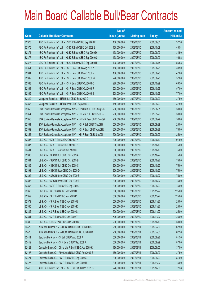|       |                                                                | No. of        |                     |               | <b>Amount raised</b> |
|-------|----------------------------------------------------------------|---------------|---------------------|---------------|----------------------|
| Code  | <b>Callable Bull/Bear Contracts</b>                            | issue (units) | <b>Listing date</b> | <b>Expiry</b> | $(HK$$ mil.)         |
| 62373 | KBC Fin Products Int'l Ltd. - HSBC R Bull CBBC Sep 2009 F      | 138,000,000   | 2009/03/10          | 2009/09/01    | 37.26                |
| 62375 | KBC Fin Products Int'l Ltd. - HSBC R Bull CBBC Oct 2009 B      | 138,000,000   | 2009/03/10          | 2009/10/09    | 45.54                |
| 62374 | KBC Fin Products Int'l Ltd. - HSBC R Bear CBBC Aug 2009 D      | 138,000,000   | 2009/03/10          | 2009/08/03    | 34.50                |
| 62377 | KBC Fin Products Int'l Ltd. - HSBC R Bear CBBC Sep 2009 G      | 138,000,000   | 2009/03/10          | 2009/09/03    | 46.92                |
| 62378 | KBC Fin Products Int'l Ltd. - HSBC R Bear CBBC Sep 2009 H      | 138,000,000   | 2009/03/10          | 2009/09/15    | 56.58                |
| 62361 | KBC Fin Products Int'l Ltd. - HSI R Bear CBBC Aug 2009 N       | 158,000,000   | 2009/03/10          | 2009/08/28    | 39.50                |
| 62394 | KBC Fin Products Int'l Ltd. - HSI R Bear CBBC Aug 2009 V       | 188,000,000   | 2009/03/10          | 2009/08/28    | 47.00                |
| 62362 | KBC Fin Products Int'l Ltd. - HSI R Bear CBBC Aug 2009 W       | 228,000,000   | 2009/03/10          | 2009/08/28    | 57.00                |
| 62363 | KBC Fin Products Int'l Ltd. - HSI R Bear CBBC Oct 2009 Q       | 278,000,000   | 2009/03/10          | 2009/10/29    | 69.50                |
| 62364 | KBC Fin Products Int'l Ltd. - HSI R Bear CBBC Oct 2009 R       | 228,000,000   | 2009/03/10          | 2009/10/29    | 57.00                |
| 62365 | KBC Fin Products Int'l Ltd. - HSI R Bear CBBC Oct 2009 S       | 308,000,000   | 2009/03/10          | 2009/10/29    | 77.00                |
| 62349 | Macquarie Bank Ltd. - HSI R Bull CBBC Sep 2009 C               | 150,000,000   | 2009/03/10          | 2009/09/29    | 37.50                |
| 62353 | Macquarie Bank Ltd. - HSI R Bear CBBC Sep 2009 D               | 150,000,000   | 2009/03/10          | 2009/09/29    | 37.50                |
| 62350 | SGA Societe Generale Acceptance N.V - CCoal R Bull CBBC Aug09B | 200,000,000   | 2009/03/10          | 2009/08/31    | 50.00                |
| 62354 | SGA Societe Generale Acceptance N.V. - HKEx R Bull CBBC Sep09J | 200,000,000   | 2009/03/10          | 2009/09/29    | 50.00                |
| 62356 | SGA Societe Generale Acceptance N.V. - HKEx R Bear CBBC Sep09K | 200,000,000   | 2009/03/10          | 2009/09/29    | 50.00                |
| 62351 | SGA Societe Generale Acceptance N.V. - HSI R Bull CBBC Sep09H  | 500,000,000   | 2009/03/10          | 2009/09/29    | 125.00               |
| 62352 | SGA Societe Generale Acceptance N.V. - HSI R Bear CBBC Aug09E  | 300,000,000   | 2009/03/10          | 2009/08/28    | 75.00                |
| 62355 | SGA Societe Generale Acceptance N.V. - HSI R Bear CBBC Sep091  | 500,000,000   | 2009/03/10          | 2009/09/29    | 125.00               |
| 62396 | UBS AG - HKEx R Bull CBBC Oct 2009 A                           | 300,000,000   | 2009/03/10          | 2009/10/19    | 91.50                |
| 62397 | UBS AG - HKEx R Bull CBBC Oct 2009 B                           | 300,000,000   | 2009/03/10          | 2009/10/19    | 75.00                |
| 62401 | UBS AG - HKEx R Bear CBBC Oct 2009 C                           | 300,000,000   | 2009/03/10          | 2009/10/19    | 75.00                |
| 62383 | UBS AG - HSBC R Bull CBBC Oct 2009 A                           | 300,000,000   | 2009/03/10          | 2009/10/27    | 75.00                |
| 62384 | UBS AG - HSBC R Bull CBBC Oct 2009 B                           | 300,000,000   | 2009/03/10          | 2009/10/27    | 75.00                |
| 62385 | UBS AG - HSBC R Bull CBBC Oct 2009 C                           | 300,000,000   | 2009/03/10          | 2009/10/27    | 75.00                |
| 62391 | UBS AG - HSBC R Bear CBBC Oct 2009 D                           | 300,000,000   | 2009/03/10          | 2009/10/27    | 75.00                |
| 62392 | UBS AG - HSBC R Bear CBBC Oct 2009 E                           | 300,000,000   | 2009/03/10          | 2009/10/27    | 75.00                |
| 62393 | UBS AG - HSBC R Bear CBBC Oct 2009 F                           | 300,000,000   | 2009/03/10          | 2009/10/27    | 75.00                |
| 62358 | UBS AG - HSCEI R Bull CBBC Sep 2009 J                          | 300,000,000   | 2009/03/10          | 2009/09/29    | 75.00                |
| 62360 | UBS AG - HSI R Bull CBBC Nov 2009 N                            | 500,000,000   | 2009/03/10          | 2009/11/27    | 125.00               |
| 62359 | UBS AG - HSI R Bull CBBC Nov 2009 P                            | 500,000,000   | 2009/03/10          | 2009/11/27    | 125.00               |
| 62379 | UBS AG - HSI R Bear CBBC Nov 2009 Q                            | 500,000,000   | 2009/03/10          | 2009/11/27    | 125.00               |
| 62380 | UBS AG - HSI R Bear CBBC Nov 2009 R                            | 500,000,000   | 2009/03/10          | 2009/11/27    | 125.00               |
| 62382 | UBS AG - HSI R Bear CBBC Nov 2009 S                            | 500,000,000   | 2009/03/10          | 2009/11/27    | 125.00               |
| 62381 | UBS AG - HSI R Bear CBBC Nov 2009 T                            | 500,000,000   | 2009/03/10          | 2009/11/27    | 125.00               |
| 62389 | UBS AG - ICBC R Bear CBBC Oct 2009 B                           | 200,000,000   | 2009/03/10          | 2009/10/19    | 50.00                |
| 62422 | ABN AMRO Bank N.V. - HSCEI R Bull CBBC Jul 2009 C              | 250,000,000   | 2009/03/11          | 2009/07/30    | 62.50                |
| 62426 | ABN AMRO Bank N.V. - HSCEI R Bear CBBC Jul 2009 D              | 250,000,000   | 2009/03/11          | 2009/07/30    | 62.50                |
| 62411 | Barclays Bank plc - HSI Bull CBBC Aug 2009 A                   | 500,000,000   | 2009/03/11          | 2009/08/28    | 81.50                |
| 62412 | Barclays Bank plc - HSI R Bear CBBC Sep 2009 A                 | 500,000,000   | 2009/03/11          | 2009/09/29    | 87.00                |
| 62423 | Deutsche Bank AG - China Life R Bull CBBC Aug 2009 K           | 150,000,000   | 2009/03/11          | 2009/08/03    | 37.50                |
| 62427 | Deutsche Bank AG - A50 China R Bull CBBC Aug 2009 E            | 150,000,000   | 2009/03/11          | 2009/08/03    | 37.50                |
| 62424 | Deutsche Bank AG - HSI R Bull CBBC Sep 2009 X                  | 300,000,000   | 2009/03/11          | 2009/09/29    | 81.00                |
| 62425 | Deutsche Bank AG - HSI R Bull CBBC Nov 2009 U                  | 300,000,000   | 2009/03/11          | 2009/11/27    | 75.00                |
| 62415 | KBC Fin Products Int'l Ltd. - HSI R Bull CBBC Dec 2009 C       | 278,000,000   | 2009/03/11          | 2009/12/30    | 72.28                |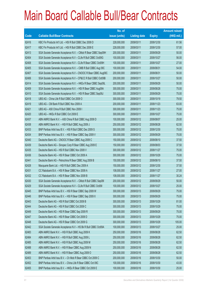|             |                                                                | No. of        |                     |               | <b>Amount raised</b> |
|-------------|----------------------------------------------------------------|---------------|---------------------|---------------|----------------------|
| <b>Code</b> | <b>Callable Bull/Bear Contracts</b>                            | issue (units) | <b>Listing date</b> | <b>Expiry</b> | $(HK$$ mil.)         |
| 62416       | KBC Fin Products Int'l Ltd. - HSI R Bull CBBC Dec 2009 D       | 228,000,000   | 2009/03/11          | 2009/12/30    | 61.56                |
| 62417       | KBC Fin Products Int'l Ltd. - HSI R Bull CBBC Dec 2009 E       | 228,000,000   | 2009/03/11          | 2009/12/30    | 57.00                |
| 62413       | SGA Societe Generale Acceptance N.V. - CMob R Bear CBBC Sep09H | 200,000,000   | 2009/03/11          | 2009/09/29    | 50.00                |
| 62404       | SGA Societe Generale Acceptance N.V - CLife R Bull CBBC Oct09G | 100,000,000   | 2009/03/11          | 2009/10/27    | 56.00                |
| 62408       | SGA Societe Generale Acceptance N.V - CLife R Bear CBBC Oct09H | 100,000,000   | 2009/03/11          | 2009/10/27    | 27.00                |
| 62405       | SGA Societe Generale Acceptance N.V. - CMB R Bull CBBC Aug 09C | 100,000,000   | 2009/03/11          | 2009/08/31    | 54.00                |
| 62407       | SGA Societe Generale Acceptance N.V - CNOOC R Bear CBBC Aug09C | 200,000,000   | 2009/03/11          | 2009/08/31    | 50.00                |
| 62406       | SGA Societe Generale Acceptance N.V - CP&CC R Bull CBBC Oct09B | 200,000,000   | 2009/03/11          | 2009/10/27    | 50.00                |
| 62414       | SGA Societe Generale Acceptance N.V. - HKEx R Bear CBBC Sep09L | 200,000,000   | 2009/03/11          | 2009/09/29    | 50.00                |
| 62409       | SGA Societe Generale Acceptance N.V. - HSI R Bear CBBC Aug09A  | 300,000,000   | 2009/03/11          | 2009/08/28    | 75.00                |
| 62410       | SGA Societe Generale Acceptance N.V. - HSI R Bear CBBC Sep09J  | 300,000,000   | 2009/03/11          | 2009/09/29    | 75.00                |
| 62418       | UBS AG - China Life R Bull CBBC Oct 2009 O                     | 300,000,000   | 2009/03/11          | 2009/10/19    | 79.50                |
| 62419       | UBS AG - CM Bank R Bull CBBC Nov 2009 A                        | 200,000,000   | 2009/03/11          | 2009/11/23    | 63.00                |
| 62421       | UBS AG - A50 China R Bull CBBC Nov 2009 I                      | 300,000,000   | 2009/03/11          | 2009/11/23    | 75.00                |
| 62420       | UBS AG - HKEx R Bull CBBC Oct 2009 E                           | 300,000,000   | 2009/03/11          | 2009/10/27    | 75.00                |
| 62437       | ABN AMRO Bank N.V. - A50 China R Bull CBBC Aug 2009 D          | 100,000,000   | 2009/03/12          | 2009/08/07    | 25.00                |
| 62438       | ABN AMRO Bank N.V. - HSI R Bull CBBC Aug 2009 J                | 250,000,000   | 2009/03/12          | 2009/08/28    | 62.50                |
| 62433       | BNP Paribas Arbit Issu B.V. - HSI R Bull CBBC Dec 2009 S       | 300,000,000   | 2009/03/12          | 2009/12/30    | 75.00                |
| 62434       | BNP Paribas Arbit Issu B.V. - HSI R Bear CBBC Sep 2009 V       | 300,000,000   | 2009/03/12          | 2009/09/29    | 75.00                |
| 62440       | Deutsche Bank AG - CNOOC R Bear CBBC Aug 2009 C                | 150,000,000   | 2009/03/12          | 2009/08/10    | 37.50                |
| 62439       | Deutsche Bank AG - Sinopec Corp R Bear CBBC Aug 2009 E         | 150,000,000   | 2009/03/12          | 2009/08/03    | 37.50                |
| 62435       | Deutsche Bank AG - HSI R Bull CBBC Nov 2009 V                  | 300,000,000   | 2009/03/12          | 2009/11/27    | 75.00                |
| 62436       | Deutsche Bank AG - HSI R Bear CBBC Oct 2009 A                  | 300,000,000   | 2009/03/12          | 2009/10/29    | 75.00                |
| 62441       | Deutsche Bank AG - Petrochina R Bear CBBC Aug 2009 B           | 150,000,000   | 2009/03/12          | 2009/08/10    | 37.50                |
| 62428       | Macquarie Bank Ltd. - HSI R Bull CBBC Dec 2009 A               | 150,000,000   | 2009/03/12          | 2009/12/30    | 37.50                |
| 62431       | CC Rabobank B.A. - HSI R Bear CBBC Nov 2009 A                  | 108,000,000   | 2009/03/12          | 2009/11/27    | 27.00                |
| 62432       | CC Rabobank B.A. - HSI R Bear CBBC Nov 2009 B                  | 108,000,000   | 2009/03/12          | 2009/11/27    | 30.24                |
| 62430       | SGA Societe Generale Acceptance N.V. - CMob R Bull CBBC Sep09I | 200,000,000   | 2009/03/12          | 2009/09/29    | 50.00                |
| 62429       | SGA Societe Generale Acceptance N.V - CLife R Bull CBBC Oct09I | 100,000,000   | 2009/03/12          | 2009/10/27    | 25.00                |
| 62445       | BNP Paribas Arbit Issu B.V. - HSI R Bear CBBC Sep 2009 W       | 300,000,000   | 2009/03/13          | 2009/09/29    | 75.00                |
| 62446       | BNP Paribas Arbit Issu B.V. - HSI R Bear CBBC Sep 2009 X       | 300,000,000   | 2009/03/13          | 2009/09/29    | 75.00                |
| 62443       | Deutsche Bank AG - HSI R Bull CBBC Oct 2009 B                  | 300,000,000   | 2009/03/13          | 2009/10/29    | 81.00                |
| 62444       | Deutsche Bank AG - HSI R Bull CBBC Oct 2009 C                  | 300,000,000   | 2009/03/13          | 2009/10/29    | 75.00                |
| 62449       | Deutsche Bank AG - HSI R Bear CBBC Sep 2009 R                  | 300,000,000   | 2009/03/13          | 2009/09/29    | 75.00                |
| 62447       | Deutsche Bank AG - HSI R Bear CBBC Oct 2009 D                  | 300,000,000   | 2009/03/13          | 2009/10/29    | 75.00                |
| 62448       | Deutsche Bank AG - HSI R Bear CBBC Oct 2009 G                  | 300,000,000   | 2009/03/13          | 2009/10/29    | 105.00               |
| 62442       | SGA Societe Generale Acceptance N.V - HS Bk R Bull CBBC Oct09A | 100,000,000   | 2009/03/13          | 2009/10/27    | 25.00                |
| 62483       | ABN AMRO Bank N.V. - HSI R Bull CBBC Aug 2009 K                | 250,000,000   | 2009/03/16          | 2009/08/28    | 62.50                |
| 62484       | ABN AMRO Bank N.V. - HSI R Bull CBBC Aug 2009 L                | 250,000,000   | 2009/03/16          | 2009/08/28    | 62.50                |
| 62485       | ABN AMRO Bank N.V. - HSI R Bull CBBC Aug 2009 M                | 250,000,000   | 2009/03/16          | 2009/08/28    | 62.50                |
| 62488       | ABN AMRO Bank N.V. - HSI R Bear CBBC Aug 2009 N                | 250,000,000   | 2009/03/16          | 2009/08/28    | 62.50                |
| 62489       | ABN AMRO Bank N.V. - HSI R Bear CBBC Aug 2009 O                | 250,000,000   | 2009/03/16          | 2009/08/28    | 62.50                |
| 62453       | BNP Paribas Arbit Issu B.V. - Ch Mob R Bear CBBC Oct 2009 C    | 200,000,000   | 2009/03/16          | 2009/10/30    | 50.00                |
| 62452       | BNP Paribas Arbit Issu B.V. - China Life R Bear CBBC Oct 09C   | 100,000,000   | 2009/03/16          | 2009/10/30    | 43.00                |
| 62455       | BNP Paribas Arbit Issu B.V. - HKEx R Bear CBBC Oct 2009 E      | 100,000,000   | 2009/03/16          | 2009/10/30    | 25.00                |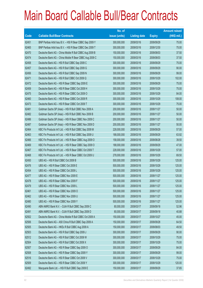|       |                                                          | No. of        |                     |               | <b>Amount raised</b> |
|-------|----------------------------------------------------------|---------------|---------------------|---------------|----------------------|
| Code  | <b>Callable Bull/Bear Contracts</b>                      | issue (units) | <b>Listing date</b> | <b>Expiry</b> | $(HK$$ mil.)         |
| 62451 | BNP Paribas Arbit Issu B.V. - HSI R Bear CBBC Sep 2009 Y | 300,000,000   | 2009/03/16          | 2009/09/29    | 75.00                |
| 62465 | BNP Paribas Arbit Issu B.V. - HSI R Bear CBBC Dec 2009 T | 300,000,000   | 2009/03/16          | 2009/12/30    | 75.00                |
| 62470 | Deutsche Bank AG - China Mobile R Bull CBBC Aug 2009 B   | 150,000,000   | 2009/03/16          | 2009/08/03    | 37.50                |
| 62474 | Deutsche Bank AG - China Mobile R Bear CBBC Aug 2009 C   | 150,000,000   | 2009/03/16          | 2009/08/03    | 37.50                |
| 62458 | Deutsche Bank AG - HSI R Bull CBBC Sep 2009 C            | 300,000,000   | 2009/03/16          | 2009/09/29    | 75.00                |
| 62457 | Deutsche Bank AG - HSI R Bull CBBC Sep 2009 G            | 300,000,000   | 2009/03/16          | 2009/09/29    | 90.00                |
| 62456 | Deutsche Bank AG - HSI R Bull CBBC Sep 2009 N            | 300,000,000   | 2009/03/16          | 2009/09/29    | 99.00                |
| 62471 | Deutsche Bank AG - HSI R Bull CBBC Oct 2009 Q            | 300,000,000   | 2009/03/16          | 2009/10/29    | 102.00               |
| 62472 | Deutsche Bank AG - HSI R Bear CBBC Sep 2009 E            | 300,000,000   | 2009/03/16          | 2009/09/29    | 75.00                |
| 62459 | Deutsche Bank AG - HSI R Bear CBBC Oct 2009 H            | 300,000,000   | 2009/03/16          | 2009/10/29    | 75.00                |
| 62475 | Deutsche Bank AG - HSI R Bear CBBC Oct 2009 O            | 300,000,000   | 2009/03/16          | 2009/10/29    | 84.00                |
| 62460 | Deutsche Bank AG - HSI R Bear CBBC Oct 2009 R            | 300,000,000   | 2009/03/16          | 2009/10/29    | 108.00               |
| 62473 | Deutsche Bank AG - HSI R Bear CBBC Oct 2009 T            | 300,000,000   | 2009/03/16          | 2009/10/29    | 75.00                |
| 62481 | Goldman Sachs SP (Asia) - HSI R Bull CBBC Nov 2009 A     | 200,000,000   | 2009/03/16          | 2009/11/27    | 50.00                |
| 62482 | Goldman Sachs SP (Asia) - HSI R Bull CBBC Nov 2009 B     | 200,000,000   | 2009/03/16          | 2009/11/27    | 50.00                |
| 62486 | Goldman Sachs SP (Asia) - HSI R Bear CBBC Nov 2009 C     | 200,000,000   | 2009/03/16          | 2009/11/27    | 50.00                |
| 62487 | Goldman Sachs SP (Asia) - HSI R Bear CBBC Nov 2009 D     | 200,000,000   | 2009/03/16          | 2009/11/27    | 50.00                |
| 62464 | KBC Fin Products Int'l Ltd. - HSI R Bull CBBC Sep 2009 M | 228,000,000   | 2009/03/16          | 2009/09/29    | 57.00                |
| 62463 | KBC Fin Products Int'l Ltd. - HSI R Bull CBBC Sep 2009 U | 188,000,000   | 2009/03/16          | 2009/09/29    | 63.92                |
| 62466 | KBC Fin Products Int'l Ltd. - HSI R Bear CBBC Aug 2009 O | 158,000,000   | 2009/03/16          | 2009/08/28    | 39.50                |
| 62469 | KBC Fin Products Int'l Ltd. - HSI R Bear CBBC Sep 2009 O | 188,000,000   | 2009/03/16          | 2009/09/29    | 47.00                |
| 62467 | KBC Fin Products Int'l Ltd. - HSI R Bear CBBC Oct 2009 T | 228,000,000   | 2009/03/16          | 2009/10/29    | 57.00                |
| 62468 | KBC Fin Products Int'l Ltd. - HSI R Bear CBBC Oct 2009 U | 278,000,000   | 2009/03/16          | 2009/10/29    | 69.50                |
| 62450 | UBS AG - HSI R Bull CBBC Oct 2009 B                      | 500,000,000   | 2009/03/16          | 2009/10/29    | 125.00               |
| 62476 | UBS AG - HSI R Bear CBBC Oct 2009 E                      | 500,000,000   | 2009/03/16          | 2009/10/29    | 125.00               |
| 62454 | UBS AG - HSI R Bear CBBC Oct 2009 L                      | 500,000,000   | 2009/03/16          | 2009/10/29    | 125.00               |
| 62477 | UBS AG - HSI R Bear CBBC Nov 2009 E                      | 500,000,000   | 2009/03/16          | 2009/11/27    | 125.00               |
| 62478 | UBS AG - HSI R Bear CBBC Nov 2009 F                      | 500,000,000   | 2009/03/16          | 2009/11/27    | 125.00               |
| 62479 | UBS AG - HSI R Bear CBBC Nov 2009 L                      | 500,000,000   | 2009/03/16          | 2009/11/27    | 125.00               |
| 62461 | UBS AG - HSI R Bear CBBC Nov 2009 O                      | 500,000,000   | 2009/03/16          | 2009/11/27    | 125.00               |
| 62462 | UBS AG - HSI R Bear CBBC Nov 2009 U                      | 500,000,000   | 2009/03/16          | 2009/11/27    | 125.00               |
| 62480 | UBS AG - HSI R Bear CBBC Nov 2009 Y                      | 500,000,000   | 2009/03/16          | 2009/11/27    | 125.00               |
| 62490 | ABN AMRO Bank N.V. - DJIA R Bull CBBC Sep 2009 C         | 80,000,000    | 2009/03/17          | 2009/09/18    | 52.96                |
| 62491 | ABN AMRO Bank N.V. - DJIA R Bull CBBC Sep 2009 D         | 80,000,000    | 2009/03/17          | 2009/09/18    | 40.88                |
| 62502 | Deutsche Bank AG - China Mobile R Bull CBBC Oct 2009 A   | 150,000,000   | 2009/03/17          | 2009/10/27    | 45.00                |
| 62506 | Deutsche Bank AG - A50 China R Bull CBBC Sep 2009 A      | 150,000,000   | 2009/03/17          | 2009/09/28    | 64.50                |
| 62505 | Deutsche Bank AG - HKEx R Bull CBBC Aug 2009 A           | 150,000,000   | 2009/03/17          | 2009/08/03    | 49.50                |
| 62503 | Deutsche Bank AG - HSI R Bull CBBC Sep 2009 J            | 300,000,000   | 2009/03/17          | 2009/09/29    | 90.00                |
| 62512 | Deutsche Bank AG - HSI R Bull CBBC Oct 2009 W            | 300,000,000   | 2009/03/17          | 2009/10/29    | 75.00                |
| 62504 | Deutsche Bank AG - HSI R Bull CBBC Oct 2009 X            | 300,000,000   | 2009/03/17          | 2009/10/29    | 75.00                |
| 62507 | Deutsche Bank AG - HSI R Bear CBBC Sep 2009 O            | 300,000,000   | 2009/03/17          | 2009/09/29    | 84.00                |
| 62508 | Deutsche Bank AG - HSI R Bear CBBC Sep 2009 Y            | 300,000,000   | 2009/03/17          | 2009/09/29    | 99.00                |
| 62516 | Deutsche Bank AG - HSI R Bear CBBC Oct 2009 V            | 300,000,000   | 2009/03/17          | 2009/10/29    | 75.00                |
| 62509 | Deutsche Bank AG - HSI R Bear CBBC Oct 2009 Y            | 300,000,000   | 2009/03/17          | 2009/10/29    | 120.00               |
| 62492 | Macquarie Bank Ltd. - HSI R Bull CBBC Sep 2009 E         | 150,000,000   | 2009/03/17          | 2009/09/29    | 37.65                |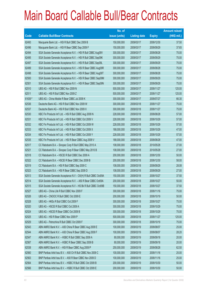|        |                                                                | No. of        |                     |               | <b>Amount raised</b> |
|--------|----------------------------------------------------------------|---------------|---------------------|---------------|----------------------|
| Code   | <b>Callable Bull/Bear Contracts</b>                            | issue (units) | <b>Listing date</b> | <b>Expiry</b> | (HK\$ mil.)          |
| 62493  | Macquarie Bank Ltd. - HSI R Bull CBBC Dec 2009 B               | 150,000,000   | 2009/03/17          | 2009/12/30    | 37.50                |
| 62496  | Macquarie Bank Ltd. - HSI R Bear CBBC Sep 2009 F               | 150,000,000   | 2009/03/17          | 2009/09/29    | 37.65                |
| 62494  | SGA Societe Generale Acceptance N.V. - HSI R Bull CBBC Aug09V  | 300,000,000   | 2009/03/17          | 2009/08/28    | 75.00                |
| 62495  | SGA Societe Generale Acceptance N.V. - HSI R Bull CBBC Sep09K  | 300,000,000   | 2009/03/17          | 2009/09/29    | 75.00                |
| 62497  | SGA Societe Generale Acceptance N.V. - HSI R Bull CBBC Sep09L  | 300,000,000   | 2009/03/17          | 2009/09/29    | 75.00                |
| 62499  | SGA Societe Generale Acceptance N.V. - HSI R Bear CBBC Aug09R  | 300,000,000   | 2009/03/17          | 2009/08/28    | 75.00                |
| 62498  | SGA Societe Generale Acceptance N.V. - HSI R Bear CBBC Aug09T  | 300,000,000   | 2009/03/17          | 2009/08/28    | 75.00                |
| 62500  | SGA Societe Generale Acceptance N.V. - HSI R Bear CBBC Sep09M  | 300,000,000   | 2009/03/17          | 2009/09/29    | 75.00                |
| 62501  | SGA Societe Generale Acceptance N.V. - HSI R Bear CBBC Sep09N  | 300,000,000   | 2009/03/17          | 2009/09/29    | 75.00                |
| 62510  | UBS AG - HSI R Bull CBBC Nov 2009 N                            | 500,000,000   | 2009/03/17          | 2009/11/27    | 125.00               |
| 62511  | UBS AG - HSI R Bull CBBC Nov 2009 Z                            | 500,000,000   | 2009/03/17          | 2009/11/27    | 125.00               |
| 61639# | UBS AG - China Mobile R Bear CBBC Jul 2009 K                   | 300,000,000   | 2009/03/17          | 2009/07/27    | 66.30                |
| 62536  | Deutsche Bank AG - HSI R Bull CBBC Nov 2009 W                  | 300,000,000   | 2009/03/18          | 2009/11/27    | 75.00                |
| 62537  | Deutsche Bank AG - HSI R Bull CBBC Nov 2009 X                  | 300,000,000   | 2009/03/18          | 2009/11/27    | 75.00                |
| 62530  | KBC Fin Products Int'l Ltd. - HSI R Bull CBBC Aug 2009 N       | 228,000,000   | 2009/03/18          | 2009/08/28    | 57.00                |
| 62531  | KBC Fin Products Int'l Ltd. - HSI R Bull CBBC Oct 2009 V       | 228,000,000   | 2009/03/18          | 2009/10/29    | 57.00                |
| 62532  | KBC Fin Products Int'l Ltd. - HSI R Bull CBBC Oct 2009 W       | 228,000,000   | 2009/03/18          | 2009/10/29    | 57.00                |
| 62533  | KBC Fin Products Int'l Ltd. - HSI R Bull CBBC Oct 2009 X       | 188,000,000   | 2009/03/18          | 2009/10/29    | 47.00                |
| 62534  | KBC Fin Products Int'l Ltd. - HSI R Bull CBBC Oct 2009 Y       | 228,000,000   | 2009/03/18          | 2009/10/29    | 57.00                |
| 62535  | KBC Fin Products Int'l Ltd. - HSI R Bear CBBC Aug 2009 V       | 188,000,000   | 2009/03/18          | 2009/08/28    | 47.00                |
| 62517  | CC Rabobank B.A. - Sinopec Corp R Bull CBBC May 2010 A         | 108,000,000   | 2009/03/18          | 2010/05/28    | 27.00                |
| 62521  | CC Rabobank B.A. - Sinopec Corp R Bear CBBC May 2010 B         | 108,000,000   | 2009/03/18          | 2010/05/28    | 27.00                |
| 62518  | CC Rabobank B.A. - HSCEI R Bull CBBC Dec 2009 A                | 200,000,000   | 2009/03/18          | 2009/12/30    | 50.00                |
| 62522  | CC Rabobank B.A. - HSCEI R Bear CBBC Dec 2009 B                | 200,000,000   | 2009/03/18          | 2009/12/30    | 58.00                |
| 62519  | CC Rabobank B.A. - HSI R Bull CBBC Sep 2009 C                  | 108,000,000   | 2009/03/18          | 2009/09/29    | 28.08                |
| 62523  | CC Rabobank B.A. - HSI R Bear CBBC Sep 2009 D                  | 108,000,000   | 2009/03/18          | 2009/09/29    | 27.00                |
| 62513  | SGA Societe Generale Acceptance N.V - CK(H) R Bull CBBC Oct09A | 150,000,000   | 2009/03/18          | 2009/10/27    | 37.50                |
| 62514  | SGA Societe Generale Acceptance N.V. - A50 R Bear CBBC Oct09A  | 200,000,000   | 2009/03/18          | 2009/10/27    | 50.00                |
| 62515  | SGA Societe Generale Acceptance N.V - HS Bk R Bull CBBC Oct09B | 150,000,000   | 2009/03/18          | 2009/10/27    | 37.50                |
| 62527  | UBS AG - China Life R Bull CBBC Nov 2009 F                     | 300,000,000   | 2009/03/18          | 2009/11/16    | 75.00                |
| 62526  | UBS AG - CNOOC R Bull CBBC Oct 2009 E                          | 200,000,000   | 2009/03/18          | 2009/10/19    | 50.00                |
| 62528  | UBS AG - HKEx R Bull CBBC Oct 2009 F                           | 300,000,000   | 2009/03/18          | 2009/10/27    | 75.00                |
| 62520  | UBS AG - HSCEI R Bull CBBC Oct 2009 A                          | 300,000,000   | 2009/03/18          | 2009/10/29    | 75.00                |
| 62524  | UBS AG - HSCEI R Bear CBBC Oct 2009 B                          | 300,000,000   | 2009/03/18          | 2009/10/29    | 75.00                |
| 62525  | UBS AG - HSI R Bear CBBC Nov 2009 P                            | 500,000,000   | 2009/03/18          | 2009/11/27    | 125.00               |
| 62529  | UBS AG - Petrochina R Bull CBBC Oct 2009 F                     | 300,000,000   | 2009/03/18          | 2009/10/19    | 75.00                |
| 62543  | ABN AMRO Bank N.V. - A50 China R Bear CBBC Aug 2009 E          | 100,000,000   | 2009/03/19          | 2009/08/07    | 25.00                |
| 62544  | ABN AMRO Bank N.V. - A50 China R Bear CBBC Aug 2009 F          | 100,000,000   | 2009/03/19          | 2009/08/07    | 28.20                |
| 62547  | ABN AMRO Bank N.V. - HSBC R Bull CBBC Sep 2009 A               | 80,000,000    | 2009/03/19          | 2009/09/18    | 20.00                |
| 62567  | ABN AMRO Bank N.V. - HSBC R Bear CBBC Sep 2009 B               | 80,000,000    | 2009/03/19          | 2009/09/18    | 20.00                |
| 62538  | ABN AMRO Bank N.V. - HSI R Bear CBBC Aug 2009 P                | 250,000,000   | 2009/03/19          | 2009/08/28    | 62.50                |
| 62560  | BNP Paribas Arbit Issu B.V. - A50 Ch R Bull CBBC Nov 2009 C    | 100,000,000   | 2009/03/19          | 2009/11/16    | 25.00                |
| 62563  | BNP Paribas Arbit Issu B.V. - A50 R Bear CBBC Nov 2009 D       | 100,000,000   | 2009/03/19          | 2009/11/16    | 25.00                |
| 62564  | BNP Paribas Arbit Issu B.V. - HSBC R Bull CBBC Oct 2009 B      | 200,000,000   | 2009/03/19          | 2009/10/30    | 50.00                |
| 62566  | BNP Paribas Arbit Issu B.V. - HSBC R Bull CBBC Oct 2009 E      | 200,000,000   | 2009/03/19          | 2009/10/30    | 50.00                |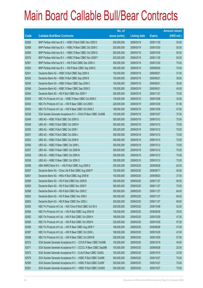|       |                                                                | No. of        |                     |               | <b>Amount raised</b> |
|-------|----------------------------------------------------------------|---------------|---------------------|---------------|----------------------|
| Code  | <b>Callable Bull/Bear Contracts</b>                            | issue (units) | <b>Listing date</b> | <b>Expiry</b> | (HK\$ mil.)          |
| 62565 | BNP Paribas Arbit Issu B.V. - HSBC R Bull CBBC Nov 2009 D      | 200,000,000   | 2009/03/19          | 2009/11/30    | 50.00                |
| 62568 | BNP Paribas Arbit Issu B.V. - HSBC R Bear CBBC Oct 2009 C      | 200,000,000   | 2009/03/19          | 2009/10/30    | 50.00                |
| 62569 | BNP Paribas Arbit Issu B.V. - HSBC R Bear CBBC Oct 2009 D      | 200,000,000   | 2009/03/19          | 2009/10/30    | 50.00                |
| 62570 | BNP Paribas Arbit Issu B.V. - HSBC R Bear CBBC Nov 2009 F      | 200,000,000   | 2009/03/19          | 2009/11/30    | 50.00                |
| 62561 | BNP Paribas Arbit Issu B.V. - HSI R Bull CBBC Dec 2009 U       | 300,000,000   | 2009/03/19          | 2009/12/30    | 75.00                |
| 62562 | BNP Paribas Arbit Issu B.V. - HSI R Bear CBBC Sep 2009 Z       | 300,000,000   | 2009/03/19          | 2009/09/29    | 75.00                |
| 62541 | Deutsche Bank AG - HSBC R Bull CBBC Sep 2009 A                 | 150,000,000   | 2009/03/19          | 2009/09/21    | 37.50                |
| 62542 | Deutsche Bank AG - HSBC R Bull CBBC Sep 2009 B                 | 150,000,000   | 2009/03/19          | 2009/09/21    | 39.00                |
| 62545 | Deutsche Bank AG - HSBC R Bear CBBC Sep 2009 C                 | 150,000,000   | 2009/03/19          | 2009/09/21    | 39.00                |
| 62546 | Deutsche Bank AG - HSBC R Bear CBBC Sep 2009 D                 | 150,000,000   | 2009/03/19          | 2009/09/21    | 45.00                |
| 62540 | Deutsche Bank AG - HSI R Bull CBBC Nov 2009 Y                  | 300,000,000   | 2009/03/19          | 2009/11/27    | 75.00                |
| 62555 | KBC Fin Products Int'l Ltd. - HSBC R Bear CBBC Oct 2009 C      | 138,000,000   | 2009/03/19          | 2009/10/08    | 34.50                |
| 62554 | KBC Fin Products Int'l Ltd. - HSI R Bear CBBC Oct 2009 I       | 228,000,000   | 2009/03/19          | 2009/10/29    | 61.56                |
| 62553 | KBC Fin Products Int'l Ltd. - HSI R Bear CBBC Oct 2009 Z       | 188,000,000   | 2009/03/19          | 2009/10/29    | 47.00                |
| 62539 | SGA Societe Generale Acceptance N.V - CK(H) R Bear CBBC Oct09B | 150,000,000   | 2009/03/19          | 2009/10/27    | 37.50                |
| 62548 | UBS AG - HSBC R Bull CBBC Oct 2009 G                           | 300,000,000   | 2009/03/19          | 2009/10/12    | 75.00                |
| 62549 | UBS AG - HSBC R Bull CBBC Oct 2009 H                           | 300,000,000   | 2009/03/19          | 2009/10/12    | 75.00                |
| 62550 | UBS AG - HSBC R Bull CBBC Oct 2009 I                           | 300,000,000   | 2009/03/19          | 2009/10/12    | 75.00                |
| 62551 | UBS AG - HSBC R Bull CBBC Oct 2009 J                           | 300,000,000   | 2009/03/19          | 2009/10/12    | 75.00                |
| 62552 | UBS AG - HSBC R Bull CBBC Oct 2009 K                           | 300,000,000   | 2009/03/19          | 2009/10/12    | 75.00                |
| 62556 | UBS AG - HSBC R Bear CBBC Oct 2009 L                           | 300,000,000   | 2009/03/19          | 2009/10/12    | 75.00                |
| 62557 | UBS AG - HSBC R Bear CBBC Oct 2009 M                           | 300,000,000   | 2009/03/19          | 2009/10/12    | 75.00                |
| 62558 | UBS AG - HSBC R Bear CBBC Oct 2009 N                           | 300,000,000   | 2009/03/19          | 2009/10/12    | 75.00                |
| 62559 | UBS AG - HSBC R Bear CBBC Oct 2009 O                           | 300,000,000   | 2009/03/19          | 2009/10/12    | 75.00                |
| 62596 | ABN AMRO Bank N.V. - HSI R Bull CBBC Aug 2009 Q                | 250,000,000   | 2009/03/20          | 2009/08/28    | 62.50                |
| 62597 | Deutsche Bank AG - China Life R Bull CBBC Aug 2009 P           | 150,000,000   | 2009/03/20          | 2009/08/17    | 45.00                |
| 62601 | Deutsche Bank AG - HKEx R Bull CBBC Aug 2009 B                 | 150,000,000   | 2009/03/20          | 2009/08/03    | 37.50                |
| 62599 | Deutsche Bank AG - HSI R Bull CBBC Nov 2009 B                  | 300,000,000   | 2009/03/20          | 2009/11/27    | 90.00                |
| 62600 | Deutsche Bank AG - HSI R Bull CBBC Nov 2009 F                  | 300,000,000   | 2009/03/20          | 2009/11/27    | 75.00                |
| 62598 | Deutsche Bank AG - HSI R Bull CBBC Nov 2009 Z                  | 300,000,000   | 2009/03/20          | 2009/11/27    | 84.00                |
| 62602 | Deutsche Bank AG - HSI R Bear CBBC Nov 2009 I                  | 300,000,000   | 2009/03/20          | 2009/11/27    | 84.00                |
| 62603 | Deutsche Bank AG - HSI R Bear CBBC Nov 2009 J                  | 300,000,000   | 2009/03/20          | 2009/11/27    | 99.00                |
| 62583 | KBC Fin Products Int'l Ltd. - A50 China R Bull CBBC Oct 09 A   | 208,000,000   | 2009/03/20          | 2009/10/08    | 52.00                |
| 62584 | KBC Fin Products Int'l Ltd. - HSI R Bull CBBC Aug 2009 W       | 158,000,000   | 2009/03/20          | 2009/08/28    | 39.50                |
| 62582 | KBC Fin Products Int'l Ltd. - HSI R Bull CBBC Oct 2009 H       | 188,000,000   | 2009/03/20          | 2009/10/29    | 47.00                |
| 62585 | KBC Fin Products Int'l Ltd. - HSI R Bull CBBC Oct 2009 N       | 228,000,000   | 2009/03/20          | 2009/10/29    | 57.00                |
| 62595 | KBC Fin Products Int'l Ltd. - HSI R Bear CBBC Aug 2009 Y       | 188,000,000   | 2009/03/20          | 2009/08/28    | 47.00                |
| 62587 | KBC Fin Products Int'l Ltd. - HSI R Bear CBBC Oct 2009 L       | 188,000,000   | 2009/03/20          | 2009/10/29    | 47.00                |
| 62586 | KBC Fin Products Int'l Ltd. - HSI R Bear CBBC Oct 2009 M       | 228,000,000   | 2009/03/20          | 2009/10/29    | 57.00                |
| 62572 | SGA Societe Generale Acceptance N.V. - COVS R Bear CBBC Oct09B | 100,000,000   | 2009/03/20          | 2009/10/19    | 44.00                |
| 62571 | SGA Societe Generale Acceptance N.V - CCCCL R Bear CBBC Sep09B | 100,000,000   | 2009/03/20          | 2009/09/28    | 25.00                |
| 62573 | SGA Societe Generale Acceptance N.V - CLife R Bear CBBC Oct09J | 100,000,000   | 2009/03/20          | 2009/10/19    | 33.00                |
| 62579 | SGA Societe Generale Acceptance N.V. - HSBC R Bull CBBC Oct09E | 300,000,000   | 2009/03/20          | 2009/10/27    | 75.00                |
| 62580 | SGA Societe Generale Acceptance N.V. - HSBC R Bull CBBC Oct09F | 300,000,000   | 2009/03/20          | 2009/10/27    | 75.00                |
| 62581 | SGA Societe Generale Acceptance N.V. - HSBC R Bull CBBC Oct09G | 300,000,000   | 2009/03/20          | 2009/10/27    | 75.00                |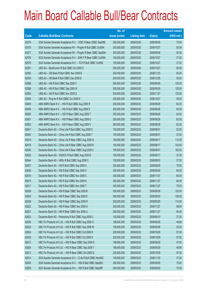|       |                                                                | No. of        |                     |               | <b>Amount raised</b> |
|-------|----------------------------------------------------------------|---------------|---------------------|---------------|----------------------|
| Code  | <b>Callable Bull/Bear Contracts</b>                            | issue (units) | <b>Listing date</b> | <b>Expiry</b> | $(HK$$ mil.)         |
| 62574 | SGA Societe Generale Acceptance N.V. - ICBC R Bear CBBC Sep09B | 300,000,000   | 2009/03/20          | 2009/09/28    | 75.00                |
| 62575 | SGA Societe Generale Acceptance NV - PingAn R Bull CBBC Oct09A | 200,000,000   | 2009/03/20          | 2009/10/27    | 50.00                |
| 62577 | SGA Societe Generale Acceptance NV - PingAn R Bear CBBC Sep09A | 200,000,000   | 2009/03/20          | 2009/09/28    | 50.00                |
| 62576 | SGA Societe Generale Acceptance N.V - SHK P R Bear CBBC Oct09A | 150,000,000   | 2009/03/20          | 2009/10/27    | 37.50                |
| 62578 | SGA Societe Generale Acceptance N.V. - TCH R Bull CBBC Oct09A  | 150,000,000   | 2009/03/20          | 2009/10/27    | 37.50                |
| 62591 | UBS AG - BankComm R Bull CBBC Oct 2009 C                       | 200,000,000   | 2009/03/20          | 2009/10/27    | 50.00                |
| 62592 | UBS AG - CM Bank R Bull CBBC Nov 2009 B                        | 200,000,000   | 2009/03/20          | 2009/11/23    | 65.00                |
| 62593 | UBS AG - HS Bank R Bull CBBC Dec 2009 D                        | 200,000,000   | 2009/03/20          | 2009/12/28    | 50.00                |
| 62588 | UBS AG - HSI R Bull CBBC Sep 2009 V                            | 500,000,000   | 2009/03/20          | 2009/09/29    | 125.00               |
| 62589 | UBS AG - HSI R Bull CBBC Sep 2009 W                            | 500,000,000   | 2009/03/20          | 2009/09/29    | 125.00               |
| 62590 | UBS AG - HSI R Bull CBBC Nov 2009 Q                            | 500,000,000   | 2009/03/20          | 2009/11/27    | 125.00               |
| 62594 | UBS AG - Ping An R Bull CBBC Oct 2009 D                        | 200,000,000   | 2009/03/20          | 2009/10/27    | 50.00                |
| 62645 | ABN AMRO Bank N.V. - HSI R Bull CBBC Aug 2009 R                | 250,000,000   | 2009/03/23          | 2009/08/28    | 62.50                |
| 62646 | ABN AMRO Bank N.V. - HSI R Bull CBBC Aug 2009 S                | 250,000,000   | 2009/03/23          | 2009/08/28    | 62.50                |
| 62650 | ABN AMRO Bank N.V. - HSI R Bear CBBC Aug 2009 T                | 250,000,000   | 2009/03/23          | 2009/08/28    | 62.50                |
| 62651 | ABN AMRO Bank N.V. - HSI R Bear CBBC Aug 2009 U                | 250,000,000   | 2009/03/23          | 2009/08/28    | 62.50                |
| 62652 | ABN AMRO Bank N.V. - HSI R Bear CBBC Aug 2009 V                | 250,000,000   | 2009/03/23          | 2009/08/28    | 62.50                |
| 62641 | Deutsche Bank AG - China Life R Bull CBBC Aug 2009 S           | 150,000,000   | 2009/03/23          | 2009/08/31    | 52.50                |
| 62642 | Deutsche Bank AG - China Life R Bull CBBC Aug 2009 T           | 150,000,000   | 2009/03/23          | 2009/08/31    | 37.50                |
| 62618 | Deutsche Bank AG - China Life R Bear CBBC Aug 2009 Q           | 150,000,000   | 2009/03/23          | 2009/08/17    | 112.50               |
| 62619 | Deutsche Bank AG - China Life R Bear CBBC Aug 2009 R           | 150,000,000   | 2009/03/23          | 2009/08/17    | 142.50               |
| 62643 | Deutsche Bank AG - China Life R Bear CBBC Aug 2009 V           | 150,000,000   | 2009/03/23          | 2009/08/31    | 165.00               |
| 62620 | Deutsche Bank AG - CNOOC R Bull CBBC Aug 2009 D                | 150,000,000   | 2009/03/23          | 2009/08/17    | 37.50                |
| 62644 | Deutsche Bank AG - HKEx R Bull CBBC Aug 2009 C                 | 150,000,000   | 2009/03/23          | 2009/08/03    | 37.50                |
| 62637 | Deutsche Bank AG - HSI R Bull CBBC Sep 2009 A                  | 300,000,000   | 2009/03/23          | 2009/09/29    | 75.00                |
| 62636 | Deutsche Bank AG - HSI R Bull CBBC Sep 2009 X                  | 300,000,000   | 2009/03/23          | 2009/09/29    | 84.00                |
| 62616 | Deutsche Bank AG - HSI R Bull CBBC Nov 2009 C                  | 300,000,000   | 2009/03/23          | 2009/11/27    | 84.00                |
| 62615 | Deutsche Bank AG - HSI R Bull CBBC Nov 2009 K                  | 300,000,000   | 2009/03/23          | 2009/11/27    | 84.00                |
| 62617 | Deutsche Bank AG - HSI R Bull CBBC Nov 2009 T                  | 300,000,000   | 2009/03/23          | 2009/11/27    | 75.00                |
| 62639 | Deutsche Bank AG - HSI R Bear CBBC Sep 2009 B                  | 300,000,000   | 2009/03/23          | 2009/09/29    | 120.00               |
| 62640 | Deutsche Bank AG - HSI R Bear CBBC Sep 2009 E                  | 300,000,000   | 2009/03/23          | 2009/09/29    | 126.00               |
| 62638 | Deutsche Bank AG - HSI R Bear CBBC Sep 2009 R                  | 300,000,000   | 2009/03/23          | 2009/09/29    | 114.00               |
| 62622 | Deutsche Bank AG - HSI R Bear CBBC Nov 2009 O                  | 300,000,000   | 2009/03/23          | 2009/11/27    | 99.00                |
| 62621 | Deutsche Bank AG - HSI R Bear CBBC Nov 2009 U                  | 300,000,000   | 2009/03/23          | 2009/11/27    | 90.00                |
| 62623 | Deutsche Bank AG - Petrochina R Bull CBBC Aug 2009 C           | 150,000,000   | 2009/03/23          | 2009/08/10    | 37.50                |
| 62632 | KBC Fin Products Int'l Ltd. - HSI R Bull CBBC Aug 2009 O       | 188,000,000   | 2009/03/23          | 2009/08/28    | 48.88                |
| 62633 | KBC Fin Products Int'l Ltd. - HSI R Bull CBBC Sep 2009 W       | 158,000,000   | 2009/03/23          | 2009/09/29    | 39.50                |
| 62634 | KBC Fin Products Int'l Ltd. - HSI R Bull CBBC Oct 2009 R       | 228,000,000   | 2009/03/23          | 2009/10/29    | 57.00                |
| 62635 | KBC Fin Products Int'l Ltd. - HSI R Bull CBBC Oct 2009 S       | 228,000,000   | 2009/03/23          | 2009/10/29    | 57.00                |
| 62612 | KBC Fin Products Int'l Ltd. - HSI R Bear CBBC Sep 2009 O       | 188,000,000   | 2009/03/23          | 2009/09/29    | 47.00                |
| 62624 | KBC Fin Products Int'l Ltd. - HSI R Bear CBBC Sep 2009 T       | 188,000,000   | 2009/03/23          | 2009/09/29    | 48.88                |
| 62613 | KBC Fin Products Int'l Ltd. - HSI R Bear CBBC Oct 2009 Q       | 228,000,000   | 2009/03/23          | 2009/10/29    | 57.00                |
| 62614 | SGA Societe Generale Acceptance N.V - CLife R Bull CBBC Nov09C | 100,000,000   | 2009/03/23          | 2009/11/30    | 37.00                |
| 62604 | SGA Societe Generale Acceptance N.V. - HSI R Bull CBBC Sep09O  | 300,000,000   | 2009/03/23          | 2009/09/29    | 75.00                |
| 62605 | SGA Societe Generale Acceptance N.V. - HSI R Bull CBBC Sep09P  | 300,000,000   | 2009/03/23          | 2009/09/29    | 75.00                |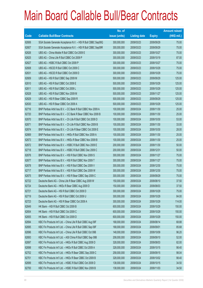|       |                                                               | No. of        |                     |               | <b>Amount raised</b> |
|-------|---------------------------------------------------------------|---------------|---------------------|---------------|----------------------|
| Code  | <b>Callable Bull/Bear Contracts</b>                           | issue (units) | <b>Listing date</b> | <b>Expiry</b> | (HK\$ mil.)          |
| 62606 | SGA Societe Generale Acceptance N.V. - HSI R Bull CBBC Sep09Q | 300,000,000   | 2009/03/23          | 2009/09/29    | 75.00                |
| 62607 | SGA Societe Generale Acceptance N.V. - HSI R Bull CBBC Sep09R | 300,000,000   | 2009/03/23          | 2009/09/29    | 75.00                |
| 62626 | UBS AG - China Mobile R Bull CBBC Oct 2009 E                  | 300,000,000   | 2009/03/23          | 2009/10/27    | 75.00                |
| 62625 | UBS AG - China Life R Bull CBBC Oct 2009 P                    | 300,000,000   | 2009/03/23          | 2009/10/19    | 87.00                |
| 62627 | UBS AG - HSBC R Bull CBBC Oct 2009 P                          | 300,000,000   | 2009/03/23          | 2009/10/27    | 75.00                |
| 62608 | UBS AG - HSCEI R Bull CBBC Oct 2009 C                         | 300,000,000   | 2009/03/23          | 2009/10/29    | 75.00                |
| 62631 | UBS AG - HSCEI R Bull CBBC Oct 2009 D                         | 300,000,000   | 2009/03/23          | 2009/10/29    | 75.00                |
| 62609 | UBS AG - HSI R Bull CBBC Sep 2009 M                           | 500,000,000   | 2009/03/23          | 2009/09/29    | 125.00               |
| 62610 | UBS AG - HSI R Bull CBBC Oct 2009 E                           | 500,000,000   | 2009/03/23          | 2009/10/29    | 125.00               |
| 62611 | UBS AG - HSI R Bull CBBC Oct 2009 L                           | 500,000,000   | 2009/03/23          | 2009/10/29    | 125.00               |
| 62628 | UBS AG - HSI R Bull CBBC Nov 2009 M                           | 500,000,000   | 2009/03/23          | 2009/11/27    | 125.00               |
| 62629 | UBS AG - HSI R Bear CBBC Sep 2009 R                           | 500,000,000   | 2009/03/23          | 2009/09/29    | 125.00               |
| 62630 | UBS AG - HSI R Bear CBBC Oct 2009 A                           | 500,000,000   | 2009/03/23          | 2009/10/29    | 125.00               |
| 62716 | BNP Paribas Arbit Issu B.V. - CC Bank R Bull CBBC Nov 2009 A  | 100,000,000   | 2009/03/24          | 2009/11/30    | 25.00                |
| 62720 | BNP Paribas Arbit Issu B.V. - CC Bank R Bear CBBC Nov 2009 B  | 100,000,000   | 2009/03/24          | 2009/11/30    | 25.00                |
| 62670 | BNP Paribas Arbit Issu B.V. - Ch Life R Bull CBBC Oct 2009 D  | 100,000,000   | 2009/03/24          | 2009/10/30    | 53.00                |
| 62671 | BNP Paribas Arbit Issu B.V. - Ch Life R Bull CBBC Nov 2009 B  | 100,000,000   | 2009/03/24          | 2009/11/30    | 33.00                |
| 62674 | BNP Paribas Arbit Issu B.V. - Ch Life R Bear CBBC Oct 2009 E  | 100,000,000   | 2009/03/24          | 2009/10/30    | 28.00                |
| 62669 | BNP Paribas Arbit Issu B.V. - HKEx R Bull CBBC Nov 2009 A     | 100,000,000   | 2009/03/24          | 2009/11/30    | 25.00                |
| 62673 | BNP Paribas Arbit Issu B.V. - HKEx R Bear CBBC Nov 2009 B     | 100,000,000   | 2009/03/24          | 2009/11/30    | 25.00                |
| 62672 | BNP Paribas Arbit Issu B.V. - HSBC R Bull CBBC Nov 2009 E     | 200,000,000   | 2009/03/24          | 2009/11/30    | 50.00                |
| 62718 | BNP Paribas Arbit Issu B.V. - HSBC R Bull CBBC Dec 2009 C     | 200,000,000   | 2009/03/24          | 2009/12/31    | 50.00                |
| 62676 | BNP Paribas Arbit Issu B.V. - HSI R Bull CBBC Nov 2009 S      | 300,000,000   | 2009/03/24          | 2009/11/27    | 75.00                |
| 62677 | BNP Paribas Arbit Issu B.V. - HSI R Bull CBBC Nov 2009 T      | 300,000,000   | 2009/03/24          | 2009/11/27    | 75.00                |
| 62678 | BNP Paribas Arbit Issu B.V. - HSI R Bull CBBC Dec 2009 V      | 300,000,000   | 2009/03/24          | 2009/12/30    | 75.00                |
| 62717 | BNP Paribas Arbit Issu B.V. - HSI R Bull CBBC Dec 2009 W      | 300,000,000   | 2009/03/24          | 2009/12/30    | 75.00                |
| 62675 | BNP Paribas Arbit Issu B.V. - HSI R Bear CBBC Sep 2009 C      | 300,000,000   | 2009/03/24          | 2009/09/29    | 75.00                |
| 62722 | Deutsche Bank AG - China Life R Bear CBBC Aug 2009 W          | 150,000,000   | 2009/03/24          | 2009/08/10    | 37.50                |
| 62724 | Deutsche Bank AG - HKEx R Bear CBBC Aug 2009 D                | 150,000,000   | 2009/03/24          | 2009/08/03    | 37.50                |
| 62721 | Deutsche Bank AG - HSI R Bull CBBC Oct 2009 D                 | 300,000,000   | 2009/03/24          | 2009/10/29    | 75.00                |
| 62719 | Deutsche Bank AG - HSI R Bull CBBC Oct 2009 U                 | 300,000,000   | 2009/03/24          | 2009/10/29    | 84.00                |
| 62723 | Deutsche Bank AG - HSI R Bear CBBC Oct 2009 A                 | 300,000,000   | 2009/03/24          | 2009/10/29    | 114.00               |
| 62649 | HK Bank - HSI R Bull CBBC Oct 2009 B                          | 600,000,000   | 2009/03/24          | 2009/10/29    | 150.00               |
| 62654 | HK Bank - HSI R Bull CBBC Oct 2009 C                          | 600,000,000   | 2009/03/24          | 2009/10/29    | 150.00               |
| 62655 | HK Bank - HSI R Bull CBBC Oct 2009 D                          | 600,000,000   | 2009/03/24          | 2009/10/29    | 150.00               |
| 62694 | KBC Fin Products Int'l Ltd. - China Life R Bull CBBC Aug 09F  | 168,000,000   | 2009/03/24          | 2009/08/14    | 68.88                |
| 62695 | KBC Fin Products Int'l Ltd. - China Life R Bull CBBC Sep 09F  | 168,000,000   | 2009/03/24          | 2009/09/01    | 85.68                |
| 62696 | KBC Fin Products Int'l Ltd. - China Life R Bull CBBC Oct 09B  | 148,000,000   | 2009/03/24          | 2009/10/09    | 96.20                |
| 62693 | KBC Fin Products Int'l Ltd. - A50 China R Bull CBBC Sep 09B   | 208,000,000   | 2009/03/24          | 2009/09/10    | 52.00                |
| 62697 | KBC Fin Products Int'l Ltd. - HKEx R Bull CBBC Aug 2009 D     | 328,000,000   | 2009/03/24          | 2009/08/03    | 82.00                |
| 62698 | KBC Fin Products Int'l Ltd. - HKEx R Bull CBBC Oct 2009 A     | 328,000,000   | 2009/03/24          | 2009/10/15    | 98.40                |
| 62702 | KBC Fin Products Int'l Ltd. - HKEx R Bear CBBC Sep 2009 C     | 258,000,000   | 2009/03/24          | 2009/09/15    | 98.04                |
| 62701 | KBC Fin Products Int'l Ltd. - HKEx R Bear CBBC Oct 2009 B     | 328,000,000   | 2009/03/24          | 2009/10/02    | 98.40                |
| 62699 | KBC Fin Products Int'l Ltd. - HSBC R Bull CBBC Oct 2009 D     | 138,000,000   | 2009/03/24          | 2009/10/15    | 34.50                |
| 62700 | KBC Fin Products Int'l Ltd. - HSBC R Bull CBBC Nov 2009 B     | 138,000,000   | 2009/03/24          | 2009/11/03    | 34.50                |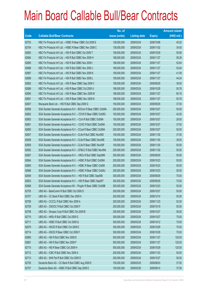|       |                                                                | No. of        |                     |               | <b>Amount raised</b> |
|-------|----------------------------------------------------------------|---------------|---------------------|---------------|----------------------|
| Code  | <b>Callable Bull/Bear Contracts</b>                            | issue (units) | <b>Listing date</b> | <b>Expiry</b> | (HK\$ mil.)          |
| 62703 | KBC Fin Products Int'l Ltd. - HSBC R Bear CBBC Oct 2009 E      | 138,000,000   | 2009/03/24          | 2009/10/08    | 40.02                |
| 62704 | KBC Fin Products Int'l Ltd. - HSBC R Bear CBBC Nov 2009 C      | 138,000,000   | 2009/03/24          | 2009/11/02    | 34.50                |
| 62683 | KBC Fin Products Int'l Ltd. - HSI R Bull CBBC Oct 2009 T       | 158,000,000   | 2009/03/24          | 2009/10/29    | 50.56                |
| 62684 | KBC Fin Products Int'l Ltd. - HSI R Bull CBBC Nov 2009 H       | 188,000,000   | 2009/03/24          | 2009/11/27    | 58.28                |
| 62685 | KBC Fin Products Int'l Ltd. - HSI R Bull CBBC Nov 2009 I       | 188,000,000   | 2009/03/24          | 2009/11/27    | 52.64                |
| 62686 | KBC Fin Products Int'l Ltd. - HSI R Bull CBBC Nov 2009 J       | 188,000,000   | 2009/03/24          | 2009/11/27    | 52.64                |
| 62687 | KBC Fin Products Int'l Ltd. - HSI R Bull CBBC Nov 2009 K       | 158,000,000   | 2009/03/24          | 2009/11/27    | 41.08                |
| 62688 | KBC Fin Products Int'l Ltd. - HSI R Bull CBBC Nov 2009 L       | 158,000,000   | 2009/03/24          | 2009/11/27    | 44.24                |
| 62682 | KBC Fin Products Int'l Ltd. - HSI R Bear CBBC Sep 2009 V       | 158,000,000   | 2009/03/24          | 2009/09/29    | 39.50                |
| 62689 | KBC Fin Products Int'l Ltd. - HSI R Bear CBBC Oct 2009 U       | 188,000,000   | 2009/03/24          | 2009/10/29    | 50.76                |
| 62690 | KBC Fin Products Int'l Ltd. - HSI R Bear CBBC Nov 2009 M       | 188,000,000   | 2009/03/24          | 2009/11/27    | 60.16                |
| 62691 | KBC Fin Products Int'l Ltd. - HSI R Bear CBBC Nov 2009 N       | 188,000,000   | 2009/03/24          | 2009/11/27    | 50.76                |
| 62647 | Macquarie Bank Ltd. - HSI R Bull CBBC Sep 2009 G               | 150,000,000   | 2009/03/24          | 2009/09/29    | 37.50                |
| 62656 | SGA Societe Generale Acceptance N.V - BOCom R Bear CBBC Oct09A | 200,000,000   | 2009/03/24          | 2009/10/27    | 50.00                |
| 62662 | SGA Societe Generale Acceptance N.V. - COVS R Bear CBBC Oct09C | 100,000,000   | 2009/03/24          | 2009/10/27    | 42.00                |
| 62663 | SGA Societe Generale Acceptance N.V. - CUni R Bull CBBC Oct09A | 100,000,000   | 2009/03/24          | 2009/10/27    | 26.00                |
| 62661 | SGA Societe Generale Acceptance N.V. - CCHC R Bull CBBC Oct09A | 150,000,000   | 2009/03/24          | 2009/10/27    | 37.50                |
| 62660 | SGA Societe Generale Acceptance N.V - CCoal R Bear CBBC Oct09A | 200,000,000   | 2009/03/24          | 2009/10/27    | 50.00                |
| 62657 | SGA Societe Generale Acceptance N.V - CLife R Bull CBBC Nov09D | 100,000,000   | 2009/03/24          | 2009/11/30    | 37.00                |
| 62658 | SGA Societe Generale Acceptance N.V - CLife R Bear CBBC Nov09E | 100,000,000   | 2009/03/24          | 2009/11/30    | 39.00                |
| 62659 | SGA Societe Generale Acceptance N.V - CLife R Bear CBBC Nov09F | 100,000,000   | 2009/03/24          | 2009/11/30    | 50.00                |
| 62692 | SGA Societe Generale Acceptance N.V - CP&CC R Bull CBBC Nov09A | 200,000,000   | 2009/03/24          | 2009/11/30    | 50.00                |
| 62667 | SGA Societe Generale Acceptance N.V. - HKEx R Bull CBBC Sep09M | 200,000,000   | 2009/03/24          | 2009/09/29    | 50.00                |
| 62664 | SGA Societe Generale Acceptance N.V. - HSBC R Bull CBBC Oct09H | 200,000,000   | 2009/03/24          | 2009/10/23    | 50.00                |
| 62665 | SGA Societe Generale Acceptance N.V. - HSBC R Bear CBBC Oct091 | 200,000,000   | 2009/03/24          | 2009/10/23    | 50.00                |
| 62666 | SGA Societe Generale Acceptance N.V. - HSBC R Bear CBBC Oct09J | 200,000,000   | 2009/03/24          | 2009/10/23    | 50.00                |
| 62648 | SGA Societe Generale Acceptance N.V. - HSI R Bull CBBC Sep09S  | 300,000,000   | 2009/03/24          | 2009/09/29    | 75.00                |
| 62653 | SGA Societe Generale Acceptance N.V. - HSI R Bear CBBC Sep09T  | 300,000,000   | 2009/03/24          | 2009/09/29    | 75.00                |
| 62668 | SGA Societe Generale Acceptance NV - PingAn R Bear CBBC Oct09B | 200,000,000   | 2009/03/24          | 2009/10/23    | 50.00                |
| 62705 | UBS AG - BankComm R Bull CBBC Oct 2009 D                       | 200,000,000   | 2009/03/24          | 2009/10/27    | 50.00                |
| 62707 | UBS AG - CC Bank R Bull CBBC Dec 2009 A                        | 200,000,000   | 2009/03/24          | 2009/12/14    | 50.00                |
| 62706 | UBS AG - CCCCL R Bull CBBC Nov 2009 A                          | 200,000,000   | 2009/03/24          | 2009/11/23    | 52.00                |
| 62709 | UBS AG - CNOOC R Bull CBBC Oct 2009 F                          | 200,000,000   | 2009/03/24          | 2009/10/19    | 50.00                |
| 62708 | UBS AG - Sinopec Corp R Bull CBBC Oct 2009 B                   | 200,000,000   | 2009/03/24          | 2009/10/27    | 50.00                |
| 62710 | UBS AG - HKEx R Bull CBBC Oct 2009 G                           | 300,000,000   | 2009/03/24          | 2009/10/27    | 75.00                |
| 62711 | UBS AG - HSBC R Bull CBBC Oct 2009 Q                           | 300,000,000   | 2009/03/24          | 2009/10/12    | 75.00                |
| 62679 | UBS AG - HSCEI R Bull CBBC Oct 2009 E                          | 300,000,000   | 2009/03/24          | 2009/10/29    | 75.00                |
| 62714 | UBS AG - HSCEI R Bear CBBC Oct 2009 F                          | 300,000,000   | 2009/03/24          | 2009/10/29    | 75.00                |
| 62680 | UBS AG - HSI R Bull CBBC Nov 2009 E                            | 500,000,000   | 2009/03/24          | 2009/11/27    | 125.00               |
| 62681 | UBS AG - HSI R Bull CBBC Nov 2009 F                            | 500,000,000   | 2009/03/24          | 2009/11/27    | 125.00               |
| 62715 | UBS AG - HSI R Bear CBBC Oct 2009 H                            | 500,000,000   | 2009/03/24          | 2009/10/29    | 125.00               |
| 62712 | UBS AG - ICBC R Bull CBBC Nov 2009 A                           | 200,000,000   | 2009/03/24          | 2009/11/23    | 50.00                |
| 62713 | UBS AG - SHK Ppt R Bull CBBC Oct 2009 D                        | 200,000,000   | 2009/03/24          | 2009/10/27    | 50.00                |
| 62755 | Deutsche Bank AG - CC Bank R Bull CBBC Aug 2009 E              | 150,000,000   | 2009/03/25          | 2009/08/03    | 37.50                |
| 62757 | Deutsche Bank AG - HSBC R Bull CBBC Sep 2009 E                 | 150,000,000   | 2009/03/25          | 2009/09/14    | 37.50                |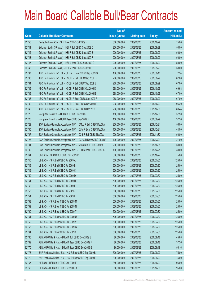|             |                                                                | No. of        |                     |               | <b>Amount raised</b> |
|-------------|----------------------------------------------------------------|---------------|---------------------|---------------|----------------------|
| <b>Code</b> | <b>Callable Bull/Bear Contracts</b>                            | issue (units) | <b>Listing date</b> | <b>Expiry</b> | $(HK$$ mil.)         |
| 62756       | Deutsche Bank AG - HSI R Bear CBBC Oct 2009 H                  | 300,000,000   | 2009/03/25          | 2009/10/29    | 75.00                |
| 62741       | Goldman Sachs SP (Asia) - HSI R Bull CBBC Sep 2009 D           | 200,000,000   | 2009/03/25          | 2009/09/29    | 50.00                |
| 62742       | Goldman Sachs SP (Asia) - HSI R Bull CBBC Sep 2009 E           | 200,000,000   | 2009/03/25          | 2009/09/29    | 50.00                |
| 62743       | Goldman Sachs SP (Asia) - HSI R Bull CBBC Sep 2009 F           | 200,000,000   | 2009/03/25          | 2009/09/29    | 50.00                |
| 62747       | Goldman Sachs SP (Asia) - HSI R Bear CBBC Sep 2009 G           | 200,000,000   | 2009/03/25          | 2009/09/29    | 50.00                |
| 62748       | Goldman Sachs SP (Asia) - HSI R Bear CBBC Sep 2009 H           | 200,000,000   | 2009/03/25          | 2009/09/29    | 58.00                |
| 62737       | KBC Fin Products Int'l Ltd. - Ch Life R Bear CBBC Sep 2009 G   | 168,000,000   | 2009/03/25          | 2009/09/18    | 72.24                |
| 62733       | KBC Fin Products Int'l Ltd. - HSCEI R Bull CBBC Sep 2009 D     | 268,000,000   | 2009/03/25          | 2009/09/29    | 67.00                |
| 62734       | KBC Fin Products Int'l Ltd. - HSCEI R Bull CBBC Sep 2009 E     | 268,000,000   | 2009/03/25          | 2009/09/29    | 67.00                |
| 62735       | KBC Fin Products Int'l Ltd. - HSCEI R Bull CBBC Oct 2009 D     | 268,000,000   | 2009/03/25          | 2009/10/29    | 69.68                |
| 62736       | KBC Fin Products Int'l Ltd. - HSCEI R Bull CBBC Oct 2009 E     | 268,000,000   | 2009/03/25          | 2009/10/29    | 67.00                |
| 62738       | KBC Fin Products Int'l Ltd. - HSCEI R Bear CBBC Sep 2009 F     | 268,000,000   | 2009/03/25          | 2009/09/29    | 67.00                |
| 62739       | KBC Fin Products Int'l Ltd. - HSCEI R Bear CBBC Oct 2009 F     | 238,000,000   | 2009/03/25          | 2009/10/29    | 95.20                |
| 62740       | KBC Fin Products Int'l Ltd. - HSCEI R Bear CBBC Dec 2009 B     | 208,000,000   | 2009/03/25          | 2009/12/30    | 89.44                |
| 62725       | Macquarie Bank Ltd. - HSI R Bull CBBC Dec 2009 C               | 150,000,000   | 2009/03/25          | 2009/12/30    | 37.50                |
| 62726       | Macquarie Bank Ltd. - HSI R Bear CBBC Sep 2009 H               | 150,000,000   | 2009/03/25          | 2009/09/29    | 37.50                |
| 62729       | SGA Societe Generale Acceptance N.V. - CMob R Bull CBBC Dec09A | 200,000,000   | 2009/03/25          | 2009/12/21    | 56.00                |
| 62730       | SGA Societe Generale Acceptance N.V. - CUni R Bear CBBC Dec09A | 100,000,000   | 2009/03/25          | 2009/12/21    | 44.00                |
| 62727       | SGA Societe Generale Acceptance N.V. - CCB R Bull CBBC Nov09A  | 200,000,000   | 2009/03/25          | 2009/11/30    | 50.00                |
| 62728       | SGA Societe Generale Acceptance N.V. - CCHC R Bear CBBC Dec09A | 100,000,000   | 2009/03/25          | 2009/12/21    | 27.00                |
| 62731       | SGA Societe Generale Acceptance N.V - PetCh R Bull CBBC Oct091 | 200,000,000   | 2009/03/25          | 2009/10/05    | 50.00                |
| 62732       | SGA Societe Generale Acceptance N.V. - TCH R Bear CBBC Dec09A  | 100,000,000   | 2009/03/25          | 2009/12/21    | 30.00                |
| 62744       | UBS AG - HSBC R Bull CBBC Oct 2009 R                           | 300,000,000   | 2009/03/25          | 2009/10/27    | 75.00                |
| 62745       | UBS AG - HSI R Bull CBBC Jul 2009 A                            | 500,000,000   | 2009/03/25          | 2009/07/30    | 125.00               |
| 62746       | UBS AG - HSI R Bull CBBC Jul 2009 B                            | 500,000,000   | 2009/03/25          | 2009/07/30    | 125.00               |
| 62749       | UBS AG - HSI R Bull CBBC Jul 2009 C                            | 500,000,000   | 2009/03/25          | 2009/07/30    | 125.00               |
| 62750       | UBS AG - HSI R Bull CBBC Jul 2009 D                            | 500,000,000   | 2009/03/25          | 2009/07/30    | 125.00               |
| 62751       | UBS AG - HSI R Bull CBBC Jul 2009 H                            | 500,000,000   | 2009/03/25          | 2009/07/30    | 125.00               |
| 62752       | UBS AG - HSI R Bull CBBC Jul 2009 I                            | 500,000,000   | 2009/03/25          | 2009/07/30    | 125.00               |
| 62753       | UBS AG - HSI R Bull CBBC Jul 2009 J                            | 500,000,000   | 2009/03/25          | 2009/07/30    | 125.00               |
| 62754       | UBS AG - HSI R Bull CBBC Jul 2009 L                            | 500,000,000   | 2009/03/25          | 2009/07/30    | 125.00               |
| 62758       | UBS AG - HSI R Bear CBBC Jul 2009 M                            | 500,000,000   | 2009/03/25          | 2009/07/30    | 125.00               |
| 62759       | UBS AG - HSI R Bear CBBC Jul 2009 N                            | 500,000,000   | 2009/03/25          | 2009/07/30    | 125.00               |
| 62760       | UBS AG - HSI R Bear CBBC Jul 2009 T                            | 500,000,000   | 2009/03/25          | 2009/07/30    | 125.00               |
| 62761       | UBS AG - HSI R Bear CBBC Jul 2009 U                            | 500,000,000   | 2009/03/25          | 2009/07/30    | 125.00               |
| 62762       | UBS AG - HSI R Bear CBBC Jul 2009 V                            | 500,000,000   | 2009/03/25          | 2009/07/30    | 125.00               |
| 62763       | UBS AG - HSI R Bear CBBC Jul 2009 W                            | 500,000,000   | 2009/03/25          | 2009/07/30    | 125.00               |
| 62764       | UBS AG - HSI R Bear CBBC Jul 2009 X                            | 500,000,000   | 2009/03/25          | 2009/07/30    | 125.00               |
| 62765       | ABN AMRO Bank N.V. - DJIA R Bull CBBC Sep 2009 E               | 80,000,000    | 2009/03/26          | 2009/09/18    | 45.68                |
| 62769       | ABN AMRO Bank N.V. - DJIA R Bear CBBC Sep 2009 F               | 80,000,000    | 2009/03/26          | 2009/09/18    | 37.36                |
| 62770       | ABN AMRO Bank N.V. - DJIA R Bear CBBC Sep 2009 G               | 80,000,000    | 2009/03/26          | 2009/09/18    | 56.16                |
| 62778       | BNP Paribas Arbit Issu B.V. - HSI R Bear CBBC Sep 2009 B       | 300,000,000   | 2009/03/26          | 2009/09/29    | 75.00                |
| 62779       | BNP Paribas Arbit Issu B.V. - HSI R Bear CBBC Sep 2009 E       | 300,000,000   | 2009/03/26          | 2009/09/29    | 75.00                |
| 62767       | HK Bank - HSI R Bull CBBC Oct 2009 E                           | 380,000,000   | 2009/03/26          | 2009/10/29    | 95.00                |
| 62768       | HK Bank - HSI R Bull CBBC Dec 2009 A                           | 380,000,000   | 2009/03/26          | 2009/12/30    | 95.00                |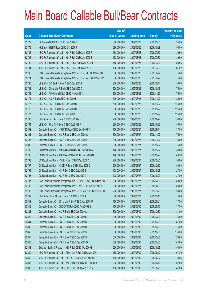|       |                                                                | No. of        |                     |               | <b>Amount raised</b> |
|-------|----------------------------------------------------------------|---------------|---------------------|---------------|----------------------|
| Code  | <b>Callable Bull/Bear Contracts</b>                            | issue (units) | <b>Listing date</b> | <b>Expiry</b> | $(HK$$ mil.)         |
| 62772 | HK Bank - HSI R Bull CBBC Dec 2009 B                           | 380,000,000   | 2009/03/26          | 2009/12/30    | 95.00                |
| 62773 | HK Bank - HSI R Bear CBBC Oct 2009 F                           | 380,000,000   | 2009/03/26          | 2009/10/29    | 95.00                |
| 62785 | KBC Fin Products Int'l Ltd. - HSI R Bull CBBC Jul 2009 R       | 158,000,000   | 2009/03/26          | 2009/07/30    | 39.50                |
| 62786 | KBC Fin Products Int'l Ltd. - HSI R Bull CBBC Jul 2009 S       | 158,000,000   | 2009/03/26          | 2009/07/30    | 39.50                |
| 62790 | KBC Fin Products Int'l Ltd. - HSI R Bear CBBC Jul 2009 T       | 158,000,000   | 2009/03/26          | 2009/07/30    | 50.56                |
| 62791 | KBC Fin Products Int'l Ltd. - HSI R Bear CBBC Jul 2009 U       | 158,000,000   | 2009/03/26          | 2009/07/30    | 61.62                |
| 62766 | SGA Societe Generale Acceptance N.V. - HSI R Bull CBBC Sep09U  | 300,000,000   | 2009/03/26          | 2009/09/29    | 75.00                |
| 62771 | SGA Societe Generale Acceptance N.V. - HSI R Bear CBBC Sep09V  | 300,000,000   | 2009/03/26          | 2009/09/29    | 75.00                |
| 62780 | UBS AG - CC Bank R Bear CBBC Dec 2009 B                        | 200,000,000   | 2009/03/26          | 2009/12/14    | 50.00                |
| 62781 | UBS AG - China Life R Bull CBBC Oct 2009 Q                     | 300,000,000   | 2009/03/26          | 2009/10/19    | 75.00                |
| 62782 | UBS AG - A50 China R Bull CBBC Nov 2009 J                      | 300,000,000   | 2009/03/26          | 2009/11/23    | 75.00                |
| 62774 | UBS AG - HSI R Bull CBBC Nov 2009 L                            | 500,000,000   | 2009/03/26          | 2009/11/27    | 125.00               |
| 62775 | UBS AG - HSI R Bull CBBC Nov 2009 O                            | 500,000,000   | 2009/03/26          | 2009/11/27    | 125.00               |
| 62776 | UBS AG - HSI R Bull CBBC Nov 2009 R                            | 500,000,000   | 2009/03/26          | 2009/11/27    | 125.00               |
| 62777 | UBS AG - HSI R Bull CBBC Nov 2009 T                            | 500,000,000   | 2009/03/26          | 2009/11/27    | 125.00               |
| 62783 | UBS AG - Ping An R Bear CBBC Oct 2009 E                        | 200,000,000   | 2009/03/26          | 2009/10/27    | 50.00                |
| 62784 | UBS AG - Ping An R Bear CBBC Oct 2009 F                        | 200,000,000   | 2009/03/26          | 2009/10/27    | 50.00                |
| 62802 | Deutsche Bank AG - HSBC R Bear CBBC Sep 2009 F                 | 150,000,000   | 2009/03/27          | 2009/09/14    | 37.50                |
| 62801 | Deutsche Bank AG - HSI R Bear CBBC Nov 2009 G                  | 300,000,000   | 2009/03/27          | 2009/11/27    | 75.00                |
| 62798 | Deutsche Bank AG - HSI R Bear CBBC Nov 2009 P                  | 300,000,000   | 2009/03/27          | 2009/11/27    | 75.00                |
| 62800 | Deutsche Bank AG - HSI R Bear CBBC Nov 2009 S                  | 300,000,000   | 2009/03/27          | 2009/11/27    | 75.00                |
| 62792 | CC Rabobank B.A. - A50 China R Bull CBBC Nov 2009 A            | 120,000,000   | 2009/03/27          | 2009/11/27    | 30.00                |
| 62796 | CC Rabobank B.A. - A50 China R Bear CBBC Nov 2009 B            | 120,000,000   | 2009/03/27          | 2009/11/27    | 43.20                |
| 62793 | CC Rabobank B.A. - HSCEI R Bull CBBC Dec 2009 C                | 200,000,000   | 2009/03/27          | 2009/12/30    | 50.00                |
| 62797 | CC Rabobank B.A. - HSCEI R Bear CBBC Dec 2009 D                | 200,000,000   | 2009/03/27          | 2009/12/30    | 50.00                |
| 62794 | CC Rabobank B.A. - HSI R Bull CBBC Oct 2009 B                  | 108,000,000   | 2009/03/27          | 2009/10/29    | 27.00                |
| 62795 | CC Rabobank B.A. - HSI R Bull CBBC Oct 2009 C                  | 108,000,000   | 2009/03/27          | 2009/10/29    | 27.00                |
| 62787 | SGA Societe Generale Acceptance N.V - CRail R Bear CBBC Dec09B | 200,000,000   | 2009/03/27          | 2009/12/30    | 50.00                |
| 62789 | SGA Societe Generale Acceptance N.V. - A50 R Bull CBBC Oct09B  | 200,000,000   | 2009/03/27          | 2009/10/23    | 50.00                |
| 62788 | SGA Societe Generale Acceptance N.V. - HKEx R Bull CBBC Sep09N | 200,000,000   | 2009/03/27          | 2009/09/29    | 50.00                |
| 62799 | UBS AG - China Mobile R Bear CBBC Nov 2009 A                   | 300,000,000   | 2009/03/27          | 2009/11/16    | 75.00                |
| 62842 | Deutsche Bank AG - China Life R Bull CBBC Aug 2009 U           | 150,000,000   | 2009/03/30          | 2009/08/31    | 37.50                |
| 62843 | Deutsche Bank AG - CNOOC R Bull CBBC Aug 2009 E                | 150,000,000   | 2009/03/30          | 2009/08/17    | 37.50                |
| 62821 | Deutsche Bank AG - HSI R Bull CBBC Dec 2009 A                  | 300,000,000   | 2009/03/30          | 2009/12/30    | 81.00                |
| 62822 | Deutsche Bank AG - HSI R Bull CBBC Dec 2009 B                  | 300,000,000   | 2009/03/30          | 2009/12/30    | 75.00                |
| 62844 | Deutsche Bank AG - HSI R Bull CBBC Dec 2009 C                  | 300,000,000   | 2009/03/30          | 2009/12/30    | 81.00                |
| 62845 | Deutsche Bank AG - HSI R Bull CBBC Dec 2009 D                  | 300,000,000   | 2009/03/30          | 2009/12/30    | 75.00                |
| 62846 | Deutsche Bank AG - HSI R Bear CBBC Dec 2009 E                  | 300,000,000   | 2009/03/30          | 2009/12/30    | 114.00               |
| 62847 | Deutsche Bank AG - HSI R Bear CBBC Dec 2009 F                  | 300,000,000   | 2009/03/30          | 2009/12/30    | 126.00               |
| 62848 | Deutsche Bank AG - HSI R Bear CBBC Dec 2009 G                  | 300,000,000   | 2009/03/30          | 2009/12/30    | 144.00               |
| 62841 | Goldman Sachs SP (Asia) - HSI R Bull CBBC Oct 2009 B           | 200,000,000   | 2009/03/30          | 2009/10/29    | 50.00                |
| 62839 | KBC Fin Products Int'l Ltd. - China Life R Bull CBBC Sep 09H   | 168,000,000   | 2009/03/30          | 2009/09/10    | 67.20                |
| 62840 | KBC Fin Products Int'l Ltd. - Ch Life R Bear CBBC Oct 2009 C   | 168,000,000   | 2009/03/30          | 2009/10/02    | 70.56                |
| 62838 | KBC Fin Products Int'l Ltd. - A50 China R Bull CBBC Oct 09 B   | 208,000,000   | 2009/03/30          | 2009/10/16    | 52.00                |
| 62836 | KBC Fin Products Int'l Ltd. - HSI R Bull CBBC Aug 2009 V       | 188,000,000   | 2009/03/30          | 2009/08/28    | 47.00                |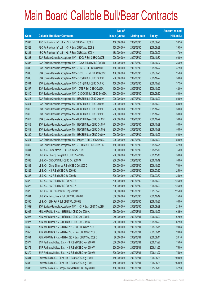|             |                                                                | No. of        |                     |               | <b>Amount raised</b> |
|-------------|----------------------------------------------------------------|---------------|---------------------|---------------|----------------------|
| <b>Code</b> | <b>Callable Bull/Bear Contracts</b>                            | issue (units) | <b>Listing date</b> | <b>Expiry</b> | $(HK$$ mil.)         |
| 62837       | KBC Fin Products Int'l Ltd. - HSI R Bull CBBC Aug 2009 Y       | 158,000,000   | 2009/03/30          | 2009/08/28    | 39.50                |
| 62823       | KBC Fin Products Int'l Ltd. - HSI R Bear CBBC Aug 2009 Z       | 158,000,000   | 2009/03/30          | 2009/08/28    | 39.50                |
| 62824       | KBC Fin Products Int'l Ltd. - HSI R Bear CBBC Sep 2009 N       | 188,000,000   | 2009/03/30          | 2009/09/29    | 47.00                |
| 62803       | SGA Societe Generale Acceptance N.V. - BOCL R Bull CBBC Oct09B | 200,000,000   | 2009/03/30          | 2009/10/30    | 50.00                |
| 62808       | SGA Societe Generale Acceptance N.V. - COVS R Bull CBBC Oct09D | 100,000,000   | 2009/03/30          | 2009/10/27    | 36.00                |
| 62809       | SGA Societe Generale Acceptance N.V. - CTel R Bull CBBC Oct09A | 150,000,000   | 2009/03/30          | 2009/10/27    | 37.50                |
| 62805       | SGA Societe Generale Acceptance N.V - CCCCL R Bull CBBC Sep09C | 100,000,000   | 2009/03/30          | 2009/09/28    | 25.00                |
| 62806       | SGA Societe Generale Acceptance N.V - CCoal R Bull CBBC Oct09B | 200,000,000   | 2009/03/30          | 2009/10/27    | 50.00                |
| 62804       | SGA Societe Generale Acceptance N.V - CK(H) R Bull CBBC Oct09C | 150,000,000   | 2009/03/30          | 2009/10/27    | 37.50                |
| 62807       | SGA Societe Generale Acceptance N.V. - CMB R Bull CBBC Oct09A  | 100,000,000   | 2009/03/30          | 2009/10/27    | 42.00                |
| 62810       | SGA Societe Generale Acceptance N.V - CNOOC R Bull CBBC Sep09A | 200,000,000   | 2009/03/30          | 2009/09/30    | 50.00                |
| 62813       | SGA Societe Generale Acceptance NV - HSCEI R Bull CBBC Oct09A  | 200,000,000   | 2009/03/30          | 2009/10/29    | 50.00                |
| 62814       | SGA Societe Generale Acceptance NV - HSCEI R Bull CBBC Oct09B  | 200,000,000   | 2009/03/30          | 2009/10/29    | 50.00                |
| 62815       | SGA Societe Generale Acceptance NV - HSCEI R Bull CBBC Oct09C  | 200,000,000   | 2009/03/30          | 2009/10/29    | 50.00                |
| 62816       | SGA Societe Generale Acceptance NV - HSCEI R Bull CBBC Oct09D  | 200,000,000   | 2009/03/30          | 2009/10/29    | 50.00                |
| 62817       | SGA Societe Generale Acceptance NV - HSCEI R Bear CBBC Oct09E  | 200,000,000   | 2009/03/30          | 2009/10/29    | 50.00                |
| 62818       | SGA Societe Generale Acceptance NV - HSCEI R Bear CBBC Oct09F  | 200,000,000   | 2009/03/30          | 2009/10/29    | 50.00                |
| 62819       | SGA Societe Generale Acceptance NV - HSCEI R Bear CBBC Oct09G  | 200,000,000   | 2009/03/30          | 2009/10/29    | 50.00                |
| 62820       | SGA Societe Generale Acceptance NV - HSCEI R Bear CBBC Oct09H  | 200,000,000   | 2009/03/30          | 2009/10/29    | 50.00                |
| 62811       | SGA Societe Generale Acceptance NV - PingAn R Bull CBBC Oct09C | 200,000,000   | 2009/03/30          | 2009/10/23    | 50.00                |
| 62812       | SGA Societe Generale Acceptance N.V. - TCH R Bull CBBC Dec09B  | 150,000,000   | 2009/03/30          | 2009/12/21    | 37.50                |
| 62831       | UBS AG - China Mobile R Bull CBBC Nov 2009 B                   | 300,000,000   | 2009/03/30          | 2009/11/16    | 75.00                |
| 62830       | UBS AG - Cheung Kong R Bull CBBC Nov 2009 F                    | 200,000,000   | 2009/03/30          | 2009/11/16    | 50.00                |
| 62833       | UBS AG - CNOOC R Bull CBBC Oct 2009 G                          | 200,000,000   | 2009/03/30          | 2009/10/19    | 50.00                |
| 62832       | UBS AG - China Shenhua R Bull CBBC Oct 2009 D                  | 200,000,000   | 2009/03/30          | 2009/10/27    | 70.00                |
| 62826       | UBS AG - HSI R Bull CBBC Jul 2009 K                            | 500,000,000   | 2009/03/30          | 2009/07/30    | 125.00               |
| 62827       | UBS AG - HSI R Bull CBBC Jul 2009 R                            | 500,000,000   | 2009/03/30          | 2009/07/30    | 125.00               |
| 62829       | UBS AG - HSI R Bull CBBC Oct 2009 A                            | 500,000,000   | 2009/03/30          | 2009/10/29    | 125.00               |
| 62828       | UBS AG - HSI R Bull CBBC Oct 2009 Z                            | 500,000,000   | 2009/03/30          | 2009/10/29    | 125.00               |
| 62825       | UBS AG - HSI R Bear CBBC Sep 2009 R                            | 500,000,000   | 2009/03/30          | 2009/09/29    | 125.00               |
| 62834       | UBS AG - Petrochina R Bull CBBC Oct 2009 G                     | 300,000,000   | 2009/03/30          | 2009/10/19    | 75.00                |
| 62835       | UBS AG - SHK Ppt R Bull CBBC Oct 2009 E                        | 200,000,000   | 2009/03/30          | 2009/10/27    | 50.00                |
| 61952 #     | SGA Societe Generale Acceptance N.V. - HSI R Bear CBBC Sep09B  | 200,000,000   | 2009/03/30          | 2009/09/29    | 21.80                |
| 62925       | ABN AMRO Bank N.V. - HSI R Bull CBBC Oct 2009 A                | 250,000,000   | 2009/03/31          | 2009/10/29    | 62.50                |
| 62926       | ABN AMRO Bank N.V. - HSI R Bull CBBC Oct 2009 B                | 250,000,000   | 2009/03/31          | 2009/10/29    | 62.50                |
| 62927       | ABN AMRO Bank N.V. - HSI R Bull CBBC Oct 2009 C                | 250,000,000   | 2009/03/31          | 2009/10/29    | 62.50                |
| 62849       | ABN AMRO Bank N.V. - Nikkei 225 R Bull CBBC Sep 2009 B         | 80,000,000    | 2009/03/31          | 2009/09/11    | 20.08                |
| 62853       | ABN AMRO Bank N.V. - Nikkei 225 R Bear CBBC Sep 2009 C         | 80,000,000    | 2009/03/31          | 2009/09/11    | 20.00                |
| 62854       | ABN AMRO Bank N.V. - Nikkei 225 R Bear CBBC Sep 2009 D         | 80,000,000    | 2009/03/31          | 2009/09/11    | 20.16                |
| 62877       | BNP Paribas Arbit Issu B.V. - HSI R Bull CBBC Nov 2009 U       | 300,000,000   | 2009/03/31          | 2009/11/27    | 75.00                |
| 62878       | BNP Paribas Arbit Issu B.V. - HSI R Bull CBBC Nov 2009 V       | 300,000,000   | 2009/03/31          | 2009/11/27    | 75.00                |
| 62879       | BNP Paribas Arbit Issu B.V. - HSI R Bull CBBC Nov 2009 W       | 300,000,000   | 2009/03/31          | 2009/11/27    | 75.00                |
| 62891       | Deutsche Bank AG - China Life R Bear CBBC Aug 2009 I           | 150,000,000   | 2009/03/31          | 2009/08/31    | 108.00               |
| 62892       | Deutsche Bank AG - China Life R Bear CBBC Aug 2009 J           | 150,000,000   | 2009/03/31          | 2009/08/31    | 168.00               |
| 62893       | Deutsche Bank AG - Sinopec Corp R Bull CBBC Aug 2009 F         | 150,000,000   | 2009/03/31          | 2009/08/10    | 37.50                |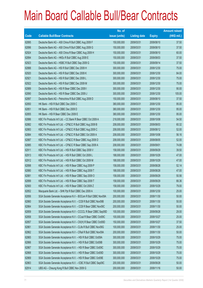|             |                                                                | No. of        |                     |               | <b>Amount raised</b> |
|-------------|----------------------------------------------------------------|---------------|---------------------|---------------|----------------------|
| <b>Code</b> | <b>Callable Bull/Bear Contracts</b>                            | issue (units) | <b>Listing date</b> | <b>Expiry</b> | $(HK$$ mil.)         |
| 62895       | Deutsche Bank AG - A50 China R Bull CBBC Aug 2009 F            | 150,000,000   | 2009/03/31          | 2009/08/10    | 37.50                |
| 62896       | Deutsche Bank AG - A50 China R Bull CBBC Aug 2009 G            | 150,000,000   | 2009/03/31          | 2009/08/10    | 37.50                |
| 62924       | Deutsche Bank AG - A50 China R Bear CBBC Aug 2009 H            | 150,000,000   | 2009/03/31          | 2009/08/10    | 60.00                |
| 62894       | Deutsche Bank AG - HKEx R Bull CBBC Aug 2009 E                 | 150,000,000   | 2009/03/31          | 2009/08/03    | 37.50                |
| 62923       | Deutsche Bank AG - HSBC R Bull CBBC Sep 2009 G                 | 150,000,000   | 2009/03/31          | 2009/09/14    | 37.50                |
| 62888       | Deutsche Bank AG - HSI R Bull CBBC Dec 2009 H                  | 300,000,000   | 2009/03/31          | 2009/12/30    | 75.00                |
| 62920       | Deutsche Bank AG - HSI R Bull CBBC Dec 2009 K                  | 300,000,000   | 2009/03/31          | 2009/12/30    | 84.00                |
| 62921       | Deutsche Bank AG - HSI R Bull CBBC Dec 2009 L                  | 300,000,000   | 2009/03/31          | 2009/12/30    | 75.00                |
| 62922       | Deutsche Bank AG - HSI R Bull CBBC Dec 2009 M                  | 300,000,000   | 2009/03/31          | 2009/12/30    | 75.00                |
| 62889       | Deutsche Bank AG - HSI R Bear CBBC Dec 2009 I                  | 300,000,000   | 2009/03/31          | 2009/12/30    | 90.00                |
| 62890       | Deutsche Bank AG - HSI R Bear CBBC Dec 2009 J                  | 300,000,000   | 2009/03/31          | 2009/12/30    | 105.00               |
| 62897       | Deutsche Bank AG - Petrochina R Bull CBBC Aug 2009 D           | 150,000,000   | 2009/03/31          | 2009/08/10    | 37.50                |
| 62850       | HK Bank - HSI R Bull CBBC Dec 2009 C                           | 380,000,000   | 2009/03/31          | 2009/12/30    | 95.00                |
| 62851       | HK Bank - HSI R Bull CBBC Dec 2009 D                           | 380,000,000   | 2009/03/31          | 2009/12/30    | 95.00                |
| 62855       | HK Bank - HSI R Bear CBBC Dec 2009 E                           | 380,000,000   | 2009/03/31          | 2009/12/30    | 95.00                |
| 62886       | KBC Fin Products Int'l Ltd. - CC Bank R Bear CBBC Oct 2009 A   | 218,000,000   | 2009/03/31          | 2009/10/08    | 54.50                |
| 62882       | KBC Fin Products Int'l Ltd. - CP&CC R Bull CBBC Aug 2009 B     | 208,000,000   | 2009/03/31          | 2009/08/03    | 60.32                |
| 62883       | KBC Fin Products Int'l Ltd. - CP&CC R Bull CBBC Aug 2009 C     | 208,000,000   | 2009/03/31          | 2009/08/12    | 52.00                |
| 62884       | KBC Fin Products Int'l Ltd. - CP&CC R Bull CBBC Oct 2009 A     | 208,000,000   | 2009/03/31          | 2009/10/08    | 56.16                |
| 62887       | KBC Fin Products Int'l Ltd. - CP&CC R Bear CBBC Aug 2009 D     | 208,000,000   | 2009/03/31          | 2009/08/05    | 52.00                |
| 62885       | KBC Fin Products Int'l Ltd. - CP&CC R Bear CBBC Sep 2009 A     | 208,000,000   | 2009/03/31          | 2009/09/01    | 74.88                |
| 62911       | KBC Fin Products Int'l Ltd. - HSI R Bull CBBC Sep 2009 V       | 158,000,000   | 2009/03/31          | 2009/09/29    | 39.50                |
| 62913       | KBC Fin Products Int'l Ltd. - HSI R Bull CBBC Oct 2009 L       | 188,000,000   | 2009/03/31          | 2009/10/29    | 47.00                |
| 62912       | KBC Fin Products Int'l Ltd. - HSI R Bull CBBC Oct 2009 M       | 188,000,000   | 2009/03/31          | 2009/10/29    | 47.00                |
| 62898       | KBC Fin Products Int'l Ltd. - HSI R Bear CBBC Aug 2009 P       | 158,000,000   | 2009/03/31          | 2009/08/28    | 52.14                |
| 62880       | KBC Fin Products Int'l Ltd. - HSI R Bear CBBC Aug 2009 T       | 188,000,000   | 2009/03/31          | 2009/08/28    | 47.00                |
| 62881       | KBC Fin Products Int'l Ltd. - HSI R Bear CBBC Sep 2009 O       | 158,000,000   | 2009/03/31          | 2009/09/29    | 50.56                |
| 62899       | KBC Fin Products Int'l Ltd. - HSI R Bear CBBC Sep 2009 T       | 158,000,000   | 2009/03/31          | 2009/09/29    | 66.36                |
| 62900       | KBC Fin Products Int'l Ltd. - HSI R Bear CBBC Oct 2009 Z       | 158,000,000   | 2009/03/31          | 2009/10/29    | 79.00                |
| 62852       | Macquarie Bank Ltd. - SHK Ppt R Bull CBBC Dec 2009 A           | 100,000,000   | 2009/03/31          | 2009/12/30    | 25.00                |
| 62856       | SGA Societe Generale Acceptance N.V - BOCom R Bull CBBC Nov09A | 200,000,000   | 2009/03/31          | 2009/11/30    | 50.00                |
| 62860       | SGA Societe Generale Acceptance N.V. - CCB R Bull CBBC Nov09B  | 200,000,000   | 2009/03/31          | 2009/11/30    | 50.00                |
| 62864       | SGA Societe Generale Acceptance N.V. - CCB R Bear CBBC Nov09C  | 200,000,000   | 2009/03/31          | 2009/11/30    | 50.00                |
| 62859       | SGA Societe Generale Acceptance N.V - CCCCL R Bear CBBC Sep09D | 100,000,000   | 2009/03/31          | 2009/09/28    | 29.00                |
| 62858       | SGA Societe Generale Acceptance N.V - CCoal R Bear CBBC Oct09C | 100,000,000   | 2009/03/31          | 2009/10/27    | 25.00                |
| 62857       | SGA Societe Generale Acceptance N.V - CK(H) R Bear CBBC Oct09D | 150,000,000   | 2009/03/31          | 2009/10/27    | 37.50                |
| 62861       | SGA Societe Generale Acceptance N.V - CLife R Bull CBBC Nov09G | 100,000,000   | 2009/03/31          | 2009/11/30    | 25.00                |
| 62862       | SGA Societe Generale Acceptance N.V - CRail R Bull CBBC Nov09A | 200,000,000   | 2009/03/31          | 2009/11/30    | 50.00                |
| 62865       | SGA Societe Generale Acceptance N.V. - HSI R Bull CBBC Oct09A  | 300,000,000   | 2009/03/31          | 2009/10/29    | 75.00                |
| 62866       | SGA Societe Generale Acceptance N.V. - HSI R Bull CBBC Oct09B  | 300,000,000   | 2009/03/31          | 2009/10/29    | 75.00                |
| 62867       | SGA Societe Generale Acceptance N.V. - HSI R Bear CBBC Oct09C  | 300,000,000   | 2009/03/31          | 2009/10/29    | 75.00                |
| 62868       | SGA Societe Generale Acceptance N.V. - HSI R Bear CBBC Oct09D  | 300,000,000   | 2009/03/31          | 2009/10/29    | 75.00                |
| 62869       | SGA Societe Generale Acceptance N.V. - HSI R Bear CBBC Oct09E  | 300,000,000   | 2009/03/31          | 2009/10/29    | 75.00                |
| 62863       | SGA Societe Generale Acceptance N.V. - ICBC R Bull CBBC Sep09C | 200,000,000   | 2009/03/31          | 2009/09/28    | 50.00                |
| 62914       | UBS AG - Cheung Kong R Bull CBBC Nov 2009 G                    | 200,000,000   | 2009/03/31          | 2009/11/16    | 50.00                |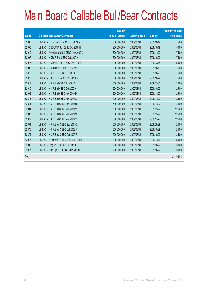# Main Board Callable Bull/Bear Contracts

|              |                                            | No. of        |                     |               | <b>Amount raised</b> |
|--------------|--------------------------------------------|---------------|---------------------|---------------|----------------------|
| Code         | <b>Callable Bull/Bear Contracts</b>        | issue (units) | <b>Listing date</b> | <b>Expiry</b> | $(HK$$ mil.)         |
| 62905        | UBS AG - China Life R Bull CBBC Oct 2009 R | 300,000,000   | 2009/03/31          | 2009/10/19    | 75.00                |
| 62906        | UBS AG - CNOOC R Bull CBBC Oct 2009 H      | 200,000,000   | 2009/03/31          | 2009/10/19    | 50.00                |
| 62910        | UBS AG - A50 China R Bull CBBC Nov 2009 K  | 300,000,000   | 2009/03/31          | 2009/11/23    | 75.00                |
| 62907        | UBS AG - HKEx R Bull CBBC Oct 2009 H       | 300,000,000   | 2009/03/31          | 2009/10/27    | 75.00                |
| 62915        | UBS AG - HS Bank R Bull CBBC Dec 2009 E    | 200,000,000   | 2009/03/31          | 2009/12/14    | 50.00                |
| 62908        | UBS AG - HSBC R Bull CBBC Oct 2009 S       | 300,000,000   | 2009/03/31          | 2009/10/19    | 75.00                |
| 62870        | UBS AG - HSCEI R Bull CBBC Oct 2009 G      | 300,000,000   | 2009/03/31          | 2009/10/29    | 75.00                |
| 62876        | UBS AG - HSCEI R Bear CBBC Oct 2009 H      | 300,000,000   | 2009/03/31          | 2009/10/29    | 75.00                |
| 62918        | UBS AG - HSI R Bull CBBC Jul 2009 S        | 500,000,000   | 2009/03/31          | 2009/07/30    | 125.00               |
| 62919        | UBS AG - HSI R Bull CBBC Oct 2009 H        | 500,000,000   | 2009/03/31          | 2009/10/29    | 125.00               |
| 62902        | UBS AG - HSI R Bull CBBC Nov 2009 P        | 500,000,000   | 2009/03/31          | 2009/11/27    | 125.00               |
| 62873        | UBS AG - HSI R Bull CBBC Nov 2009 S        | 500,000,000   | 2009/03/31          | 2009/11/27    | 125.00               |
| 62871        | UBS AG - HSI R Bull CBBC Nov 2009 U        | 500,000,000   | 2009/03/31          | 2009/11/27    | 125.00               |
| 62901        | UBS AG - HSI R Bull CBBC Nov 2009 V        | 500,000,000   | 2009/03/31          | 2009/11/27    | 125.00               |
| 62903        | UBS AG - HSI R Bull CBBC Nov 2009 W        | 500,000,000   | 2009/03/31          | 2009/11/27    | 125.00               |
| 62872        | UBS AG - HSI R Bull CBBC Nov 2009 Y        | 500,000,000   | 2009/03/31          | 2009/11/27    | 125.00               |
| 62904        | UBS AG - HSI R Bear CBBC Sep 2009 X        | 500,000,000   | 2009/03/31          | 2009/09/29    | 125.00               |
| 62875        | UBS AG - HSI R Bear CBBC Oct 2009 F        | 500,000,000   | 2009/03/31          | 2009/10/29    | 125.00               |
| 62874        | UBS AG - HSI R Bear CBBC Oct 2009 R        | 500,000,000   | 2009/03/31          | 2009/10/29    | 125.00               |
| 62916        | UBS AG - Hutchison R Bull CBBC Nov 2009 A  | 200,000,000   | 2009/03/31          | 2009/11/16    | 50.00                |
| 62909        | UBS AG - Ping An R Bull CBBC Oct 2009 G    | 200,000,000   | 2009/03/31          | 2009/10/27    | 50.00                |
| 62917        | UBS AG - SHK Ppt R Bull CBBC Oct 2009 F    | 200,000,000   | 2009/03/31          | 2009/10/27    | 50.00                |
| <b>Total</b> |                                            |               |                     |               | 129,192.54           |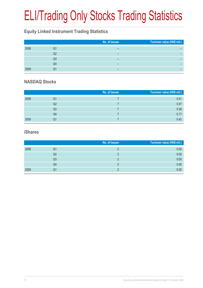# ELI/Trading Only Stocks Trading Statistics

# **Equity Linked Instrument Trading Statistics**

|      |    | No. of issues | Turnover value (HK\$ mil.) |
|------|----|---------------|----------------------------|
| 2008 | Q1 | -             |                            |
|      | Q2 | -             |                            |
|      | Q3 | -             |                            |
|      | Q4 | -             |                            |
| 2009 | O1 | -             |                            |

#### **NASDAQ Stocks**

|      |                | No. of issues | Turnover value (HK\$ mil.) |
|------|----------------|---------------|----------------------------|
| 2008 | Q1             |               | 0.41                       |
|      | Q2             |               | 0.57                       |
|      | Q <sub>3</sub> |               | 0.38                       |
|      | Q4             |               | 0.17                       |
| 2009 | Q1             |               | 0.42                       |

#### **iShares**

|      |    | No. of issues | Turnover value (HK\$ mil.) |
|------|----|---------------|----------------------------|
| 2008 | Q1 |               | 0.00                       |
|      | Q2 |               | 0.00                       |
|      | Q3 |               | 0.00                       |
|      | Q4 |               | 0.00                       |
| 2009 | Q1 |               | 0.00                       |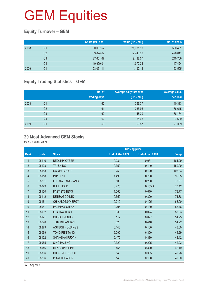## **Equity Turnover – GEM**

|      |    | Share (Mil. shs) | Value (HK\$ mil.) | No. of deals |
|------|----|------------------|-------------------|--------------|
| 2008 | Q1 | 60,007.62        | 21,381.98         | 530,401      |
|      | Q2 | 53.824.67        | 17.443.28         | 476,011      |
|      | Q3 | 27,661.67        | 9,188.57          | 240,766      |
|      | Q4 | 19,999.04        | 4,070.24          | 147,424      |
| 2009 | Q1 | 23,051.11        | 4,192.12          | 153,505      |

## **Equity Trading Statistics – GEM**

|      |                | No. of<br>trading days | <b>Average daily turnover</b><br>(HK\$ mil.) | Average value<br>per deal |
|------|----------------|------------------------|----------------------------------------------|---------------------------|
| 2008 | Q1             | 60                     | 356.37                                       | 40,313                    |
|      | Q <sub>2</sub> | 61                     | 285.96                                       | 36,645                    |
|      | Q <sub>3</sub> | 62                     | 148.20                                       | 38,164                    |
|      | Q4             | 62                     | 65.65                                        | 27,609                    |
| 2009 | Q <sub>1</sub> | 60                     | 69.87                                        | 27,309                    |

#### **20 Most Advanced GEM Stocks**

for 1st quarter 2009

|                |       |                        | <b>Closing price</b> |                 |        |
|----------------|-------|------------------------|----------------------|-----------------|--------|
| <b>Rank</b>    | Code  | <b>Stock</b>           | End of Mar 2009      | End of Dec 2008 | $%$ up |
| 1              | 08116 | <b>NEOLINK CYBER</b>   | 0.081                | 0.031           | 161.29 |
| $\overline{2}$ | 08103 | <b>TAI SHING</b>       | 0.350                | 0.140           | 150.00 |
| 3              | 08153 | <b>CCCTV GROUP</b>     | 0.250                | 0.120           | 108.33 |
| 4              | 08118 | <b>INT'L ENT</b>       | 1.490                | 0.760           | 96.05  |
| 5              | 08231 | <b>FUDANZHANGJIANG</b> | 0.500                | 0.280           | 78.57  |
| 6              | 08079 | <b>B.A.L. HOLD</b>     | 0.275                | 0.155A          | 77.42  |
| $\overline{7}$ | 08150 | <b>FAST SYSTEMS</b>    | 1.060                | 0.610           | 73.77  |
| 8              | 08112 | <b>DETEAM COLTD</b>    | 0.550                | 0.320           | 71.88  |
| 9              | 08161 | <b>CHINALOTSYNERGY</b> | 0.210                | 0.125           | 68.00  |
| 10             | 08047 | <b>PALMPAY CHINA</b>   | 0.206                | 0.130           | 58.46  |
| 11             | 08032 | <b>G CHINA TECH</b>    | 0.038                | 0.024           | 58.33  |
| 12             | 08171 | <b>CHINA TRENDS</b>    | 0.117                | 0.077           | 51.95  |
| 13             | 08290 | <b>TIANJINTIANLIAN</b> | 0.620                | 0.410           | 51.22  |
| 14             | 08279 | <b>AGTECH HOLDINGS</b> | 0.148                | 0.100           | 48.00  |
| 15             | 08069 | <b>TONG REN TANG</b>   | 9.090                | 6.300           | 44.29  |
| 16             | 08102 | <b>SHANGHAI FUDAN</b>  | 0.470                | 0.330           | 42.42  |
| 17             | 08065 | <b>SINO HAIJING</b>    | 0.320                | 0.225           | 42.22  |
| 18             | 08046 | <b>HENG XIN CHINA</b>  | 0.455                | 0.320           | 42.19  |
| 19             | 08306 | <b>CH NONFERROUS</b>   | 0.540                | 0.385           | 40.26  |
| 20             | 08236 | <b>POWERLEADER</b>     | 0.140                | 0.100           | 40.00  |
|                |       |                        |                      |                 |        |

A Adjusted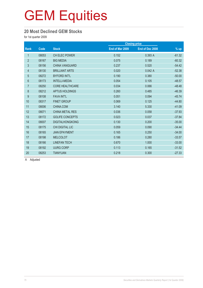#### **20 Most Declined GEM Stocks**

for 1st quarter 2009

|                |       |                        |                 | <b>Closing price</b> |          |
|----------------|-------|------------------------|-----------------|----------------------|----------|
| <b>Rank</b>    | Code  | <b>Stock</b>           | End of Mar 2009 | End of Dec 2008      | $%$ up   |
| $\mathbf{1}$   | 08053 | <b>CH ELEC POWER</b>   | 0.152           | 0.393 A              | $-61.32$ |
| $\overline{2}$ | 08167 | <b>BIG MEDIA</b>       | 0.075           | 0.189                | $-60.32$ |
| 3              | 08156 | <b>CHINA VANGUARD</b>  | 0.237           | 0.520                | $-54.42$ |
| $\overline{4}$ | 08130 | <b>BRILLIANT ARTS</b>  | 0.020           | 0.042A               | $-52.38$ |
| $\overline{5}$ | 08272 | <b>BYFORD INT'L</b>    | 0.190           | 0.380                | $-50.00$ |
| $6\phantom{.}$ | 08173 | <b>INTELLI-MEDIA</b>   | 0.054           | 0.105                | $-48.57$ |
| $\overline{7}$ | 08250 | <b>CORE HEALTHCARE</b> | 0.034           | 0.066                | $-48.48$ |
| 8              | 08212 | APTUS HOLDINGS         | 0.260           | 0.485                | $-46.39$ |
| 9              | 08108 | <b>FAVA INT'L</b>      | 0.051           | 0.094                | $-45.74$ |
| 10             | 08317 | <b>FINET GROUP</b>     | 0.069           | 0.125                | $-44.80$ |
| 11             | 08006 | CHINA.COM              | 3.140           | 5.330                | $-41.09$ |
| 12             | 08071 | <b>CHINA METAL RES</b> | 0.036           | 0.058                | $-37.93$ |
| 13             | 08172 | <b>GOLIFE CONCEPTS</b> | 0.023           | 0.037                | $-37.84$ |
| 14             | 08007 | <b>DIGITALHONGKONG</b> | 0.130           | 0.200                | $-35.00$ |
| 15             | 08175 | CHI DIGITAL LIC        | 0.059           | 0.090                | $-34.44$ |
| 16             | 08165 | <b>JIAN EPAYMENT</b>   | 0.165           | 0.250                | $-34.00$ |
| 17             | 08198 | <b>MELCOLOT</b>        | 0.186           | 0.280                | $-33.57$ |
| 18             | 08166 | <b>LINEFAN TECH</b>    | 0.670           | 1.000                | $-33.00$ |
| 19             | 08192 | <b>UURG CORP</b>       | 0.113           | 0.165                | $-31.52$ |
| 20             | 08253 | <b>TIANYUAN</b>        | 0.218           | 0.300                | $-27.33$ |

A Adjusted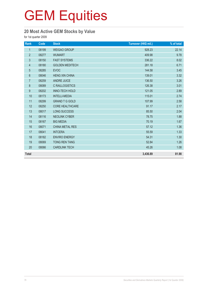## **20 Most Active GEM Stocks by Value**

for 1st quarter 2009

| Rank             | Code  | <b>Stock</b>           | Turnover (HK\$ mil.) | % of total |
|------------------|-------|------------------------|----------------------|------------|
| $\mathbf{1}$     | 08199 | <b>WEIGAO GROUP</b>    | 928.23               | 22.14      |
| $\overline{2}$   | 08277 | <b>WUMART</b>          | 409.98               | 9.78       |
| $\mathfrak{Z}$   | 08150 | <b>FAST SYSTEMS</b>    | 336.22               | 8.02       |
| $\overline{4}$   | 08180 | <b>GOLDEN MEDITECH</b> | 281.18               | 6.71       |
| $\overline{5}$   | 08285 | <b>EVOC</b>            | 144.58               | 3.45       |
| $6\,$            | 08046 | <b>HENG XIN CHINA</b>  | 139.01               | 3.32       |
| $\overline{7}$   | 08259 | <b>ANDRE JUICE</b>     | 136.50               | 3.26       |
| 8                | 08089 | <b>C RAILLOGISTICS</b> | 126.38               | 3.01       |
| $\boldsymbol{9}$ | 08202 | <b>INNO-TECH HOLD</b>  | 121.05               | 2.89       |
| 10               | 08173 | <b>INTELLI-MEDIA</b>   | 115.01               | 2.74       |
| 11               | 08299 | <b>GRAND T G GOLD</b>  | 107.99               | 2.58       |
| 12               | 08250 | <b>CORE HEALTHCARE</b> | 91.17                | 2.17       |
| 13               | 08017 | <b>LONG SUCCESS</b>    | 85.50                | 2.04       |
| 14               | 08116 | <b>NEOLINK CYBER</b>   | 78.75                | 1.88       |
| 15               | 08167 | <b>BIG MEDIA</b>       | 70.19                | 1.67       |
| 16               | 08071 | <b>CHINA METAL RES</b> | 57.12                | 1.36       |
| 17               | 08041 | <b>INTCERA</b>         | 55.59                | 1.33       |
| 18               | 08182 | <b>ENVIRO ENERGY</b>   | 54.31                | 1.30       |
| 19               | 08069 | <b>TONG REN TANG</b>   | 52.84                | 1.26       |
| 20               | 08066 | <b>CARDLINK TECH</b>   | 45.26                | 1.08       |
| <b>Total</b>     |       |                        | 3,436.89             | 81.98      |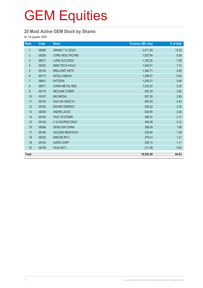## **20 Most Active GEM Stock by Shares**

for 1st quarter 2009

| Rank           | Code  | <b>Stock</b>           | <b>Turnover (Mil. shs)</b> | % of total |
|----------------|-------|------------------------|----------------------------|------------|
| $\mathbf 1$    | 08299 | <b>GRAND T G GOLD</b>  | 3,511.20                   | 15.23      |
| $\overline{2}$ | 08250 | <b>CORE HEALTHCARE</b> | 1,927.64                   | 8.36       |
| 3              | 08017 | <b>LONG SUCCESS</b>    | 1,702.30                   | 7.38       |
| $\overline{4}$ | 08202 | <b>INNO-TECH HOLD</b>  | 1,642.01                   | 7.12       |
| 5              | 08130 | <b>BRILLIANT ARTS</b>  | 1,360.71                   | 5.90       |
| 6              | 08173 | <b>INTELLI-MEDIA</b>   | 1,299.37                   | 5.64       |
| $\overline{7}$ | 08041 | <b>INTCERA</b>         | 1,258.31                   | 5.46       |
| $\bf 8$        | 08071 | <b>CHINA METAL RES</b> | 1,233.24                   | 5.35       |
| 9              | 08116 | <b>NEOLINK CYBER</b>   | 903.25                     | 3.92       |
| 10             | 08167 | <b>BIG MEDIA</b>       | 657.30                     | 2.85       |
| 11             | 08143 | <b>HUA XIA HEALTH</b>  | 560.05                     | 2.43       |
| 12             | 08182 | <b>ENVIRO ENERGY</b>   | 529.22                     | 2.30       |
| 13             | 08259 | <b>ANDRE JUICE</b>     | 525.56                     | 2.28       |
| 14             | 08150 | <b>FAST SYSTEMS</b>    | 499.37                     | 2.17       |
| 15             | 08128 | C G SOURCE ENGY        | 488.38                     | 2.12       |
| 16             | 08046 | <b>HENG XIN CHINA</b>  | 388.09                     | 1.68       |
| 17             | 08180 | <b>GOLDEN MEDITECH</b> | 320.84                     | 1.39       |
| 18             | 08220 | <b>EMCOM INT'L</b>     | 279.41                     | 1.21       |
| 19             | 08192 | <b>UURG CORP</b>       | 256.14                     | 1.11       |
| 20             | 08108 | <b>FAVA INT'L</b>      | 211.09                     | 0.92       |
| <b>Total</b>   |       |                        | 19,553.48                  | 84.83      |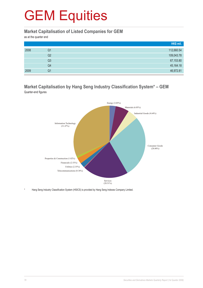#### **Market Capitalisation of Listed Companies for GEM**

as at the quarter end

|      |    | HK\$ mil.  |
|------|----|------------|
| 2008 | Q1 | 112,660.54 |
|      | Q2 | 109,043.78 |
|      | Q3 | 67,153.80  |
|      | Q4 | 45,164.18  |
| 2009 | Q1 | 46,972.81  |

#### **Market Capitalisation by Hang Seng Industry Classification System\* – GEM** Quarter-end figures



Hang Seng Industry Classification System (HSICS) is provided by Hang Seng Indexes Company Limited.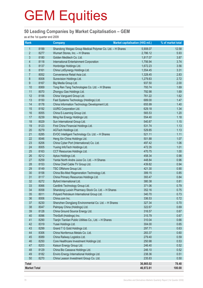#### **50 Leading Companies by Market Capitalisation – GEM**

as at the 1st quarter end 2009

| Rank                |      | <b>Company</b>                                            | Market capitalisation (HK\$ mil.) | % of market total |
|---------------------|------|-----------------------------------------------------------|-----------------------------------|-------------------|
| 1                   | 8199 | Shandong Weigao Group Medical Polymer Co. Ltd. - H Shares | 5,908.07                          | 12.58             |
| $\overline{2}$      | 8277 | Wumart Stores, Inc. - H Shares                            | 2,786.12                          | 5.93              |
| 3                   | 8180 | Golden Meditech Co. Ltd.                                  | 1,817.07                          | 3.87              |
| 4                   | 8118 | International Entertainment Corporation                   | 1,756.94                          | 3.74              |
| 5                   | 8137 | Honbridge Holdings Ltd.                                   | 1,672.23                          | 3.56              |
| 6                   | 8161 | China LotSynergy Holdings Ltd.                            | 1,554.45                          | 3.31              |
| $\overline{7}$      | 8052 | Convenience Retail Asia Ltd.                              | 1,328.45                          | 2.83              |
| 8                   | 8008 | Sunevision Holdings Ltd.                                  | 1,279.83                          | 2.72              |
| 9                   | 8167 | Big Media Group Ltd.                                      | 937.50                            | 2.00              |
| 10                  | 8069 | Tong Ren Tang Technologies Co. Ltd. - H Shares            | 793.74                            | 1.69              |
| 11                  | 8070 | Zhongyu Gas Holdings Ltd.                                 | 792.98                            | 1.69              |
| 12                  | 8156 | China Vanguard Group Ltd.                                 | 761.22                            | 1.62              |
| 13                  | 8150 | Fast Systems Technology (Holdings) Ltd.                   | 689.00                            | 1.47              |
| 14                  | 8178 | China Information Technology Development Ltd.             | 655.99                            | 1.40              |
| 15                  | 8192 | <b>UURG Corporation Ltd.</b>                              | 629.18                            | 1.34              |
| 16                  | 8055 | China E-Learning Group Ltd.                               | 565.53                            | 1.20              |
| 17                  | 8239 | Ming Kei Energy Holdings Ltd.                             | 554.40                            | 1.18              |
| 18                  | 8029 | Sun International Group Ltd.                              | 540.87                            | 1.15              |
| 19                  | 8123 | First China Financial Holdings Ltd.                       | 531.74                            | 1.13              |
| 20                  | 8279 | AGTech Holdings Ltd.                                      | 529.85                            | 1.13              |
| 21                  | 8285 | EVOC Intelligent Technology Co. Ltd. - H Shares           | 521.11                            | 1.11              |
| 22                  | 8046 | Heng Xin China Holdings Ltd.                              | 501.88                            | 1.07              |
| 23                  | 8206 | China Cyber Port (International) Co. Ltd.                 | 497.42                            | 1.06              |
| 24                  | 8005 | Yuxing InfoTech Holdings Ltd.                             | 472.35                            | 1.01              |
| 25                  | 8163 | CCT Resources Holdings Ltd.                               | 470.75                            | 1.00              |
| 26                  | 8212 | Aptus Holdings Ltd.                                       | 458.34                            | 0.98              |
| 27                  | 8259 | Yantai North Andre Juice Co. Ltd. - H Shares              | 448.84                            | 0.96              |
| 28                  | 8153 | China Chief Cable TV Group Ltd.                           | 439.82                            | 0.94              |
| 29                  | 8149 | TSC Offshore Group Ltd.                                   | 421.30                            | 0.90              |
| 30                  | 8158 | China Bio-Med Regeneration Technology Ltd.                | 399.15                            | 0.85              |
| 31                  | 8117 | China Primary Resources Holdings Ltd.                     | 393.47                            | 0.84              |
| 32                  | 8272 | Byford International Ltd.                                 | 380.38                            | 0.81              |
| 33                  | 8066 | Cardlink Technology Group Ltd.                            | 371.06                            | 0.79              |
| 34                  | 8058 | Shandong Luoxin Pharmacy Stock Co. Ltd. - H Shares        | 352.16                            | 0.75              |
| 35                  | 8011 | Polyard Petroleum International Group Ltd.                | 340.70                            | 0.73              |
| 36                  | 8006 | China.com Inc.                                            | 336.53                            | 0.72              |
| 37                  | 8230 | Shenzhen Dongjiang Environmental Co. Ltd. - H Shares      | 327.34                            | 0.70              |
| 38                  | 8047 | Palmpay China (Holdings) Ltd.                             | 322.67                            | 0.69              |
| 39                  | 8128 | China Ground Source Energy Ltd.                           | 316.57                            | 0.67              |
| 40                  | 8096 | ThinSoft (Holdings) Inc.                                  | 315.79                            | 0.67              |
| 41                  | 8290 | Tianjin Tianlian Public Utilities Co., Ltd. - H Shares    | 310.04                            | 0.66              |
| 42                  | 8319 | Yusei Holdings Ltd.                                       | 304.00                            | 0.65              |
| 43                  | 8299 | Grand T G Gold Holdings Ltd.                              | 297.71                            | 0.63              |
| 44                  | 8306 | China Nonferrous Metals Co. Ltd.                          | 283.37                            | 0.60              |
| 45                  | 8089 | China Railway Logistics Ltd.                              | 279.40                            | 0.59              |
| 46                  | 8250 | Core Healthcare Investment Holdings Ltd.                  | 250.98                            | 0.53              |
| 47                  | 8203 | Kaisun Energy Group Ltd.                                  | 246.40                            | 0.52              |
| 48                  | 8129 | China Bio Cassava Holdings Ltd.                           | 246.10                            | 0.52              |
| 49                  | 8182 | Enviro Energy International Holdings Ltd.                 | 238.36                            | 0.51              |
| 50                  | 8270 | China Leason Investment Group Co. Ltd.                    | 235.83                            | 0.50              |
| <b>Total</b>        |      |                                                           | 36,865.02                         | 78.48             |
| <b>Market Total</b> |      |                                                           | 46,972.81                         | 100.00            |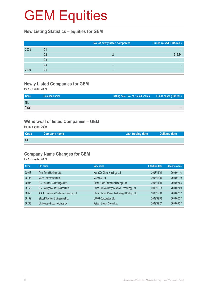#### **New Listing Statistics – equities for GEM**

|      |    | No. of newly listed companies | Funds raised (HK\$ mil.) |
|------|----|-------------------------------|--------------------------|
| 2008 | Q1 |                               |                          |
|      | Q2 |                               | 216.84                   |
|      | Q3 | –                             |                          |
|      | Q4 |                               |                          |
| 2009 | Q1 | -                             |                          |

## **Newly Listed Companies for GEM**

for 1st quarter 2009

| Code       | Company name | Listing date No. of issued shares Funds raised (HK\$ mil.) |  |
|------------|--------------|------------------------------------------------------------|--|
| <b>NIL</b> |              |                                                            |  |
| Total      |              |                                                            |  |

#### **Withdrawal of listed Companies – GEM**

for 1st quarter 2009

| <b>Code</b> | Company name | Last trading date | <b>Delisted date</b> |
|-------------|--------------|-------------------|----------------------|
| <b>NIL</b>  |              |                   |                      |

## **Company Name Changes for GEM**

for 1st quarter 2009

| Code  | Old name                                 | New name                                      | <b>Effective date</b> | <b>Adoption date</b> |
|-------|------------------------------------------|-----------------------------------------------|-----------------------|----------------------|
| 08046 | Tiger Tech Holdings Ltd.                 | Heng Xin China Holdings Ltd.                  | 2008/11/24            | 2009/01/16           |
| 08198 | Melco LottVentures Ltd.                  | MelcoLot Ltd.                                 | 2008/12/04            | 2009/01/19           |
| 08003 | T S Telecom Technologies Ltd.            | Great World Company Holdings Ltd.             | 2008/11/05            | 2009/02/03           |
| 08158 | B M Intelligence International Ltd.      | China Bio-Med Regeneration Technology Ltd.    | 2008/12/18            | 2009/02/09           |
| 08053 | A & K Educational Software Holdings Ltd. | China Electric Power Technology Holdings Ltd. | 2008/12/30            | 2009/02/12           |
| 08192 | Global Solution Engineering Ltd.         | <b>UURG Corporation Ltd.</b>                  | 2009/02/02            | 2009/02/27           |
| 08203 | Challenger Group Holdings Ltd.           | Kaisun Energy Group Ltd.                      | 2009/02/27            | 2009/03/27           |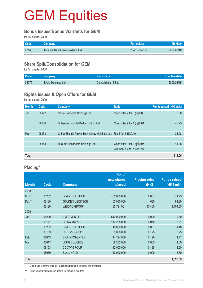#### **Bonus Issues/Bonus Warrants for GEM**

for 1st quarter 2009

| <b>Code</b> | <b>Company</b>                   | <b>Particulars</b> | <b>Ex-date</b> |
|-------------|----------------------------------|--------------------|----------------|
| 08143       | Hua Xia Healthcare Holdings Ltd. | 2 for 1 offer sh   | 2009/02/10     |

### **Share Split/Consolidation for GEM**

for 1st quarter 2009

| Code <sup>1</sup> | <b>Company</b>       | <b>Particulars</b>     | Effective date |
|-------------------|----------------------|------------------------|----------------|
| 08079             | B.A.L. Holdings Ltd. | Consolidation 5 into 1 | 2009/01/15     |

### **Rights Issues & Open Offers for GEM**

for 1st quarter 2009

| <b>Month</b> | Code  | Company                                                           | <b>Ratio</b>                | Funds raised (HK\$ mil.) |
|--------------|-------|-------------------------------------------------------------------|-----------------------------|--------------------------|
| Jan          | 08172 | Golife Concepts Holdings Ltd.                                     | Open offer 2 for 5 @\$0.05  | 6.58                     |
|              |       |                                                                   |                             |                          |
|              | 08130 | Brilliant Arts Multi-Media Holding Ltd.                           | Open offer 9 for 1 @\$0.04  | 45.25                    |
|              |       |                                                                   |                             |                          |
| Mar          | 08053 | China Electric Power Technology Holdings Ltd. Rts 1 for 2 @\$0.10 |                             | 21.28                    |
|              |       |                                                                   |                             |                          |
|              | 08143 | Hua Xia Healthcare Holdings Ltd.                                  | Open offer 1 for 2 @\$0.05  | 44.95                    |
|              |       |                                                                   | with bonus 2 for 1 offer sh |                          |
| <b>Total</b> |       |                                                                   |                             | 118.06                   |

## **Placing\***

|              |       |                           | No. of      |                      |                     |
|--------------|-------|---------------------------|-------------|----------------------|---------------------|
|              |       |                           | new shares  | <b>Placing price</b> | <b>Funds raised</b> |
| <b>Month</b> | Code  | <b>Company</b>            | placed      | (HK\$)               | (HK\$ mil.)         |
| 2008         |       |                           |             |                      |                     |
| Nov **       | 08202 | <b>INNO-TECH HOLD</b>     | 135,000,000 | 0.087                | 11.75               |
| Dec**        | 08180 | <b>GOLDEN MEDITECH</b>    | 60,000,000  | 1.030                | 61.80               |
|              | 08199 | <b>WEIGAO GROUP</b>       | 80,721,081  | 17.400               | 1,404.55            |
| 2009         |       |                           |             |                      |                     |
| Jan          | 08220 | <b>EMCOM INT'L</b>        | 540,000,000 | 0.020                | 10.80               |
|              | 08171 | <b>CHINA TRENDS</b>       | 117,288,000 | 0.070                | 8.21                |
|              | 08202 | <b>INNO-TECH HOLD</b>     | 48,000,000  | 0.087                | 4.18                |
|              | 08153 | <b>CCCTV GROUP</b>        | 50,000,000  | 0.125                | 6.25                |
| Feb          | 08043 | <b>ERA INFO&amp;ENTER</b> | 14,724,000  | 0.120                | 1.77                |
| Mar          | 08017 | <b>LONG SUCCESS</b>       | 169,232,000 | 0.065                | 11.00               |
|              | 08153 | <b>CCCTV GROUP</b>        | 12,000,000  | 0.125                | 1.50                |
|              | 08079 | B.A.L. HOLD               | 40,000,000  | 0.090                | 3.60                |
| <b>Total</b> |       |                           |             |                      | 1,525.39            |

\* Due to the reporting time-lag, placing figures for the quarter are provisional.

\*\* Supplementary information update for previous quarters.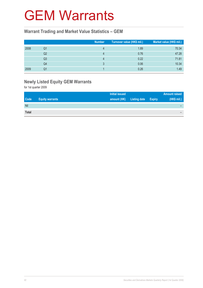# GEM Warrants

#### **Warrant Trading and Market Value Statistics – GEM**

|      |                | <b>Number</b> | Turnover value (HK\$ mil.) | Market value (HK\$ mil.) |
|------|----------------|---------------|----------------------------|--------------------------|
| 2008 | Q1             |               | 1.89                       | 70.34                    |
|      | Q <sub>2</sub> |               | 0.76                       | 47.28                    |
|      | Q3             |               | 0.22                       | 71.81                    |
|      | Q4             |               | 0.06                       | 10.34                    |
| 2009 | Q1             |               | 0.26                       | 1.49                     |

## **Newly Listed Equity GEM Warrants**

for 1st quarter 2009

|              |                        | <b>Initial issued</b> |                     |               | <b>Amount raised</b> |
|--------------|------------------------|-----------------------|---------------------|---------------|----------------------|
| <b>Code</b>  | <b>Equity warrants</b> | amount (HK)           | <b>Listing date</b> | <b>Expiry</b> | (HK\$ mil.)          |
| Nil          |                        |                       |                     |               |                      |
| <b>Total</b> |                        |                       |                     |               |                      |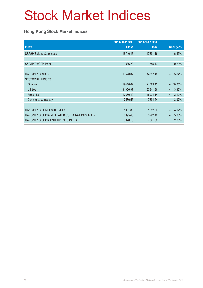# Stock Market Indices

### **Hong Kong Stock Market Indices**

|                                               | End of Mar 2009 | End of Dec 2008 |                                   |
|-----------------------------------------------|-----------------|-----------------|-----------------------------------|
| <b>Index</b>                                  | <b>Close</b>    | <b>Close</b>    | Change %                          |
| S&P/HKEx LargeCap Index                       | 16740.46        | 17891.16        | 6.43%<br>$\overline{\phantom{0}}$ |
|                                               |                 |                 |                                   |
| S&P/HKEx GEM Index                            | 386.23          | 385.47          | 0.20%<br>$\ddot{}$                |
|                                               |                 |                 |                                   |
| <b>HANG SENG INDEX</b>                        | 13576.02        | 14387.48        | 5.64%<br>÷,                       |
| <b>SECTORIAL INDICES</b>                      |                 |                 |                                   |
| Finance                                       | 19418.62        | 21793.45        | 10.90%                            |
| <b>Utilities</b>                              | 34966.97        | 33841.36        | 3.33%<br>$+$                      |
| <b>Properties</b>                             | 17330.49        | 16974.14        | 2.10%<br>$+$                      |
| Commerce & Industry                           | 7580.55         | 7894.24         | 3.97%<br>$\overline{\phantom{0}}$ |
|                                               |                 |                 |                                   |
| HANG SENG COMPOSITE INDEX                     | 1901.85         | 1982.56         | 4.07%                             |
| HANG SENG CHINA-AFFILIATED CORPORATIONS INDEX | 3095.40         | 3292.40         | 5.98%<br>-                        |
| HANG SENG CHINA ENTERPRISES INDEX             | 8070.13         | 7891.80         | 2.26%<br>$\ddot{}$                |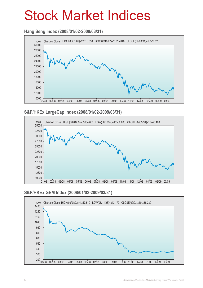# Stock Market Indices

### **Hang Seng Index (2008/01/02-2009/03/31)**



#### **S&P/HKEx LargeCap Index (2008/01/02-2009/03/31)**



#### **S&P/HKEx GEM Index (2008/01/02-2009/03/31)**

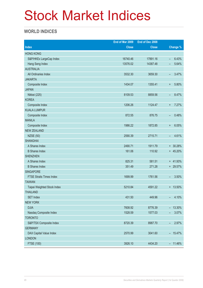# Stock Market Indices

### **WORLD INDICES**

|                                 | End of Mar 2009 | End of Dec 2008 |                                   |
|---------------------------------|-----------------|-----------------|-----------------------------------|
| <b>Index</b>                    | <b>Close</b>    | <b>Close</b>    | <b>Change %</b>                   |
| <b>HONG KONG</b>                |                 |                 |                                   |
| S&P/HKEx LargeCap Index         | 16740.46        | 17891.16        | 6.43%<br>$\qquad \qquad -$        |
| Hang Seng Index                 | 13576.02        | 14387.48        | 5.64%                             |
| <b>AUSTRALIA</b>                |                 |                 |                                   |
| All Ordinaries Index            | 3532.30         | 3659.30         | 3.47%<br>-                        |
| <b>JAKARTA</b>                  |                 |                 |                                   |
| Composite Index                 | 1434.07         | 1355.41         | 5.80%<br>$\ddot{}$                |
| <b>JAPAN</b>                    |                 |                 |                                   |
| Nikkei (225)                    | 8109.53         | 8859.56         | 8.47%<br>-                        |
| <b>KOREA</b>                    |                 |                 |                                   |
| Composite Index                 | 1206.26         | 1124.47         | 7.27%<br>$\ddot{}$                |
| <b>KUALA LUMPUR</b>             |                 |                 |                                   |
| Composite Index                 | 872.55          | 876.75          | 0.48%<br>-                        |
| <b>MANILA</b>                   |                 |                 |                                   |
| Composite Index                 | 1986.22         | 1872.85         | 6.05%<br>$\ddot{}$                |
| <b>NEW ZEALAND</b>              |                 |                 |                                   |
| <b>NZSE (50)</b>                | 2590.39         | 2715.71         | 4.61%<br>$\overline{\phantom{0}}$ |
| <b>SHANGHAI</b>                 |                 |                 |                                   |
| A Shares Index                  | 2490.71         | 1911.79         | + 30.28%                          |
| <b>B</b> Shares Index           | 161.06          | 110.92          | + 45.20%                          |
| <b>SHENZHEN</b>                 |                 |                 |                                   |
| A Shares Index                  | 825.31          | 581.51          | $+ 41.93%$                        |
| <b>B</b> Shares Index           | 351.49          | 271.28          | + 29.57%                          |
| <b>SINGAPORE</b>                |                 |                 |                                   |
| <b>FTSE Straits Times Index</b> | 1699.99         | 1761.56         | 3.50%<br>-                        |
| <b>TAIWAN</b>                   |                 |                 |                                   |
| Taipei Weighted Stock Index     | 5210.84         | 4591.22         | $+ 13.50\%$                       |
| <b>THAILAND</b>                 |                 |                 |                                   |
| <b>SET Index</b>                | 431.50          | 449.96          | 4.10%<br>$\overline{\phantom{0}}$ |
| <b>NEW YORK</b>                 |                 |                 |                                   |
| <b>DJIA</b>                     | 7608.92         | 8776.39         | $-13.30\%$                        |
| Nasdaq Composite Index          | 1528.59         | 1577.03         | 3.07%<br>-                        |
| <b>TORONTO</b>                  |                 |                 |                                   |
| S&P/TSX Composite Index         | 8720.39         | 8987.70         | 2.97%<br>$\overline{\phantom{a}}$ |
| <b>GERMANY</b>                  |                 |                 |                                   |
| DAX Capital Value Index         | 2570.99         | 3041.60         | $-15.47\%$                        |
| <b>LONDON</b>                   |                 |                 |                                   |
| <b>FTSE (100)</b>               | 3926.10         | 4434.20         | $-11.46%$                         |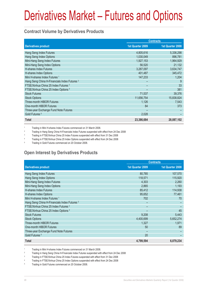### **Contract Volume by Derivatives Products**

|                                                         | <b>Contracts</b> |                  |  |
|---------------------------------------------------------|------------------|------------------|--|
| <b>Derivatives product</b>                              | 1st Quarter 2009 | 1st Quarter 2008 |  |
| Hang Seng Index Futures                                 | 4,805,616        | 5,336,298        |  |
| Hang Seng Index Options                                 | 1,030,049        | 896,781          |  |
| Mini-Hang Seng Index Futures                            | 1,927,153        | 1,964,929        |  |
| Mini-Hang Seng Index Options                            | 56,520           | 21,132           |  |
| H-shares Index Futures                                  | 3,287,097        | 3,634,747        |  |
| H-shares Index Options                                  | 401,487          | 345,472          |  |
| Mini H-shares Index Futures <sup>1</sup>                | 147,233          | 1,204            |  |
| Hang Seng China H-Financials Index Futures <sup>2</sup> |                  | 9                |  |
| FTSE/Xinhua China 25 Index Futures 3                    |                  | 33               |  |
| FTSE/Xinhua China 25 Index Options 4                    |                  | 381              |  |
| <b>Stock Futures</b>                                    | 71,537           | 39,376           |  |
| <b>Stock Options</b>                                    | 11,656,754       | 15,838,824       |  |
| <b>Three-month HIBOR Futures</b>                        | 1,126            | 7,543            |  |
| One-month HIBOR Futures                                 | 84               | 373              |  |
| Three-year Exchange Fund Note Futures                   |                  |                  |  |
| Gold Futures <sup>5</sup>                               | 2,028            |                  |  |
| <b>Total</b>                                            | 23,386,684       | 28,087,102       |  |

1 Trading in Mini H-shares Index Futures commenced on 31 March 2008.

<sup>2</sup> Trading in Hang Seng China H-Financials Index Futures suspended with effect from 24 Dec 2008

<sup>3</sup> Trading in FTSE/Xinhua China 25 Index Futures suspended with effect from 31 Dec 2008

4 Trading in FTSE/Xinhua China 25 Index Options suspended with effect from 24 Dec 2008

5 Trading in Gold Futures commenced on 20 October 2008.

## **Open Interest by Derivatives Products**

|                                                         | <b>Contracts</b> |                  |  |
|---------------------------------------------------------|------------------|------------------|--|
| <b>Derivatives product</b>                              | 1st Quarter 2009 | 1st Quarter 2008 |  |
| Hang Seng Index Futures                                 | 80,785           | 107,570          |  |
| Hang Seng Index Options                                 | 118,571          | 115,920          |  |
| Mini-Hang Seng Index Futures                            | 4,303            | 2,260            |  |
| Mini-Hang Seng Index Options                            | 2,865            | 1,193            |  |
| <b>H-shares Index Futures</b>                           | 85,412           | 114,938          |  |
| H-shares Index Options                                  | 95,652           | 77,461           |  |
| Mini H-shares Index Futures <sup>1</sup>                | 702              | 70               |  |
| Hang Seng China H-Financials Index Futures <sup>2</sup> |                  |                  |  |
| FTSE/Xinhua China 25 Index Futures 3                    |                  |                  |  |
| FTSE/Xinhua China 25 Index Options 4                    |                  | 45               |  |
| <b>Stock Futures</b>                                    | 9,208            | 5,443            |  |
| <b>Stock Options</b>                                    | 4,400,699        | 5,652,274        |  |
| Three-month HIBOR Futures                               | 1,327            | 1,971            |  |
| One-month HIBOR Futures                                 | 50               | 89               |  |
| Three-year Exchange Fund Note Futures                   |                  |                  |  |
| Gold Futures <sup>5</sup>                               | 20               |                  |  |
| Total                                                   | 4,799,594        | 6,079,234        |  |

1 Trading in Mini H-shares Index Futures commenced on 31 March 2008.

2 Trading in Hang Seng China H-Financials Index Futures suspended with effect from 24 Dec 2008

3 Trading in FTSE/Xinhua China 25 Index Futures suspended with effect from 31 Dec 2008

4 Trading in FTSE/Xinhua China 25 Index Options suspended with effect from 24 Dec 2008

5 Trading in Gold Futures commenced on 20 October 2008.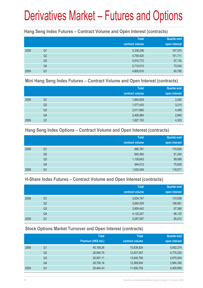#### **Hang Seng Index Futures – Contract Volume and Open Interest (contracts)**

|      |                | <b>Total</b><br>contract volume | <b>Quarter-end</b><br>open interest |
|------|----------------|---------------------------------|-------------------------------------|
| 2008 | Q <sub>1</sub> | 5,336,298                       | 107,570                             |
|      | Q <sub>2</sub> | 4,759,425                       | 101,711                             |
|      | Q <sub>3</sub> | 5,910,772                       | 97,135                              |
|      | Q4             | 5,710,013                       | 73,034                              |
| 2009 | Q1             | 4,805,616                       | 80,785                              |

#### **Mini Hang Seng Index Futures – Contract Volume and Open Interest (contracts)**

|      |                | <b>Total</b><br>contract volume | Quarter-end<br>open interest |
|------|----------------|---------------------------------|------------------------------|
| 2008 | Q <sub>1</sub> | 1,964,929                       | 2,260                        |
|      | Q <sub>2</sub> | 1,577,435                       | 3,215                        |
|      | Q <sub>3</sub> | 2,011,680                       | 4,456                        |
|      | Q4             | 2,406,984                       | 2,945                        |
| 2009 | Q1             | 1,927,153                       | 4,303                        |

#### **Hang Seng Index Options – Contract Volume and Open Interest (contracts)**

|      |                | <b>Total</b>    | <b>Quarter-end</b> |
|------|----------------|-----------------|--------------------|
|      |                | contract volume | open interest      |
| 2008 | Q1             | 896,781         | 115,920            |
|      | Q2             | 840,360         | 91,240             |
|      | Q <sub>3</sub> | 1,139,643       | 99,068             |
|      | Q4             | 944,013         | 75,829             |
| 2009 | Q1             | 1,030,049       | 118,571            |

### **H-Share Index Futures – Contract Volume and Open Interest (contracts)**

|      |                | <b>Total</b>    | <b>Quarter-end</b> |
|------|----------------|-----------------|--------------------|
|      |                | contract volume | open interest      |
| 2008 | Q1             | 3,634,747       | 114,938            |
|      | Q2             | 3,064,529       | 108,981            |
|      | Q <sub>3</sub> | 3,609,442       | 87,386             |
|      | Q4             | 4,132,247       | 96,120             |
| 2009 | Q1             | 3,287,097       | 85,412             |

### **Stock Options Market Turnover and Open Interest (contracts)**

|      |    | <b>Total</b>        | <b>Total</b>    | Quarter-end   |
|------|----|---------------------|-----------------|---------------|
|      |    | Premium (HK\$ mil.) | contract volume | open interest |
| 2008 | Q1 | 45,158.26           | 15,838,824      | 5,652,274     |
|      | Q2 | 26,994.75           | 12,837,557      | 4,775,250     |
|      | Q3 | 26,991.11           | 13,646,790      | 4,675,934     |
|      | Q4 | 28,706.16           | 12,369,694      | 3,984,346     |
| 2009 | Q1 | 25,464.43           | 11,656,754      | 4,400,699     |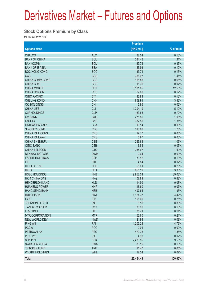#### **Stock Options Premium by Class**

for 1st Quarter 2009

|                        |            | <b>Premium</b> |            |
|------------------------|------------|----------------|------------|
| <b>Options class</b>   |            | $(HK$$ mil.)   | % of total |
| <b>CHALCO</b>          | <b>ALC</b> | 32.54          | 0.13%      |
| <b>BANK OF CHINA</b>   | <b>BCL</b> | 334.43         | 1.31%      |
| <b>BANKCOMM</b>        | <b>BCM</b> | 89.74          | 0.35%      |
| <b>BANK OF E ASIA</b>  | <b>BEA</b> | 25.93          | 0.10%      |
| <b>BOC HONG KONG</b>   | <b>BOC</b> | 33.71          | 0.13%      |
| <b>CCB</b>             | <b>CCB</b> | 366.97         | 1.44%      |
| <b>CHINA COMM CONS</b> | CCC        | 168.85         | 0.66%      |
| <b>CHINA COAL</b>      | <b>CCE</b> | 18.36          | 0.07%      |
| <b>CHINA MOBILE</b>    | <b>CHT</b> | 3,181.85       | 12.50%     |
| <b>CHINA UNICOM</b>    | <b>CHU</b> | 29.68          | 0.12%      |
| <b>CITIC PACIFIC</b>   | <b>CIT</b> | 32.84          | 0.13%      |
| <b>CHEUNG KONG</b>     | <b>CKH</b> | 869.91         | 3.42%      |
| <b>CKI HOLDINGS</b>    | <b>CKI</b> | 5.86           | 0.02%      |
| <b>CHINA LIFE</b>      | <b>CLI</b> | 1,304.19       | 5.12%      |
| <b>CLP HOLDINGS</b>    | <b>CLP</b> | 183.85         | 0.72%      |
| <b>CM BANK</b>         | <b>CMB</b> | 275.56         | 1.08%      |
| <b>CNOOC</b>           | <b>CNC</b> | 332.59         | 1.31%      |
| <b>CATHAY PAC AIR</b>  | <b>CPA</b> | 19.14          | 0.08%      |
| SINOPEC CORP           | <b>CPC</b> | 313.60         | 1.23%      |
| CHINA RAIL CONS        | <b>CRC</b> | 19.77          | 0.08%      |
| <b>CHINA RAILWAY</b>   | <b>CRG</b> | 6.97           | 0.03%      |
| <b>CHINA SHENHUA</b>   | <b>CSE</b> | 269.68         | 1.06%      |
| <b>CITIC BANK</b>      | <b>CTB</b> | 6.54           | 0.03%      |
| <b>CHINA TELECOM</b>   | <b>CTC</b> | 355.67         | 1.40%      |
| <b>DENWAY MOTORS</b>   | <b>DWM</b> | 0.64           | 0.00%      |
| <b>ESPRIT HOLDINGS</b> | <b>ESP</b> | 33.42          | 0.13%      |
| <b>FIH</b>             | <b>FIH</b> | 4.84           | 0.02%      |
| <b>HK ELECTRIC</b>     | <b>HEH</b> | 58.01          | 0.23%      |
| <b>HKEX</b>            | <b>HEX</b> | 855.19         | 3.36%      |
| <b>HSBC HOLDINGS</b>   | <b>HKB</b> | 9,952.54       | 39.08%     |
| HK & CHINA GAS         | <b>HKG</b> | 107.89         | 0.42%      |
| <b>HENDERSON LAND</b>  | <b>HLD</b> | 14.99          | 0.06%      |
| <b>HUANENG POWER</b>   | <b>HNP</b> | 16.60          | 0.07%      |
| <b>HANG SENG BANK</b>  | <b>HSB</b> | 497.64         | 1.95%      |
| <b>HUTCHISON</b>       | <b>HWL</b> | 1,124.37       | 4.42%      |
| <b>ICBC</b>            | <b>ICB</b> | 191.60         | 0.75%      |
| <b>JOHNSON ELECH</b>   | <b>JSE</b> | 0.52           | 0.00%      |
| <b>JIANGXI COPPER</b>  | <b>JXC</b> | 33.26          | 0.13%      |
| LI & FUNG              | LIF        | 35.41          | 0.14%      |
| <b>MTR CORPORATION</b> | <b>MTR</b> | 53.60          | 0.21%      |
| NEW WORLD DEV          | <b>NWD</b> | 21.94          | 0.09%      |
| <b>PING AN</b>         | PAI        | 1,203.24       | 4.73%      |
| <b>PCCW</b>            | <b>PCC</b> | 0.01           | 0.00%      |
| <b>PETROCHINA</b>      | PEC        | 479.76         | 1.88%      |
| PICC P&C               | <b>PIC</b> | 4.98           | 0.02%      |
| <b>SHK PPT</b>         | <b>SHK</b> | 2,433.55       | 9.56%      |
| <b>SWIRE PACIFIC A</b> | <b>SWA</b> | 33.16          | 0.13%      |
| <b>TRACKER FUND</b>    | <b>TRF</b> | 11.47          | 0.05%      |
| <b>WHARF HOLDINGS</b>  | <b>WHL</b> | 17.54          | 0.07%      |
| <b>Total</b>           |            | 25,464.43      | 100.00%    |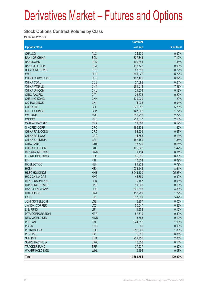#### **Stock Options Contract Volume by Class**

for 1st Quarter 2009

|                           |            | <b>Contract</b> |            |
|---------------------------|------------|-----------------|------------|
| <b>Options class</b>      |            | volume          | % of total |
| <b>CHALCO</b>             | <b>ALC</b> | 35,130          | 0.30%      |
| <b>BANK OF CHINA</b>      | <b>BCL</b> | 827,346         | 7.10%      |
| <b>BANKCOMM</b>           | <b>BCM</b> | 169,841         | 1.46%      |
| <b>BANK OF E ASIA</b>     | <b>BEA</b> | 115,722         | 0.99%      |
| <b>BOC HONG KONG</b>      | <b>BOC</b> | 83,816          | 0.72%      |
| <b>CCB</b>                | <b>CCB</b> | 791,542         | 6.79%      |
| <b>CHINA COMM CONS</b>    | CCC        | 107,426         | 0.92%      |
| <b>CHINA COAL</b>         | <b>CCE</b> | 27,692          | 0.24%      |
| <b>CHINA MOBILE</b>       | <b>CHT</b> | 861,614         | 7.39%      |
| <b>CHINA UNICOM</b>       | <b>CHU</b> | 21,678          | 0.19%      |
| <b>CITIC PACIFIC</b>      | <b>CIT</b> | 25,576          | 0.22%      |
| <b>CHEUNG KONG</b>        | <b>CKH</b> | 139,930         | 1.20%      |
| <b>CKI HOLDINGS</b>       | <b>CKI</b> | 4,905           | 0.04%      |
| <b>CHINA LIFE</b>         | <b>CLI</b> | 675,012         | 5.79%      |
| <b>CLP HOLDINGS</b>       | <b>CLP</b> | 147,802         | 1.27%      |
| <b>CM BANK</b>            | <b>CMB</b> | 316,918         | 2.72%      |
| <b>CNOOC</b>              | <b>CNC</b> | 253,677         | 2.18%      |
| <b>CATHAY PAC AIR</b>     | <b>CPA</b> | 21,808          | 0.19%      |
| <b>SINOPEC CORP</b>       | <b>CPC</b> | 165,132         | 1.42%      |
| <b>CHINA RAIL CONS</b>    | <b>CRC</b> | 54,909          | 0.47%      |
| <b>CHINA RAILWAY</b>      | <b>CRG</b> | 14,653          | 0.13%      |
| <b>CHINA SHENHUA</b>      | <b>CSE</b> | 157,150         | 1.35%      |
| <b>CITIC BANK</b>         | <b>CTB</b> | 18,770          | 0.16%      |
| <b>CHINA TELECOM</b>      | <b>CTC</b> | 165,022         | 1.42%      |
| <b>DENWAY MOTORS</b>      | <b>DWM</b> | 1,194           | 0.01%      |
| <b>ESPRIT HOLDINGS</b>    | <b>ESP</b> | 96,695          | 0.83%      |
| <b>FIH</b>                | <b>FIH</b> | 10,354          | 0.09%      |
| <b>HK ELECTRIC</b>        | <b>HEH</b> | 91,922          | 0.79%      |
| <b>HKEX</b>               | <b>HEX</b> | 1,003,446       | 8.61%      |
| <b>HSBC HOLDINGS</b>      | <b>HKB</b> | 2,944,100       | 25.26%     |
| <b>HK &amp; CHINA GAS</b> | <b>HKG</b> | 45,380          | 0.39%      |
| <b>HENDERSON LAND</b>     | <b>HLD</b> | 9,457           | 0.08%      |
| <b>HUANENG POWER</b>      | <b>HNP</b> | 11,966          | 0.10%      |
| <b>HANG SENG BANK</b>     | <b>HSB</b> | 566,598         | 4.86%      |
| <b>HUTCHISON</b>          | <b>HWL</b> | 150,289         | 1.29%      |
| <b>ICBC</b>               | <b>ICB</b> | 637,329         | 5.47%      |
| JOHNSON ELECH             | <b>JSE</b> | 5,907           | 0.05%      |
| <b>JIANGXI COPPER</b>     | <b>JXC</b> | 50,047          | 0.43%      |
| LI & FUNG                 | LIF        | 11,904          | 0.10%      |
| <b>MTR CORPORATION</b>    | <b>MTR</b> | 57,310          | 0.49%      |
| <b>NEW WORLD DEV</b>      | <b>NWD</b> | 13,785          | 0.12%      |
| <b>PING AN</b>            | PAI        | 224,612         | 1.93%      |
| <b>PCCW</b>               | <b>PCC</b> | 60              | 0.00%      |
| <b>PETROCHINA</b>         | PEC        | 212,860         | 1.83%      |
| PICC P&C                  | <b>PIC</b> | 5,825           | 0.05%      |
| <b>SHK PPT</b>            | <b>SHK</b> | 238,755         | 2.05%      |
| <b>SWIRE PACIFIC A</b>    | <b>SWA</b> | 16,856          | 0.14%      |
| <b>TRACKER FUND</b>       | <b>TRF</b> | 37,537          | 0.32%      |
| <b>WHARF HOLDINGS</b>     | <b>WHL</b> | 9,495           | 0.08%      |
| <b>Total</b>              |            | 11,656,754      | 100.00%    |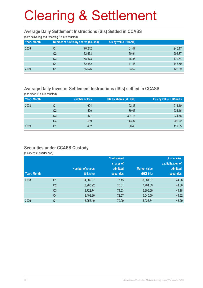#### **Average Daily Settlement Instructions (SIs) Settled in CCASS**

(both delivering and receiving SIs are counted)

| Year / Month | Number of SIsSIs by shares (bil. shs) |        | Sis by value (HK\$bil.) |        |  |  |  |
|--------------|---------------------------------------|--------|-------------------------|--------|--|--|--|
| 2008         | Q1                                    | 70,212 | 61.47                   | 240.17 |  |  |  |
|              | Q2                                    | 62,653 | 50.94                   | 206.87 |  |  |  |
|              | Q <sub>3</sub>                        | 58,573 | 46.36                   | 179.64 |  |  |  |
|              | Q <sub>4</sub>                        | 62,582 | 41.46                   | 146.59 |  |  |  |
| 2009         | Q1                                    | 55,676 | 33.62                   | 122.39 |  |  |  |
|              |                                       |        |                         |        |  |  |  |

#### **Average Daily Investor Settlement Instructions (ISIs) settled in CCASS**

(one sided ISIs are counted) **Year / Month** Number of ISIs ISIs by shares (Mil shs) ISIs by value (HK\$ mil.) 2008 Q1 624 92.86 211.10 . The contract of the contract of the contract of the contract of the contract of the contract of the contract of the contract of the contract of the contract of the contract of the contract of the contract of the contrac . The contract of the contract of the contract of the contract of the contract of the contract of the contract of the contract of the contract of the contract of the contract of the contract of the contract of the contrac . The contract of the contract of the contract of the contract of the contract of the contract of the contract of the contract of the contract of the contract of the contract of the contract of the contract of the contrac 2009 Q1 432 68.40 119.55

### **Securities under CCASS Custody**

(balances at quarter end)

|              |                |                         |                   | % of market         |                   |
|--------------|----------------|-------------------------|-------------------|---------------------|-------------------|
|              |                |                         | shares of         |                     | capitalisation of |
|              |                | <b>Number of shares</b> | admitted          | <b>Market value</b> | admitted          |
| Year / Month |                | (bil. shs)              | <b>securities</b> | (HK\$ bil.)         | <b>securities</b> |
| 2008         | Q <sub>1</sub> | 4,089.67                | 77.13             | 8,061.37            | 44.86             |
|              | Q <sub>2</sub> | 3,980.22                | 75.61             | 7,704.09            | 44.60             |
|              | Q <sub>3</sub> | 3,722.74                | 74.53             | 5,905.59            | 44.18             |
|              | Q4             | 3,408.30                | 72.57             | 5,040.50            | 44.62             |
| 2009         | Q <sub>1</sub> | 3,255.40                | 70.99             | 5,026.74            | 46.29             |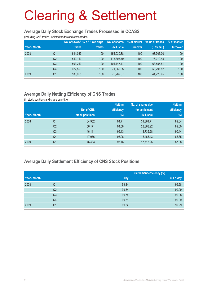#### **Average Daily Stock Exchange Trades Processed in CCASS**

(including CNS trades, isolated trades and cross trades)

|              |                | No. of CCASS % of Exchange |        | No. of shares | % of market | Value of trades | % of market |
|--------------|----------------|----------------------------|--------|---------------|-------------|-----------------|-------------|
| Year / Month |                | trades                     | trades | (Mil. shs)    | turnover    | (HK\$ mil.)     | turnover    |
| 2008         | Q1             | 644.083                    | 100    | 155,030.88    | 100         | 98.707.00       | 100         |
|              | Q <sub>2</sub> | 540,113                    | 100    | 116,803.79    | 100         | 76.079.45       | 100         |
|              | Q <sub>3</sub> | 503.213                    | 100    | 101.147.17    | 100         | 63,555.81       | 100         |
|              | Q4             | 622.593                    | 100    | 71,069.05     | 100         | 50,791.52       | 100         |
| 2009         | Q1             | 533,958                    | 100    | 75,262.87     | 100         | 44,720.95       | 100         |

## **Average Daily Netting Efficiency of CNS Trades**

(in stock positions and share quantity)

|              |                |                 | <b>Netting</b> | No. of shares due | <b>Netting</b> |
|--------------|----------------|-----------------|----------------|-------------------|----------------|
|              |                | No. of CNS      | efficiency     | for settlement    | efficiency     |
| Year / Month |                | stock positions | $(\%)$         | (Mil. shs)        | $(\%)$         |
| 2008         | Q1             | 64,952          | 94.71          | 31,361.71         | 89.64          |
|              | Q <sub>2</sub> | 56,171          | 94.58          | 23,868.92         | 89.60          |
|              | Q <sub>3</sub> | 46,111          | 95.13          | 18,735.28         | 90.44          |
|              | Q4             | 47,076          | 95.96          | 18,463.43         | 86.35          |
| 2009         | Q <sub>1</sub> | 46,433          | 95.46          | 17,715.25         | 87.98          |

### **Average Daily Settlement Efficiency of CNS Stock Positions**

|              |                |       | Settlement efficiency (%) |
|--------------|----------------|-------|---------------------------|
| Year / Month |                | S day | $S + 1$ day               |
| 2008         | Q1             | 99.84 | 99.98                     |
|              | Q <sub>2</sub> | 99.84 | 99.99                     |
|              | Q <sub>3</sub> | 99.74 | 99.98                     |
|              | Q4             | 99.81 | 99.99                     |
| 2009         | Q1             | 99.84 | 99.99                     |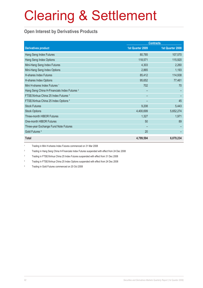### **Open Interest by Derivatives Products**

|                                                         | <b>Contracts</b> |                  |  |
|---------------------------------------------------------|------------------|------------------|--|
| <b>Derivatives product</b>                              | 1st Quarter 2009 | 1st Quarter 2008 |  |
| Hang Seng Index Futures                                 | 80,785           | 107,570          |  |
| Hang Seng Index Options                                 | 118,571          | 115,920          |  |
| Mini-Hang Seng Index Futures                            | 4,303            | 2,260            |  |
| Mini-Hang Seng Index Options                            | 2,865            | 1,193            |  |
| <b>H-shares Index Futures</b>                           | 85,412           | 114,938          |  |
| H-shares Index Options                                  | 95,652           | 77,461           |  |
| Mini H-shares Index Futures <sup>1</sup>                | 702              | 70               |  |
| Hang Seng China H-Financials Index Futures <sup>2</sup> |                  |                  |  |
| FTSE/Xinhua China 25 Index Futures 3                    |                  |                  |  |
| FTSE/Xinhua China 25 Index Options 4                    |                  | 45               |  |
| <b>Stock Futures</b>                                    | 9,208            | 5,443            |  |
| <b>Stock Options</b>                                    | 4,400,699        | 5,652,274        |  |
| <b>Three-month HIBOR Futures</b>                        | 1,327            | 1,971            |  |
| One-month HIBOR Futures                                 | 50               | 89               |  |
| Three-year Exchange Fund Note Futures                   |                  |                  |  |
| Gold Futures <sup>5</sup>                               | 20               |                  |  |
| <b>Total</b>                                            | 4,799,594        | 6,079,234        |  |

1 Trading in Mini H-shares Index Futures commenced on 31 Mar 2008

2 Trading in Hang Seng China H-Financials Index Futures suspended with effect from 24 Dec 2008

3 Trading in FTSE/Xinhua China 25 Index Futures suspended with effect from 31 Dec 2008

4 Trading in FTSE/Xinhua China 25 Index Options suspended with effect from 24 Dec 2008

5 Trading in Gold Futures commenced on 20 Oct 2008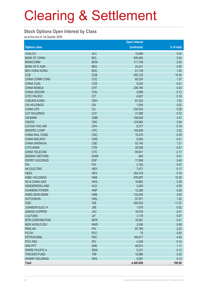#### **Stock Options Open Interest by Class**

as at the end of 1st Quarter 2009

|                           |            | <b>Open interest</b> |            |
|---------------------------|------------|----------------------|------------|
| <b>Options class</b>      |            | (contracts)          | % of total |
| <b>CHALCO</b>             | <b>ALC</b> | 10,609               | 0.24       |
| <b>BANK OF CHINA</b>      | <b>BCL</b> | 406,460              | 9.24       |
| <b>BANKCOMM</b>           | <b>BCM</b> | 111,759              | 2.54       |
| <b>BANK OF E ASIA</b>     | <b>BEA</b> | 24,241               | 0.55       |
| <b>BOC HONG KONG</b>      | <b>BOC</b> | 61,738               | 1.40       |
| <b>CCB</b>                | <b>CCB</b> | 455,122              | 10.34      |
| CHINA COMM CONS           | CCC        | 60,224               | 1.37       |
| <b>CHINA COAL</b>         | <b>CCE</b> | 9,242                | 0.21       |
| <b>CHINA MOBILE</b>       | <b>CHT</b> | 238,780              | 5.43       |
| <b>CHINA UNICOM</b>       | <b>CHU</b> | 5,699                | 0.13       |
| <b>CITIC PACIFIC</b>      | <b>CIT</b> | 6,837                | 0.16       |
| <b>CHEUNG KONG</b>        | <b>CKH</b> | 67,423               | 1.53       |
| <b>CKI HOLDINGS</b>       | <b>CKI</b> | 1,054                | 0.02       |
| <b>CHINA LIFE</b>         | <b>CLI</b> | 232,434              | 5.28       |
| <b>CLP HOLDINGS</b>       | <b>CLP</b> | 31,568               | 0.72       |
| <b>CM BANK</b>            | <b>CMB</b> | 108,620              | 2.47       |
| <b>CNOOC</b>              | <b>CNC</b> | 124,982              | 2.84       |
| <b>CATHAY PAC AIR</b>     | <b>CPA</b> | 8,377                | 0.19       |
| SINOPEC CORP              | <b>CPC</b> | 145,939              | 3.32       |
| CHINA RAIL CONS           | <b>CRC</b> | 15,470               | 0.35       |
| <b>CHINA RAILWAY</b>      | <b>CRG</b> | 9,042                | 0.21       |
| <b>CHINA SHENHUA</b>      | <b>CSE</b> | 53,140               | 1.21       |
| <b>CITIC BANK</b>         | <b>CTB</b> | 20,506               | 0.47       |
| CHINA TELECOM             | <b>CTC</b> | 95,641               | 2.17       |
| <b>DENWAY MOTORS</b>      | <b>DWM</b> | 640                  | 0.01       |
| <b>ESPRIT HOLDINGS</b>    | <b>ESP</b> | 17,808               | 0.40       |
| <b>FIH</b>                | <b>FIH</b> | 3,100                | 0.07       |
| <b>HK ELECTRIC</b>        | <b>HEH</b> | 7,471                | 0.17       |
| <b>HKEX</b>               | <b>HEX</b> | 254,319              | 5.78       |
| <b>HSBC HOLDINGS</b>      | <b>HKB</b> | 676,697              | 15.38      |
| <b>HK &amp; CHINA GAS</b> | <b>HKG</b> | 16,862               | 0.38       |
| <b>HENDERSON LAND</b>     | <b>HLD</b> | 2,405                | 0.05       |
| <b>HUANENG POWER</b>      | <b>HNP</b> | 12,289               | 0.28       |
| <b>HANG SENG BANK</b>     | <b>HSB</b> | 133,430              | 3.03       |
| <b>HUTCHISON</b>          | <b>HWL</b> | 57,971               | 1.32       |
| <b>ICBC</b>               | <b>ICB</b> | 500,533              | 11.37      |
| JOHNSON ELECH             | <b>JSE</b> | 1,070                | 0.02       |
| <b>JIANGXI COPPER</b>     | <b>JXC</b> | 18,016               | 0.41       |
| LI & FUNG                 | LIF        | 3,178                | 0.07       |
| <b>MTR CORPORATION</b>    | <b>MTR</b> | 18,061               | 0.41       |
| NEW WORLD DEV             | <b>NWD</b> | 3,536                | 0.08       |
| <b>PING AN</b>            | PAI        | 97,790               | 2.22       |
| <b>PCCW</b>               | <b>PCC</b> | 75                   | 0.00       |
| <b>PETROCHINA</b>         | PEC        | 195,817              | 4.45       |
| PICC P&C                  | <b>PIC</b> | 4,226                | 0.10       |
| <b>SHK PPT</b>            | <b>SHK</b> | 48,914               | 1.11       |
| <b>SWIRE PACIFIC A</b>    | <b>SWA</b> | 5,331                | 0.12       |
| <b>TRACKER FUND</b>       | <b>TRF</b> | 10,986               | 0.25       |
| <b>WHARF HOLDINGS</b>     | <b>WHL</b> | 5,267                | 0.12       |
| <b>Total</b>              |            | 4,400,699            | 100.00     |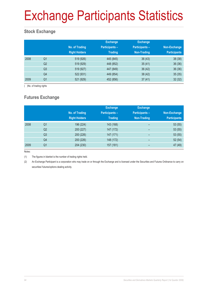# Exchange Participants Statistics

## **Stock Exchange**

|      |                | No. of Trading<br><b>Right Holders</b> | <b>Exchange</b><br><b>Participants -</b><br><b>Trading</b> | <b>Exchange</b><br><b>Participants -</b><br>Non-Trading | Non-Exchange<br><b>Participants</b> |
|------|----------------|----------------------------------------|------------------------------------------------------------|---------------------------------------------------------|-------------------------------------|
| 2008 | Q <sub>1</sub> | 519 (926)                              | 445 (845)                                                  | 36(43)                                                  | 38 (38)                             |
|      | Q <sub>2</sub> | 519 (929)                              | 448 (852)                                                  | 35(41)                                                  | 36(36)                              |
|      | Q <sub>3</sub> | 519 (927)                              | 447 (849)                                                  | 36(42)                                                  | 36(36)                              |
|      | Q4             | 522 (931)                              | 449 (854)                                                  | 38(42)                                                  | 35(35)                              |
| 2009 | Q1             | 521 (929)                              | 452 (856)                                                  | 37(41)                                                  | 32(32)                              |

( )No. of trading rights

## **Futures Exchange**

|      |                | No. of Trading<br><b>Right Holders</b> | <b>Exchange</b><br><b>Participants -</b><br><b>Trading</b> | <b>Exchange</b><br><b>Participants -</b><br><b>Non-Trading</b> | Non-Exchange<br><b>Participants</b> |
|------|----------------|----------------------------------------|------------------------------------------------------------|----------------------------------------------------------------|-------------------------------------|
| 2008 | Q <sub>1</sub> | 196 (224)                              | 143 (168)                                                  | -                                                              | 53(55)                              |
|      | Q <sub>2</sub> | 200 (227)                              | 147 (172)                                                  | $\overline{\phantom{0}}$                                       | 53(55)                              |
|      | Q <sub>3</sub> | 200 (226)                              | 147 (171)                                                  | $\qquad \qquad$                                                | 53(55)                              |
|      | Q4             | 200 (226)                              | 148 (172)                                                  | $\overline{\phantom{0}}$                                       | 52(54)                              |
| 2009 | Q <sub>1</sub> | 204 (230)                              | 157 (181)                                                  | -                                                              | 47 (49)                             |

Notes:

(1) The figures in blanket is the number of trading rights held.

(2) An Exchange Participant is a corporation who may trade on or through the Exchange and is licensed under the Securities and Futures Ordinance to carry on securities/ futures/options dealing activity.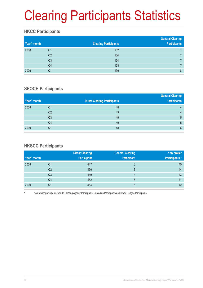# Clearing Participants Statistics

## **HKCC Participants**

| Year \ month |                | <b>Clearing Participants</b> | <b>General Clearing</b><br><b>Participants</b> |
|--------------|----------------|------------------------------|------------------------------------------------|
| 2008         | Q1             | 132                          |                                                |
|              | Q2             | 134                          |                                                |
|              | Q <sub>3</sub> | 134                          |                                                |
|              | Q4             | 133                          |                                                |
| 2009         | Q1             | 139                          | 8                                              |

### **SEOCH Participants**

|              |                |                                     | <b>General Clearing</b> |
|--------------|----------------|-------------------------------------|-------------------------|
| Year \ month |                | <b>Direct Clearing Participants</b> | <b>Participants</b>     |
| 2008         | Q1             | 48                                  | 4                       |
|              | Q2             | 49                                  | 4                       |
|              | Q <sub>3</sub> | 49                                  | 5                       |
|              | Q4             | 49                                  | 5                       |
| 2009         | Q1             | 48                                  | $6\phantom{1}$          |

### **HKSCC Participants**

|              |                | <b>Direct Clearing</b> | <b>General Clearing</b> | Non-broker            |
|--------------|----------------|------------------------|-------------------------|-----------------------|
| Year \ month |                | <b>Participant</b>     | <b>Participant</b>      | <b>Participants</b> * |
| 2008         | Q1             | 447                    | 3                       | 45                    |
|              | Q <sub>2</sub> | 450                    | 3                       | 44                    |
|              | Q3             | 449                    | 4                       | 43                    |
|              | Q4             | 452                    | $5^{\circ}$             | 41                    |
| 2009         | Q1             | 454                    | 5                       | 42                    |

Non-broker participants include Clearing Agency Participants, Custodian Participants and Stock Pledgee Participants.